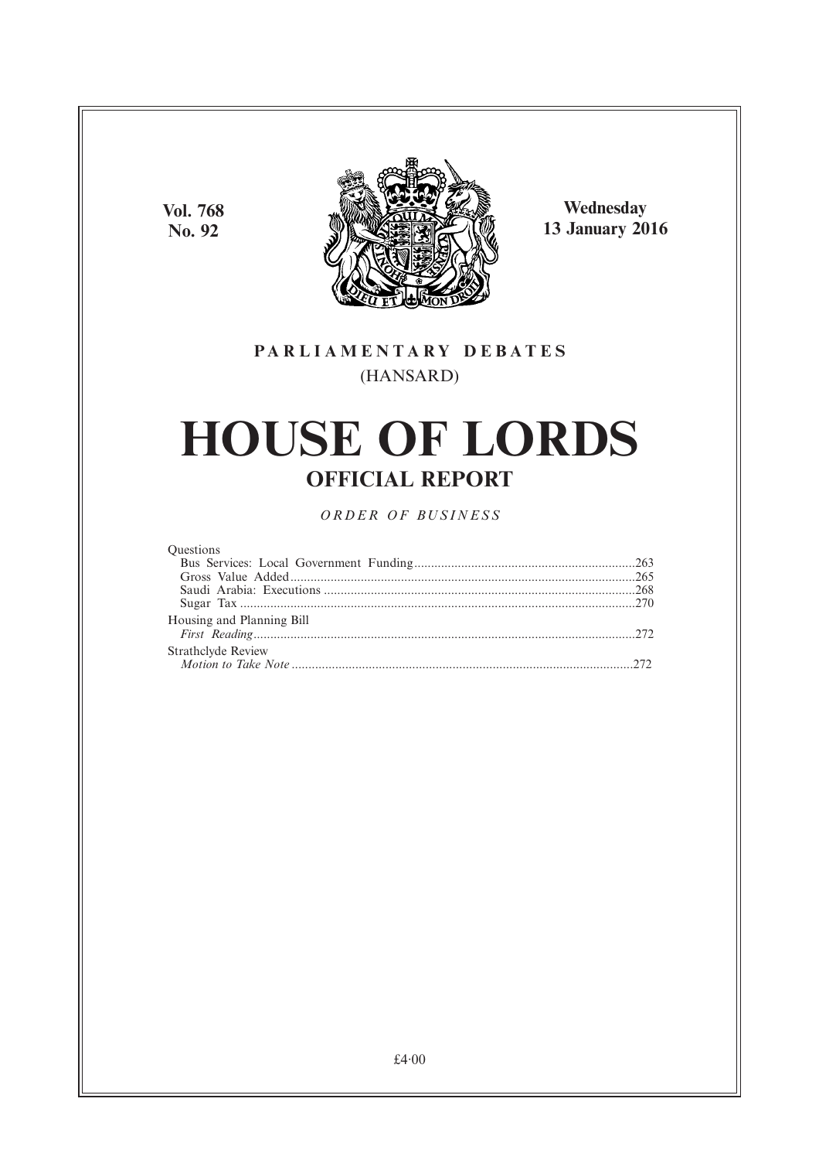**Vol. 768 No. 92**



**Wednesday 13 January 2016**

# **PARL IAMENTARY DEBATES** (HANSARD)

# **HOUSE OF LORDS OFFICIAL REPORT**

*ORDER OF BUSINESS*

#### **Questions**

| Housing and Planning Bill |  |
|---------------------------|--|
| Strathclyde Review        |  |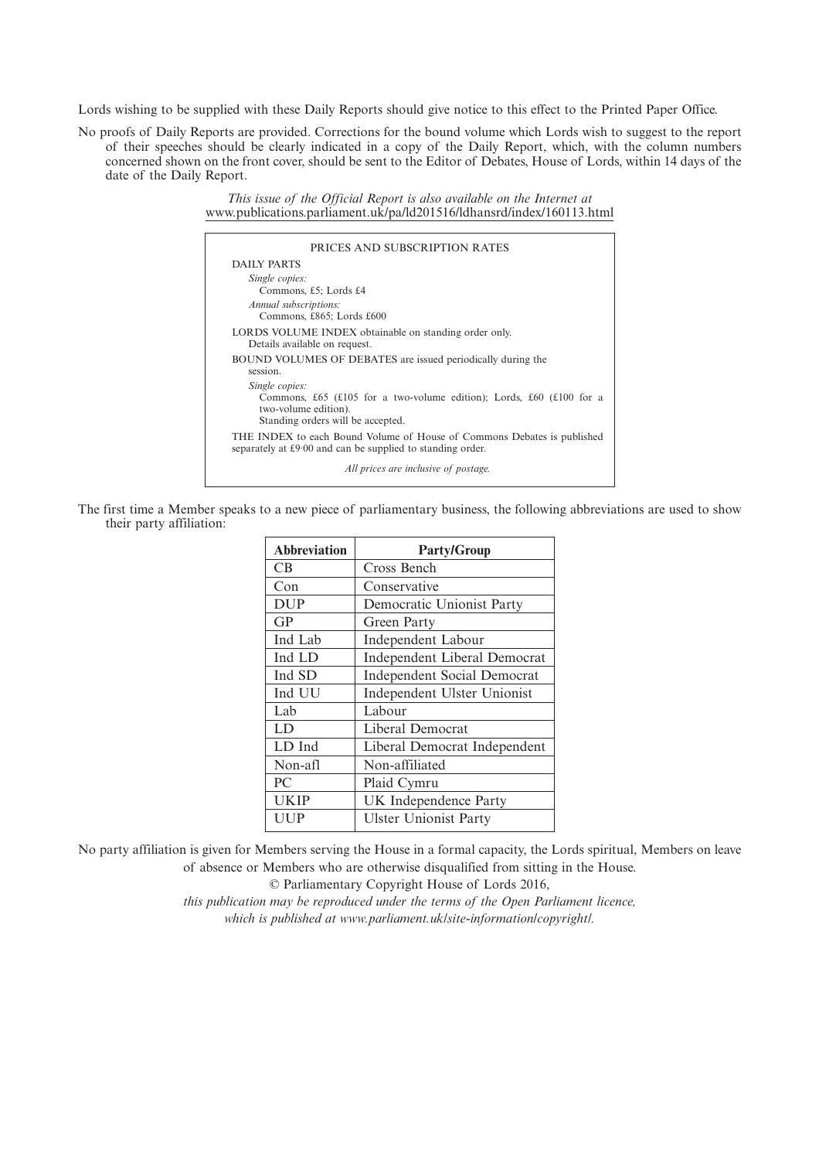Lords wishing to be supplied with these Daily Reports should give notice to this effect to the Printed Paper Office.

No proofs of Daily Reports are provided. Corrections for the bound volume which Lords wish to suggest to the report of their speeches should be clearly indicated in a copy of the Daily Report, which, with the column numbers concerned shown on the front cover, should be sent to the Editor of Debates, House of Lords, within 14 days of the date of the Daily Report.

> *This issue of the Official Report is also available on the Internet at* www.publications.parliament.uk/pa/ld201516/ldhansrd/index/160113.html

| DAILY PARTS                                                                                                                                         |
|-----------------------------------------------------------------------------------------------------------------------------------------------------|
|                                                                                                                                                     |
| Single copies:<br>Commons, £5; Lords £4<br>Annual subscriptions:                                                                                    |
| Commons, £865; Lords £600                                                                                                                           |
| LORDS VOLUME INDEX obtainable on standing order only.<br>Details available on request.                                                              |
| BOUND VOLUMES OF DEBATES are issued periodically during the<br>session.                                                                             |
| Single copies:<br>Commons, £65 (£105 for a two-volume edition); Lords, £60 (£100 for a<br>two-volume edition).<br>Standing orders will be accepted. |
| THE INDEX to each Bound Volume of House of Commons Debates is published<br>separately at £9.00 and can be supplied to standing order.               |
| All prices are inclusive of postage.                                                                                                                |

The first time a Member speaks to a new piece of parliamentary business, the following abbreviations are used to show their party affiliation:

| <b>Abbreviation</b> | <b>Party/Group</b>                  |
|---------------------|-------------------------------------|
| <b>CB</b>           | Cross Bench                         |
| Con                 | Conservative                        |
| <b>DUP</b>          | Democratic Unionist Party           |
| GP                  | Green Party                         |
| Ind Lab             | <b>Independent Labour</b>           |
| Ind LD              | <b>Independent Liberal Democrat</b> |
| Ind SD              | <b>Independent Social Democrat</b>  |
| Ind UU              | Independent Ulster Unionist         |
| Lab                 | Labour                              |
| LD                  | Liberal Democrat                    |
| LD Ind              | Liberal Democrat Independent        |
| Non-afl             | Non-affiliated                      |
| PC.                 | Plaid Cymru                         |
| <b>UKIP</b>         | UK Independence Party               |
| UUP                 | <b>Ulster Unionist Party</b>        |

No party affiliation is given for Members serving the House in a formal capacity, the Lords spiritual, Members on leave of absence or Members who are otherwise disqualified from sitting in the House.

© Parliamentary Copyright House of Lords 2016,

*this publication may be reproduced under the terms of the Open Parliament licence, which is published at www.parliament.uk/site-information/copyright/.*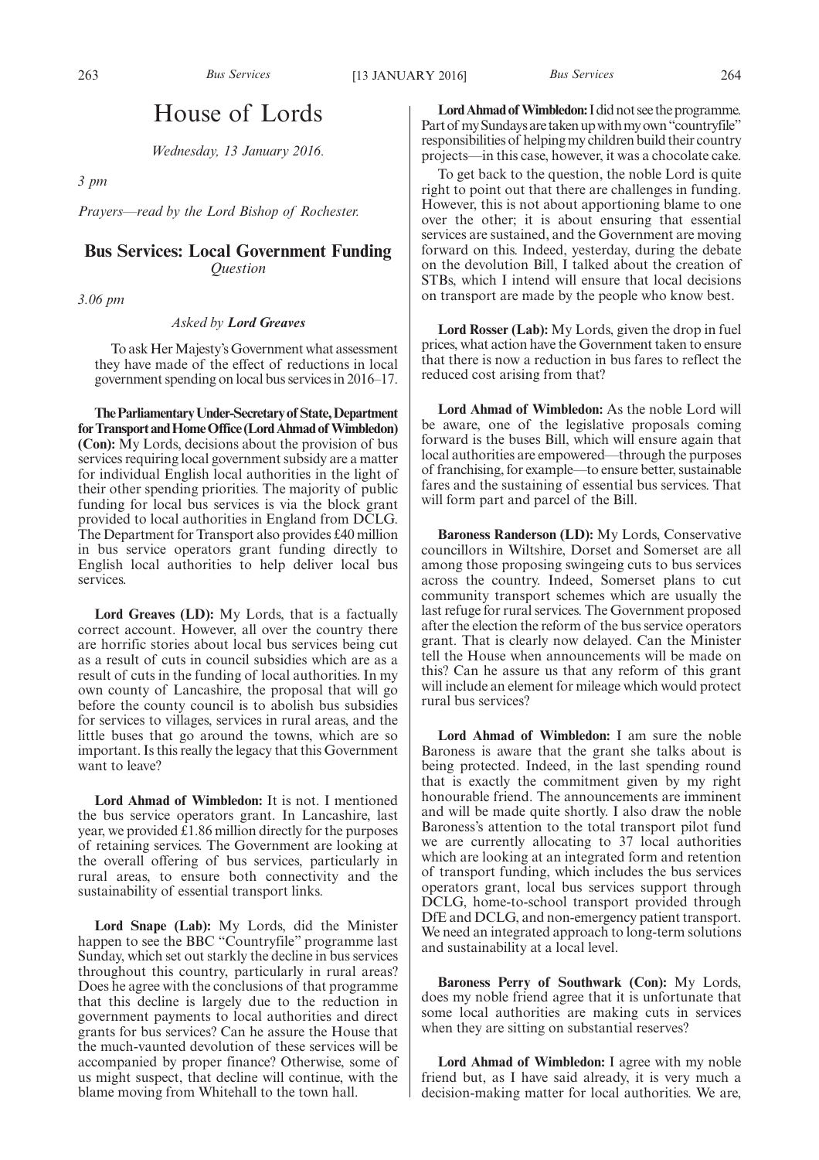# House of Lords

*Wednesday, 13 January 2016.*

*3 pm*

*Prayers—read by the Lord Bishop of Rochester.*

### **Bus Services: Local Government Funding** *Question*

*3.06 pm*

#### *Asked by Lord Greaves*

To ask Her Majesty's Government what assessment they have made of the effect of reductions in local government spending on local bus services in 2016–17.

**TheParliamentaryUnder-Secretaryof State,Department** for Transport and Home Office (Lord Ahmad of Wimbledon) **(Con):** My Lords, decisions about the provision of bus services requiring local government subsidy are a matter for individual English local authorities in the light of their other spending priorities. The majority of public funding for local bus services is via the block grant provided to local authorities in England from DCLG. The Department for Transport also provides £40 million in bus service operators grant funding directly to English local authorities to help deliver local bus services.

**Lord Greaves (LD):** My Lords, that is a factually correct account. However, all over the country there are horrific stories about local bus services being cut as a result of cuts in council subsidies which are as a result of cuts in the funding of local authorities. In my own county of Lancashire, the proposal that will go before the county council is to abolish bus subsidies for services to villages, services in rural areas, and the little buses that go around the towns, which are so important. Is this really the legacy that this Government want to leave?

**Lord Ahmad of Wimbledon:** It is not. I mentioned the bus service operators grant. In Lancashire, last year, we provided £1.86 million directly for the purposes of retaining services. The Government are looking at the overall offering of bus services, particularly in rural areas, to ensure both connectivity and the sustainability of essential transport links.

**Lord Snape (Lab):** My Lords, did the Minister happen to see the BBC "Countryfile" programme last Sunday, which set out starkly the decline in bus services throughout this country, particularly in rural areas? Does he agree with the conclusions of that programme that this decline is largely due to the reduction in government payments to local authorities and direct grants for bus services? Can he assure the House that the much-vaunted devolution of these services will be accompanied by proper finance? Otherwise, some of us might suspect, that decline will continue, with the blame moving from Whitehall to the town hall.

**LordAhmad of Wimbledon:**I did not see the programme. Part of my Sundays are taken up with my own "countryfile" responsibilities of helping my children build their country projects—in this case, however, it was a chocolate cake.

To get back to the question, the noble Lord is quite right to point out that there are challenges in funding. However, this is not about apportioning blame to one over the other; it is about ensuring that essential services are sustained, and the Government are moving forward on this. Indeed, yesterday, during the debate on the devolution Bill, I talked about the creation of STBs, which I intend will ensure that local decisions on transport are made by the people who know best.

**Lord Rosser (Lab):** My Lords, given the drop in fuel prices, what action have the Government taken to ensure that there is now a reduction in bus fares to reflect the reduced cost arising from that?

**Lord Ahmad of Wimbledon:** As the noble Lord will be aware, one of the legislative proposals coming forward is the buses Bill, which will ensure again that local authorities are empowered—through the purposes of franchising, for example—to ensure better, sustainable fares and the sustaining of essential bus services. That will form part and parcel of the Bill.

**Baroness Randerson (LD):** My Lords, Conservative councillors in Wiltshire, Dorset and Somerset are all among those proposing swingeing cuts to bus services across the country. Indeed, Somerset plans to cut community transport schemes which are usually the last refuge for rural services. The Government proposed after the election the reform of the bus service operators grant. That is clearly now delayed. Can the Minister tell the House when announcements will be made on this? Can he assure us that any reform of this grant will include an element for mileage which would protect rural bus services?

**Lord Ahmad of Wimbledon:** I am sure the noble Baroness is aware that the grant she talks about is being protected. Indeed, in the last spending round that is exactly the commitment given by my right honourable friend. The announcements are imminent and will be made quite shortly. I also draw the noble Baroness's attention to the total transport pilot fund we are currently allocating to 37 local authorities which are looking at an integrated form and retention of transport funding, which includes the bus services operators grant, local bus services support through DCLG, home-to-school transport provided through DfE and DCLG, and non-emergency patient transport. We need an integrated approach to long-term solutions and sustainability at a local level.

**Baroness Perry of Southwark (Con):** My Lords, does my noble friend agree that it is unfortunate that some local authorities are making cuts in services when they are sitting on substantial reserves?

**Lord Ahmad of Wimbledon:** I agree with my noble friend but, as I have said already, it is very much a decision-making matter for local authorities. We are,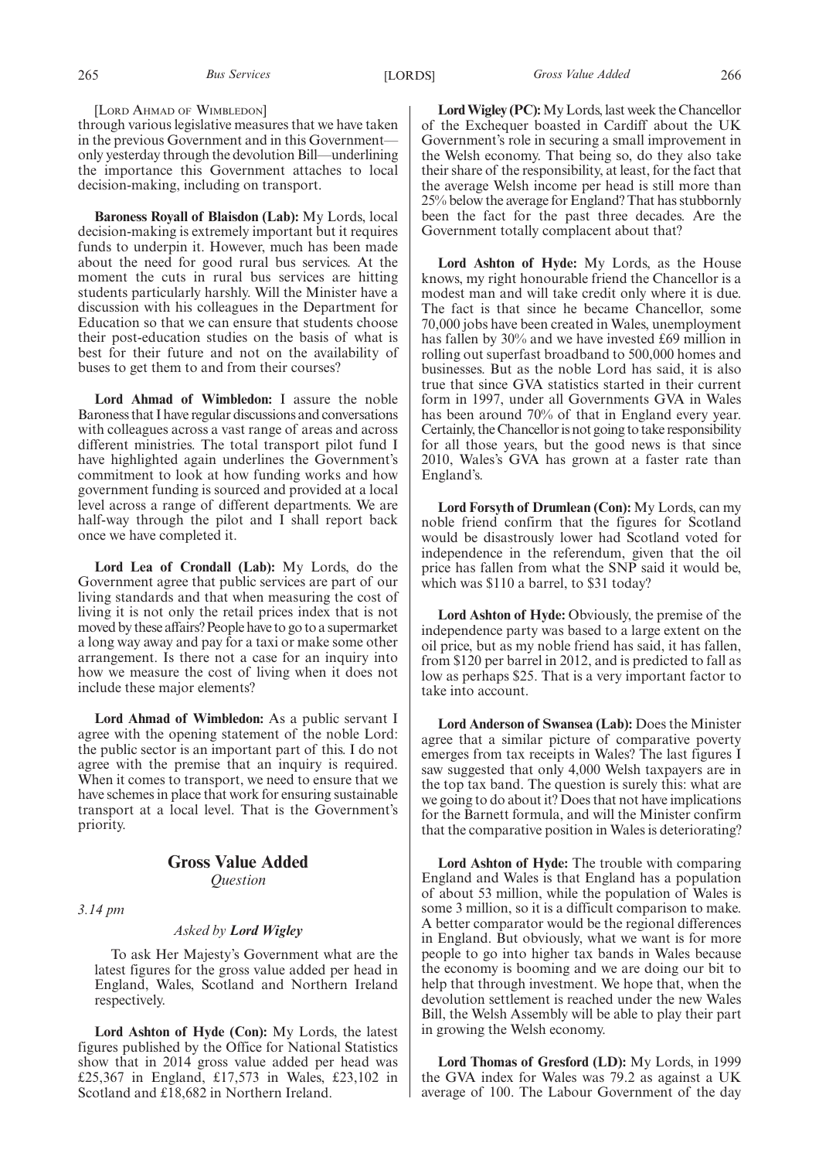through various legislative measures that we have taken in the previous Government and in this Government only yesterday through the devolution Bill—underlining the importance this Government attaches to local decision-making, including on transport.

**Baroness Royall of Blaisdon (Lab):** My Lords, local decision-making is extremely important but it requires funds to underpin it. However, much has been made about the need for good rural bus services. At the moment the cuts in rural bus services are hitting students particularly harshly. Will the Minister have a discussion with his colleagues in the Department for Education so that we can ensure that students choose their post-education studies on the basis of what is best for their future and not on the availability of buses to get them to and from their courses?

**Lord Ahmad of Wimbledon:** I assure the noble Baroness that I have regular discussions and conversations with colleagues across a vast range of areas and across different ministries. The total transport pilot fund I have highlighted again underlines the Government's commitment to look at how funding works and how government funding is sourced and provided at a local level across a range of different departments. We are half-way through the pilot and I shall report back once we have completed it.

**Lord Lea of Crondall (Lab):** My Lords, do the Government agree that public services are part of our living standards and that when measuring the cost of living it is not only the retail prices index that is not moved by these affairs? People have to go to a supermarket a long way away and pay for a taxi or make some other arrangement. Is there not a case for an inquiry into how we measure the cost of living when it does not include these major elements?

**Lord Ahmad of Wimbledon:** As a public servant I agree with the opening statement of the noble Lord: the public sector is an important part of this. I do not agree with the premise that an inquiry is required. When it comes to transport, we need to ensure that we have schemes in place that work for ensuring sustainable transport at a local level. That is the Government's priority.

### **Gross Value Added** *Question*

*3.14 pm*

#### *Asked by Lord Wigley*

To ask Her Majesty's Government what are the latest figures for the gross value added per head in England, Wales, Scotland and Northern Ireland respectively.

**Lord Ashton of Hyde (Con):** My Lords, the latest figures published by the Office for National Statistics show that in 2014 gross value added per head was £25,367 in England, £17,573 in Wales, £23,102 in Scotland and £18,682 in Northern Ireland.

**LordWigley (PC):**My Lords, last week the Chancellor of the Exchequer boasted in Cardiff about the UK Government's role in securing a small improvement in the Welsh economy. That being so, do they also take their share of the responsibility, at least, for the fact that the average Welsh income per head is still more than 25% below the average for England? That has stubbornly been the fact for the past three decades. Are the Government totally complacent about that?

**Lord Ashton of Hyde:** My Lords, as the House knows, my right honourable friend the Chancellor is a modest man and will take credit only where it is due. The fact is that since he became Chancellor, some 70,000 jobs have been created in Wales, unemployment has fallen by 30% and we have invested £69 million in rolling out superfast broadband to 500,000 homes and businesses. But as the noble Lord has said, it is also true that since GVA statistics started in their current form in 1997, under all Governments GVA in Wales has been around 70% of that in England every year. Certainly, the Chancellor is not going to take responsibility for all those years, but the good news is that since 2010, Wales's GVA has grown at a faster rate than England's.

**Lord Forsyth of Drumlean (Con):** My Lords, can my noble friend confirm that the figures for Scotland would be disastrously lower had Scotland voted for independence in the referendum, given that the oil price has fallen from what the SNP said it would be, which was \$110 a barrel, to \$31 today?

**Lord Ashton of Hyde:** Obviously, the premise of the independence party was based to a large extent on the oil price, but as my noble friend has said, it has fallen, from \$120 per barrel in 2012, and is predicted to fall as low as perhaps \$25. That is a very important factor to take into account.

**Lord Anderson of Swansea (Lab):** Does the Minister agree that a similar picture of comparative poverty emerges from tax receipts in Wales? The last figures I saw suggested that only 4,000 Welsh taxpayers are in the top tax band. The question is surely this: what are we going to do about it? Does that not have implications for the Barnett formula, and will the Minister confirm that the comparative position in Wales is deteriorating?

**Lord Ashton of Hyde:** The trouble with comparing England and Wales is that England has a population of about 53 million, while the population of Wales is some 3 million, so it is a difficult comparison to make. A better comparator would be the regional differences in England. But obviously, what we want is for more people to go into higher tax bands in Wales because the economy is booming and we are doing our bit to help that through investment. We hope that, when the devolution settlement is reached under the new Wales Bill, the Welsh Assembly will be able to play their part in growing the Welsh economy.

**Lord Thomas of Gresford (LD):** My Lords, in 1999 the GVA index for Wales was 79.2 as against a UK average of 100. The Labour Government of the day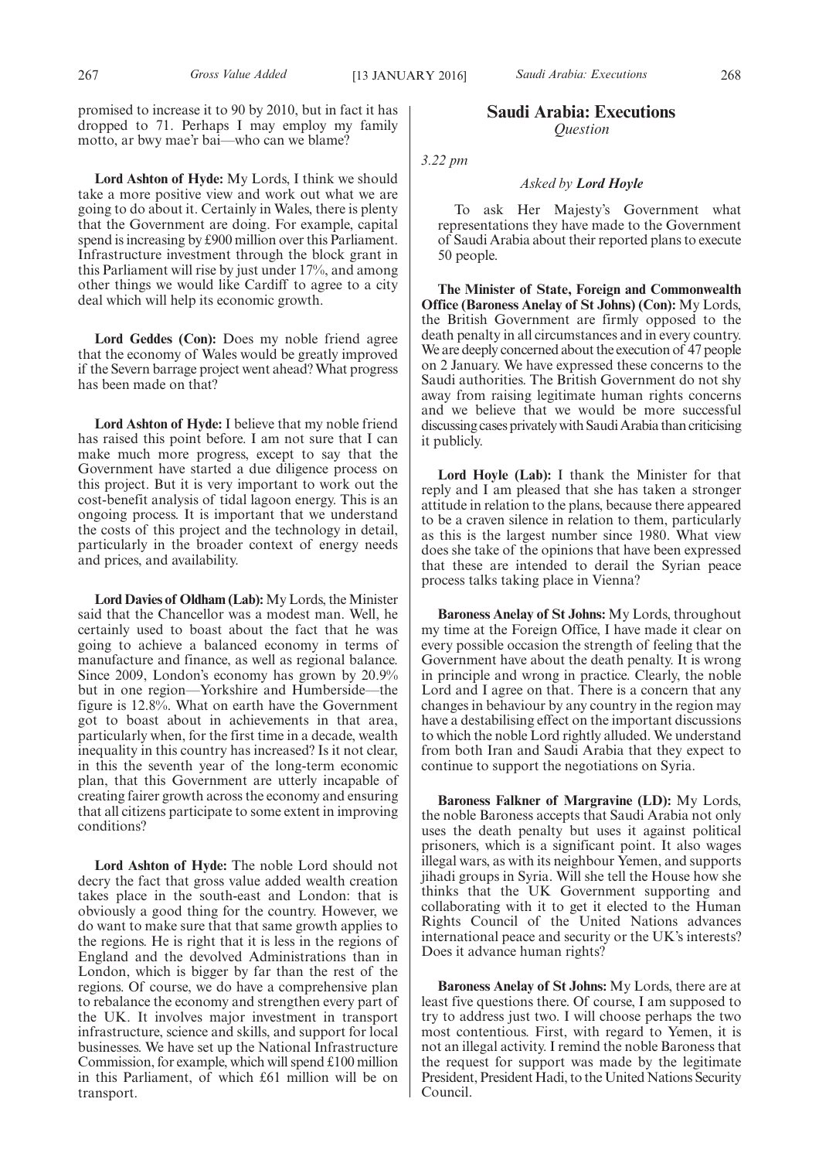promised to increase it to 90 by 2010, but in fact it has dropped to 71. Perhaps I may employ my family motto, ar bwy mae'r bai—who can we blame?

**Lord Ashton of Hyde:** My Lords, I think we should take a more positive view and work out what we are going to do about it. Certainly in Wales, there is plenty that the Government are doing. For example, capital spend is increasing by £900 million over this Parliament. Infrastructure investment through the block grant in this Parliament will rise by just under 17%, and among other things we would like Cardiff to agree to a city deal which will help its economic growth.

**Lord Geddes (Con):** Does my noble friend agree that the economy of Wales would be greatly improved if the Severn barrage project went ahead? What progress has been made on that?

**Lord Ashton of Hyde:** I believe that my noble friend has raised this point before. I am not sure that I can make much more progress, except to say that the Government have started a due diligence process on this project. But it is very important to work out the cost-benefit analysis of tidal lagoon energy. This is an ongoing process. It is important that we understand the costs of this project and the technology in detail, particularly in the broader context of energy needs and prices, and availability.

Lord Davies of Oldham (Lab): My Lords, the Minister said that the Chancellor was a modest man. Well, he certainly used to boast about the fact that he was going to achieve a balanced economy in terms of manufacture and finance, as well as regional balance. Since 2009, London's economy has grown by 20.9% but in one region—Yorkshire and Humberside—the figure is 12.8%. What on earth have the Government got to boast about in achievements in that area, particularly when, for the first time in a decade, wealth inequality in this country has increased? Is it not clear, in this the seventh year of the long-term economic plan, that this Government are utterly incapable of creating fairer growth across the economy and ensuring that all citizens participate to some extent in improving conditions?

**Lord Ashton of Hyde:** The noble Lord should not decry the fact that gross value added wealth creation takes place in the south-east and London: that is obviously a good thing for the country. However, we do want to make sure that that same growth applies to the regions. He is right that it is less in the regions of England and the devolved Administrations than in London, which is bigger by far than the rest of the regions. Of course, we do have a comprehensive plan to rebalance the economy and strengthen every part of the UK. It involves major investment in transport infrastructure, science and skills, and support for local businesses. We have set up the National Infrastructure Commission, for example, which will spend £100 million in this Parliament, of which £61 million will be on transport.

#### **Saudi Arabia: Executions** *Question*

*3.22 pm*

#### *Asked by Lord Hoyle*

To ask Her Majesty's Government what representations they have made to the Government of Saudi Arabia about their reported plans to execute 50 people.

**The Minister of State, Foreign and Commonwealth Office (Baroness Anelay of St Johns) (Con):** My Lords, the British Government are firmly opposed to the death penalty in all circumstances and in every country. We are deeply concerned about the execution of 47 people on 2 January. We have expressed these concerns to the Saudi authorities. The British Government do not shy away from raising legitimate human rights concerns and we believe that we would be more successful discussing cases privately with Saudi Arabia than criticising it publicly.

**Lord Hoyle (Lab):** I thank the Minister for that reply and I am pleased that she has taken a stronger attitude in relation to the plans, because there appeared to be a craven silence in relation to them, particularly as this is the largest number since 1980. What view does she take of the opinions that have been expressed that these are intended to derail the Syrian peace process talks taking place in Vienna?

**Baroness Anelay of St Johns:** My Lords, throughout my time at the Foreign Office, I have made it clear on every possible occasion the strength of feeling that the Government have about the death penalty. It is wrong in principle and wrong in practice. Clearly, the noble Lord and I agree on that. There is a concern that any changes in behaviour by any country in the region may have a destabilising effect on the important discussions to which the noble Lord rightly alluded. We understand from both Iran and Saudi Arabia that they expect to continue to support the negotiations on Syria.

**Baroness Falkner of Margravine (LD):** My Lords, the noble Baroness accepts that Saudi Arabia not only uses the death penalty but uses it against political prisoners, which is a significant point. It also wages illegal wars, as with its neighbour Yemen, and supports jihadi groups in Syria. Will she tell the House how she thinks that the UK Government supporting and collaborating with it to get it elected to the Human Rights Council of the United Nations advances international peace and security or the UK's interests? Does it advance human rights?

**Baroness Anelay of St Johns:** My Lords, there are at least five questions there. Of course, I am supposed to try to address just two. I will choose perhaps the two most contentious. First, with regard to Yemen, it is not an illegal activity. I remind the noble Baroness that the request for support was made by the legitimate President, President Hadi, to the United Nations Security Council.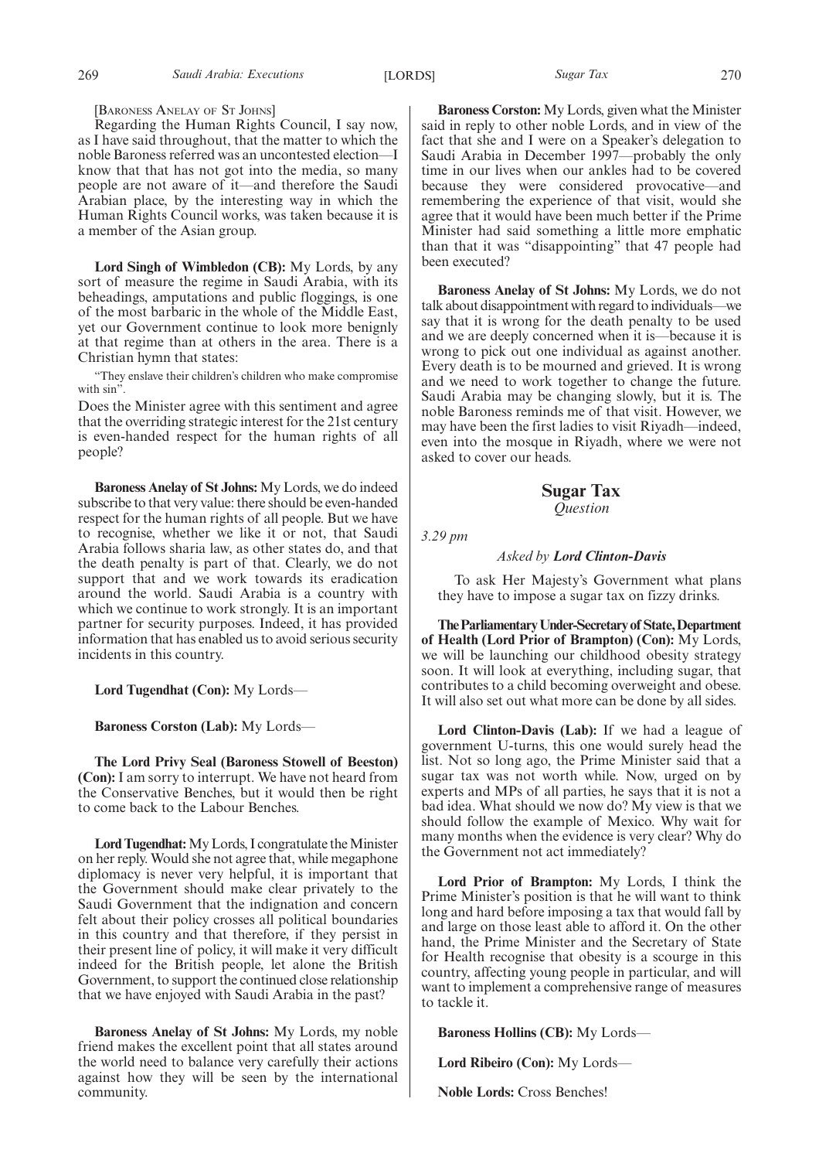[BARONESS ANELAY OF ST JOHNS]

Regarding the Human Rights Council, I say now, as I have said throughout, that the matter to which the noble Baroness referred was an uncontested election—I know that that has not got into the media, so many people are not aware of it—and therefore the Saudi Arabian place, by the interesting way in which the Human Rights Council works, was taken because it is a member of the Asian group.

**Lord Singh of Wimbledon (CB):** My Lords, by any sort of measure the regime in Saudi Arabia, with its beheadings, amputations and public floggings, is one of the most barbaric in the whole of the Middle East, yet our Government continue to look more benignly at that regime than at others in the area. There is a Christian hymn that states:

"They enslave their children's children who make compromise with sin".

Does the Minister agree with this sentiment and agree that the overriding strategic interest for the 21st century is even-handed respect for the human rights of all people?

**Baroness Anelay of St Johns:** My Lords, we do indeed subscribe to that very value: there should be even-handed respect for the human rights of all people. But we have to recognise, whether we like it or not, that Saudi Arabia follows sharia law, as other states do, and that the death penalty is part of that. Clearly, we do not support that and we work towards its eradication around the world. Saudi Arabia is a country with which we continue to work strongly. It is an important partner for security purposes. Indeed, it has provided information that has enabled us to avoid serious security incidents in this country.

**Lord Tugendhat (Con):** My Lords—

**Baroness Corston (Lab):** My Lords—

**The Lord Privy Seal (Baroness Stowell of Beeston) (Con):** I am sorry to interrupt. We have not heard from the Conservative Benches, but it would then be right to come back to the Labour Benches.

Lord Tugendhat: My Lords, I congratulate the Minister on her reply. Would she not agree that, while megaphone diplomacy is never very helpful, it is important that the Government should make clear privately to the Saudi Government that the indignation and concern felt about their policy crosses all political boundaries in this country and that therefore, if they persist in their present line of policy, it will make it very difficult indeed for the British people, let alone the British Government, to support the continued close relationship that we have enjoyed with Saudi Arabia in the past?

**Baroness Anelay of St Johns:** My Lords, my noble friend makes the excellent point that all states around the world need to balance very carefully their actions against how they will be seen by the international community.

**Baroness Corston:** My Lords, given what the Minister said in reply to other noble Lords, and in view of the fact that she and I were on a Speaker's delegation to Saudi Arabia in December 1997—probably the only time in our lives when our ankles had to be covered because they were considered provocative—and remembering the experience of that visit, would she agree that it would have been much better if the Prime Minister had said something a little more emphatic than that it was "disappointing" that 47 people had been executed?

**Baroness Anelay of St Johns:** My Lords, we do not talk about disappointment with regard to individuals—we say that it is wrong for the death penalty to be used and we are deeply concerned when it is—because it is wrong to pick out one individual as against another. Every death is to be mourned and grieved. It is wrong and we need to work together to change the future. Saudi Arabia may be changing slowly, but it is. The noble Baroness reminds me of that visit. However, we may have been the first ladies to visit Riyadh—indeed, even into the mosque in Riyadh, where we were not asked to cover our heads.

> **Sugar Tax** *Question*

*3.29 pm*

*Asked by Lord Clinton-Davis*

To ask Her Majesty's Government what plans they have to impose a sugar tax on fizzy drinks.

**TheParliamentaryUnder-Secretaryof State,Department of Health (Lord Prior of Brampton) (Con):** My Lords, we will be launching our childhood obesity strategy soon. It will look at everything, including sugar, that contributes to a child becoming overweight and obese. It will also set out what more can be done by all sides.

**Lord Clinton-Davis (Lab):** If we had a league of government U-turns, this one would surely head the list. Not so long ago, the Prime Minister said that a sugar tax was not worth while. Now, urged on by experts and MPs of all parties, he says that it is not a bad idea. What should we now do? My view is that we should follow the example of Mexico. Why wait for many months when the evidence is very clear? Why do the Government not act immediately?

**Lord Prior of Brampton:** My Lords, I think the Prime Minister's position is that he will want to think long and hard before imposing a tax that would fall by and large on those least able to afford it. On the other hand, the Prime Minister and the Secretary of State for Health recognise that obesity is a scourge in this country, affecting young people in particular, and will want to implement a comprehensive range of measures to tackle it.

**Baroness Hollins (CB):** My Lords—

**Lord Ribeiro (Con):** My Lords—

**Noble Lords:** Cross Benches!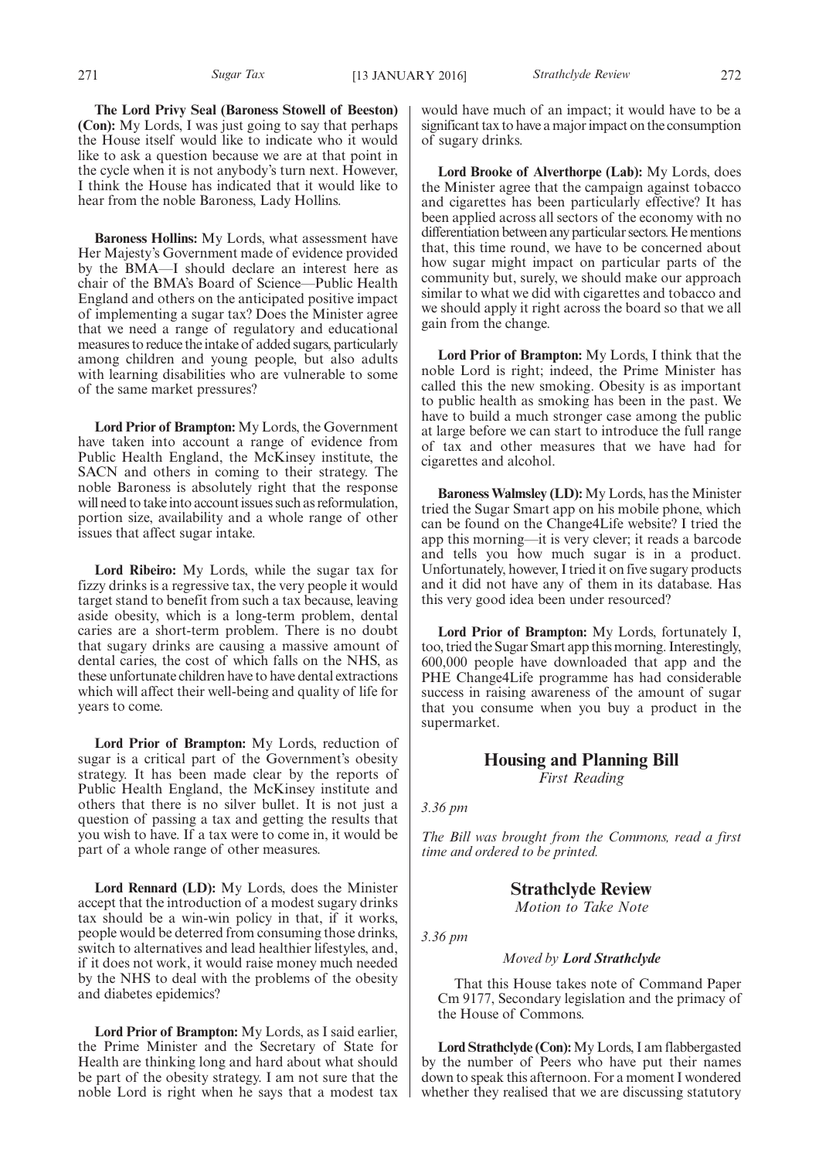**The Lord Privy Seal (Baroness Stowell of Beeston) (Con):** My Lords, I was just going to say that perhaps the House itself would like to indicate who it would like to ask a question because we are at that point in the cycle when it is not anybody's turn next. However, I think the House has indicated that it would like to hear from the noble Baroness, Lady Hollins.

**Baroness Hollins:** My Lords, what assessment have Her Majesty's Government made of evidence provided by the BMA—I should declare an interest here as chair of the BMA's Board of Science—Public Health England and others on the anticipated positive impact of implementing a sugar tax? Does the Minister agree that we need a range of regulatory and educational measures to reduce the intake of added sugars, particularly among children and young people, but also adults with learning disabilities who are vulnerable to some of the same market pressures?

**Lord Prior of Brampton:** My Lords, the Government have taken into account a range of evidence from Public Health England, the McKinsey institute, the SACN and others in coming to their strategy. The noble Baroness is absolutely right that the response will need to take into account issues such as reformulation, portion size, availability and a whole range of other issues that affect sugar intake.

**Lord Ribeiro:** My Lords, while the sugar tax for fizzy drinks is a regressive tax, the very people it would target stand to benefit from such a tax because, leaving aside obesity, which is a long-term problem, dental caries are a short-term problem. There is no doubt that sugary drinks are causing a massive amount of dental caries, the cost of which falls on the NHS, as these unfortunate children have to have dental extractions which will affect their well-being and quality of life for years to come.

**Lord Prior of Brampton:** My Lords, reduction of sugar is a critical part of the Government's obesity strategy. It has been made clear by the reports of Public Health England, the McKinsey institute and others that there is no silver bullet. It is not just a question of passing a tax and getting the results that you wish to have. If a tax were to come in, it would be part of a whole range of other measures.

**Lord Rennard (LD):** My Lords, does the Minister accept that the introduction of a modest sugary drinks tax should be a win-win policy in that, if it works, people would be deterred from consuming those drinks, switch to alternatives and lead healthier lifestyles, and, if it does not work, it would raise money much needed by the NHS to deal with the problems of the obesity and diabetes epidemics?

**Lord Prior of Brampton:** My Lords, as I said earlier, the Prime Minister and the Secretary of State for Health are thinking long and hard about what should be part of the obesity strategy. I am not sure that the noble Lord is right when he says that a modest tax

would have much of an impact; it would have to be a significant tax to have a major impact on the consumption of sugary drinks.

**Lord Brooke of Alverthorpe (Lab):** My Lords, does the Minister agree that the campaign against tobacco and cigarettes has been particularly effective? It has been applied across all sectors of the economy with no differentiation between any particular sectors. He mentions that, this time round, we have to be concerned about how sugar might impact on particular parts of the community but, surely, we should make our approach similar to what we did with cigarettes and tobacco and we should apply it right across the board so that we all gain from the change.

**Lord Prior of Brampton:** My Lords, I think that the noble Lord is right; indeed, the Prime Minister has called this the new smoking. Obesity is as important to public health as smoking has been in the past. We have to build a much stronger case among the public at large before we can start to introduce the full range of tax and other measures that we have had for cigarettes and alcohol.

**Baroness Walmsley (LD):** My Lords, has the Minister tried the Sugar Smart app on his mobile phone, which can be found on the Change4Life website? I tried the app this morning—it is very clever; it reads a barcode and tells you how much sugar is in a product. Unfortunately, however, I tried it on five sugary products and it did not have any of them in its database. Has this very good idea been under resourced?

**Lord Prior of Brampton:** My Lords, fortunately I, too, tried the Sugar Smart app this morning. Interestingly, 600,000 people have downloaded that app and the PHE Change4Life programme has had considerable success in raising awareness of the amount of sugar that you consume when you buy a product in the supermarket.

### **Housing and Planning Bill** *First Reading*

*3.36 pm*

*The Bill was brought from the Commons, read a first time and ordered to be printed.*

#### **Strathclyde Review**

*Motion to Take Note*

*3.36 pm*

#### *Moved by Lord Strathclyde*

That this House takes note of Command Paper Cm 9177, Secondary legislation and the primacy of the House of Commons.

**Lord Strathclyde (Con):**My Lords, I am flabbergasted by the number of Peers who have put their names down to speak this afternoon. For a moment I wondered whether they realised that we are discussing statutory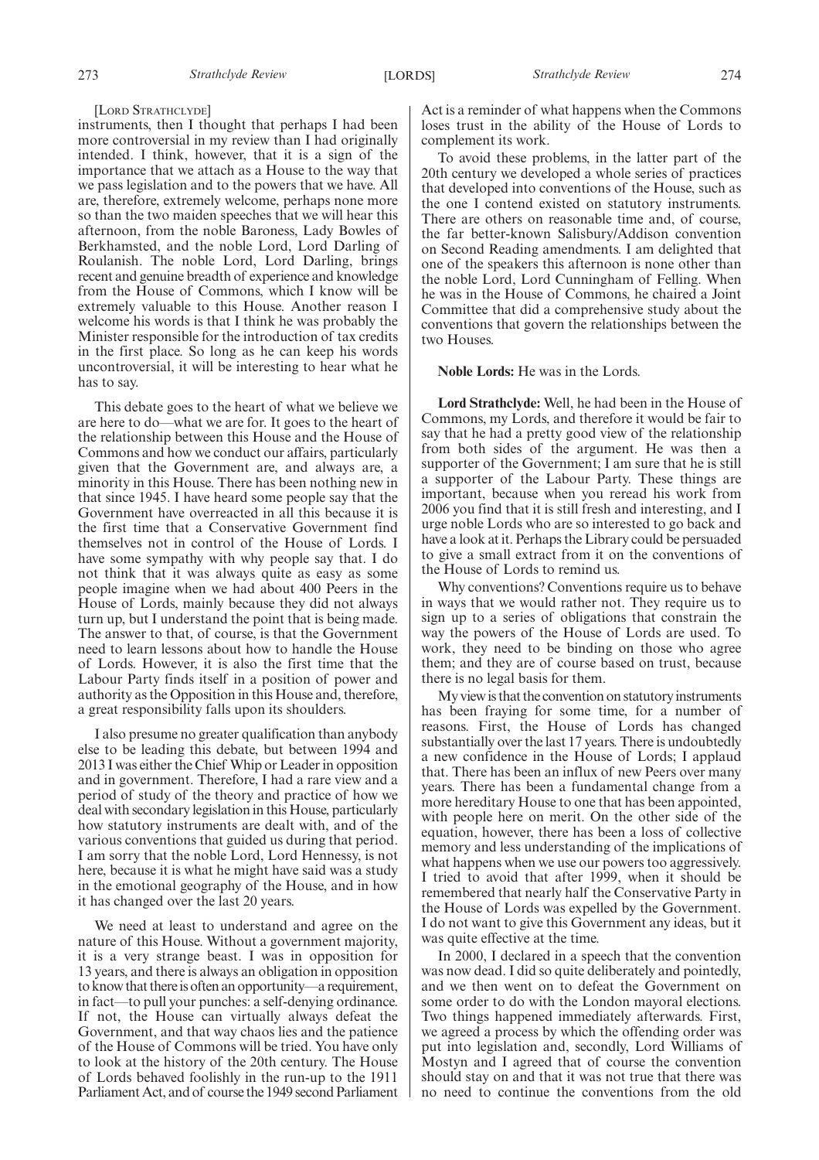#### [LORD STRATHCLYDE]

instruments, then I thought that perhaps I had been more controversial in my review than I had originally intended. I think, however, that it is a sign of the importance that we attach as a House to the way that we pass legislation and to the powers that we have. All are, therefore, extremely welcome, perhaps none more so than the two maiden speeches that we will hear this afternoon, from the noble Baroness, Lady Bowles of Berkhamsted, and the noble Lord, Lord Darling of Roulanish. The noble Lord, Lord Darling, brings recent and genuine breadth of experience and knowledge from the House of Commons, which I know will be extremely valuable to this House. Another reason I welcome his words is that I think he was probably the Minister responsible for the introduction of tax credits in the first place. So long as he can keep his words uncontroversial, it will be interesting to hear what he has to say.

This debate goes to the heart of what we believe we are here to do—what we are for. It goes to the heart of the relationship between this House and the House of Commons and how we conduct our affairs, particularly given that the Government are, and always are, a minority in this House. There has been nothing new in that since 1945. I have heard some people say that the Government have overreacted in all this because it is the first time that a Conservative Government find themselves not in control of the House of Lords. I have some sympathy with why people say that. I do not think that it was always quite as easy as some people imagine when we had about 400 Peers in the House of Lords, mainly because they did not always turn up, but I understand the point that is being made. The answer to that, of course, is that the Government need to learn lessons about how to handle the House of Lords. However, it is also the first time that the Labour Party finds itself in a position of power and authority as the Opposition in this House and, therefore, a great responsibility falls upon its shoulders.

I also presume no greater qualification than anybody else to be leading this debate, but between 1994 and 2013 I was either the Chief Whip or Leader in opposition and in government. Therefore, I had a rare view and a period of study of the theory and practice of how we deal with secondary legislation in this House, particularly how statutory instruments are dealt with, and of the various conventions that guided us during that period. I am sorry that the noble Lord, Lord Hennessy, is not here, because it is what he might have said was a study in the emotional geography of the House, and in how it has changed over the last 20 years.

We need at least to understand and agree on the nature of this House. Without a government majority, it is a very strange beast. I was in opposition for 13 years, and there is always an obligation in opposition to know that thereis often an opportunity—a requirement, in fact—to pull your punches: a self-denying ordinance. If not, the House can virtually always defeat the Government, and that way chaos lies and the patience of the House of Commons will be tried. You have only to look at the history of the 20th century. The House of Lords behaved foolishly in the run-up to the 1911 Parliament Act, and of course the 1949 second Parliament Act is a reminder of what happens when the Commons loses trust in the ability of the House of Lords to complement its work.

To avoid these problems, in the latter part of the 20th century we developed a whole series of practices that developed into conventions of the House, such as the one I contend existed on statutory instruments. There are others on reasonable time and, of course, the far better-known Salisbury/Addison convention on Second Reading amendments. I am delighted that one of the speakers this afternoon is none other than the noble Lord, Lord Cunningham of Felling. When he was in the House of Commons, he chaired a Joint Committee that did a comprehensive study about the conventions that govern the relationships between the two Houses.

#### **Noble Lords:** He was in the Lords.

**Lord Strathclyde:** Well, he had been in the House of Commons, my Lords, and therefore it would be fair to say that he had a pretty good view of the relationship from both sides of the argument. He was then a supporter of the Government; I am sure that he is still a supporter of the Labour Party. These things are important, because when you reread his work from 2006 you find that it is still fresh and interesting, and I urge noble Lords who are so interested to go back and have a look at it. Perhaps the Library could be persuaded to give a small extract from it on the conventions of the House of Lords to remind us.

Why conventions? Conventions require us to behave in ways that we would rather not. They require us to sign up to a series of obligations that constrain the way the powers of the House of Lords are used. To work, they need to be binding on those who agree them; and they are of course based on trust, because there is no legal basis for them.

My viewis that the convention on statutoryinstruments has been fraying for some time, for a number of reasons. First, the House of Lords has changed substantially over the last 17 years. There is undoubtedly a new confidence in the House of Lords; I applaud that. There has been an influx of new Peers over many years. There has been a fundamental change from a more hereditary House to one that has been appointed, with people here on merit. On the other side of the equation, however, there has been a loss of collective memory and less understanding of the implications of what happens when we use our powers too aggressively. I tried to avoid that after 1999, when it should be remembered that nearly half the Conservative Party in the House of Lords was expelled by the Government. I do not want to give this Government any ideas, but it was quite effective at the time.

In 2000, I declared in a speech that the convention was now dead. I did so quite deliberately and pointedly, and we then went on to defeat the Government on some order to do with the London mayoral elections. Two things happened immediately afterwards. First, we agreed a process by which the offending order was put into legislation and, secondly, Lord Williams of Mostyn and I agreed that of course the convention should stay on and that it was not true that there was no need to continue the conventions from the old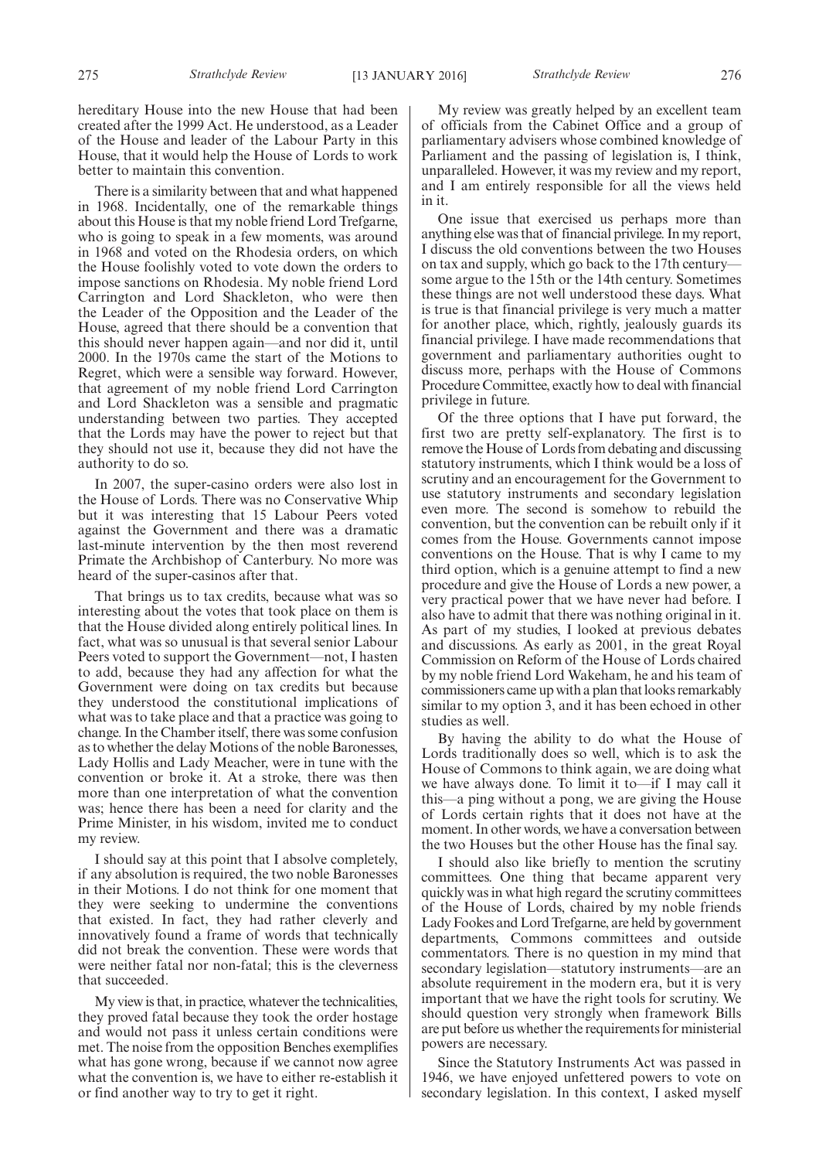hereditary House into the new House that had been created after the 1999 Act. He understood, as a Leader of the House and leader of the Labour Party in this House, that it would help the House of Lords to work better to maintain this convention.

There is a similarity between that and what happened in 1968. Incidentally, one of the remarkable things about this House is that my noble friend Lord Trefgarne, who is going to speak in a few moments, was around in 1968 and voted on the Rhodesia orders, on which the House foolishly voted to vote down the orders to impose sanctions on Rhodesia. My noble friend Lord Carrington and Lord Shackleton, who were then the Leader of the Opposition and the Leader of the House, agreed that there should be a convention that this should never happen again—and nor did it, until 2000. In the 1970s came the start of the Motions to Regret, which were a sensible way forward. However, that agreement of my noble friend Lord Carrington and Lord Shackleton was a sensible and pragmatic understanding between two parties. They accepted that the Lords may have the power to reject but that they should not use it, because they did not have the authority to do so.

In 2007, the super-casino orders were also lost in the House of Lords. There was no Conservative Whip but it was interesting that 15 Labour Peers voted against the Government and there was a dramatic last-minute intervention by the then most reverend Primate the Archbishop of Canterbury. No more was heard of the super-casinos after that.

That brings us to tax credits, because what was so interesting about the votes that took place on them is that the House divided along entirely political lines. In fact, what was so unusual is that several senior Labour Peers voted to support the Government—not, I hasten to add, because they had any affection for what the Government were doing on tax credits but because they understood the constitutional implications of what was to take place and that a practice was going to change. In the Chamber itself, there was some confusion as to whether the delay Motions of the noble Baronesses, Lady Hollis and Lady Meacher, were in tune with the convention or broke it. At a stroke, there was then more than one interpretation of what the convention was; hence there has been a need for clarity and the Prime Minister, in his wisdom, invited me to conduct my review.

I should say at this point that I absolve completely, if any absolution is required, the two noble Baronesses in their Motions. I do not think for one moment that they were seeking to undermine the conventions that existed. In fact, they had rather cleverly and innovatively found a frame of words that technically did not break the convention. These were words that were neither fatal nor non-fatal; this is the cleverness that succeeded.

My view is that, in practice, whatever the technicalities, they proved fatal because they took the order hostage and would not pass it unless certain conditions were met. The noise from the opposition Benches exemplifies what has gone wrong, because if we cannot now agree what the convention is, we have to either re-establish it or find another way to try to get it right.

My review was greatly helped by an excellent team of officials from the Cabinet Office and a group of parliamentary advisers whose combined knowledge of Parliament and the passing of legislation is, I think, unparalleled. However, it was my review and my report, and I am entirely responsible for all the views held in it.

One issue that exercised us perhaps more than anything else was that of financial privilege. In my report, I discuss the old conventions between the two Houses on tax and supply, which go back to the 17th century some argue to the 15th or the 14th century. Sometimes these things are not well understood these days. What is true is that financial privilege is very much a matter for another place, which, rightly, jealously guards its financial privilege. I have made recommendations that government and parliamentary authorities ought to discuss more, perhaps with the House of Commons Procedure Committee, exactly how to deal with financial privilege in future.

Of the three options that I have put forward, the first two are pretty self-explanatory. The first is to remove the House of Lords from debating and discussing statutory instruments, which I think would be a loss of scrutiny and an encouragement for the Government to use statutory instruments and secondary legislation even more. The second is somehow to rebuild the convention, but the convention can be rebuilt only if it comes from the House. Governments cannot impose conventions on the House. That is why I came to my third option, which is a genuine attempt to find a new procedure and give the House of Lords a new power, a very practical power that we have never had before. I also have to admit that there was nothing original in it. As part of my studies, I looked at previous debates and discussions. As early as 2001, in the great Royal Commission on Reform of the House of Lords chaired by my noble friend Lord Wakeham, he and his team of commissioners came up with a plan that looks remarkably similar to my option 3, and it has been echoed in other studies as well.

By having the ability to do what the House of Lords traditionally does so well, which is to ask the House of Commons to think again, we are doing what we have always done. To limit it to—if I may call it this—a ping without a pong, we are giving the House of Lords certain rights that it does not have at the moment. In other words, we have a conversation between the two Houses but the other House has the final say.

I should also like briefly to mention the scrutiny committees. One thing that became apparent very quickly was in what high regard the scrutiny committees of the House of Lords, chaired by my noble friends Lady Fookes and Lord Trefgarne, are held by government departments, Commons committees and outside commentators. There is no question in my mind that secondary legislation—statutory instruments—are an absolute requirement in the modern era, but it is very important that we have the right tools for scrutiny. We should question very strongly when framework Bills are put before us whether the requirements for ministerial powers are necessary.

Since the Statutory Instruments Act was passed in 1946, we have enjoyed unfettered powers to vote on secondary legislation. In this context, I asked myself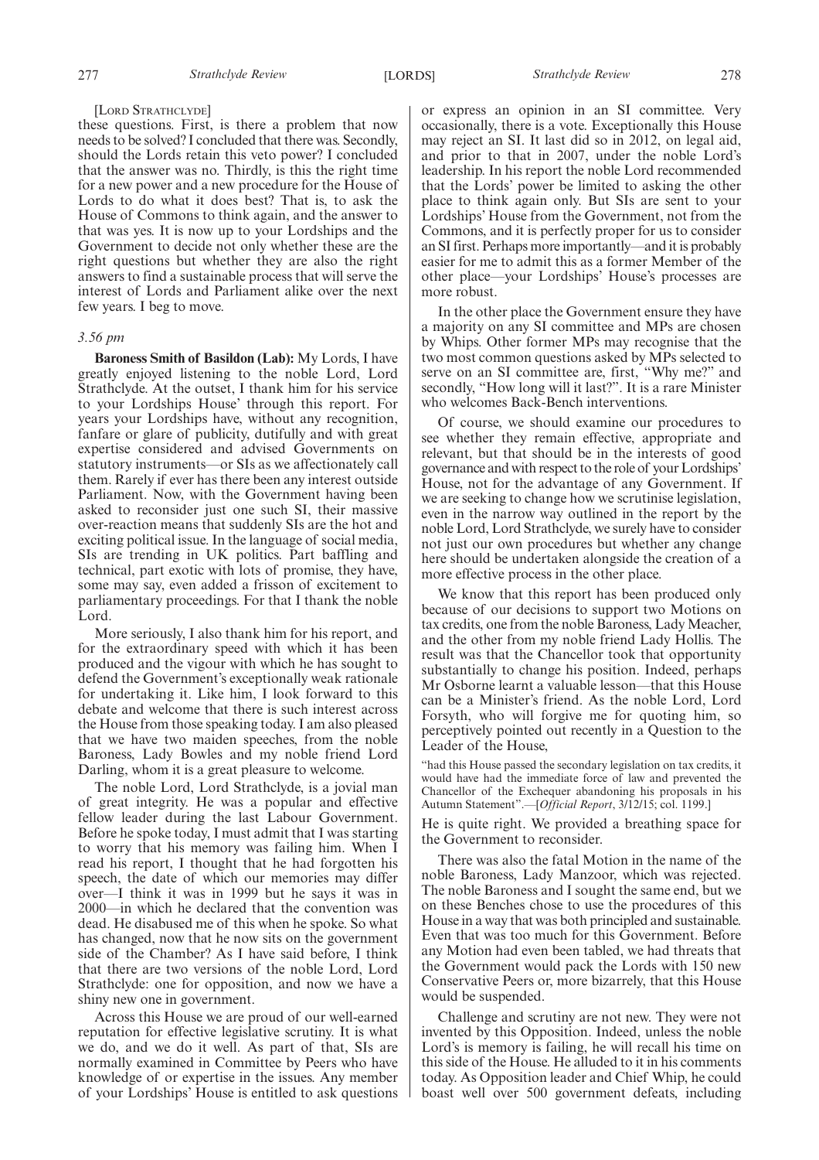#### [LORD STRATHCLYDE]

these questions. First, is there a problem that now needs to be solved? I concluded that there was. Secondly, should the Lords retain this veto power? I concluded that the answer was no. Thirdly, is this the right time for a new power and a new procedure for the House of Lords to do what it does best? That is, to ask the House of Commons to think again, and the answer to that was yes. It is now up to your Lordships and the Government to decide not only whether these are the right questions but whether they are also the right answers to find a sustainable process that will serve the interest of Lords and Parliament alike over the next few years. I beg to move.

#### *3.56 pm*

**Baroness Smith of Basildon (Lab):** My Lords, I have greatly enjoyed listening to the noble Lord, Lord Strathclyde. At the outset, I thank him for his service to your Lordships House' through this report. For years your Lordships have, without any recognition, fanfare or glare of publicity, dutifully and with great expertise considered and advised Governments on statutory instruments—or SIs as we affectionately call them. Rarely if ever has there been any interest outside Parliament. Now, with the Government having been asked to reconsider just one such SI, their massive over-reaction means that suddenly SIs are the hot and exciting political issue. In the language of social media, SIs are trending in UK politics. Part baffling and technical, part exotic with lots of promise, they have, some may say, even added a frisson of excitement to parliamentary proceedings. For that I thank the noble Lord.

More seriously, I also thank him for his report, and for the extraordinary speed with which it has been produced and the vigour with which he has sought to defend the Government's exceptionally weak rationale for undertaking it. Like him, I look forward to this debate and welcome that there is such interest across the House from those speaking today. I am also pleased that we have two maiden speeches, from the noble Baroness, Lady Bowles and my noble friend Lord Darling, whom it is a great pleasure to welcome.

The noble Lord, Lord Strathclyde, is a jovial man of great integrity. He was a popular and effective fellow leader during the last Labour Government. Before he spoke today, I must admit that I was starting to worry that his memory was failing him. When I read his report, I thought that he had forgotten his speech, the date of which our memories may differ over—I think it was in 1999 but he says it was in 2000—in which he declared that the convention was dead. He disabused me of this when he spoke. So what has changed, now that he now sits on the government side of the Chamber? As I have said before, I think that there are two versions of the noble Lord, Lord Strathclyde: one for opposition, and now we have a shiny new one in government.

Across this House we are proud of our well-earned reputation for effective legislative scrutiny. It is what we do, and we do it well. As part of that, SIs are normally examined in Committee by Peers who have knowledge of or expertise in the issues. Any member of your Lordships' House is entitled to ask questions or express an opinion in an SI committee. Very occasionally, there is a vote. Exceptionally this House may reject an SI. It last did so in 2012, on legal aid, and prior to that in 2007, under the noble Lord's leadership. In his report the noble Lord recommended that the Lords' power be limited to asking the other place to think again only. But SIs are sent to your Lordships' House from the Government, not from the Commons, and it is perfectly proper for us to consider an SI first. Perhaps more importantly—and it is probably easier for me to admit this as a former Member of the other place—your Lordships' House's processes are more robust.

In the other place the Government ensure they have a majority on any SI committee and MPs are chosen by Whips. Other former MPs may recognise that the two most common questions asked by MPs selected to serve on an SI committee are, first, "Why me?" and secondly, "How long will it last?". It is a rare Minister who welcomes Back-Bench interventions.

Of course, we should examine our procedures to see whether they remain effective, appropriate and relevant, but that should be in the interests of good governance and with respect to the role of your Lordships' House, not for the advantage of any Government. If we are seeking to change how we scrutinise legislation, even in the narrow way outlined in the report by the noble Lord, Lord Strathclyde, we surely have to consider not just our own procedures but whether any change here should be undertaken alongside the creation of a more effective process in the other place.

We know that this report has been produced only because of our decisions to support two Motions on tax credits, one from the noble Baroness, Lady Meacher, and the other from my noble friend Lady Hollis. The result was that the Chancellor took that opportunity substantially to change his position. Indeed, perhaps Mr Osborne learnt a valuable lesson—that this House can be a Minister's friend. As the noble Lord, Lord Forsyth, who will forgive me for quoting him, so perceptively pointed out recently in a Question to the Leader of the House,

had this House passed the secondary legislation on tax credits, it would have had the immediate force of law and prevented the Chancellor of the Exchequer abandoning his proposals in his Autumn Statement".—[*Official Report*, 3/12/15; col. 1199.]

He is quite right. We provided a breathing space for the Government to reconsider.

There was also the fatal Motion in the name of the noble Baroness, Lady Manzoor, which was rejected. The noble Baroness and I sought the same end, but we on these Benches chose to use the procedures of this House in a way that was both principled and sustainable. Even that was too much for this Government. Before any Motion had even been tabled, we had threats that the Government would pack the Lords with 150 new Conservative Peers or, more bizarrely, that this House would be suspended.

Challenge and scrutiny are not new. They were not invented by this Opposition. Indeed, unless the noble Lord's is memory is failing, he will recall his time on this side of the House. He alluded to it in his comments today. As Opposition leader and Chief Whip, he could boast well over 500 government defeats, including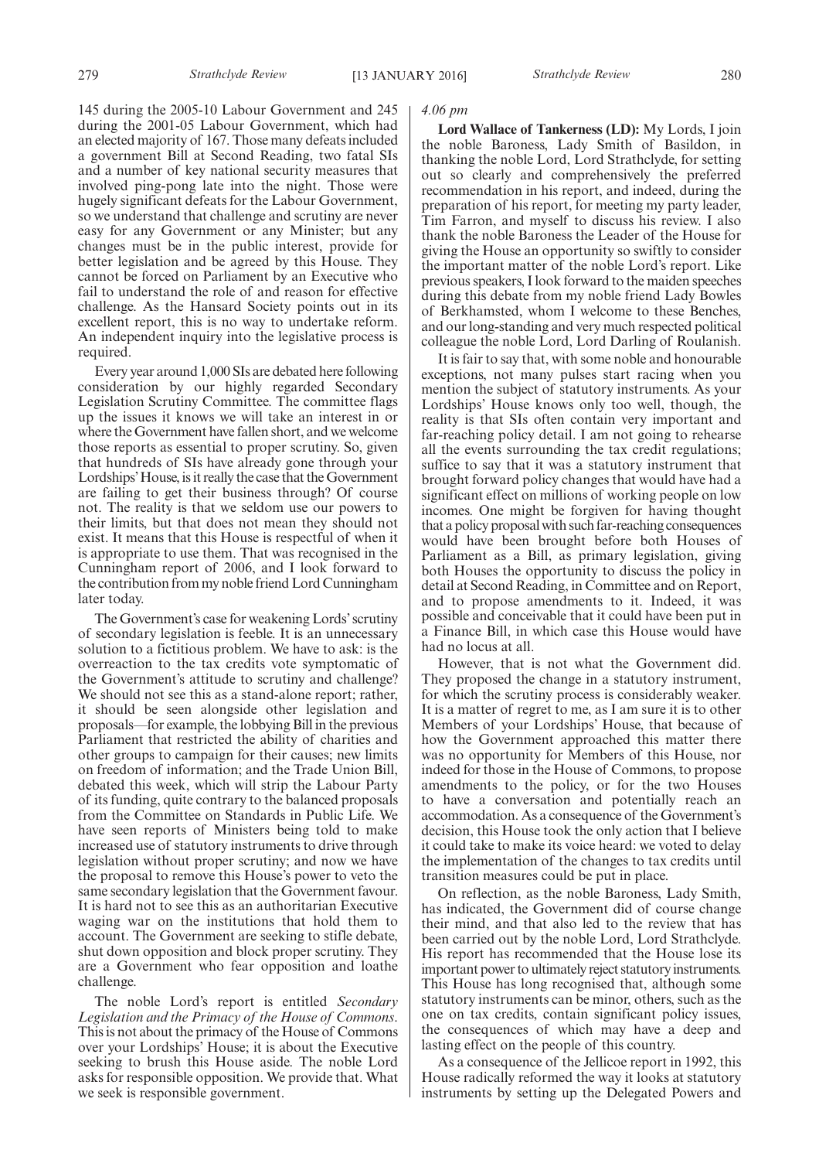145 during the 2005-10 Labour Government and 245 during the 2001-05 Labour Government, which had an elected majority of 167. Those many defeats included a government Bill at Second Reading, two fatal SIs and a number of key national security measures that involved ping-pong late into the night. Those were hugely significant defeats for the Labour Government, so we understand that challenge and scrutiny are never easy for any Government or any Minister; but any changes must be in the public interest, provide for better legislation and be agreed by this House. They cannot be forced on Parliament by an Executive who fail to understand the role of and reason for effective challenge. As the Hansard Society points out in its excellent report, this is no way to undertake reform. An independent inquiry into the legislative process is required.

Every year around 1,000 SIs are debated here following consideration by our highly regarded Secondary Legislation Scrutiny Committee. The committee flags up the issues it knows we will take an interest in or where the Government have fallen short, and we welcome those reports as essential to proper scrutiny. So, given that hundreds of SIs have already gone through your Lordships'House, is it really the case that the Government are failing to get their business through? Of course not. The reality is that we seldom use our powers to their limits, but that does not mean they should not exist. It means that this House is respectful of when it is appropriate to use them. That was recognised in the Cunningham report of 2006, and I look forward to the contribution from my noble friend Lord Cunningham later today.

The Government's case for weakening Lords' scrutiny of secondary legislation is feeble. It is an unnecessary solution to a fictitious problem. We have to ask: is the overreaction to the tax credits vote symptomatic of the Government's attitude to scrutiny and challenge? We should not see this as a stand-alone report; rather, it should be seen alongside other legislation and proposals—for example, the lobbying Bill in the previous Parliament that restricted the ability of charities and other groups to campaign for their causes; new limits on freedom of information; and the Trade Union Bill, debated this week, which will strip the Labour Party of its funding, quite contrary to the balanced proposals from the Committee on Standards in Public Life. We have seen reports of Ministers being told to make increased use of statutory instruments to drive through legislation without proper scrutiny; and now we have the proposal to remove this House's power to veto the same secondary legislation that the Government favour. It is hard not to see this as an authoritarian Executive waging war on the institutions that hold them to account. The Government are seeking to stifle debate, shut down opposition and block proper scrutiny. They are a Government who fear opposition and loathe challenge.

The noble Lord's report is entitled *Secondary Legislation and the Primacy of the House of Commons*. This is not about the primacy of the House of Commons over your Lordships' House; it is about the Executive seeking to brush this House aside. The noble Lord asks for responsible opposition. We provide that. What we seek is responsible government.

#### *4.06 pm*

**Lord Wallace of Tankerness (LD):** My Lords, I join the noble Baroness, Lady Smith of Basildon, in thanking the noble Lord, Lord Strathclyde, for setting out so clearly and comprehensively the preferred recommendation in his report, and indeed, during the preparation of his report, for meeting my party leader, Tim Farron, and myself to discuss his review. I also thank the noble Baroness the Leader of the House for giving the House an opportunity so swiftly to consider the important matter of the noble Lord's report. Like previous speakers, I look forward to the maiden speeches during this debate from my noble friend Lady Bowles of Berkhamsted, whom I welcome to these Benches, and our long-standing and very much respected political colleague the noble Lord, Lord Darling of Roulanish.

It is fair to say that, with some noble and honourable exceptions, not many pulses start racing when you mention the subject of statutory instruments. As your Lordships' House knows only too well, though, the reality is that SIs often contain very important and far-reaching policy detail. I am not going to rehearse all the events surrounding the tax credit regulations; suffice to say that it was a statutory instrument that brought forward policy changes that would have had a significant effect on millions of working people on low incomes. One might be forgiven for having thought that a policy proposal with such far-reaching consequences would have been brought before both Houses of Parliament as a Bill, as primary legislation, giving both Houses the opportunity to discuss the policy in detail at Second Reading, in Committee and on Report, and to propose amendments to it. Indeed, it was possible and conceivable that it could have been put in a Finance Bill, in which case this House would have had no locus at all.

However, that is not what the Government did. They proposed the change in a statutory instrument, for which the scrutiny process is considerably weaker. It is a matter of regret to me, as I am sure it is to other Members of your Lordships' House, that because of how the Government approached this matter there was no opportunity for Members of this House, nor indeed for those in the House of Commons, to propose amendments to the policy, or for the two Houses to have a conversation and potentially reach an accommodation. As a consequence of the Government's decision, this House took the only action that I believe it could take to make its voice heard: we voted to delay the implementation of the changes to tax credits until transition measures could be put in place.

On reflection, as the noble Baroness, Lady Smith, has indicated, the Government did of course change their mind, and that also led to the review that has been carried out by the noble Lord, Lord Strathclyde. His report has recommended that the House lose its important power to ultimately reject statutory instruments. This House has long recognised that, although some statutory instruments can be minor, others, such as the one on tax credits, contain significant policy issues, the consequences of which may have a deep and lasting effect on the people of this country.

As a consequence of the Jellicoe report in 1992, this House radically reformed the way it looks at statutory instruments by setting up the Delegated Powers and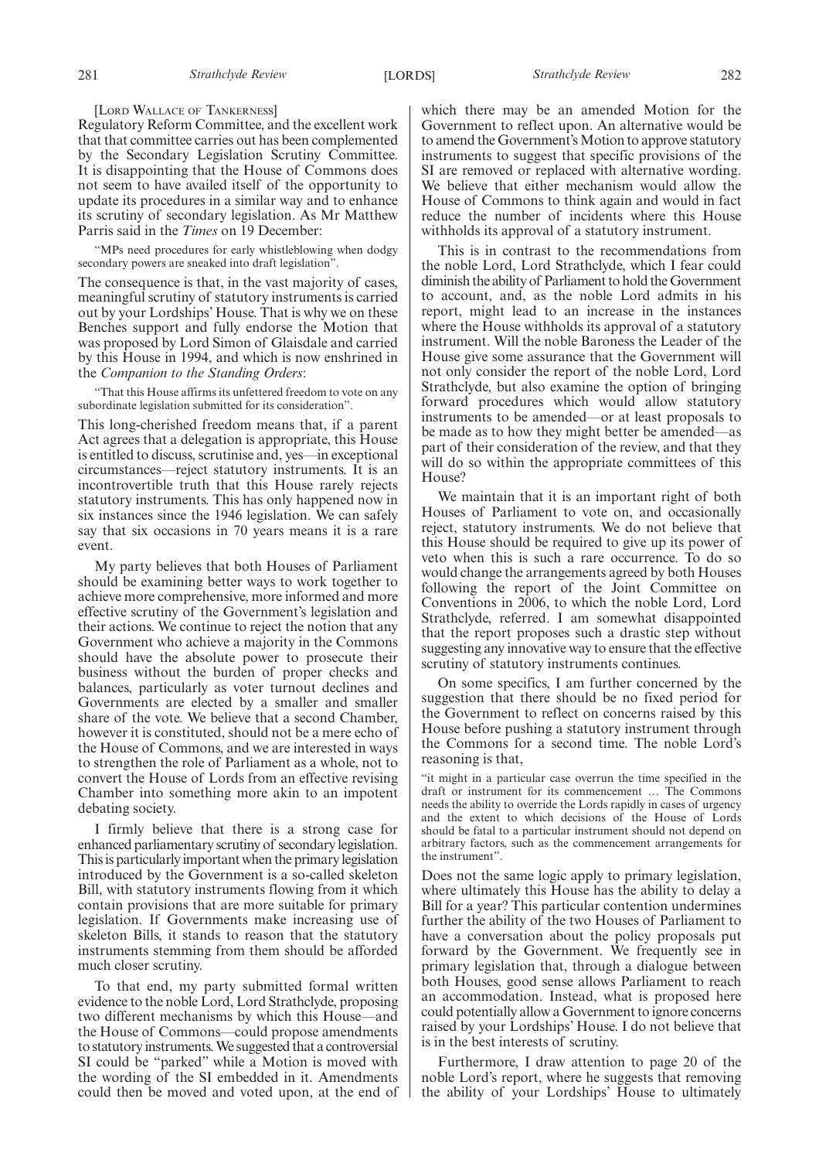#### [LORD WALLACE OF TANKERNESS]

Regulatory Reform Committee, and the excellent work that that committee carries out has been complemented by the Secondary Legislation Scrutiny Committee. It is disappointing that the House of Commons does not seem to have availed itself of the opportunity to update its procedures in a similar way and to enhance its scrutiny of secondary legislation. As Mr Matthew Parris said in the *Times* on 19 December:

"MPs need procedures for early whistleblowing when dodgy secondary powers are sneaked into draft legislation".

The consequence is that, in the vast majority of cases, meaningful scrutiny of statutory instruments is carried out by your Lordships' House. That is why we on these Benches support and fully endorse the Motion that was proposed by Lord Simon of Glaisdale and carried by this House in 1994, and which is now enshrined in the *Companion to the Standing Orders*:

"That this House affirms its unfettered freedom to vote on any subordinate legislation submitted for its consideration".

This long-cherished freedom means that, if a parent Act agrees that a delegation is appropriate, this House is entitled to discuss, scrutinise and, yes—in exceptional circumstances—reject statutory instruments. It is an incontrovertible truth that this House rarely rejects statutory instruments. This has only happened now in six instances since the 1946 legislation. We can safely say that six occasions in 70 years means it is a rare event.

My party believes that both Houses of Parliament should be examining better ways to work together to achieve more comprehensive, more informed and more effective scrutiny of the Government's legislation and their actions. We continue to reject the notion that any Government who achieve a majority in the Commons should have the absolute power to prosecute their business without the burden of proper checks and balances, particularly as voter turnout declines and Governments are elected by a smaller and smaller share of the vote. We believe that a second Chamber, however it is constituted, should not be a mere echo of the House of Commons, and we are interested in ways to strengthen the role of Parliament as a whole, not to convert the House of Lords from an effective revising Chamber into something more akin to an impotent debating society.

I firmly believe that there is a strong case for enhanced parliamentary scrutiny of secondary legislation. This is particularly important when the primary legislation introduced by the Government is a so-called skeleton Bill, with statutory instruments flowing from it which contain provisions that are more suitable for primary legislation. If Governments make increasing use of skeleton Bills, it stands to reason that the statutory instruments stemming from them should be afforded much closer scrutiny.

To that end, my party submitted formal written evidence to the noble Lord, Lord Strathclyde, proposing two different mechanisms by which this House—and the House of Commons—could propose amendments to statutory instruments.We suggested that a controversial SI could be "parked" while a Motion is moved with the wording of the SI embedded in it. Amendments could then be moved and voted upon, at the end of which there may be an amended Motion for the Government to reflect upon. An alternative would be to amend the Government's Motion to approve statutory instruments to suggest that specific provisions of the SI are removed or replaced with alternative wording. We believe that either mechanism would allow the House of Commons to think again and would in fact reduce the number of incidents where this House withholds its approval of a statutory instrument.

This is in contrast to the recommendations from the noble Lord, Lord Strathclyde, which I fear could diminish the ability of Parliament to hold the Government to account, and, as the noble Lord admits in his report, might lead to an increase in the instances where the House withholds its approval of a statutory instrument. Will the noble Baroness the Leader of the House give some assurance that the Government will not only consider the report of the noble Lord, Lord Strathclyde, but also examine the option of bringing forward procedures which would allow statutory instruments to be amended—or at least proposals to be made as to how they might better be amended—as part of their consideration of the review, and that they will do so within the appropriate committees of this House?

We maintain that it is an important right of both Houses of Parliament to vote on, and occasionally reject, statutory instruments. We do not believe that this House should be required to give up its power of veto when this is such a rare occurrence. To do so would change the arrangements agreed by both Houses following the report of the Joint Committee on Conventions in 2006, to which the noble Lord, Lord Strathclyde, referred. I am somewhat disappointed that the report proposes such a drastic step without suggesting any innovative way to ensure that the effective scrutiny of statutory instruments continues.

On some specifics, I am further concerned by the suggestion that there should be no fixed period for the Government to reflect on concerns raised by this House before pushing a statutory instrument through the Commons for a second time. The noble Lord's reasoning is that,

"it might in a particular case overrun the time specified in the draft or instrument for its commencement … The Commons needs the ability to override the Lords rapidly in cases of urgency and the extent to which decisions of the House of Lords should be fatal to a particular instrument should not depend on arbitrary factors, such as the commencement arrangements for the instrument".

Does not the same logic apply to primary legislation, where ultimately this House has the ability to delay a Bill for a year? This particular contention undermines further the ability of the two Houses of Parliament to have a conversation about the policy proposals put forward by the Government. We frequently see in primary legislation that, through a dialogue between both Houses, good sense allows Parliament to reach an accommodation. Instead, what is proposed here could potentially allow a Government to ignore concerns raised by your Lordships' House. I do not believe that is in the best interests of scrutiny.

Furthermore, I draw attention to page 20 of the noble Lord's report, where he suggests that removing the ability of your Lordships' House to ultimately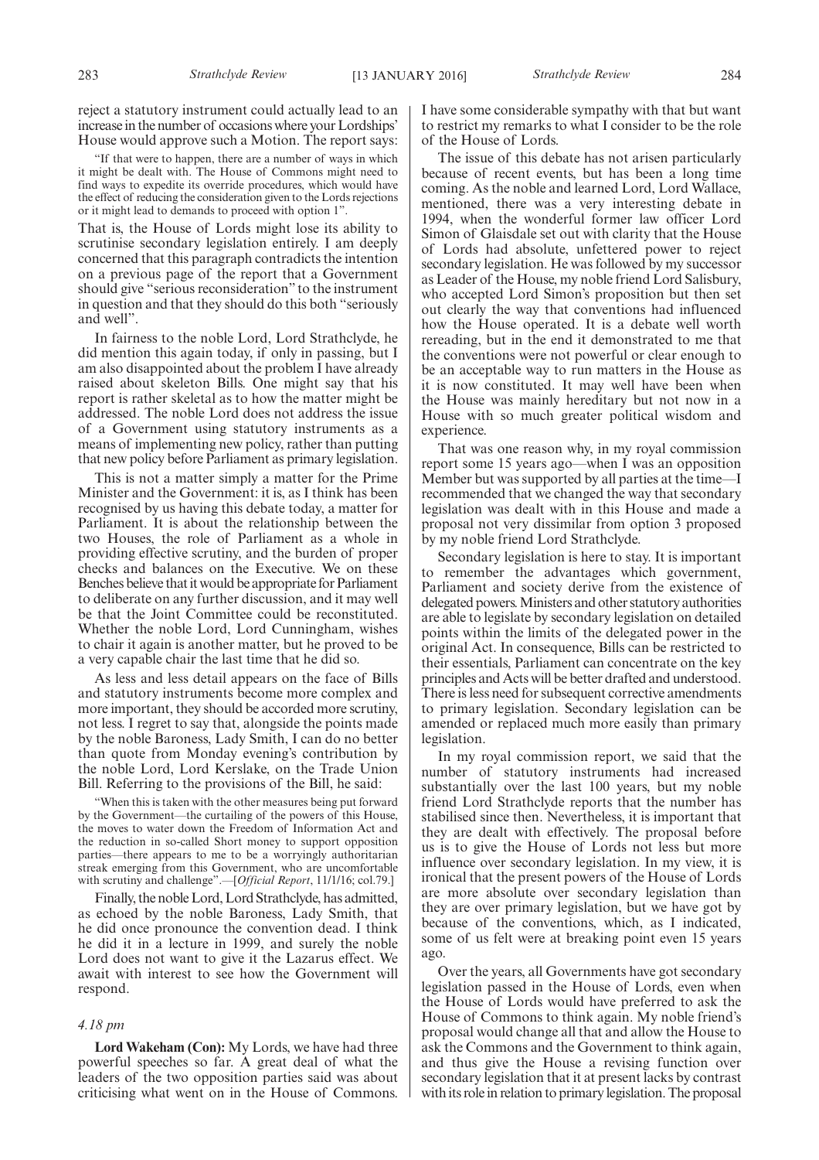reject a statutory instrument could actually lead to an increase in the number of occasions where your Lordships' House would approve such a Motion. The report says:

"If that were to happen, there are a number of ways in which it might be dealt with. The House of Commons might need to find ways to expedite its override procedures, which would have the effect of reducing the consideration given to the Lords rejections or it might lead to demands to proceed with option 1".

That is, the House of Lords might lose its ability to scrutinise secondary legislation entirely. I am deeply concerned that this paragraph contradicts the intention on a previous page of the report that a Government should give "serious reconsideration" to the instrument in question and that they should do this both "seriously and well".

In fairness to the noble Lord, Lord Strathclyde, he did mention this again today, if only in passing, but I am also disappointed about the problem I have already raised about skeleton Bills. One might say that his report is rather skeletal as to how the matter might be addressed. The noble Lord does not address the issue of a Government using statutory instruments as a means of implementing new policy, rather than putting that new policy before Parliament as primary legislation.

This is not a matter simply a matter for the Prime Minister and the Government: it is, as I think has been recognised by us having this debate today, a matter for Parliament. It is about the relationship between the two Houses, the role of Parliament as a whole in providing effective scrutiny, and the burden of proper checks and balances on the Executive. We on these Benches believe that it would be appropriate for Parliament to deliberate on any further discussion, and it may well be that the Joint Committee could be reconstituted. Whether the noble Lord, Lord Cunningham, wishes to chair it again is another matter, but he proved to be a very capable chair the last time that he did so.

As less and less detail appears on the face of Bills and statutory instruments become more complex and more important, they should be accorded more scrutiny, not less. I regret to say that, alongside the points made by the noble Baroness, Lady Smith, I can do no better than quote from Monday evening's contribution by the noble Lord, Lord Kerslake, on the Trade Union Bill. Referring to the provisions of the Bill, he said:

"When this is taken with the other measures being put forward by the Government—the curtailing of the powers of this House, the moves to water down the Freedom of Information Act and the reduction in so-called Short money to support opposition parties—there appears to me to be a worryingly authoritarian streak emerging from this Government, who are uncomfortable with scrutiny and challenge".—[*Official Report*, 11/1/16; col.79.]

Finally, the noble Lord, Lord Strathclyde, has admitted, as echoed by the noble Baroness, Lady Smith, that he did once pronounce the convention dead. I think he did it in a lecture in 1999, and surely the noble Lord does not want to give it the Lazarus effect. We await with interest to see how the Government will respond.

#### *4.18 pm*

**Lord Wakeham (Con):** My Lords, we have had three powerful speeches so far. A great deal of what the leaders of the two opposition parties said was about criticising what went on in the House of Commons. I have some considerable sympathy with that but want to restrict my remarks to what I consider to be the role of the House of Lords.

The issue of this debate has not arisen particularly because of recent events, but has been a long time coming. As the noble and learned Lord, Lord Wallace, mentioned, there was a very interesting debate in 1994, when the wonderful former law officer Lord Simon of Glaisdale set out with clarity that the House of Lords had absolute, unfettered power to reject secondary legislation. He was followed by my successor as Leader of the House, my noble friend Lord Salisbury, who accepted Lord Simon's proposition but then set out clearly the way that conventions had influenced how the House operated. It is a debate well worth rereading, but in the end it demonstrated to me that the conventions were not powerful or clear enough to be an acceptable way to run matters in the House as it is now constituted. It may well have been when the House was mainly hereditary but not now in a House with so much greater political wisdom and experience.

That was one reason why, in my royal commission report some 15 years ago—when I was an opposition Member but was supported by all parties at the time—I recommended that we changed the way that secondary legislation was dealt with in this House and made a proposal not very dissimilar from option 3 proposed by my noble friend Lord Strathclyde.

Secondary legislation is here to stay. It is important to remember the advantages which government, Parliament and society derive from the existence of delegated powers.Ministers and other statutory authorities are able to legislate by secondary legislation on detailed points within the limits of the delegated power in the original Act. In consequence, Bills can be restricted to their essentials, Parliament can concentrate on the key principles and Acts will be better drafted and understood. There is less need for subsequent corrective amendments to primary legislation. Secondary legislation can be amended or replaced much more easily than primary legislation.

In my royal commission report, we said that the number of statutory instruments had increased substantially over the last 100 years, but my noble friend Lord Strathclyde reports that the number has stabilised since then. Nevertheless, it is important that they are dealt with effectively. The proposal before us is to give the House of Lords not less but more influence over secondary legislation. In my view, it is ironical that the present powers of the House of Lords are more absolute over secondary legislation than they are over primary legislation, but we have got by because of the conventions, which, as I indicated, some of us felt were at breaking point even 15 years ago.

Over the years, all Governments have got secondary legislation passed in the House of Lords, even when the House of Lords would have preferred to ask the House of Commons to think again. My noble friend's proposal would change all that and allow the House to ask the Commons and the Government to think again, and thus give the House a revising function over secondary legislation that it at present lacks by contrast with its role in relation to primary legislation. The proposal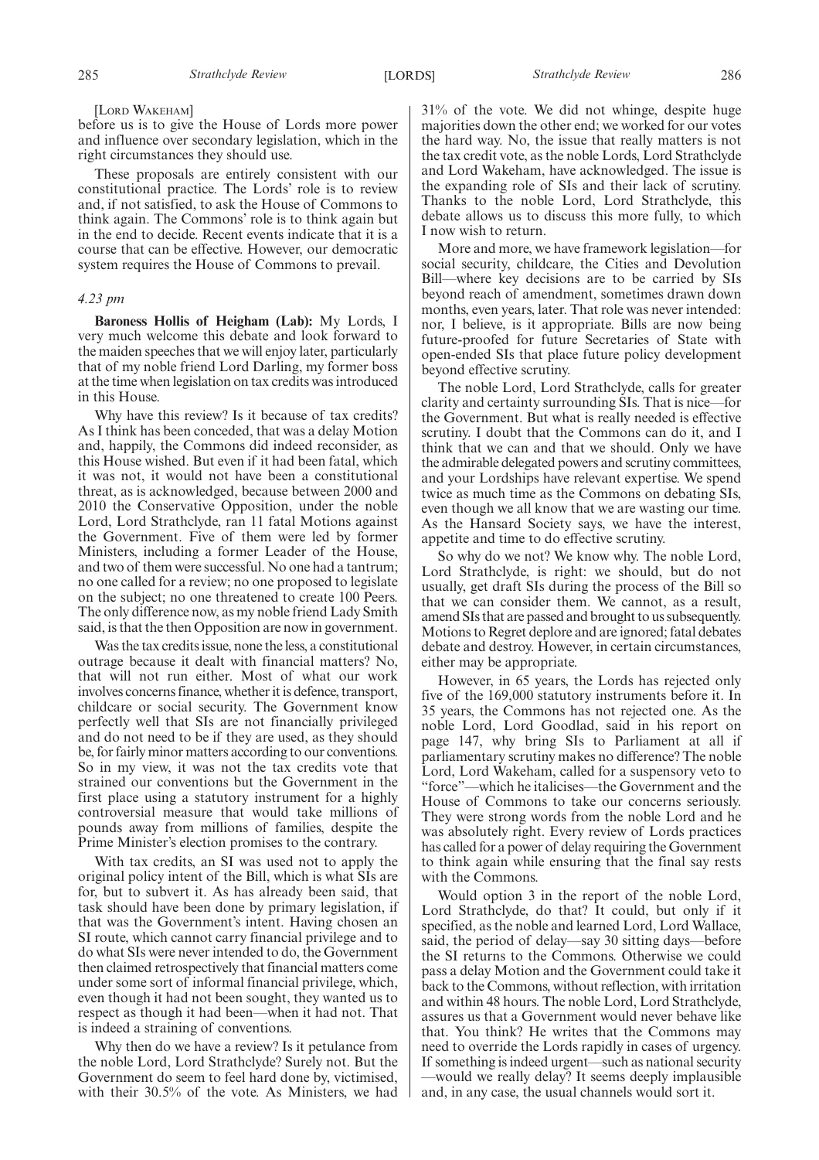#### [LORD WAKEHAM]

before us is to give the House of Lords more power and influence over secondary legislation, which in the right circumstances they should use.

These proposals are entirely consistent with our constitutional practice. The Lords' role is to review and, if not satisfied, to ask the House of Commons to think again. The Commons' role is to think again but in the end to decide. Recent events indicate that it is a course that can be effective. However, our democratic system requires the House of Commons to prevail.

#### *4.23 pm*

**Baroness Hollis of Heigham (Lab):** My Lords, I very much welcome this debate and look forward to the maiden speeches that we will enjoy later, particularly that of my noble friend Lord Darling, my former boss at the time when legislation on tax credits was introduced in this House.

Why have this review? Is it because of tax credits? As I think has been conceded, that was a delay Motion and, happily, the Commons did indeed reconsider, as this House wished. But even if it had been fatal, which it was not, it would not have been a constitutional threat, as is acknowledged, because between 2000 and 2010 the Conservative Opposition, under the noble Lord, Lord Strathclyde, ran 11 fatal Motions against the Government. Five of them were led by former Ministers, including a former Leader of the House, and two of them were successful. No one had a tantrum; no one called for a review; no one proposed to legislate on the subject; no one threatened to create 100 Peers. The only difference now, as my noble friend Lady Smith said, is that the then Opposition are now in government.

Was the tax credits issue, none the less, a constitutional outrage because it dealt with financial matters? No, that will not run either. Most of what our work involves concerns finance, whether it is defence, transport, childcare or social security. The Government know perfectly well that SIs are not financially privileged and do not need to be if they are used, as they should be, for fairly minor matters according to our conventions. So in my view, it was not the tax credits vote that strained our conventions but the Government in the first place using a statutory instrument for a highly controversial measure that would take millions of pounds away from millions of families, despite the Prime Minister's election promises to the contrary.

With tax credits, an SI was used not to apply the original policy intent of the Bill, which is what SIs are for, but to subvert it. As has already been said, that task should have been done by primary legislation, if that was the Government's intent. Having chosen an SI route, which cannot carry financial privilege and to do what SIs were never intended to do, the Government then claimed retrospectively that financial matters come under some sort of informal financial privilege, which, even though it had not been sought, they wanted us to respect as though it had been—when it had not. That is indeed a straining of conventions.

Why then do we have a review? Is it petulance from the noble Lord, Lord Strathclyde? Surely not. But the Government do seem to feel hard done by, victimised, with their 30.5% of the vote. As Ministers, we had 31% of the vote. We did not whinge, despite huge majorities down the other end; we worked for our votes the hard way. No, the issue that really matters is not the tax credit vote, as the noble Lords, Lord Strathclyde and Lord Wakeham, have acknowledged. The issue is the expanding role of SIs and their lack of scrutiny. Thanks to the noble Lord, Lord Strathclyde, this debate allows us to discuss this more fully, to which I now wish to return.

More and more, we have framework legislation—for social security, childcare, the Cities and Devolution Bill—where key decisions are to be carried by SIs beyond reach of amendment, sometimes drawn down months, even years, later. That role was never intended: nor, I believe, is it appropriate. Bills are now being future-proofed for future Secretaries of State with open-ended SIs that place future policy development beyond effective scrutiny.

The noble Lord, Lord Strathclyde, calls for greater clarity and certainty surrounding SIs. That is nice—for the Government. But what is really needed is effective scrutiny. I doubt that the Commons can do it, and I think that we can and that we should. Only we have the admirable delegated powers and scrutiny committees, and your Lordships have relevant expertise. We spend twice as much time as the Commons on debating SIs, even though we all know that we are wasting our time. As the Hansard Society says, we have the interest, appetite and time to do effective scrutiny.

So why do we not? We know why. The noble Lord, Lord Strathclyde, is right: we should, but do not usually, get draft SIs during the process of the Bill so that we can consider them. We cannot, as a result, amend SIs that are passed and brought to us subsequently. Motions to Regret deplore and are ignored; fatal debates debate and destroy. However, in certain circumstances, either may be appropriate.

However, in 65 years, the Lords has rejected only five of the 169,000 statutory instruments before it. In 35 years, the Commons has not rejected one. As the noble Lord, Lord Goodlad, said in his report on page 147, why bring SIs to Parliament at all if parliamentary scrutiny makes no difference? The noble Lord, Lord Wakeham, called for a suspensory veto to "force"—which he italicises—the Government and the House of Commons to take our concerns seriously. They were strong words from the noble Lord and he was absolutely right. Every review of Lords practices has called for a power of delay requiring the Government to think again while ensuring that the final say rests with the Commons.

Would option 3 in the report of the noble Lord, Lord Strathclyde, do that? It could, but only if it specified, as the noble and learned Lord, Lord Wallace, said, the period of delay—say 30 sitting days—before the SI returns to the Commons. Otherwise we could pass a delay Motion and the Government could take it back to the Commons, without reflection, with irritation and within 48 hours. The noble Lord, Lord Strathclyde, assures us that a Government would never behave like that. You think? He writes that the Commons may need to override the Lords rapidly in cases of urgency. If something is indeed urgent—such as national security —would we really delay? It seems deeply implausible and, in any case, the usual channels would sort it.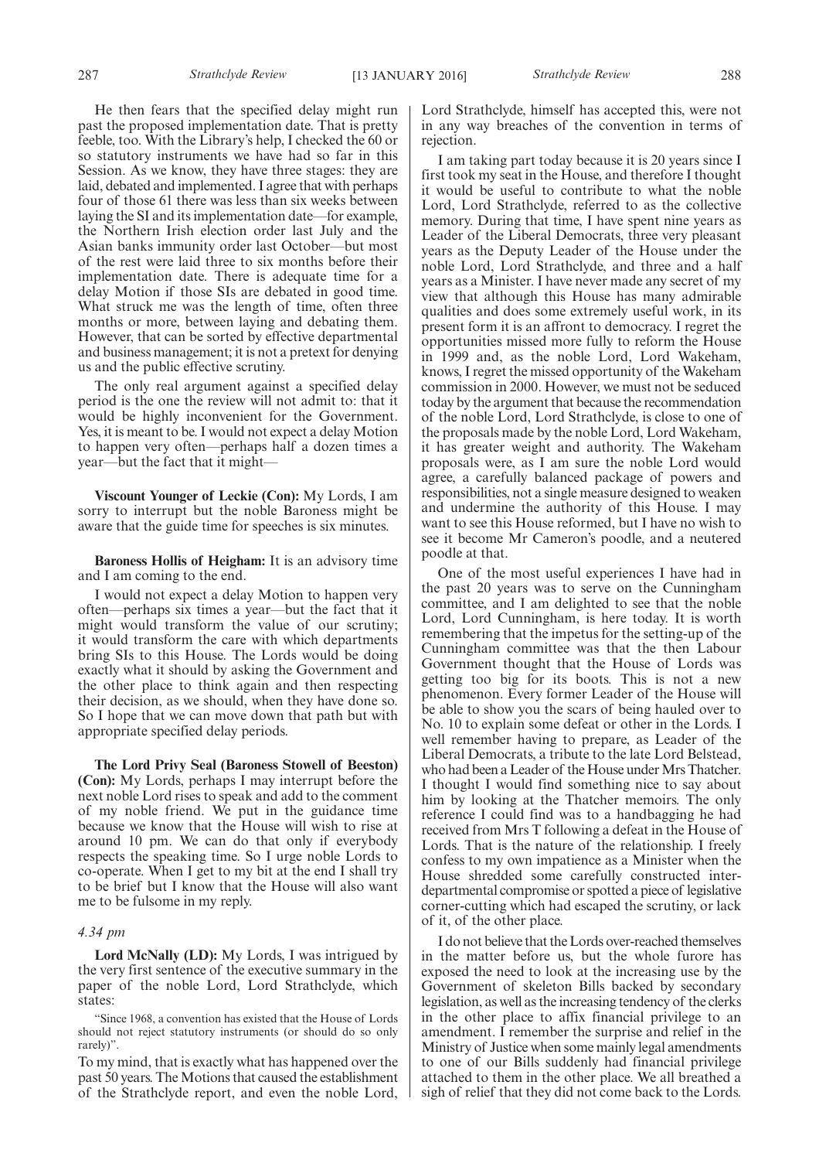He then fears that the specified delay might run past the proposed implementation date. That is pretty feeble, too. With the Library's help, I checked the 60 or so statutory instruments we have had so far in this Session. As we know, they have three stages: they are laid, debated and implemented. I agree that with perhaps four of those 61 there was less than six weeks between laying the SI and its implementation date—for example, the Northern Irish election order last July and the Asian banks immunity order last October—but most of the rest were laid three to six months before their implementation date. There is adequate time for a delay Motion if those SIs are debated in good time. What struck me was the length of time, often three months or more, between laying and debating them. However, that can be sorted by effective departmental and business management; it is not a pretext for denying us and the public effective scrutiny.

The only real argument against a specified delay period is the one the review will not admit to: that it would be highly inconvenient for the Government. Yes, it is meant to be. I would not expect a delay Motion to happen very often—perhaps half a dozen times a year—but the fact that it might—

**Viscount Younger of Leckie (Con):** My Lords, I am sorry to interrupt but the noble Baroness might be aware that the guide time for speeches is six minutes.

**Baroness Hollis of Heigham:** It is an advisory time and I am coming to the end.

I would not expect a delay Motion to happen very often—perhaps six times a year—but the fact that it might would transform the value of our scrutiny; it would transform the care with which departments bring SIs to this House. The Lords would be doing exactly what it should by asking the Government and the other place to think again and then respecting their decision, as we should, when they have done so. So I hope that we can move down that path but with appropriate specified delay periods.

**The Lord Privy Seal (Baroness Stowell of Beeston) (Con):** My Lords, perhaps I may interrupt before the next noble Lord rises to speak and add to the comment of my noble friend. We put in the guidance time because we know that the House will wish to rise at around 10 pm. We can do that only if everybody respects the speaking time. So I urge noble Lords to co-operate. When I get to my bit at the end I shall try to be brief but I know that the House will also want me to be fulsome in my reply.

#### *4.34 pm*

**Lord McNally (LD):** My Lords, I was intrigued by the very first sentence of the executive summary in the paper of the noble Lord, Lord Strathclyde, which states:

"Since 1968, a convention has existed that the House of Lords should not reject statutory instruments (or should do so only rarely)".

To my mind, that is exactly what has happened over the past 50 years. The Motions that caused the establishment of the Strathclyde report, and even the noble Lord, Lord Strathclyde, himself has accepted this, were not in any way breaches of the convention in terms of rejection.

I am taking part today because it is 20 years since I first took my seat in the House, and therefore I thought it would be useful to contribute to what the noble Lord, Lord Strathclyde, referred to as the collective memory. During that time, I have spent nine years as Leader of the Liberal Democrats, three very pleasant years as the Deputy Leader of the House under the noble Lord, Lord Strathclyde, and three and a half years as a Minister. I have never made any secret of my view that although this House has many admirable qualities and does some extremely useful work, in its present form it is an affront to democracy. I regret the opportunities missed more fully to reform the House in 1999 and, as the noble Lord, Lord Wakeham, knows, I regret the missed opportunity of the Wakeham commission in 2000. However, we must not be seduced today by the argument that because the recommendation of the noble Lord, Lord Strathclyde, is close to one of the proposals made by the noble Lord, Lord Wakeham, it has greater weight and authority. The Wakeham proposals were, as I am sure the noble Lord would agree, a carefully balanced package of powers and responsibilities, not a single measure designed to weaken and undermine the authority of this House. I may want to see this House reformed, but I have no wish to see it become Mr Cameron's poodle, and a neutered poodle at that.

One of the most useful experiences I have had in the past 20 years was to serve on the Cunningham committee, and I am delighted to see that the noble Lord, Lord Cunningham, is here today. It is worth remembering that the impetus for the setting-up of the Cunningham committee was that the then Labour Government thought that the House of Lords was getting too big for its boots. This is not a new phenomenon. Every former Leader of the House will be able to show you the scars of being hauled over to No. 10 to explain some defeat or other in the Lords. I well remember having to prepare, as Leader of the Liberal Democrats, a tribute to the late Lord Belstead, who had been a Leader of the House under Mrs Thatcher. I thought I would find something nice to say about him by looking at the Thatcher memoirs. The only reference I could find was to a handbagging he had received from Mrs T following a defeat in the House of Lords. That is the nature of the relationship. I freely confess to my own impatience as a Minister when the House shredded some carefully constructed interdepartmental compromise or spotted a piece of legislative corner-cutting which had escaped the scrutiny, or lack of it, of the other place.

I do not believe that the Lords over-reached themselves in the matter before us, but the whole furore has exposed the need to look at the increasing use by the Government of skeleton Bills backed by secondary legislation, as well as the increasing tendency of the clerks in the other place to affix financial privilege to an amendment. I remember the surprise and relief in the Ministry of Justice when some mainly legal amendments to one of our Bills suddenly had financial privilege attached to them in the other place. We all breathed a sigh of relief that they did not come back to the Lords.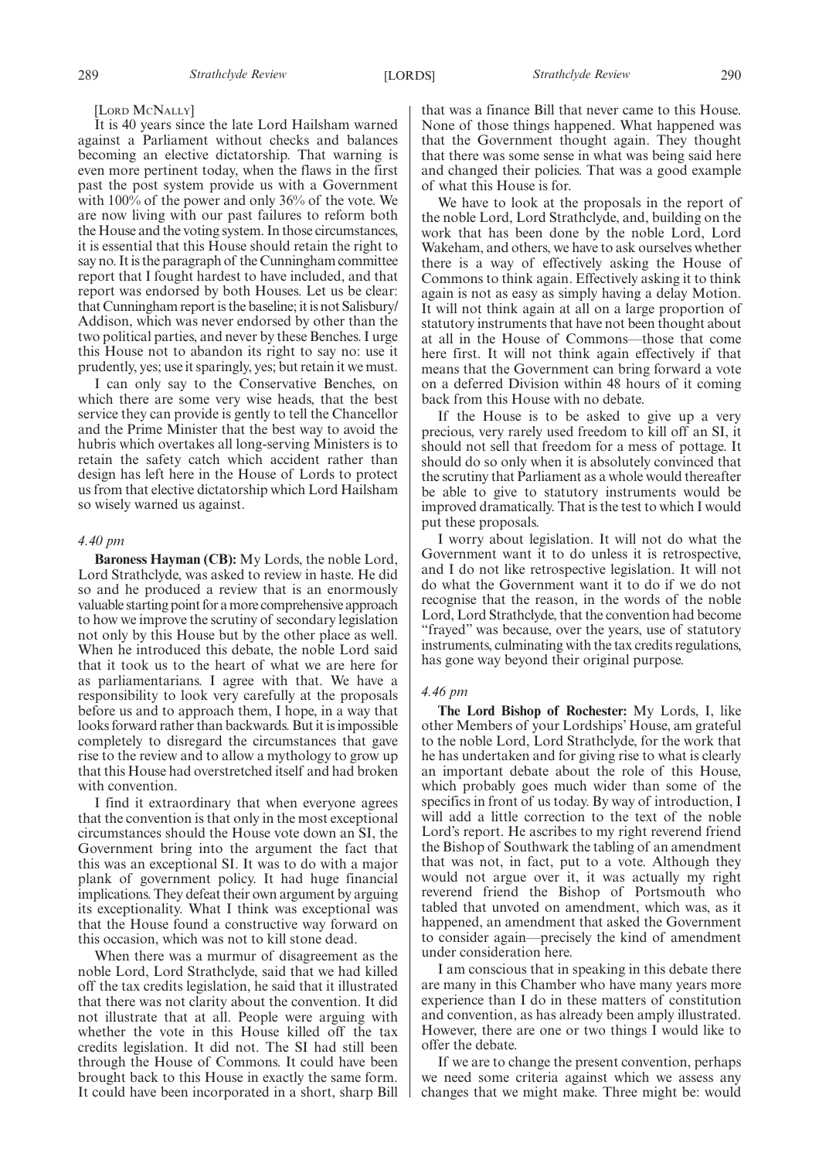#### [LORD MCNALLY]

It is 40 years since the late Lord Hailsham warned against a Parliament without checks and balances becoming an elective dictatorship. That warning is even more pertinent today, when the flaws in the first past the post system provide us with a Government with 100% of the power and only 36% of the vote. We are now living with our past failures to reform both the House and the voting system. In those circumstances, it is essential that this House should retain the right to say no. It is the paragraph of the Cunningham committee report that I fought hardest to have included, and that report was endorsed by both Houses. Let us be clear: that Cunningham report is the baseline; it is not Salisbury/ Addison, which was never endorsed by other than the two political parties, and never by these Benches. I urge this House not to abandon its right to say no: use it prudently, yes; use it sparingly, yes; but retain it we must.

I can only say to the Conservative Benches, on which there are some very wise heads, that the best service they can provide is gently to tell the Chancellor and the Prime Minister that the best way to avoid the hubris which overtakes all long-serving Ministers is to retain the safety catch which accident rather than design has left here in the House of Lords to protect us from that elective dictatorship which Lord Hailsham so wisely warned us against.

#### *4.40 pm*

**Baroness Hayman (CB):** My Lords, the noble Lord, Lord Strathclyde, was asked to review in haste. He did so and he produced a review that is an enormously valuable starting point for amore comprehensive approach to how we improve the scrutiny of secondary legislation not only by this House but by the other place as well. When he introduced this debate, the noble Lord said that it took us to the heart of what we are here for as parliamentarians. I agree with that. We have a responsibility to look very carefully at the proposals before us and to approach them, I hope, in a way that looks forward rather than backwards. But it is impossible completely to disregard the circumstances that gave rise to the review and to allow a mythology to grow up that this House had overstretched itself and had broken with convention.

I find it extraordinary that when everyone agrees that the convention is that only in the most exceptional circumstances should the House vote down an SI, the Government bring into the argument the fact that this was an exceptional SI. It was to do with a major plank of government policy. It had huge financial implications. They defeat their own argument by arguing its exceptionality. What I think was exceptional was that the House found a constructive way forward on this occasion, which was not to kill stone dead.

When there was a murmur of disagreement as the noble Lord, Lord Strathclyde, said that we had killed off the tax credits legislation, he said that it illustrated that there was not clarity about the convention. It did not illustrate that at all. People were arguing with whether the vote in this House killed off the tax credits legislation. It did not. The SI had still been through the House of Commons. It could have been brought back to this House in exactly the same form. It could have been incorporated in a short, sharp Bill that was a finance Bill that never came to this House. None of those things happened. What happened was that the Government thought again. They thought that there was some sense in what was being said here and changed their policies. That was a good example of what this House is for.

We have to look at the proposals in the report of the noble Lord, Lord Strathclyde, and, building on the work that has been done by the noble Lord, Lord Wakeham, and others, we have to ask ourselves whether there is a way of effectively asking the House of Commons to think again. Effectively asking it to think again is not as easy as simply having a delay Motion. It will not think again at all on a large proportion of statutory instruments that have not been thought about at all in the House of Commons—those that come here first. It will not think again effectively if that means that the Government can bring forward a vote on a deferred Division within 48 hours of it coming back from this House with no debate.

If the House is to be asked to give up a very precious, very rarely used freedom to kill off an SI, it should not sell that freedom for a mess of pottage. It should do so only when it is absolutely convinced that the scrutiny that Parliament as a whole would thereafter be able to give to statutory instruments would be improved dramatically. That is the test to which I would put these proposals.

I worry about legislation. It will not do what the Government want it to do unless it is retrospective, and I do not like retrospective legislation. It will not do what the Government want it to do if we do not recognise that the reason, in the words of the noble Lord, Lord Strathclyde, that the convention had become "frayed" was because, over the years, use of statutory instruments, culminating with the tax credits regulations, has gone way beyond their original purpose.

#### *4.46 pm*

**The Lord Bishop of Rochester:** My Lords, I, like other Members of your Lordships' House, am grateful to the noble Lord, Lord Strathclyde, for the work that he has undertaken and for giving rise to what is clearly an important debate about the role of this House, which probably goes much wider than some of the specifics in front of us today. By way of introduction, I will add a little correction to the text of the noble Lord's report. He ascribes to my right reverend friend the Bishop of Southwark the tabling of an amendment that was not, in fact, put to a vote. Although they would not argue over it, it was actually my right reverend friend the Bishop of Portsmouth who tabled that unvoted on amendment, which was, as it happened, an amendment that asked the Government to consider again—precisely the kind of amendment under consideration here.

I am conscious that in speaking in this debate there are many in this Chamber who have many years more experience than I do in these matters of constitution and convention, as has already been amply illustrated. However, there are one or two things I would like to offer the debate.

If we are to change the present convention, perhaps we need some criteria against which we assess any changes that we might make. Three might be: would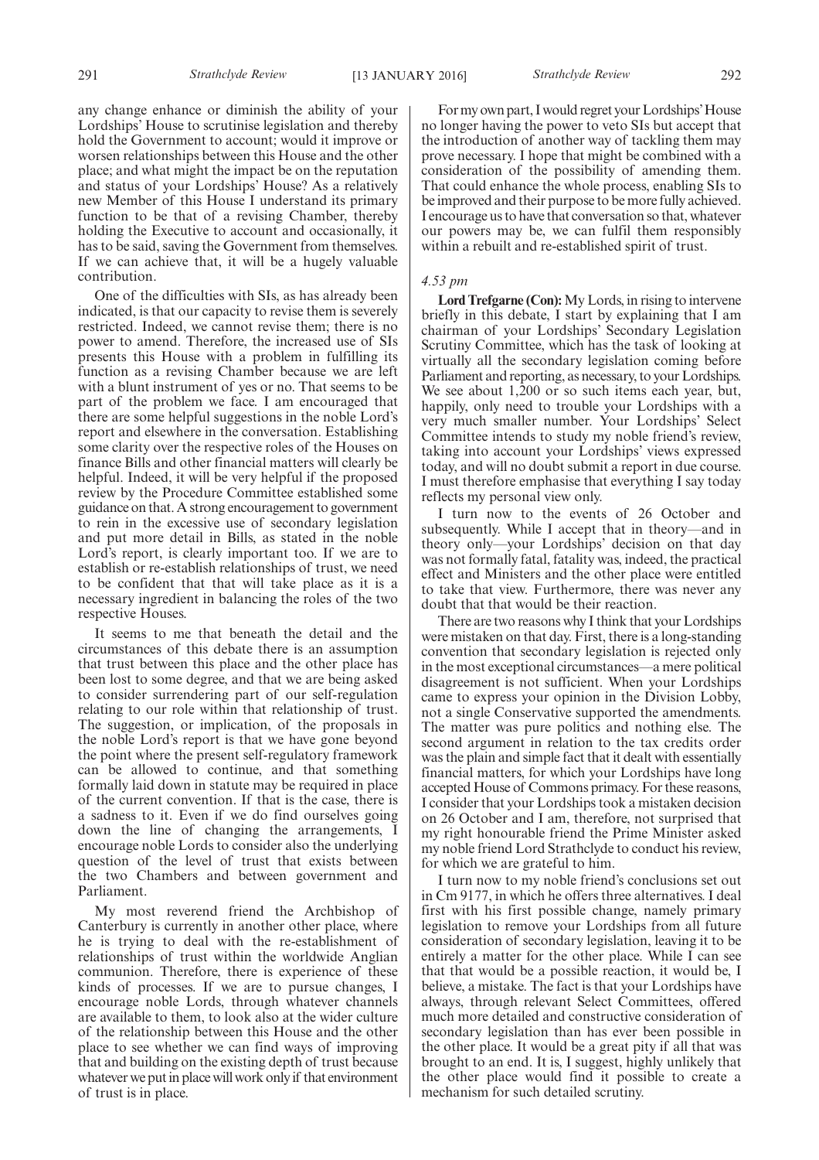any change enhance or diminish the ability of your Lordships' House to scrutinise legislation and thereby hold the Government to account; would it improve or worsen relationships between this House and the other place; and what might the impact be on the reputation and status of your Lordships' House? As a relatively new Member of this House I understand its primary function to be that of a revising Chamber, thereby holding the Executive to account and occasionally, it has to be said, saving the Government from themselves. If we can achieve that, it will be a hugely valuable contribution.

One of the difficulties with SIs, as has already been indicated, is that our capacity to revise them is severely restricted. Indeed, we cannot revise them; there is no power to amend. Therefore, the increased use of SIs presents this House with a problem in fulfilling its function as a revising Chamber because we are left with a blunt instrument of yes or no. That seems to be part of the problem we face. I am encouraged that there are some helpful suggestions in the noble Lord's report and elsewhere in the conversation. Establishing some clarity over the respective roles of the Houses on finance Bills and other financial matters will clearly be helpful. Indeed, it will be very helpful if the proposed review by the Procedure Committee established some guidance on that. A strong encouragement to government to rein in the excessive use of secondary legislation and put more detail in Bills, as stated in the noble Lord's report, is clearly important too. If we are to establish or re-establish relationships of trust, we need to be confident that that will take place as it is a necessary ingredient in balancing the roles of the two respective Houses.

It seems to me that beneath the detail and the circumstances of this debate there is an assumption that trust between this place and the other place has been lost to some degree, and that we are being asked to consider surrendering part of our self-regulation relating to our role within that relationship of trust. The suggestion, or implication, of the proposals in the noble Lord's report is that we have gone beyond the point where the present self-regulatory framework can be allowed to continue, and that something formally laid down in statute may be required in place of the current convention. If that is the case, there is a sadness to it. Even if we do find ourselves going down the line of changing the arrangements, I encourage noble Lords to consider also the underlying question of the level of trust that exists between the two Chambers and between government and Parliament.

My most reverend friend the Archbishop of Canterbury is currently in another other place, where he is trying to deal with the re-establishment of relationships of trust within the worldwide Anglian communion. Therefore, there is experience of these kinds of processes. If we are to pursue changes, I encourage noble Lords, through whatever channels are available to them, to look also at the wider culture of the relationship between this House and the other place to see whether we can find ways of improving that and building on the existing depth of trust because whatever we put in place will work only if that environment of trust is in place.

For my own part, I would regret your Lordships' House no longer having the power to veto SIs but accept that the introduction of another way of tackling them may prove necessary. I hope that might be combined with a consideration of the possibility of amending them. That could enhance the whole process, enabling SIs to be improved and their purpose to be more fully achieved. I encourage us to have that conversation so that, whatever our powers may be, we can fulfil them responsibly within a rebuilt and re-established spirit of trust.

#### *4.53 pm*

**Lord Trefgarne (Con):**My Lords, in rising to intervene briefly in this debate, I start by explaining that I am chairman of your Lordships' Secondary Legislation Scrutiny Committee, which has the task of looking at virtually all the secondary legislation coming before Parliament and reporting, as necessary, to your Lordships. We see about 1,200 or so such items each year, but, happily, only need to trouble your Lordships with a very much smaller number. Your Lordships' Select Committee intends to study my noble friend's review, taking into account your Lordships' views expressed today, and will no doubt submit a report in due course. I must therefore emphasise that everything I say today reflects my personal view only.

I turn now to the events of 26 October and subsequently. While I accept that in theory—and in theory only—your Lordships' decision on that day was not formally fatal, fatality was, indeed, the practical effect and Ministers and the other place were entitled to take that view. Furthermore, there was never any doubt that that would be their reaction.

There are two reasons why I think that your Lordships were mistaken on that day. First, there is a long-standing convention that secondary legislation is rejected only in the most exceptional circumstances—a mere political disagreement is not sufficient. When your Lordships came to express your opinion in the Division Lobby, not a single Conservative supported the amendments. The matter was pure politics and nothing else. The second argument in relation to the tax credits order was the plain and simple fact that it dealt with essentially financial matters, for which your Lordships have long accepted House of Commons primacy. For these reasons, I consider that your Lordships took a mistaken decision on 26 October and I am, therefore, not surprised that my right honourable friend the Prime Minister asked my noble friend Lord Strathclyde to conduct his review, for which we are grateful to him.

I turn now to my noble friend's conclusions set out in Cm 9177, in which he offers three alternatives. I deal first with his first possible change, namely primary legislation to remove your Lordships from all future consideration of secondary legislation, leaving it to be entirely a matter for the other place. While I can see that that would be a possible reaction, it would be, I believe, a mistake. The fact is that your Lordships have always, through relevant Select Committees, offered much more detailed and constructive consideration of secondary legislation than has ever been possible in the other place. It would be a great pity if all that was brought to an end. It is, I suggest, highly unlikely that the other place would find it possible to create a mechanism for such detailed scrutiny.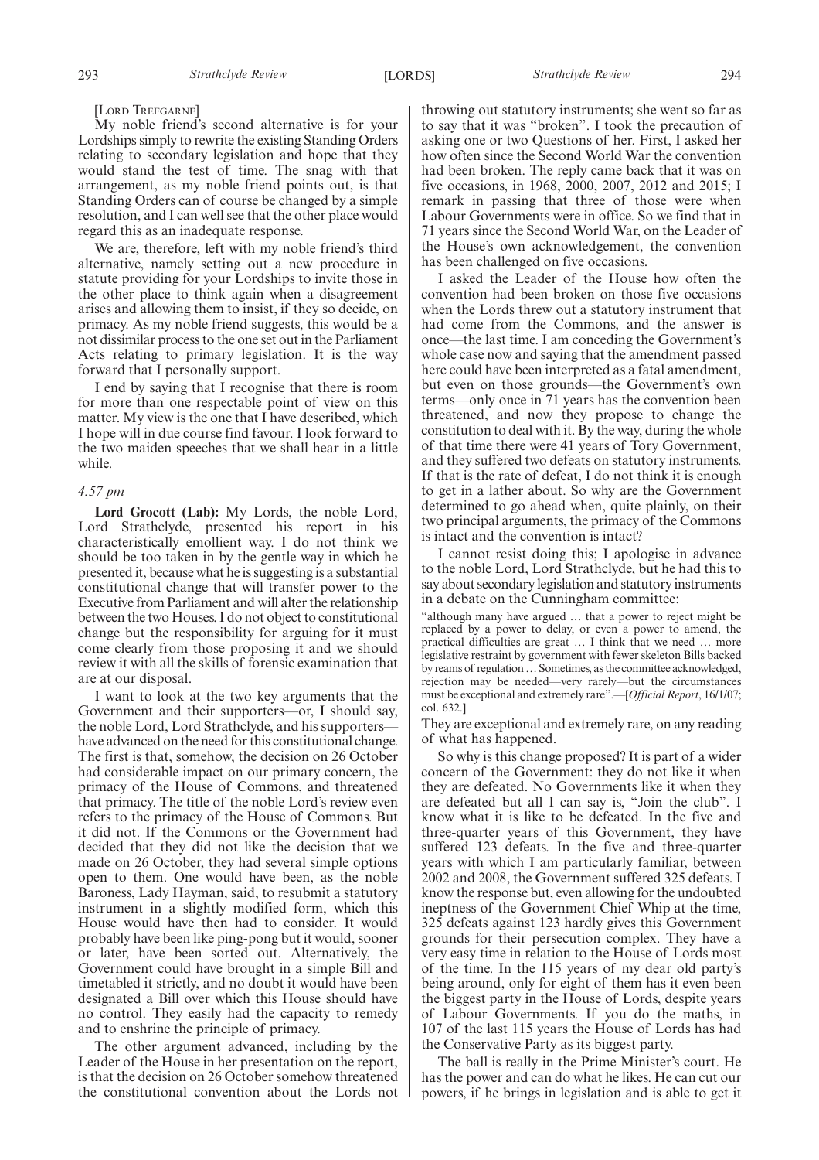[LORD TREFGARNE]

My noble friend's second alternative is for your Lordships simply to rewrite the existing Standing Orders relating to secondary legislation and hope that they would stand the test of time. The snag with that arrangement, as my noble friend points out, is that Standing Orders can of course be changed by a simple resolution, and I can well see that the other place would regard this as an inadequate response.

We are, therefore, left with my noble friend's third alternative, namely setting out a new procedure in statute providing for your Lordships to invite those in the other place to think again when a disagreement arises and allowing them to insist, if they so decide, on primacy. As my noble friend suggests, this would be a not dissimilar process to the one set out in the Parliament Acts relating to primary legislation. It is the way forward that I personally support.

I end by saying that I recognise that there is room for more than one respectable point of view on this matter. My view is the one that I have described, which I hope will in due course find favour. I look forward to the two maiden speeches that we shall hear in a little while.

#### *4.57 pm*

**Lord Grocott (Lab):** My Lords, the noble Lord, Lord Strathclyde, presented his report in his characteristically emollient way. I do not think we should be too taken in by the gentle way in which he presented it, because what he is suggesting is a substantial constitutional change that will transfer power to the Executive from Parliament and will alter the relationship between the two Houses. I do not object to constitutional change but the responsibility for arguing for it must come clearly from those proposing it and we should review it with all the skills of forensic examination that are at our disposal.

I want to look at the two key arguments that the Government and their supporters—or, I should say, the noble Lord, Lord Strathclyde, and his supporters have advanced on the need for this constitutional change. The first is that, somehow, the decision on 26 October had considerable impact on our primary concern, the primacy of the House of Commons, and threatened that primacy. The title of the noble Lord's review even refers to the primacy of the House of Commons. But it did not. If the Commons or the Government had decided that they did not like the decision that we made on 26 October, they had several simple options open to them. One would have been, as the noble Baroness, Lady Hayman, said, to resubmit a statutory instrument in a slightly modified form, which this House would have then had to consider. It would probably have been like ping-pong but it would, sooner or later, have been sorted out. Alternatively, the Government could have brought in a simple Bill and timetabled it strictly, and no doubt it would have been designated a Bill over which this House should have no control. They easily had the capacity to remedy and to enshrine the principle of primacy.

The other argument advanced, including by the Leader of the House in her presentation on the report, is that the decision on 26 October somehow threatened the constitutional convention about the Lords not throwing out statutory instruments; she went so far as to say that it was "broken". I took the precaution of asking one or two Questions of her. First, I asked her how often since the Second World War the convention had been broken. The reply came back that it was on five occasions, in 1968, 2000, 2007, 2012 and 2015; I remark in passing that three of those were when Labour Governments were in office. So we find that in 71 years since the Second World War, on the Leader of the House's own acknowledgement, the convention has been challenged on five occasions.

I asked the Leader of the House how often the convention had been broken on those five occasions when the Lords threw out a statutory instrument that had come from the Commons, and the answer is once—the last time. I am conceding the Government's whole case now and saying that the amendment passed here could have been interpreted as a fatal amendment, but even on those grounds—the Government's own terms—only once in 71 years has the convention been threatened, and now they propose to change the constitution to deal with it. By the way, during the whole of that time there were 41 years of Tory Government, and they suffered two defeats on statutory instruments. If that is the rate of defeat, I do not think it is enough to get in a lather about. So why are the Government determined to go ahead when, quite plainly, on their two principal arguments, the primacy of the Commons is intact and the convention is intact?

I cannot resist doing this; I apologise in advance to the noble Lord, Lord Strathclyde, but he had this to say about secondary legislation and statutory instruments in a debate on the Cunningham committee:

"although many have argued … that a power to reject might be replaced by a power to delay, or even a power to amend, the practical difficulties are great … I think that we need … more legislative restraint by government with fewer skeleton Bills backed by reams of regulation… Sometimes, as the committee acknowledged, rejection may be needed—very rarely—but the circumstances must be exceptional and extremely rare".—[*Official Report*, 16/1/07; col. 632.]

They are exceptional and extremely rare, on any reading of what has happened.

So why is this change proposed? It is part of a wider concern of the Government: they do not like it when they are defeated. No Governments like it when they are defeated but all I can say is, "Join the club". I know what it is like to be defeated. In the five and three-quarter years of this Government, they have suffered 123 defeats. In the five and three-quarter years with which I am particularly familiar, between 2002 and 2008, the Government suffered 325 defeats. I know the response but, even allowing for the undoubted ineptness of the Government Chief Whip at the time, 325 defeats against 123 hardly gives this Government grounds for their persecution complex. They have a very easy time in relation to the House of Lords most of the time. In the 115 years of my dear old party's being around, only for eight of them has it even been the biggest party in the House of Lords, despite years of Labour Governments. If you do the maths, in 107 of the last 115 years the House of Lords has had the Conservative Party as its biggest party.

The ball is really in the Prime Minister's court. He has the power and can do what he likes. He can cut our powers, if he brings in legislation and is able to get it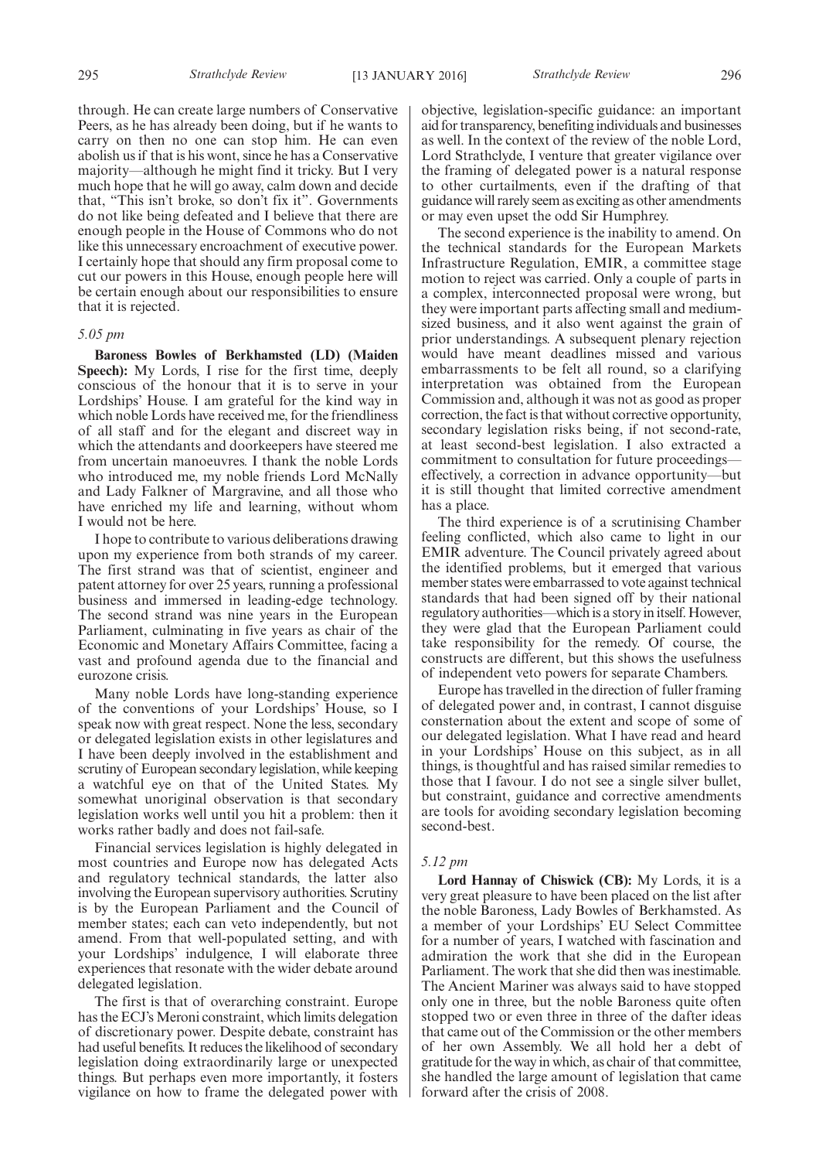through. He can create large numbers of Conservative Peers, as he has already been doing, but if he wants to carry on then no one can stop him. He can even abolish us if that is his wont, since he has a Conservative majority—although he might find it tricky. But I very much hope that he will go away, calm down and decide that, "This isn't broke, so don't fix it". Governments do not like being defeated and I believe that there are enough people in the House of Commons who do not like this unnecessary encroachment of executive power. I certainly hope that should any firm proposal come to cut our powers in this House, enough people here will be certain enough about our responsibilities to ensure that it is rejected.

#### *5.05 pm*

**Baroness Bowles of Berkhamsted (LD) (Maiden Speech):** My Lords, I rise for the first time, deeply conscious of the honour that it is to serve in your Lordships' House. I am grateful for the kind way in which noble Lords have received me, for the friendliness of all staff and for the elegant and discreet way in which the attendants and doorkeepers have steered me from uncertain manoeuvres. I thank the noble Lords who introduced me, my noble friends Lord McNally and Lady Falkner of Margravine, and all those who have enriched my life and learning, without whom I would not be here.

I hope to contribute to various deliberations drawing upon my experience from both strands of my career. The first strand was that of scientist, engineer and patent attorney for over 25 years, running a professional business and immersed in leading-edge technology. The second strand was nine years in the European Parliament, culminating in five years as chair of the Economic and Monetary Affairs Committee, facing a vast and profound agenda due to the financial and eurozone crisis.

Many noble Lords have long-standing experience of the conventions of your Lordships' House, so I speak now with great respect. None the less, secondary or delegated legislation exists in other legislatures and I have been deeply involved in the establishment and scrutiny of European secondary legislation, while keeping a watchful eye on that of the United States. My somewhat unoriginal observation is that secondary legislation works well until you hit a problem: then it works rather badly and does not fail-safe.

Financial services legislation is highly delegated in most countries and Europe now has delegated Acts and regulatory technical standards, the latter also involving the European supervisory authorities. Scrutiny is by the European Parliament and the Council of member states; each can veto independently, but not amend. From that well-populated setting, and with your Lordships' indulgence, I will elaborate three experiences that resonate with the wider debate around delegated legislation.

The first is that of overarching constraint. Europe has the ECJ's Meroni constraint, which limits delegation of discretionary power. Despite debate, constraint has had useful benefits. It reduces the likelihood of secondary legislation doing extraordinarily large or unexpected things. But perhaps even more importantly, it fosters vigilance on how to frame the delegated power with objective, legislation-specific guidance: an important aid for transparency, benefiting individuals and businesses as well. In the context of the review of the noble Lord, Lord Strathclyde, I venture that greater vigilance over the framing of delegated power is a natural response to other curtailments, even if the drafting of that guidance will rarely seem as exciting as other amendments or may even upset the odd Sir Humphrey.

The second experience is the inability to amend. On the technical standards for the European Markets Infrastructure Regulation, EMIR, a committee stage motion to reject was carried. Only a couple of parts in a complex, interconnected proposal were wrong, but they were important parts affecting small and mediumsized business, and it also went against the grain of prior understandings. A subsequent plenary rejection would have meant deadlines missed and various embarrassments to be felt all round, so a clarifying interpretation was obtained from the European Commission and, although it was not as good as proper correction, the fact is that without corrective opportunity, secondary legislation risks being, if not second-rate, at least second-best legislation. I also extracted a commitment to consultation for future proceedings effectively, a correction in advance opportunity—but it is still thought that limited corrective amendment has a place.

The third experience is of a scrutinising Chamber feeling conflicted, which also came to light in our EMIR adventure. The Council privately agreed about the identified problems, but it emerged that various member states were embarrassed to vote against technical standards that had been signed off by their national regulatory authorities—which is a story in itself. However, they were glad that the European Parliament could take responsibility for the remedy. Of course, the constructs are different, but this shows the usefulness of independent veto powers for separate Chambers.

Europe has travelled in the direction of fuller framing of delegated power and, in contrast, I cannot disguise consternation about the extent and scope of some of our delegated legislation. What I have read and heard in your Lordships' House on this subject, as in all things, is thoughtful and has raised similar remedies to those that I favour. I do not see a single silver bullet, but constraint, guidance and corrective amendments are tools for avoiding secondary legislation becoming second-best.

#### *5.12 pm*

**Lord Hannay of Chiswick (CB):** My Lords, it is a very great pleasure to have been placed on the list after the noble Baroness, Lady Bowles of Berkhamsted. As a member of your Lordships' EU Select Committee for a number of years, I watched with fascination and admiration the work that she did in the European Parliament. The work that she did then was inestimable. The Ancient Mariner was always said to have stopped only one in three, but the noble Baroness quite often stopped two or even three in three of the dafter ideas that came out of the Commission or the other members of her own Assembly. We all hold her a debt of gratitude for the way in which, as chair of that committee, she handled the large amount of legislation that came forward after the crisis of 2008.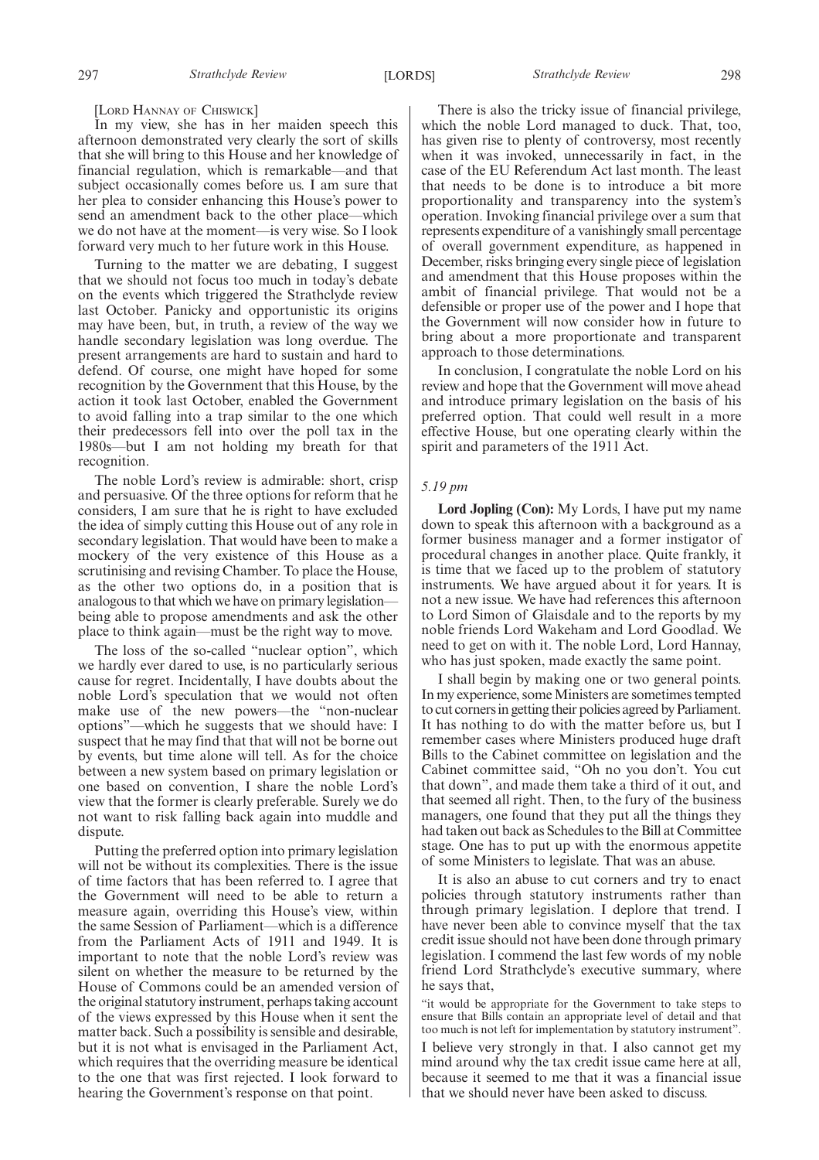#### [LORD HANNAY OF CHISWICK]

In my view, she has in her maiden speech this afternoon demonstrated very clearly the sort of skills that she will bring to this House and her knowledge of financial regulation, which is remarkable—and that subject occasionally comes before us. I am sure that her plea to consider enhancing this House's power to send an amendment back to the other place—which we do not have at the moment—is very wise. So I look forward very much to her future work in this House.

Turning to the matter we are debating, I suggest that we should not focus too much in today's debate on the events which triggered the Strathclyde review last October. Panicky and opportunistic its origins may have been, but, in truth, a review of the way we handle secondary legislation was long overdue. The present arrangements are hard to sustain and hard to defend. Of course, one might have hoped for some recognition by the Government that this House, by the action it took last October, enabled the Government to avoid falling into a trap similar to the one which their predecessors fell into over the poll tax in the 1980s—but I am not holding my breath for that recognition.

The noble Lord's review is admirable: short, crisp and persuasive. Of the three options for reform that he considers, I am sure that he is right to have excluded the idea of simply cutting this House out of any role in secondary legislation. That would have been to make a mockery of the very existence of this House as a scrutinising and revising Chamber. To place the House, as the other two options do, in a position that is analogous to that which we have on primary legislation being able to propose amendments and ask the other place to think again—must be the right way to move.

The loss of the so-called "nuclear option", which we hardly ever dared to use, is no particularly serious cause for regret. Incidentally, I have doubts about the noble Lord's speculation that we would not often make use of the new powers—the "non-nuclear options"—which he suggests that we should have: I suspect that he may find that that will not be borne out by events, but time alone will tell. As for the choice between a new system based on primary legislation or one based on convention, I share the noble Lord's view that the former is clearly preferable. Surely we do not want to risk falling back again into muddle and dispute.

Putting the preferred option into primary legislation will not be without its complexities. There is the issue of time factors that has been referred to. I agree that the Government will need to be able to return a measure again, overriding this House's view, within the same Session of Parliament—which is a difference from the Parliament Acts of 1911 and 1949. It is important to note that the noble Lord's review was silent on whether the measure to be returned by the House of Commons could be an amended version of the original statutory instrument, perhaps taking account of the views expressed by this House when it sent the matter back. Such a possibility is sensible and desirable, but it is not what is envisaged in the Parliament Act, which requires that the overriding measure be identical to the one that was first rejected. I look forward to hearing the Government's response on that point.

There is also the tricky issue of financial privilege, which the noble Lord managed to duck. That, too, has given rise to plenty of controversy, most recently when it was invoked, unnecessarily in fact, in the case of the EU Referendum Act last month. The least that needs to be done is to introduce a bit more proportionality and transparency into the system's operation. Invoking financial privilege over a sum that represents expenditure of a vanishingly small percentage of overall government expenditure, as happened in December, risks bringing every single piece of legislation and amendment that this House proposes within the ambit of financial privilege. That would not be a defensible or proper use of the power and I hope that the Government will now consider how in future to bring about a more proportionate and transparent approach to those determinations.

In conclusion, I congratulate the noble Lord on his review and hope that the Government will move ahead and introduce primary legislation on the basis of his preferred option. That could well result in a more effective House, but one operating clearly within the spirit and parameters of the 1911 Act.

#### *5.19 pm*

**Lord Jopling (Con):** My Lords, I have put my name down to speak this afternoon with a background as a former business manager and a former instigator of procedural changes in another place. Quite frankly, it is time that we faced up to the problem of statutory instruments. We have argued about it for years. It is not a new issue. We have had references this afternoon to Lord Simon of Glaisdale and to the reports by my noble friends Lord Wakeham and Lord Goodlad. We need to get on with it. The noble Lord, Lord Hannay, who has just spoken, made exactly the same point.

I shall begin by making one or two general points. In my experience, some Ministers are sometimes tempted to cut cornersin getting their policies agreed by Parliament. It has nothing to do with the matter before us, but I remember cases where Ministers produced huge draft Bills to the Cabinet committee on legislation and the Cabinet committee said, "Oh no you don't. You cut that down", and made them take a third of it out, and that seemed all right. Then, to the fury of the business managers, one found that they put all the things they had taken out back as Schedules to the Bill at Committee stage. One has to put up with the enormous appetite of some Ministers to legislate. That was an abuse.

It is also an abuse to cut corners and try to enact policies through statutory instruments rather than through primary legislation. I deplore that trend. I have never been able to convince myself that the tax credit issue should not have been done through primary legislation. I commend the last few words of my noble friend Lord Strathclyde's executive summary, where he says that,

"it would be appropriate for the Government to take steps to ensure that Bills contain an appropriate level of detail and that too much is not left for implementation by statutory instrument". I believe very strongly in that. I also cannot get my mind around why the tax credit issue came here at all, because it seemed to me that it was a financial issue that we should never have been asked to discuss.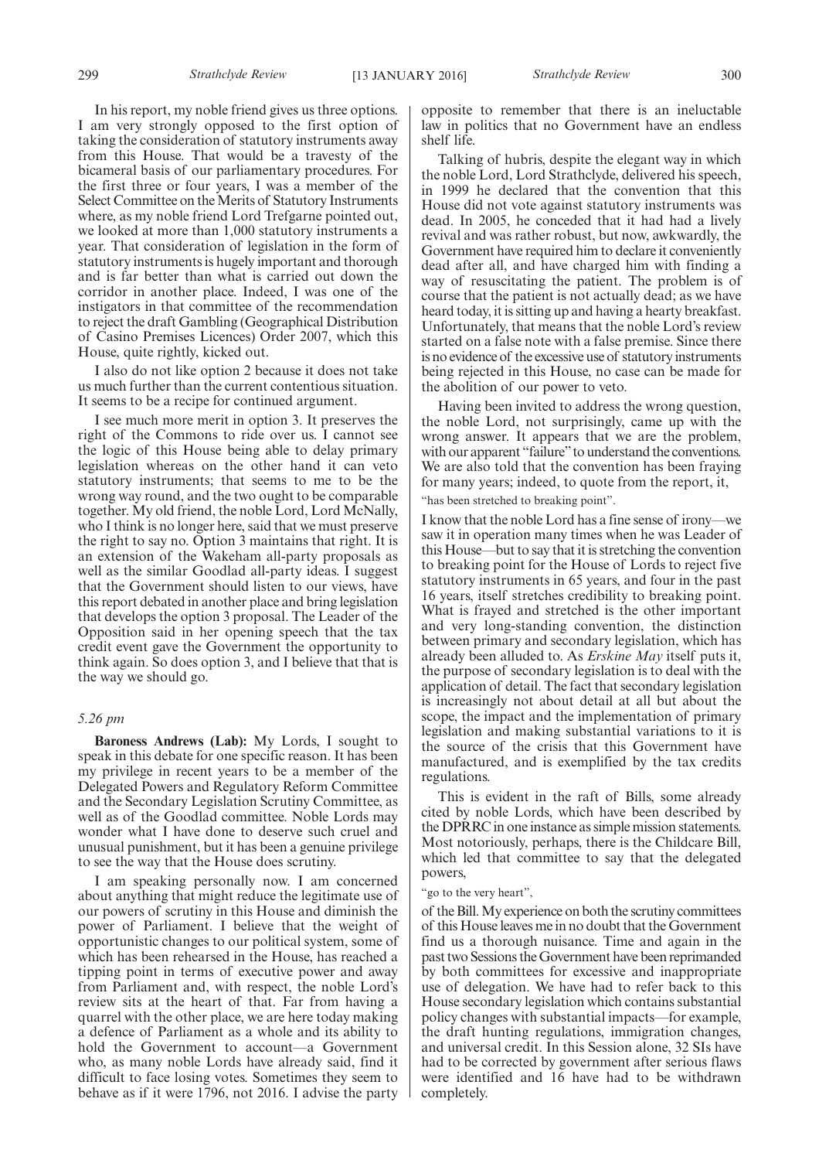In his report, my noble friend gives us three options. I am very strongly opposed to the first option of taking the consideration of statutory instruments away from this House. That would be a travesty of the bicameral basis of our parliamentary procedures. For the first three or four years, I was a member of the Select Committee on the Merits of Statutory Instruments where, as my noble friend Lord Trefgarne pointed out, we looked at more than 1,000 statutory instruments a year. That consideration of legislation in the form of statutory instruments is hugely important and thorough and is far better than what is carried out down the corridor in another place. Indeed, I was one of the instigators in that committee of the recommendation to reject the draft Gambling (Geographical Distribution of Casino Premises Licences) Order 2007, which this House, quite rightly, kicked out.

I also do not like option 2 because it does not take us much further than the current contentious situation. It seems to be a recipe for continued argument.

I see much more merit in option 3. It preserves the right of the Commons to ride over us. I cannot see the logic of this House being able to delay primary legislation whereas on the other hand it can veto statutory instruments; that seems to me to be the wrong way round, and the two ought to be comparable together. My old friend, the noble Lord, Lord McNally, who I think is no longer here, said that we must preserve the right to say no. Option 3 maintains that right. It is an extension of the Wakeham all-party proposals as well as the similar Goodlad all-party ideas. I suggest that the Government should listen to our views, have this report debated in another place and bring legislation that develops the option 3 proposal. The Leader of the Opposition said in her opening speech that the tax credit event gave the Government the opportunity to think again. So does option 3, and I believe that that is the way we should go.

#### *5.26 pm*

**Baroness Andrews (Lab):** My Lords, I sought to speak in this debate for one specific reason. It has been my privilege in recent years to be a member of the Delegated Powers and Regulatory Reform Committee and the Secondary Legislation Scrutiny Committee, as well as of the Goodlad committee. Noble Lords may wonder what I have done to deserve such cruel and unusual punishment, but it has been a genuine privilege to see the way that the House does scrutiny.

I am speaking personally now. I am concerned about anything that might reduce the legitimate use of our powers of scrutiny in this House and diminish the power of Parliament. I believe that the weight of opportunistic changes to our political system, some of which has been rehearsed in the House, has reached a tipping point in terms of executive power and away from Parliament and, with respect, the noble Lord's review sits at the heart of that. Far from having a quarrel with the other place, we are here today making a defence of Parliament as a whole and its ability to hold the Government to account—a Government who, as many noble Lords have already said, find it difficult to face losing votes. Sometimes they seem to behave as if it were 1796, not 2016. I advise the party

opposite to remember that there is an ineluctable law in politics that no Government have an endless shelf life.

Talking of hubris, despite the elegant way in which the noble Lord, Lord Strathclyde, delivered his speech, in 1999 he declared that the convention that this House did not vote against statutory instruments was dead. In 2005, he conceded that it had had a lively revival and was rather robust, but now, awkwardly, the Government have required him to declare it conveniently dead after all, and have charged him with finding a way of resuscitating the patient. The problem is of course that the patient is not actually dead; as we have heard today, it is sitting up and having a hearty breakfast. Unfortunately, that means that the noble Lord's review started on a false note with a false premise. Since there is no evidence of the excessive use of statutory instruments being rejected in this House, no case can be made for the abolition of our power to veto.

Having been invited to address the wrong question, the noble Lord, not surprisingly, came up with the wrong answer. It appears that we are the problem, with our apparent "failure" to understand the conventions. We are also told that the convention has been fraying for many years; indeed, to quote from the report, it,

"has been stretched to breaking point".

I know that the noble Lord has a fine sense of irony—we saw it in operation many times when he was Leader of this House—but to say that it is stretching the convention to breaking point for the House of Lords to reject five statutory instruments in 65 years, and four in the past 16 years, itself stretches credibility to breaking point. What is frayed and stretched is the other important and very long-standing convention, the distinction between primary and secondary legislation, which has already been alluded to. As *Erskine May* itself puts it, the purpose of secondary legislation is to deal with the application of detail. The fact that secondary legislation is increasingly not about detail at all but about the scope, the impact and the implementation of primary legislation and making substantial variations to it is the source of the crisis that this Government have manufactured, and is exemplified by the tax credits regulations.

This is evident in the raft of Bills, some already cited by noble Lords, which have been described by the DPRRC in one instance as simple mission statements. Most notoriously, perhaps, there is the Childcare Bill, which led that committee to say that the delegated powers,

#### "go to the very heart",

of the Bill.My experience on both the scrutiny committees of this House leaves me in no doubt that the Government find us a thorough nuisance. Time and again in the past two Sessions the Government have been reprimanded by both committees for excessive and inappropriate use of delegation. We have had to refer back to this House secondary legislation which contains substantial policy changes with substantial impacts—for example, the draft hunting regulations, immigration changes, and universal credit. In this Session alone, 32 SIs have had to be corrected by government after serious flaws were identified and 16 have had to be withdrawn completely.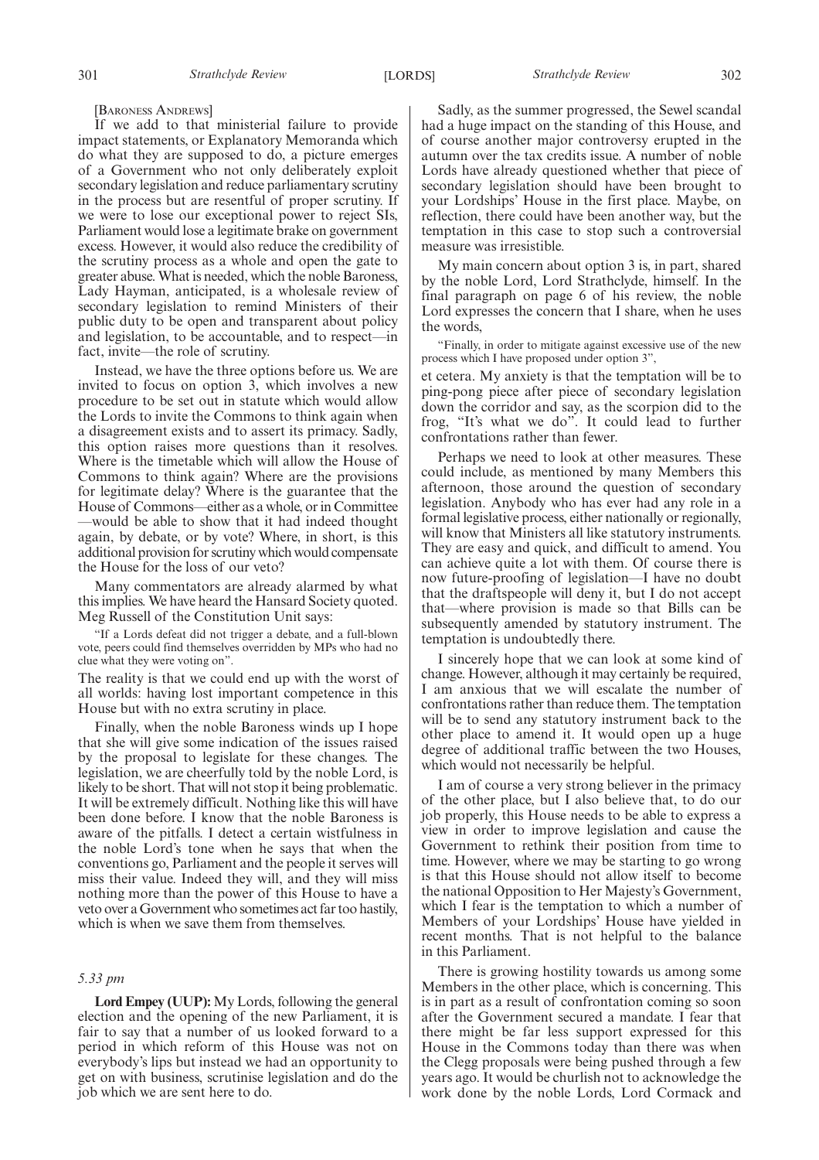[BARONESS ANDREWS]

If we add to that ministerial failure to provide impact statements, or Explanatory Memoranda which do what they are supposed to do, a picture emerges of a Government who not only deliberately exploit secondary legislation and reduce parliamentary scrutiny in the process but are resentful of proper scrutiny. If we were to lose our exceptional power to reject SIs, Parliament would lose a legitimate brake on government excess. However, it would also reduce the credibility of the scrutiny process as a whole and open the gate to greater abuse. What is needed, which the noble Baroness, Lady Hayman, anticipated, is a wholesale review of secondary legislation to remind Ministers of their public duty to be open and transparent about policy and legislation, to be accountable, and to respect—in fact, invite—the role of scrutiny.

Instead, we have the three options before us. We are invited to focus on option 3, which involves a new procedure to be set out in statute which would allow the Lords to invite the Commons to think again when a disagreement exists and to assert its primacy. Sadly, this option raises more questions than it resolves. Where is the timetable which will allow the House of Commons to think again? Where are the provisions for legitimate delay? Where is the guarantee that the House of Commons—either as a whole, or in Committee —would be able to show that it had indeed thought again, by debate, or by vote? Where, in short, is this additional provision for scrutiny which would compensate the House for the loss of our veto?

Many commentators are already alarmed by what this implies. We have heard the Hansard Society quoted. Meg Russell of the Constitution Unit says:

"If a Lords defeat did not trigger a debate, and a full-blown vote, peers could find themselves overridden by MPs who had no clue what they were voting on".

The reality is that we could end up with the worst of all worlds: having lost important competence in this House but with no extra scrutiny in place.

Finally, when the noble Baroness winds up I hope that she will give some indication of the issues raised by the proposal to legislate for these changes. The legislation, we are cheerfully told by the noble Lord, is likely to be short. That will not stop it being problematic. It will be extremely difficult. Nothing like this will have been done before. I know that the noble Baroness is aware of the pitfalls. I detect a certain wistfulness in the noble Lord's tone when he says that when the conventions go, Parliament and the people it serves will miss their value. Indeed they will, and they will miss nothing more than the power of this House to have a veto over a Government who sometimes act far too hastily, which is when we save them from themselves.

#### *5.33 pm*

**Lord Empey (UUP):** My Lords, following the general election and the opening of the new Parliament, it is fair to say that a number of us looked forward to a period in which reform of this House was not on everybody's lips but instead we had an opportunity to get on with business, scrutinise legislation and do the job which we are sent here to do.

Sadly, as the summer progressed, the Sewel scandal had a huge impact on the standing of this House, and of course another major controversy erupted in the autumn over the tax credits issue. A number of noble Lords have already questioned whether that piece of secondary legislation should have been brought to your Lordships' House in the first place. Maybe, on reflection, there could have been another way, but the temptation in this case to stop such a controversial measure was irresistible.

My main concern about option 3 is, in part, shared by the noble Lord, Lord Strathclyde, himself. In the final paragraph on page 6 of his review, the noble Lord expresses the concern that I share, when he uses the words,

"Finally, in order to mitigate against excessive use of the new process which I have proposed under option 3",

et cetera. My anxiety is that the temptation will be to ping-pong piece after piece of secondary legislation down the corridor and say, as the scorpion did to the frog, "It's what we do". It could lead to further confrontations rather than fewer.

Perhaps we need to look at other measures. These could include, as mentioned by many Members this afternoon, those around the question of secondary legislation. Anybody who has ever had any role in a formal legislative process, either nationally or regionally, will know that Ministers all like statutory instruments. They are easy and quick, and difficult to amend. You can achieve quite a lot with them. Of course there is now future-proofing of legislation—I have no doubt that the draftspeople will deny it, but I do not accept that—where provision is made so that Bills can be subsequently amended by statutory instrument. The temptation is undoubtedly there.

I sincerely hope that we can look at some kind of change. However, although it may certainly be required, I am anxious that we will escalate the number of confrontations rather than reduce them. The temptation will be to send any statutory instrument back to the other place to amend it. It would open up a huge degree of additional traffic between the two Houses, which would not necessarily be helpful.

I am of course a very strong believer in the primacy of the other place, but I also believe that, to do our job properly, this House needs to be able to express a view in order to improve legislation and cause the Government to rethink their position from time to time. However, where we may be starting to go wrong is that this House should not allow itself to become the national Opposition to Her Majesty's Government, which I fear is the temptation to which a number of Members of your Lordships' House have yielded in recent months. That is not helpful to the balance in this Parliament.

There is growing hostility towards us among some Members in the other place, which is concerning. This is in part as a result of confrontation coming so soon after the Government secured a mandate. I fear that there might be far less support expressed for this House in the Commons today than there was when the Clegg proposals were being pushed through a few years ago. It would be churlish not to acknowledge the work done by the noble Lords, Lord Cormack and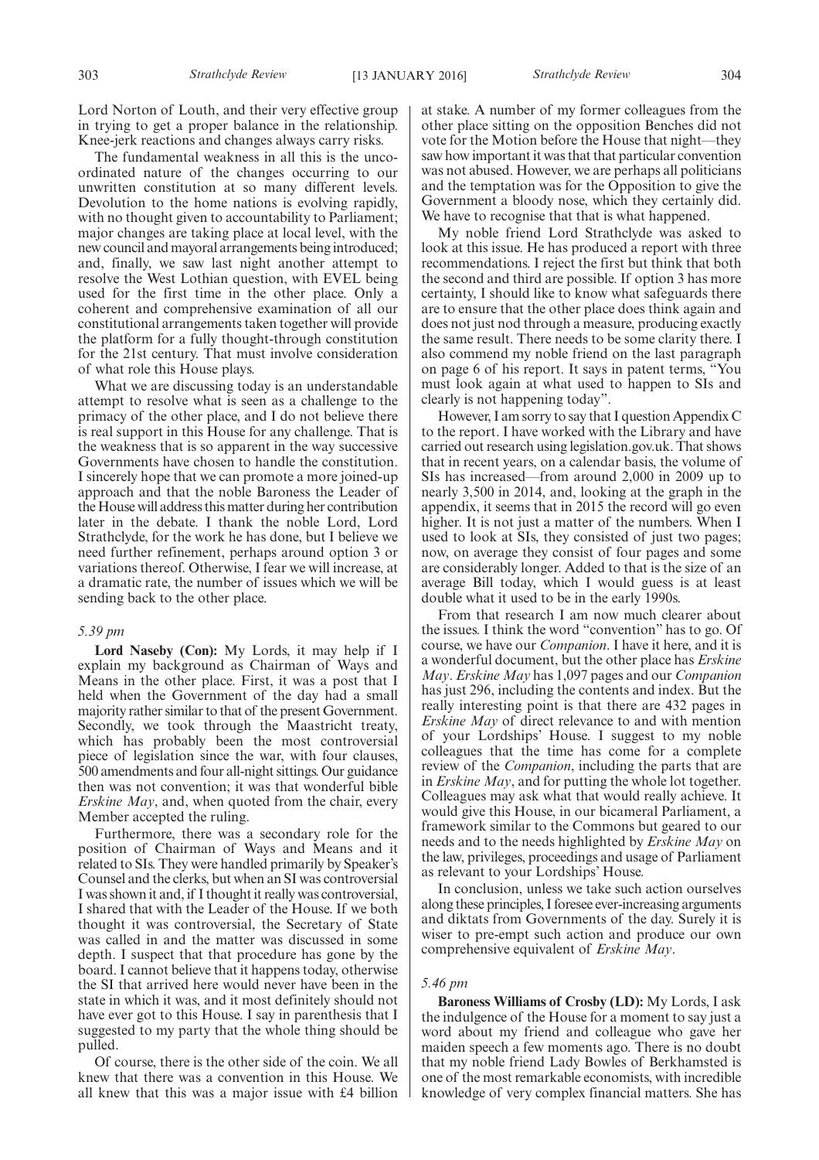Lord Norton of Louth, and their very effective group in trying to get a proper balance in the relationship. Knee-jerk reactions and changes always carry risks.

The fundamental weakness in all this is the uncoordinated nature of the changes occurring to our unwritten constitution at so many different levels. Devolution to the home nations is evolving rapidly, with no thought given to accountability to Parliament; major changes are taking place at local level, with the new council and mayoral arrangements being introduced; and, finally, we saw last night another attempt to resolve the West Lothian question, with EVEL being used for the first time in the other place. Only a coherent and comprehensive examination of all our constitutional arrangements taken together will provide the platform for a fully thought-through constitution for the 21st century. That must involve consideration of what role this House plays.

What we are discussing today is an understandable attempt to resolve what is seen as a challenge to the primacy of the other place, and I do not believe there is real support in this House for any challenge. That is the weakness that is so apparent in the way successive Governments have chosen to handle the constitution. I sincerely hope that we can promote a more joined-up approach and that the noble Baroness the Leader of the House will address this matter during her contribution later in the debate. I thank the noble Lord, Lord Strathclyde, for the work he has done, but I believe we need further refinement, perhaps around option 3 or variations thereof. Otherwise, I fear we will increase, at a dramatic rate, the number of issues which we will be sending back to the other place.

#### *5.39 pm*

**Lord Naseby (Con):** My Lords, it may help if I explain my background as Chairman of Ways and Means in the other place. First, it was a post that I held when the Government of the day had a small majority rather similar to that of the present Government. Secondly, we took through the Maastricht treaty, which has probably been the most controversial piece of legislation since the war, with four clauses, 500 amendments and four all-night sittings. Our guidance then was not convention; it was that wonderful bible *Erskine May*, and, when quoted from the chair, every Member accepted the ruling.

Furthermore, there was a secondary role for the position of Chairman of Ways and Means and it related to SIs. They were handled primarily by Speaker's Counsel and the clerks, but when an SI was controversial I was shown it and, if I thought it really was controversial, I shared that with the Leader of the House. If we both thought it was controversial, the Secretary of State was called in and the matter was discussed in some depth. I suspect that that procedure has gone by the board. I cannot believe that it happens today, otherwise the SI that arrived here would never have been in the state in which it was, and it most definitely should not have ever got to this House. I say in parenthesis that I suggested to my party that the whole thing should be pulled.

Of course, there is the other side of the coin. We all knew that there was a convention in this House. We all knew that this was a major issue with £4 billion at stake. A number of my former colleagues from the other place sitting on the opposition Benches did not vote for the Motion before the House that night—they saw how important it was that that particular convention was not abused. However, we are perhaps all politicians and the temptation was for the Opposition to give the Government a bloody nose, which they certainly did. We have to recognise that that is what happened.

My noble friend Lord Strathclyde was asked to look at this issue. He has produced a report with three recommendations. I reject the first but think that both the second and third are possible. If option 3 has more certainty, I should like to know what safeguards there are to ensure that the other place does think again and does not just nod through a measure, producing exactly the same result. There needs to be some clarity there. I also commend my noble friend on the last paragraph on page 6 of his report. It says in patent terms, "You must look again at what used to happen to SIs and clearly is not happening today".

However, I am sorry to say that I question Appendix C to the report. I have worked with the Library and have carried out research using legislation.gov.uk. That shows that in recent years, on a calendar basis, the volume of SIs has increased—from around 2,000 in 2009 up to nearly 3,500 in 2014, and, looking at the graph in the appendix, it seems that in 2015 the record will go even higher. It is not just a matter of the numbers. When I used to look at SIs, they consisted of just two pages; now, on average they consist of four pages and some are considerably longer. Added to that is the size of an average Bill today, which I would guess is at least double what it used to be in the early 1990s.

From that research I am now much clearer about the issues. I think the word "convention" has to go. Of course, we have our *Companion*. I have it here, and it is a wonderful document, but the other place has *Erskine May*. *Erskine May* has 1,097 pages and our *Companion* has just 296, including the contents and index. But the really interesting point is that there are 432 pages in *Erskine May* of direct relevance to and with mention of your Lordships' House. I suggest to my noble colleagues that the time has come for a complete review of the *Companion*, including the parts that are in *Erskine May*, and for putting the whole lot together. Colleagues may ask what that would really achieve. It would give this House, in our bicameral Parliament, a framework similar to the Commons but geared to our needs and to the needs highlighted by *Erskine May* on the law, privileges, proceedings and usage of Parliament as relevant to your Lordships' House.

In conclusion, unless we take such action ourselves along these principles, I foresee ever-increasing arguments and diktats from Governments of the day. Surely it is wiser to pre-empt such action and produce our own comprehensive equivalent of *Erskine May*.

#### *5.46 pm*

**Baroness Williams of Crosby (LD):** My Lords, I ask the indulgence of the House for a moment to say just a word about my friend and colleague who gave her maiden speech a few moments ago. There is no doubt that my noble friend Lady Bowles of Berkhamsted is one of the most remarkable economists, with incredible knowledge of very complex financial matters. She has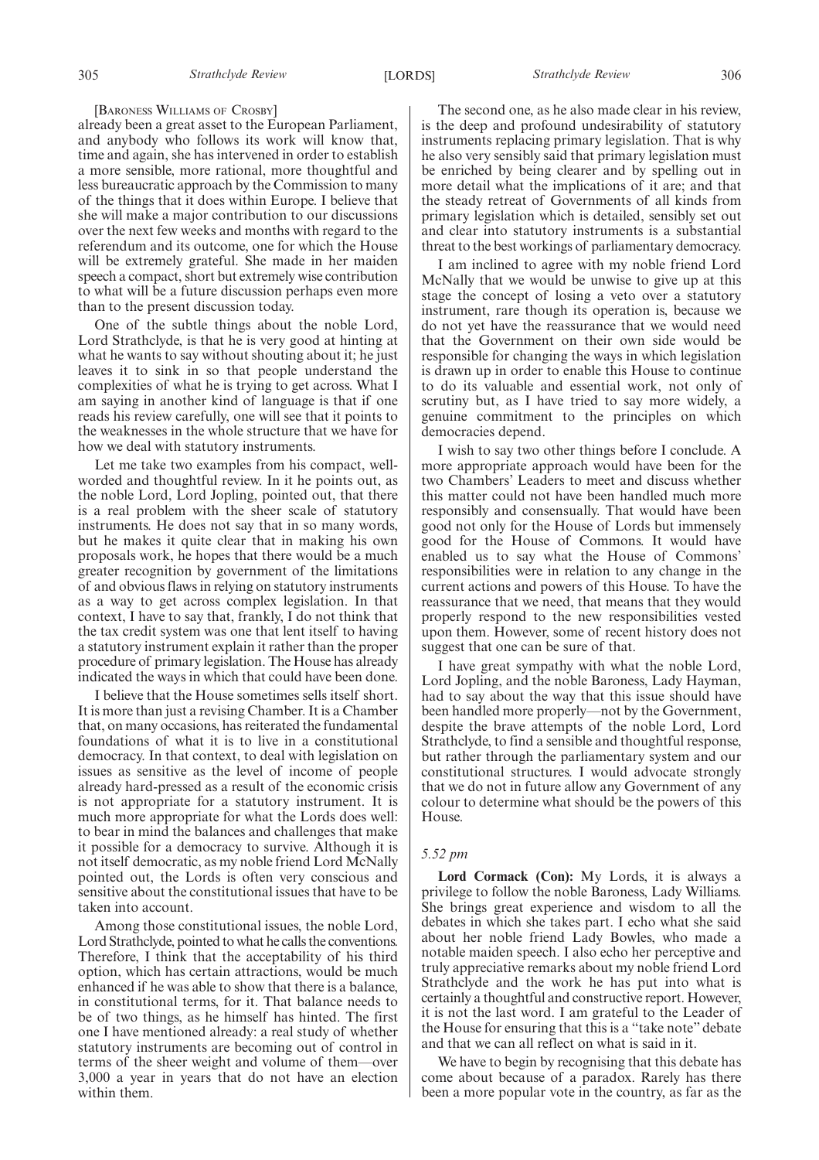#### [BARONESS WILLIAMS OF CROSBY]

already been a great asset to the European Parliament, and anybody who follows its work will know that, time and again, she has intervened in order to establish a more sensible, more rational, more thoughtful and less bureaucratic approach by the Commission to many of the things that it does within Europe. I believe that she will make a major contribution to our discussions over the next few weeks and months with regard to the referendum and its outcome, one for which the House will be extremely grateful. She made in her maiden speech a compact, short but extremely wise contribution to what will be a future discussion perhaps even more than to the present discussion today.

One of the subtle things about the noble Lord, Lord Strathclyde, is that he is very good at hinting at what he wants to say without shouting about it; he just leaves it to sink in so that people understand the complexities of what he is trying to get across. What I am saying in another kind of language is that if one reads his review carefully, one will see that it points to the weaknesses in the whole structure that we have for how we deal with statutory instruments.

Let me take two examples from his compact, wellworded and thoughtful review. In it he points out, as the noble Lord, Lord Jopling, pointed out, that there is a real problem with the sheer scale of statutory instruments. He does not say that in so many words, but he makes it quite clear that in making his own proposals work, he hopes that there would be a much greater recognition by government of the limitations of and obvious flaws in relying on statutory instruments as a way to get across complex legislation. In that context, I have to say that, frankly, I do not think that the tax credit system was one that lent itself to having a statutory instrument explain it rather than the proper procedure of primary legislation. The House has already indicated the ways in which that could have been done.

I believe that the House sometimes sells itself short. It is more than just a revising Chamber. It is a Chamber that, on many occasions, has reiterated the fundamental foundations of what it is to live in a constitutional democracy. In that context, to deal with legislation on issues as sensitive as the level of income of people already hard-pressed as a result of the economic crisis is not appropriate for a statutory instrument. It is much more appropriate for what the Lords does well: to bear in mind the balances and challenges that make it possible for a democracy to survive. Although it is not itself democratic, as my noble friend Lord McNally pointed out, the Lords is often very conscious and sensitive about the constitutional issues that have to be taken into account.

Among those constitutional issues, the noble Lord, Lord Strathclyde, pointed to what he calls the conventions. Therefore, I think that the acceptability of his third option, which has certain attractions, would be much enhanced if he was able to show that there is a balance, in constitutional terms, for it. That balance needs to be of two things, as he himself has hinted. The first one I have mentioned already: a real study of whether statutory instruments are becoming out of control in terms of the sheer weight and volume of them—over 3,000 a year in years that do not have an election within them.

The second one, as he also made clear in his review, is the deep and profound undesirability of statutory instruments replacing primary legislation. That is why he also very sensibly said that primary legislation must be enriched by being clearer and by spelling out in more detail what the implications of it are; and that the steady retreat of Governments of all kinds from primary legislation which is detailed, sensibly set out and clear into statutory instruments is a substantial threat to the best workings of parliamentary democracy.

I am inclined to agree with my noble friend Lord McNally that we would be unwise to give up at this stage the concept of losing a veto over a statutory instrument, rare though its operation is, because we do not yet have the reassurance that we would need that the Government on their own side would be responsible for changing the ways in which legislation is drawn up in order to enable this House to continue to do its valuable and essential work, not only of scrutiny but, as I have tried to say more widely, a genuine commitment to the principles on which democracies depend.

I wish to say two other things before I conclude. A more appropriate approach would have been for the two Chambers' Leaders to meet and discuss whether this matter could not have been handled much more responsibly and consensually. That would have been good not only for the House of Lords but immensely good for the House of Commons. It would have enabled us to say what the House of Commons' responsibilities were in relation to any change in the current actions and powers of this House. To have the reassurance that we need, that means that they would properly respond to the new responsibilities vested upon them. However, some of recent history does not suggest that one can be sure of that.

I have great sympathy with what the noble Lord, Lord Jopling, and the noble Baroness, Lady Hayman, had to say about the way that this issue should have been handled more properly—not by the Government, despite the brave attempts of the noble Lord, Lord Strathclyde, to find a sensible and thoughtful response, but rather through the parliamentary system and our constitutional structures. I would advocate strongly that we do not in future allow any Government of any colour to determine what should be the powers of this House.

#### *5.52 pm*

**Lord Cormack (Con):** My Lords, it is always a privilege to follow the noble Baroness, Lady Williams. She brings great experience and wisdom to all the debates in which she takes part. I echo what she said about her noble friend Lady Bowles, who made a notable maiden speech. I also echo her perceptive and truly appreciative remarks about my noble friend Lord Strathclyde and the work he has put into what is certainly a thoughtful and constructive report. However, it is not the last word. I am grateful to the Leader of the House for ensuring that this is a "take note" debate and that we can all reflect on what is said in it.

We have to begin by recognising that this debate has come about because of a paradox. Rarely has there been a more popular vote in the country, as far as the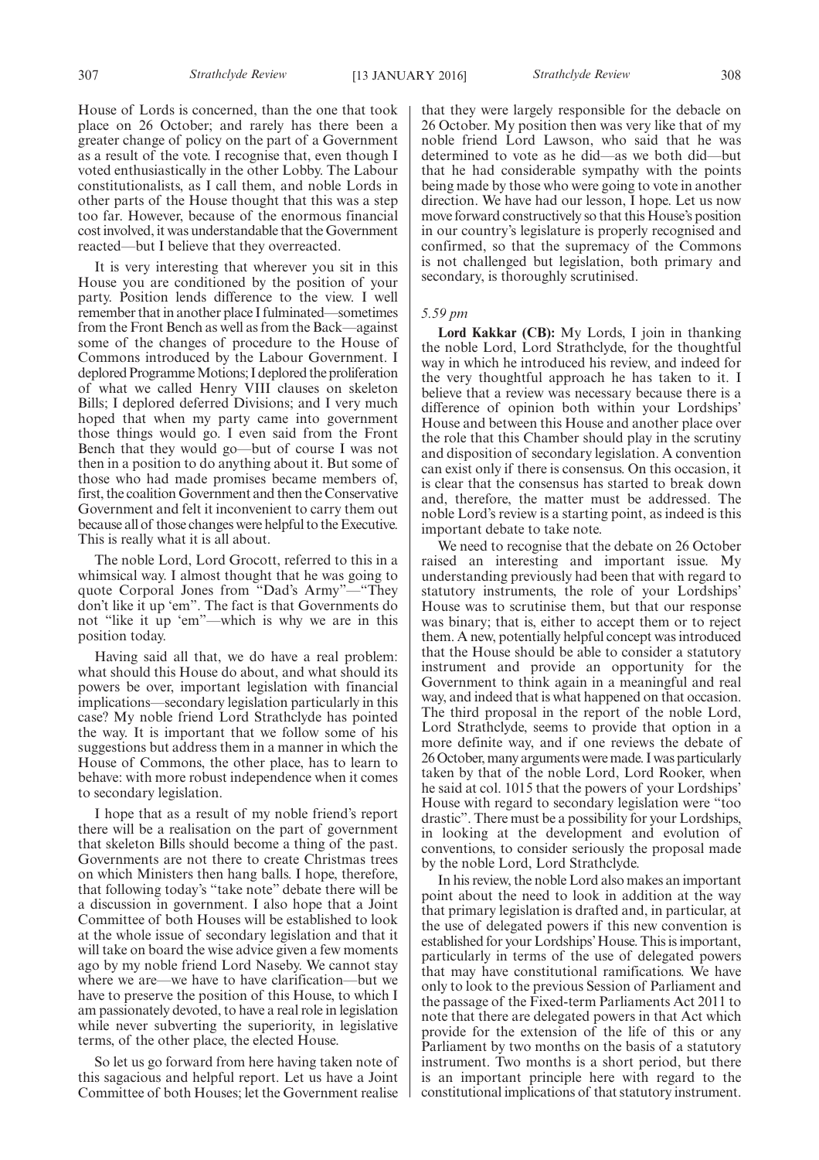House of Lords is concerned, than the one that took place on 26 October; and rarely has there been a greater change of policy on the part of a Government as a result of the vote. I recognise that, even though I voted enthusiastically in the other Lobby. The Labour constitutionalists, as I call them, and noble Lords in other parts of the House thought that this was a step too far. However, because of the enormous financial cost involved, it was understandable that the Government reacted—but I believe that they overreacted.

It is very interesting that wherever you sit in this House you are conditioned by the position of your party. Position lends difference to the view. I well remember that in another place I fulminated—sometimes from the Front Bench as well as from the Back—against some of the changes of procedure to the House of Commons introduced by the Labour Government. I deplored Programme Motions; I deplored the proliferation of what we called Henry VIII clauses on skeleton Bills; I deplored deferred Divisions; and I very much hoped that when my party came into government those things would go. I even said from the Front Bench that they would go—but of course I was not then in a position to do anything about it. But some of those who had made promises became members of, first, the coalition Government and then the Conservative Government and felt it inconvenient to carry them out because all of those changes were helpful to the Executive. This is really what it is all about.

The noble Lord, Lord Grocott, referred to this in a whimsical way. I almost thought that he was going to quote Corporal Jones from "Dad's Army"—"They don't like it up 'em". The fact is that Governments do not "like it up 'em"—which is why we are in this position today.

Having said all that, we do have a real problem: what should this House do about, and what should its powers be over, important legislation with financial implications—secondary legislation particularly in this case? My noble friend Lord Strathclyde has pointed the way. It is important that we follow some of his suggestions but address them in a manner in which the House of Commons, the other place, has to learn to behave: with more robust independence when it comes to secondary legislation.

I hope that as a result of my noble friend's report there will be a realisation on the part of government that skeleton Bills should become a thing of the past. Governments are not there to create Christmas trees on which Ministers then hang balls. I hope, therefore, that following today's "take note" debate there will be a discussion in government. I also hope that a Joint Committee of both Houses will be established to look at the whole issue of secondary legislation and that it will take on board the wise advice given a few moments ago by my noble friend Lord Naseby. We cannot stay where we are—we have to have clarification—but we have to preserve the position of this House, to which I am passionately devoted, to have a real role in legislation while never subverting the superiority, in legislative terms, of the other place, the elected House.

So let us go forward from here having taken note of this sagacious and helpful report. Let us have a Joint Committee of both Houses; let the Government realise that they were largely responsible for the debacle on 26 October. My position then was very like that of my noble friend Lord Lawson, who said that he was determined to vote as he did—as we both did—but that he had considerable sympathy with the points being made by those who were going to vote in another direction. We have had our lesson, I hope. Let us now move forward constructively so that this House's position in our country's legislature is properly recognised and confirmed, so that the supremacy of the Commons is not challenged but legislation, both primary and secondary, is thoroughly scrutinised.

#### *5.59 pm*

**Lord Kakkar (CB):** My Lords, I join in thanking the noble Lord, Lord Strathclyde, for the thoughtful way in which he introduced his review, and indeed for the very thoughtful approach he has taken to it. I believe that a review was necessary because there is a difference of opinion both within your Lordships' House and between this House and another place over the role that this Chamber should play in the scrutiny and disposition of secondary legislation. A convention can exist only if there is consensus. On this occasion, it is clear that the consensus has started to break down and, therefore, the matter must be addressed. The noble Lord's review is a starting point, as indeed is this important debate to take note.

We need to recognise that the debate on 26 October raised an interesting and important issue. My understanding previously had been that with regard to statutory instruments, the role of your Lordships' House was to scrutinise them, but that our response was binary; that is, either to accept them or to reject them. A new, potentially helpful concept was introduced that the House should be able to consider a statutory instrument and provide an opportunity for the Government to think again in a meaningful and real way, and indeed that is what happened on that occasion. The third proposal in the report of the noble Lord, Lord Strathclyde, seems to provide that option in a more definite way, and if one reviews the debate of 26 October, many arguments were made. I was particularly taken by that of the noble Lord, Lord Rooker, when he said at col. 1015 that the powers of your Lordships' House with regard to secondary legislation were "too drastic". There must be a possibility for your Lordships, in looking at the development and evolution of conventions, to consider seriously the proposal made by the noble Lord, Lord Strathclyde.

In his review, the noble Lord also makes an important point about the need to look in addition at the way that primary legislation is drafted and, in particular, at the use of delegated powers if this new convention is established for your Lordships'House. This is important, particularly in terms of the use of delegated powers that may have constitutional ramifications. We have only to look to the previous Session of Parliament and the passage of the Fixed-term Parliaments Act 2011 to note that there are delegated powers in that Act which provide for the extension of the life of this or any Parliament by two months on the basis of a statutory instrument. Two months is a short period, but there is an important principle here with regard to the constitutional implications of that statutory instrument.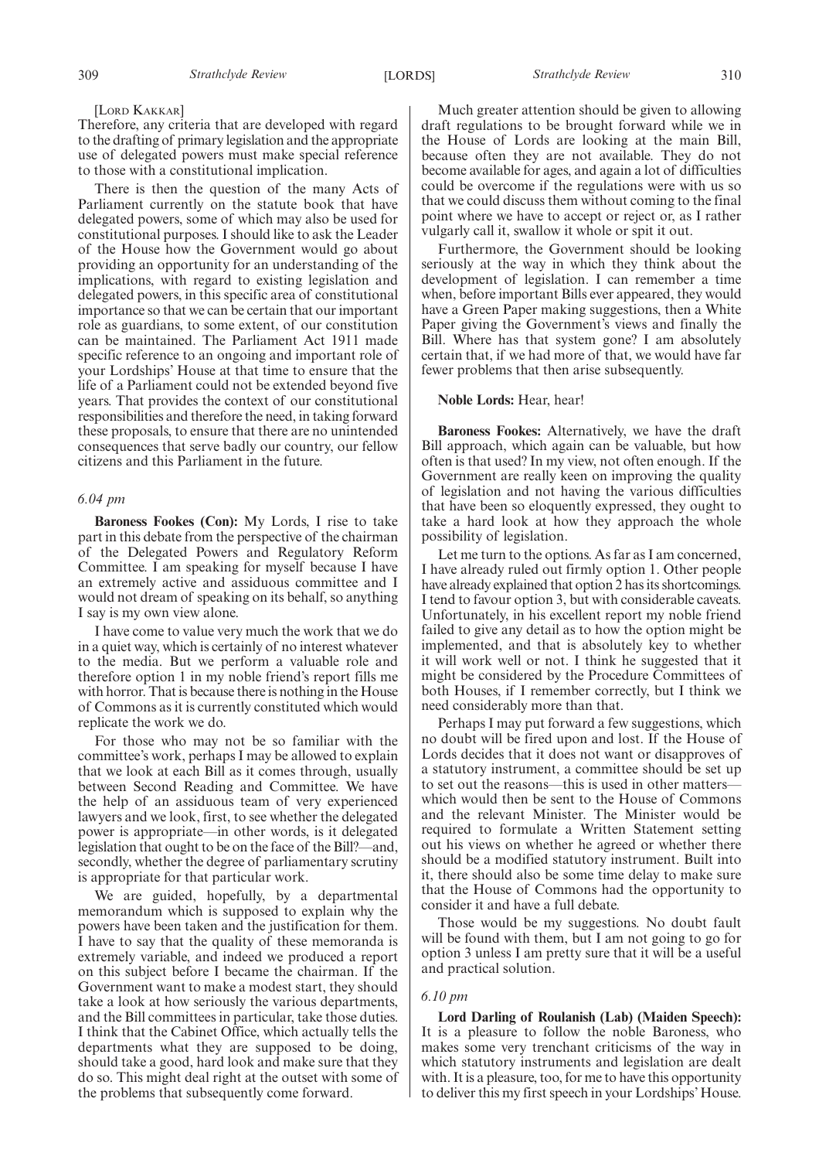#### [LORD KAKKAR]

Therefore, any criteria that are developed with regard to the drafting of primary legislation and the appropriate use of delegated powers must make special reference to those with a constitutional implication.

There is then the question of the many Acts of Parliament currently on the statute book that have delegated powers, some of which may also be used for constitutional purposes. I should like to ask the Leader of the House how the Government would go about providing an opportunity for an understanding of the implications, with regard to existing legislation and delegated powers, in this specific area of constitutional importance so that we can be certain that our important role as guardians, to some extent, of our constitution can be maintained. The Parliament Act 1911 made specific reference to an ongoing and important role of your Lordships' House at that time to ensure that the life of a Parliament could not be extended beyond five years. That provides the context of our constitutional responsibilities and therefore the need, in taking forward these proposals, to ensure that there are no unintended consequences that serve badly our country, our fellow citizens and this Parliament in the future.

#### *6.04 pm*

**Baroness Fookes (Con):** My Lords, I rise to take part in this debate from the perspective of the chairman of the Delegated Powers and Regulatory Reform Committee. I am speaking for myself because I have an extremely active and assiduous committee and I would not dream of speaking on its behalf, so anything I say is my own view alone.

I have come to value very much the work that we do in a quiet way, which is certainly of no interest whatever to the media. But we perform a valuable role and therefore option 1 in my noble friend's report fills me with horror. That is because there is nothing in the House of Commons as it is currently constituted which would replicate the work we do.

For those who may not be so familiar with the committee's work, perhaps I may be allowed to explain that we look at each Bill as it comes through, usually between Second Reading and Committee. We have the help of an assiduous team of very experienced lawyers and we look, first, to see whether the delegated power is appropriate—in other words, is it delegated legislation that ought to be on the face of the Bill?—and, secondly, whether the degree of parliamentary scrutiny is appropriate for that particular work.

We are guided, hopefully, by a departmental memorandum which is supposed to explain why the powers have been taken and the justification for them. I have to say that the quality of these memoranda is extremely variable, and indeed we produced a report on this subject before I became the chairman. If the Government want to make a modest start, they should take a look at how seriously the various departments, and the Bill committees in particular, take those duties. I think that the Cabinet Office, which actually tells the departments what they are supposed to be doing, should take a good, hard look and make sure that they do so. This might deal right at the outset with some of the problems that subsequently come forward.

Much greater attention should be given to allowing draft regulations to be brought forward while we in the House of Lords are looking at the main Bill, because often they are not available. They do not become available for ages, and again a lot of difficulties could be overcome if the regulations were with us so that we could discuss them without coming to the final point where we have to accept or reject or, as I rather vulgarly call it, swallow it whole or spit it out.

Furthermore, the Government should be looking seriously at the way in which they think about the development of legislation. I can remember a time when, before important Bills ever appeared, they would have a Green Paper making suggestions, then a White Paper giving the Government's views and finally the Bill. Where has that system gone? I am absolutely certain that, if we had more of that, we would have far fewer problems that then arise subsequently.

#### **Noble Lords:** Hear, hear!

**Baroness Fookes:** Alternatively, we have the draft Bill approach, which again can be valuable, but how often is that used? In my view, not often enough. If the Government are really keen on improving the quality of legislation and not having the various difficulties that have been so eloquently expressed, they ought to take a hard look at how they approach the whole possibility of legislation.

Let me turn to the options. As far as I am concerned, I have already ruled out firmly option 1. Other people have already explained that option 2 has its shortcomings. I tend to favour option 3, but with considerable caveats. Unfortunately, in his excellent report my noble friend failed to give any detail as to how the option might be implemented, and that is absolutely key to whether it will work well or not. I think he suggested that it might be considered by the Procedure Committees of both Houses, if I remember correctly, but I think we need considerably more than that.

Perhaps I may put forward a few suggestions, which no doubt will be fired upon and lost. If the House of Lords decides that it does not want or disapproves of a statutory instrument, a committee should be set up to set out the reasons—this is used in other matters which would then be sent to the House of Commons and the relevant Minister. The Minister would be required to formulate a Written Statement setting out his views on whether he agreed or whether there should be a modified statutory instrument. Built into it, there should also be some time delay to make sure that the House of Commons had the opportunity to consider it and have a full debate.

Those would be my suggestions. No doubt fault will be found with them, but I am not going to go for option 3 unless I am pretty sure that it will be a useful and practical solution.

#### *6.10 pm*

**Lord Darling of Roulanish (Lab) (Maiden Speech):** It is a pleasure to follow the noble Baroness, who makes some very trenchant criticisms of the way in which statutory instruments and legislation are dealt with. It is a pleasure, too, for me to have this opportunity to deliver this my first speech in your Lordships' House.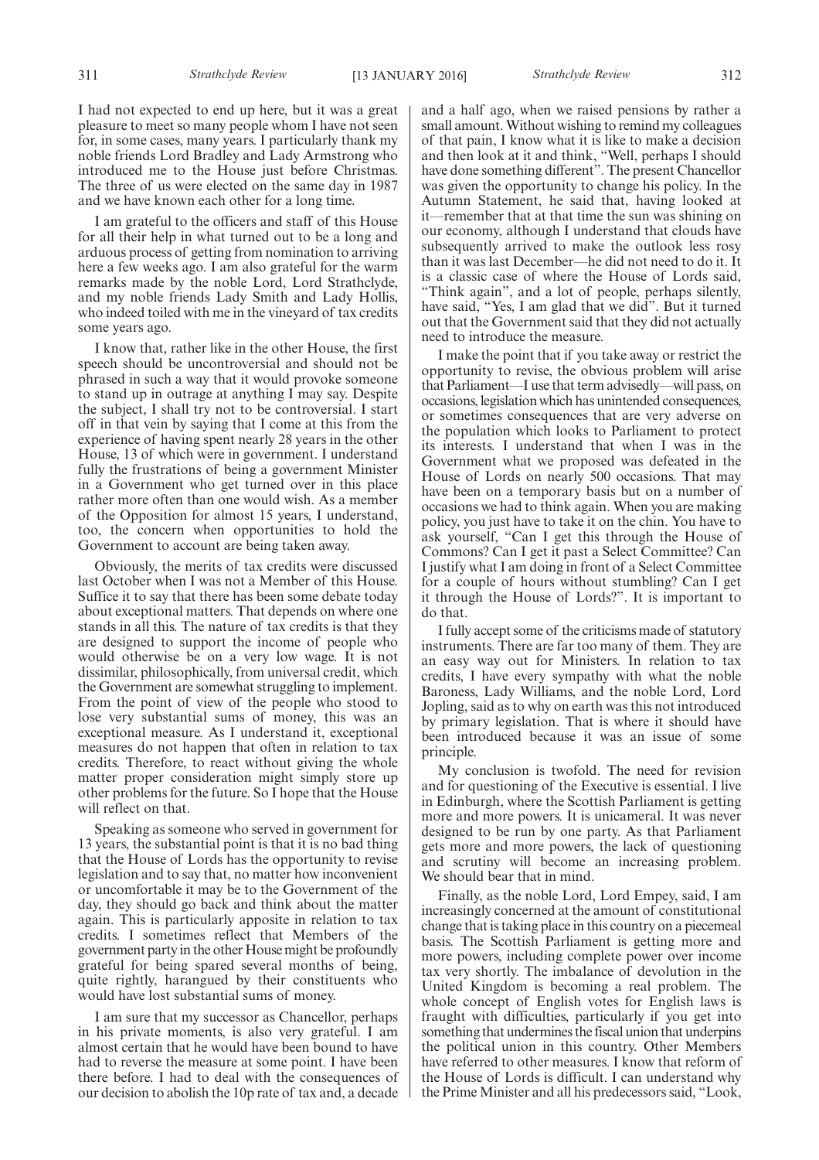I had not expected to end up here, but it was a great pleasure to meet so many people whom I have not seen for, in some cases, many years. I particularly thank my noble friends Lord Bradley and Lady Armstrong who introduced me to the House just before Christmas. The three of us were elected on the same day in 1987 and we have known each other for a long time.

I am grateful to the officers and staff of this House for all their help in what turned out to be a long and arduous process of getting from nomination to arriving here a few weeks ago. I am also grateful for the warm remarks made by the noble Lord, Lord Strathclyde, and my noble friends Lady Smith and Lady Hollis, who indeed toiled with me in the vineyard of tax credits some years ago.

I know that, rather like in the other House, the first speech should be uncontroversial and should not be phrased in such a way that it would provoke someone to stand up in outrage at anything I may say. Despite the subject, I shall try not to be controversial. I start off in that vein by saying that I come at this from the experience of having spent nearly 28 years in the other House, 13 of which were in government. I understand fully the frustrations of being a government Minister in a Government who get turned over in this place rather more often than one would wish. As a member of the Opposition for almost 15 years, I understand, too, the concern when opportunities to hold the Government to account are being taken away.

Obviously, the merits of tax credits were discussed last October when I was not a Member of this House. Suffice it to say that there has been some debate today about exceptional matters. That depends on where one stands in all this. The nature of tax credits is that they are designed to support the income of people who would otherwise be on a very low wage. It is not dissimilar, philosophically, from universal credit, which the Government are somewhat struggling to implement. From the point of view of the people who stood to lose very substantial sums of money, this was an exceptional measure. As I understand it, exceptional measures do not happen that often in relation to tax credits. Therefore, to react without giving the whole matter proper consideration might simply store up other problems for the future. So I hope that the House will reflect on that.

Speaking as someone who served in government for 13 years, the substantial point is that it is no bad thing that the House of Lords has the opportunity to revise legislation and to say that, no matter how inconvenient or uncomfortable it may be to the Government of the day, they should go back and think about the matter again. This is particularly apposite in relation to tax credits. I sometimes reflect that Members of the government party in the other House might be profoundly grateful for being spared several months of being, quite rightly, harangued by their constituents who would have lost substantial sums of money.

I am sure that my successor as Chancellor, perhaps in his private moments, is also very grateful. I am almost certain that he would have been bound to have had to reverse the measure at some point. I have been there before. I had to deal with the consequences of our decision to abolish the 10p rate of tax and, a decade and a half ago, when we raised pensions by rather a small amount. Without wishing to remind my colleagues of that pain, I know what it is like to make a decision and then look at it and think, "Well, perhaps I should have done something different". The present Chancellor was given the opportunity to change his policy. In the Autumn Statement, he said that, having looked at it—remember that at that time the sun was shining on our economy, although I understand that clouds have subsequently arrived to make the outlook less rosy than it was last December—he did not need to do it. It is a classic case of where the House of Lords said, "Think again", and a lot of people, perhaps silently, have said, "Yes, I am glad that we did". But it turned out that the Government said that they did not actually need to introduce the measure.

I make the point that if you take away or restrict the opportunity to revise, the obvious problem will arise that Parliament—I use that term advisedly—will pass, on occasions, legislation which has unintended consequences, or sometimes consequences that are very adverse on the population which looks to Parliament to protect its interests. I understand that when I was in the Government what we proposed was defeated in the House of Lords on nearly 500 occasions. That may have been on a temporary basis but on a number of occasions we had to think again. When you are making policy, you just have to take it on the chin. You have to ask yourself, "Can I get this through the House of Commons? Can I get it past a Select Committee? Can I justify what I am doing in front of a Select Committee for a couple of hours without stumbling? Can I get it through the House of Lords?". It is important to do that.

I fully accept some of the criticisms made of statutory instruments. There are far too many of them. They are an easy way out for Ministers. In relation to tax credits, I have every sympathy with what the noble Baroness, Lady Williams, and the noble Lord, Lord Jopling, said as to why on earth was this not introduced by primary legislation. That is where it should have been introduced because it was an issue of some principle.

My conclusion is twofold. The need for revision and for questioning of the Executive is essential. I live in Edinburgh, where the Scottish Parliament is getting more and more powers. It is unicameral. It was never designed to be run by one party. As that Parliament gets more and more powers, the lack of questioning and scrutiny will become an increasing problem. We should bear that in mind.

Finally, as the noble Lord, Lord Empey, said, I am increasingly concerned at the amount of constitutional change that is taking place in this country on a piecemeal basis. The Scottish Parliament is getting more and more powers, including complete power over income tax very shortly. The imbalance of devolution in the United Kingdom is becoming a real problem. The whole concept of English votes for English laws is fraught with difficulties, particularly if you get into something that undermines the fiscal union that underpins the political union in this country. Other Members have referred to other measures. I know that reform of the House of Lords is difficult. I can understand why the Prime Minister and all his predecessors said, "Look,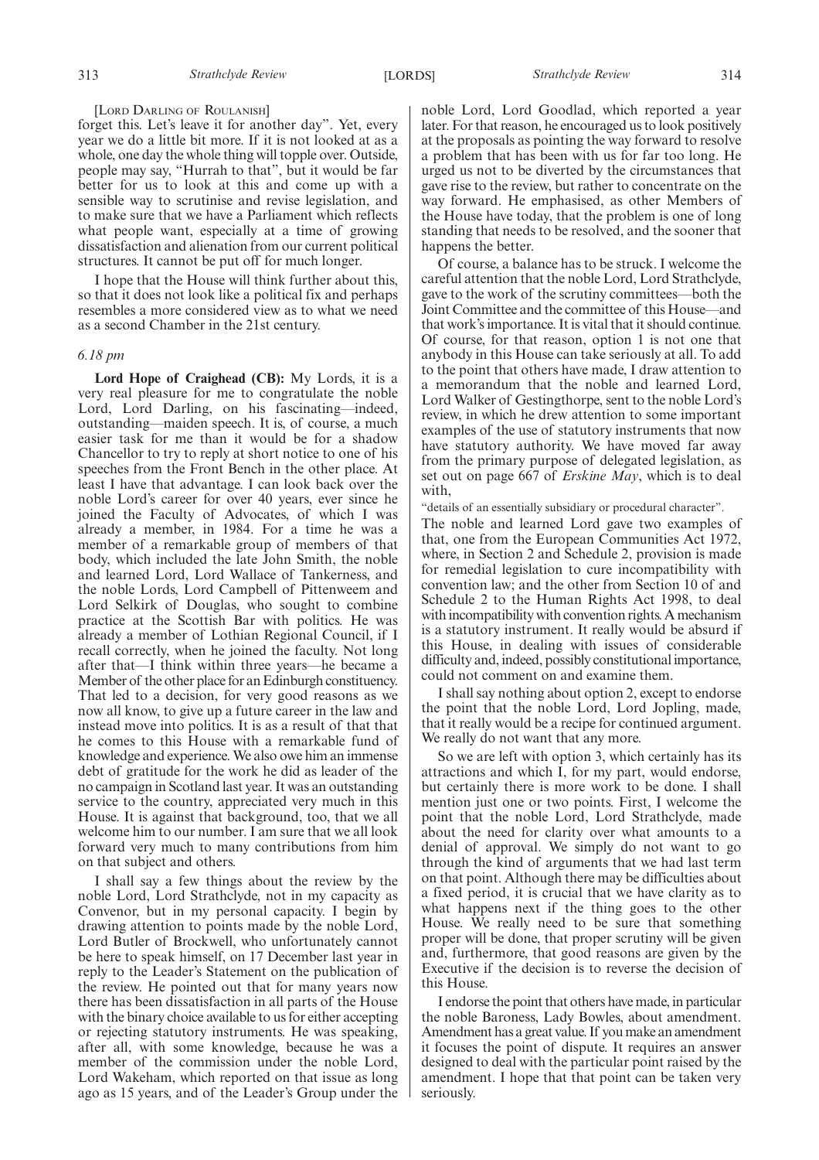#### [LORD DARLING OF ROULANISH]

forget this. Let's leave it for another day". Yet, every year we do a little bit more. If it is not looked at as a whole, one day the whole thing will topple over. Outside, people may say, "Hurrah to that", but it would be far better for us to look at this and come up with a sensible way to scrutinise and revise legislation, and to make sure that we have a Parliament which reflects what people want, especially at a time of growing dissatisfaction and alienation from our current political structures. It cannot be put off for much longer.

I hope that the House will think further about this, so that it does not look like a political fix and perhaps resembles a more considered view as to what we need as a second Chamber in the 21st century.

#### *6.18 pm*

**Lord Hope of Craighead (CB):** My Lords, it is a very real pleasure for me to congratulate the noble Lord, Lord Darling, on his fascinating—indeed, outstanding—maiden speech. It is, of course, a much easier task for me than it would be for a shadow Chancellor to try to reply at short notice to one of his speeches from the Front Bench in the other place. At least I have that advantage. I can look back over the noble Lord's career for over 40 years, ever since he joined the Faculty of Advocates, of which I was already a member, in 1984. For a time he was a member of a remarkable group of members of that body, which included the late John Smith, the noble and learned Lord, Lord Wallace of Tankerness, and the noble Lords, Lord Campbell of Pittenweem and Lord Selkirk of Douglas, who sought to combine practice at the Scottish Bar with politics. He was already a member of Lothian Regional Council, if I recall correctly, when he joined the faculty. Not long after that—I think within three years—he became a Member of the other place for an Edinburgh constituency. That led to a decision, for very good reasons as we now all know, to give up a future career in the law and instead move into politics. It is as a result of that that he comes to this House with a remarkable fund of knowledge and experience. We also owe him an immense debt of gratitude for the work he did as leader of the no campaign in Scotland last year. It was an outstanding service to the country, appreciated very much in this House. It is against that background, too, that we all welcome him to our number. I am sure that we all look forward very much to many contributions from him on that subject and others.

I shall say a few things about the review by the noble Lord, Lord Strathclyde, not in my capacity as Convenor, but in my personal capacity. I begin by drawing attention to points made by the noble Lord, Lord Butler of Brockwell, who unfortunately cannot be here to speak himself, on 17 December last year in reply to the Leader's Statement on the publication of the review. He pointed out that for many years now there has been dissatisfaction in all parts of the House with the binary choice available to us for either accepting or rejecting statutory instruments. He was speaking, after all, with some knowledge, because he was a member of the commission under the noble Lord, Lord Wakeham, which reported on that issue as long ago as 15 years, and of the Leader's Group under the noble Lord, Lord Goodlad, which reported a year later. For that reason, he encouraged us to look positively at the proposals as pointing the way forward to resolve a problem that has been with us for far too long. He urged us not to be diverted by the circumstances that gave rise to the review, but rather to concentrate on the way forward. He emphasised, as other Members of the House have today, that the problem is one of long standing that needs to be resolved, and the sooner that happens the better.

Of course, a balance has to be struck. I welcome the careful attention that the noble Lord, Lord Strathclyde, gave to the work of the scrutiny committees—both the Joint Committee and the committee of this House—and that work's importance. It is vital that it should continue. Of course, for that reason, option 1 is not one that anybody in this House can take seriously at all. To add to the point that others have made, I draw attention to a memorandum that the noble and learned Lord, Lord Walker of Gestingthorpe, sent to the noble Lord's review, in which he drew attention to some important examples of the use of statutory instruments that now have statutory authority. We have moved far away from the primary purpose of delegated legislation, as set out on page 667 of *Erskine May*, which is to deal with,

"details of an essentially subsidiary or procedural character".

The noble and learned Lord gave two examples of that, one from the European Communities Act 1972, where, in Section 2 and Schedule 2, provision is made for remedial legislation to cure incompatibility with convention law; and the other from Section 10 of and Schedule 2 to the Human Rights Act 1998, to deal with incompatibility with convention rights. A mechanism is a statutory instrument. It really would be absurd if this House, in dealing with issues of considerable difficulty and, indeed, possibly constitutional importance, could not comment on and examine them.

I shall say nothing about option 2, except to endorse the point that the noble Lord, Lord Jopling, made, that it really would be a recipe for continued argument. We really do not want that any more.

So we are left with option 3, which certainly has its attractions and which I, for my part, would endorse, but certainly there is more work to be done. I shall mention just one or two points. First, I welcome the point that the noble Lord, Lord Strathclyde, made about the need for clarity over what amounts to a denial of approval. We simply do not want to go through the kind of arguments that we had last term on that point. Although there may be difficulties about a fixed period, it is crucial that we have clarity as to what happens next if the thing goes to the other House. We really need to be sure that something proper will be done, that proper scrutiny will be given and, furthermore, that good reasons are given by the Executive if the decision is to reverse the decision of this House.

I endorse the point that others have made, in particular the noble Baroness, Lady Bowles, about amendment. Amendment has a great value. If you make an amendment it focuses the point of dispute. It requires an answer designed to deal with the particular point raised by the amendment. I hope that that point can be taken very seriously.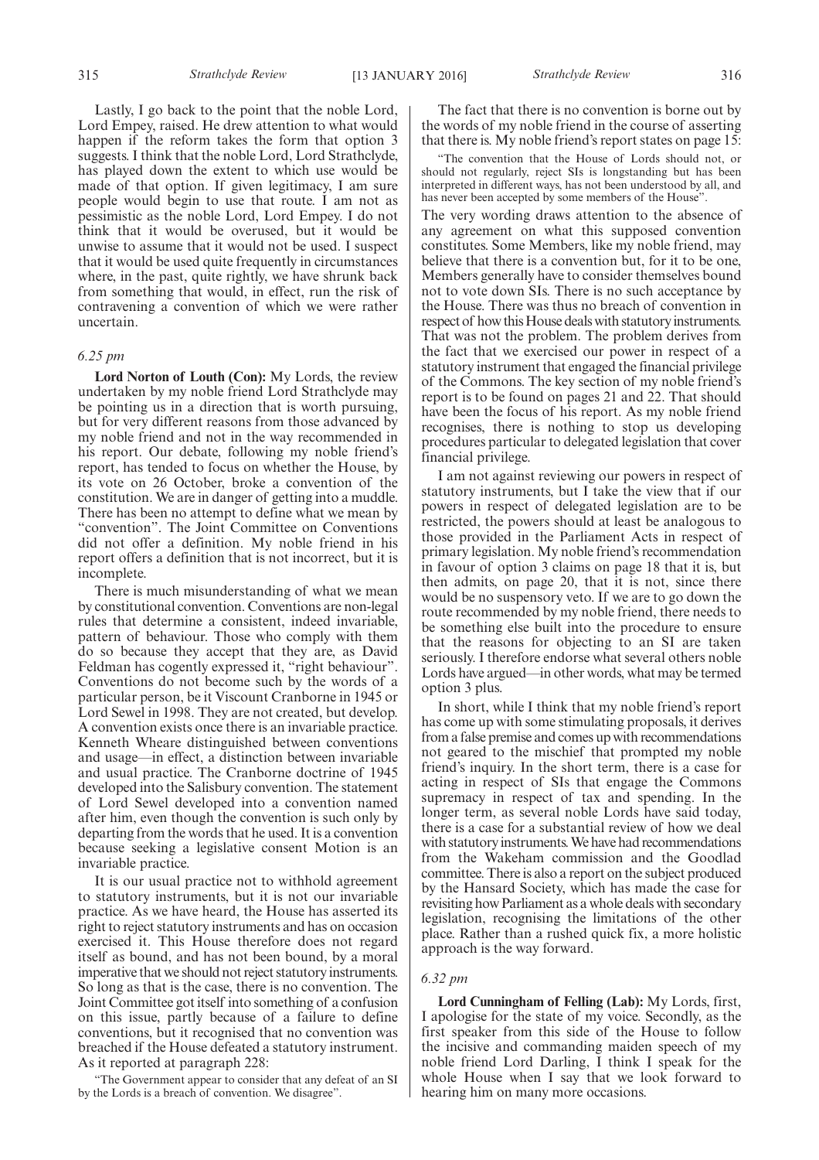Lastly, I go back to the point that the noble Lord, Lord Empey, raised. He drew attention to what would happen if the reform takes the form that option 3 suggests. I think that the noble Lord, Lord Strathclyde, has played down the extent to which use would be made of that option. If given legitimacy, I am sure people would begin to use that route. I am not as pessimistic as the noble Lord, Lord Empey. I do not think that it would be overused, but it would be unwise to assume that it would not be used. I suspect that it would be used quite frequently in circumstances where, in the past, quite rightly, we have shrunk back from something that would, in effect, run the risk of contravening a convention of which we were rather uncertain.

#### *6.25 pm*

**Lord Norton of Louth (Con):** My Lords, the review undertaken by my noble friend Lord Strathclyde may be pointing us in a direction that is worth pursuing, but for very different reasons from those advanced by my noble friend and not in the way recommended in his report. Our debate, following my noble friend's report, has tended to focus on whether the House, by its vote on 26 October, broke a convention of the constitution. We are in danger of getting into a muddle. There has been no attempt to define what we mean by "convention". The Joint Committee on Conventions did not offer a definition. My noble friend in his report offers a definition that is not incorrect, but it is incomplete.

There is much misunderstanding of what we mean by constitutional convention. Conventions are non-legal rules that determine a consistent, indeed invariable, pattern of behaviour. Those who comply with them do so because they accept that they are, as David Feldman has cogently expressed it, "right behaviour". Conventions do not become such by the words of a particular person, be it Viscount Cranborne in 1945 or Lord Sewel in 1998. They are not created, but develop. A convention exists once there is an invariable practice. Kenneth Wheare distinguished between conventions and usage—in effect, a distinction between invariable and usual practice. The Cranborne doctrine of 1945 developed into the Salisbury convention. The statement of Lord Sewel developed into a convention named after him, even though the convention is such only by departing from the words that he used. It is a convention because seeking a legislative consent Motion is an invariable practice.

It is our usual practice not to withhold agreement to statutory instruments, but it is not our invariable practice. As we have heard, the House has asserted its right to reject statutory instruments and has on occasion exercised it. This House therefore does not regard itself as bound, and has not been bound, by a moral imperative that we should not reject statutory instruments. So long as that is the case, there is no convention. The Joint Committee got itself into something of a confusion on this issue, partly because of a failure to define conventions, but it recognised that no convention was breached if the House defeated a statutory instrument. As it reported at paragraph 228:

"The Government appear to consider that any defeat of an SI by the Lords is a breach of convention. We disagree".

The fact that there is no convention is borne out by the words of my noble friend in the course of asserting that there is. My noble friend's report states on page 15:

"The convention that the House of Lords should not, or should not regularly, reject SIs is longstanding but has been interpreted in different ways, has not been understood by all, and has never been accepted by some members of the House".

The very wording draws attention to the absence of any agreement on what this supposed convention constitutes. Some Members, like my noble friend, may believe that there is a convention but, for it to be one, Members generally have to consider themselves bound not to vote down SIs. There is no such acceptance by the House. There was thus no breach of convention in respect of how this House deals with statutory instruments. That was not the problem. The problem derives from the fact that we exercised our power in respect of a statutory instrument that engaged the financial privilege of the Commons. The key section of my noble friend's report is to be found on pages 21 and 22. That should have been the focus of his report. As my noble friend recognises, there is nothing to stop us developing procedures particular to delegated legislation that cover financial privilege.

I am not against reviewing our powers in respect of statutory instruments, but I take the view that if our powers in respect of delegated legislation are to be restricted, the powers should at least be analogous to those provided in the Parliament Acts in respect of primary legislation. My noble friend's recommendation in favour of option 3 claims on page 18 that it is, but then admits, on page 20, that it is not, since there would be no suspensory veto. If we are to go down the route recommended by my noble friend, there needs to be something else built into the procedure to ensure that the reasons for objecting to an SI are taken seriously. I therefore endorse what several others noble Lords have argued—in other words, what may be termed option 3 plus.

In short, while I think that my noble friend's report has come up with some stimulating proposals, it derives from a false premise and comes up with recommendations not geared to the mischief that prompted my noble friend's inquiry. In the short term, there is a case for acting in respect of SIs that engage the Commons supremacy in respect of tax and spending. In the longer term, as several noble Lords have said today, there is a case for a substantial review of how we deal with statutory instruments. We have had recommendations from the Wakeham commission and the Goodlad committee. There is also a report on the subject produced by the Hansard Society, which has made the case for revisiting how Parliament as a whole deals with secondary legislation, recognising the limitations of the other place. Rather than a rushed quick fix, a more holistic approach is the way forward.

#### *6.32 pm*

**Lord Cunningham of Felling (Lab):** My Lords, first, I apologise for the state of my voice. Secondly, as the first speaker from this side of the House to follow the incisive and commanding maiden speech of my noble friend Lord Darling, I think I speak for the whole House when I say that we look forward to hearing him on many more occasions.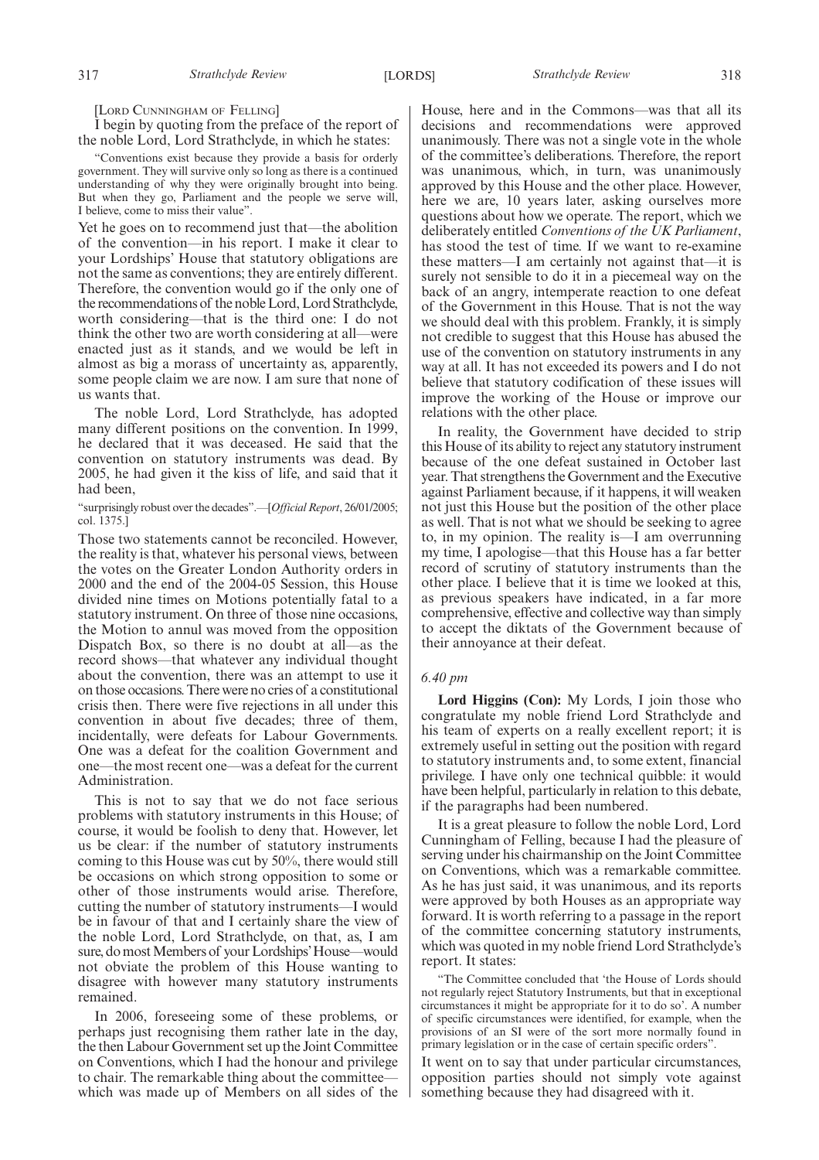[LORD CUNNINGHAM OF FELLING]

I begin by quoting from the preface of the report of the noble Lord, Lord Strathclyde, in which he states:

"Conventions exist because they provide a basis for orderly government. They will survive only so long as there is a continued understanding of why they were originally brought into being. But when they go, Parliament and the people we serve will, I believe, come to miss their value".

Yet he goes on to recommend just that—the abolition of the convention—in his report. I make it clear to your Lordships' House that statutory obligations are not the same as conventions; they are entirely different. Therefore, the convention would go if the only one of the recommendations of the noble Lord, Lord Strathclyde, worth considering—that is the third one: I do not think the other two are worth considering at all—were enacted just as it stands, and we would be left in almost as big a morass of uncertainty as, apparently, some people claim we are now. I am sure that none of us wants that.

The noble Lord, Lord Strathclyde, has adopted many different positions on the convention. In 1999, he declared that it was deceased. He said that the convention on statutory instruments was dead. By 2005, he had given it the kiss of life, and said that it had been,

"surprisingly robust over the decades".—[*Official Report*, 26/01/2005; col. 1375.]

Those two statements cannot be reconciled. However, the reality is that, whatever his personal views, between the votes on the Greater London Authority orders in 2000 and the end of the 2004-05 Session, this House divided nine times on Motions potentially fatal to a statutory instrument. On three of those nine occasions, the Motion to annul was moved from the opposition Dispatch Box, so there is no doubt at all—as the record shows—that whatever any individual thought about the convention, there was an attempt to use it on those occasions. There were no cries of a constitutional crisis then. There were five rejections in all under this convention in about five decades; three of them, incidentally, were defeats for Labour Governments. One was a defeat for the coalition Government and one—the most recent one—was a defeat for the current Administration.

This is not to say that we do not face serious problems with statutory instruments in this House; of course, it would be foolish to deny that. However, let us be clear: if the number of statutory instruments coming to this House was cut by 50%, there would still be occasions on which strong opposition to some or other of those instruments would arise. Therefore, cutting the number of statutory instruments—I would be in favour of that and I certainly share the view of the noble Lord, Lord Strathclyde, on that, as, I am sure, do most Members of your Lordships' House—would not obviate the problem of this House wanting to disagree with however many statutory instruments remained.

In 2006, foreseeing some of these problems, or perhaps just recognising them rather late in the day, the then Labour Government set up the Joint Committee on Conventions, which I had the honour and privilege to chair. The remarkable thing about the committee which was made up of Members on all sides of the House, here and in the Commons—was that all its decisions and recommendations were approved unanimously. There was not a single vote in the whole of the committee's deliberations. Therefore, the report was unanimous, which, in turn, was unanimously approved by this House and the other place. However, here we are, 10 years later, asking ourselves more questions about how we operate. The report, which we deliberately entitled *Conventions of the UK Parliament*, has stood the test of time. If we want to re-examine these matters—I am certainly not against that—it is surely not sensible to do it in a piecemeal way on the back of an angry, intemperate reaction to one defeat of the Government in this House. That is not the way we should deal with this problem. Frankly, it is simply not credible to suggest that this House has abused the use of the convention on statutory instruments in any way at all. It has not exceeded its powers and I do not believe that statutory codification of these issues will improve the working of the House or improve our relations with the other place.

In reality, the Government have decided to strip this House of its ability to reject any statutory instrument because of the one defeat sustained in October last year. That strengthens the Government and the Executive against Parliament because, if it happens, it will weaken not just this House but the position of the other place as well. That is not what we should be seeking to agree to, in my opinion. The reality is—I am overrunning my time, I apologise—that this House has a far better record of scrutiny of statutory instruments than the other place. I believe that it is time we looked at this, as previous speakers have indicated, in a far more comprehensive, effective and collective way than simply to accept the diktats of the Government because of their annoyance at their defeat.

#### *6.40 pm*

**Lord Higgins (Con):** My Lords, I join those who congratulate my noble friend Lord Strathclyde and his team of experts on a really excellent report; it is extremely useful in setting out the position with regard to statutory instruments and, to some extent, financial privilege. I have only one technical quibble: it would have been helpful, particularly in relation to this debate, if the paragraphs had been numbered.

It is a great pleasure to follow the noble Lord, Lord Cunningham of Felling, because I had the pleasure of serving under his chairmanship on the Joint Committee on Conventions, which was a remarkable committee. As he has just said, it was unanimous, and its reports were approved by both Houses as an appropriate way forward. It is worth referring to a passage in the report of the committee concerning statutory instruments, which was quoted in my noble friend Lord Strathclyde's report. It states:

"The Committee concluded that 'the House of Lords should not regularly reject Statutory Instruments, but that in exceptional circumstances it might be appropriate for it to do so'. A number of specific circumstances were identified, for example, when the provisions of an SI were of the sort more normally found in primary legislation or in the case of certain specific orders".

It went on to say that under particular circumstances, opposition parties should not simply vote against something because they had disagreed with it.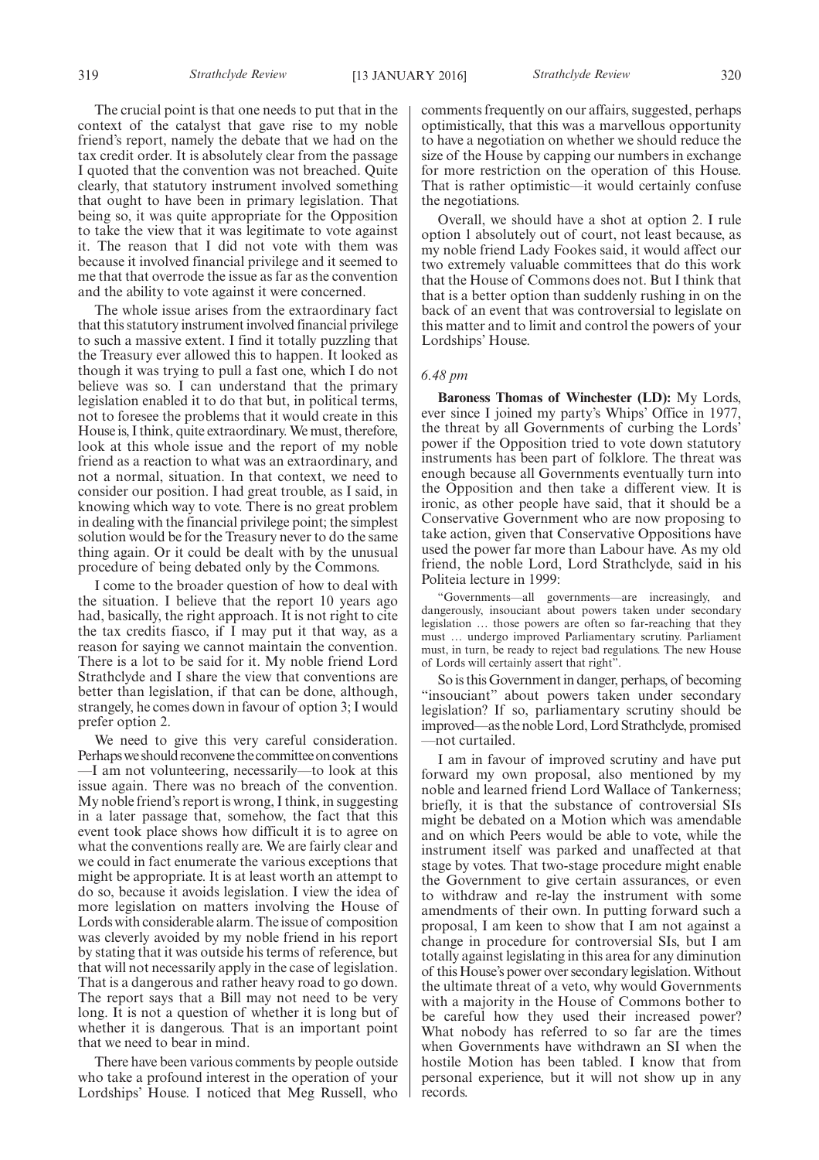The crucial point is that one needs to put that in the context of the catalyst that gave rise to my noble friend's report, namely the debate that we had on the tax credit order. It is absolutely clear from the passage I quoted that the convention was not breached. Quite clearly, that statutory instrument involved something that ought to have been in primary legislation. That being so, it was quite appropriate for the Opposition to take the view that it was legitimate to vote against it. The reason that I did not vote with them was because it involved financial privilege and it seemed to me that that overrode the issue as far as the convention and the ability to vote against it were concerned.

The whole issue arises from the extraordinary fact that this statutory instrument involved financial privilege to such a massive extent. I find it totally puzzling that the Treasury ever allowed this to happen. It looked as though it was trying to pull a fast one, which I do not believe was so. I can understand that the primary legislation enabled it to do that but, in political terms, not to foresee the problems that it would create in this House is, I think, quite extraordinary.We must, therefore, look at this whole issue and the report of my noble friend as a reaction to what was an extraordinary, and not a normal, situation. In that context, we need to consider our position. I had great trouble, as I said, in knowing which way to vote. There is no great problem in dealing with the financial privilege point; the simplest solution would be for the Treasury never to do the same thing again. Or it could be dealt with by the unusual procedure of being debated only by the Commons.

I come to the broader question of how to deal with the situation. I believe that the report 10 years ago had, basically, the right approach. It is not right to cite the tax credits fiasco, if I may put it that way, as a reason for saying we cannot maintain the convention. There is a lot to be said for it. My noble friend Lord Strathclyde and I share the view that conventions are better than legislation, if that can be done, although, strangely, he comes down in favour of option 3; I would prefer option 2.

We need to give this very careful consideration. Perhaps we should reconvene the committee on conventions —I am not volunteering, necessarily—to look at this issue again. There was no breach of the convention. My noble friend's report is wrong, I think, in suggesting in a later passage that, somehow, the fact that this event took place shows how difficult it is to agree on what the conventions really are. We are fairly clear and we could in fact enumerate the various exceptions that might be appropriate. It is at least worth an attempt to do so, because it avoids legislation. I view the idea of more legislation on matters involving the House of Lords with considerable alarm. The issue of composition was cleverly avoided by my noble friend in his report by stating that it was outside his terms of reference, but that will not necessarily apply in the case of legislation. That is a dangerous and rather heavy road to go down. The report says that a Bill may not need to be very long. It is not a question of whether it is long but of whether it is dangerous. That is an important point that we need to bear in mind.

There have been various comments by people outside who take a profound interest in the operation of your Lordships' House. I noticed that Meg Russell, who comments frequently on our affairs, suggested, perhaps optimistically, that this was a marvellous opportunity to have a negotiation on whether we should reduce the size of the House by capping our numbers in exchange for more restriction on the operation of this House. That is rather optimistic—it would certainly confuse the negotiations.

Overall, we should have a shot at option 2. I rule option 1 absolutely out of court, not least because, as my noble friend Lady Fookes said, it would affect our two extremely valuable committees that do this work that the House of Commons does not. But I think that that is a better option than suddenly rushing in on the back of an event that was controversial to legislate on this matter and to limit and control the powers of your Lordships' House.

#### *6.48 pm*

**Baroness Thomas of Winchester (LD):** My Lords, ever since I joined my party's Whips' Office in 1977, the threat by all Governments of curbing the Lords' power if the Opposition tried to vote down statutory instruments has been part of folklore. The threat was enough because all Governments eventually turn into the Opposition and then take a different view. It is ironic, as other people have said, that it should be a Conservative Government who are now proposing to take action, given that Conservative Oppositions have used the power far more than Labour have. As my old friend, the noble Lord, Lord Strathclyde, said in his Politeia lecture in 1999:

"Governments—all governments—are increasingly, and dangerously, insouciant about powers taken under secondary legislation … those powers are often so far-reaching that they must … undergo improved Parliamentary scrutiny. Parliament must, in turn, be ready to reject bad regulations. The new House of Lords will certainly assert that right".

So is this Government in danger, perhaps, of becoming "insouciant" about powers taken under secondary legislation? If so, parliamentary scrutiny should be improved—as the noble Lord, Lord Strathclyde, promised —not curtailed.

I am in favour of improved scrutiny and have put forward my own proposal, also mentioned by my noble and learned friend Lord Wallace of Tankerness; briefly, it is that the substance of controversial SIs might be debated on a Motion which was amendable and on which Peers would be able to vote, while the instrument itself was parked and unaffected at that stage by votes. That two-stage procedure might enable the Government to give certain assurances, or even to withdraw and re-lay the instrument with some amendments of their own. In putting forward such a proposal, I am keen to show that I am not against a change in procedure for controversial SIs, but I am totally against legislating in this area for any diminution of this House's power over secondary legislation.Without the ultimate threat of a veto, why would Governments with a majority in the House of Commons bother to be careful how they used their increased power? What nobody has referred to so far are the times when Governments have withdrawn an SI when the hostile Motion has been tabled. I know that from personal experience, but it will not show up in any records.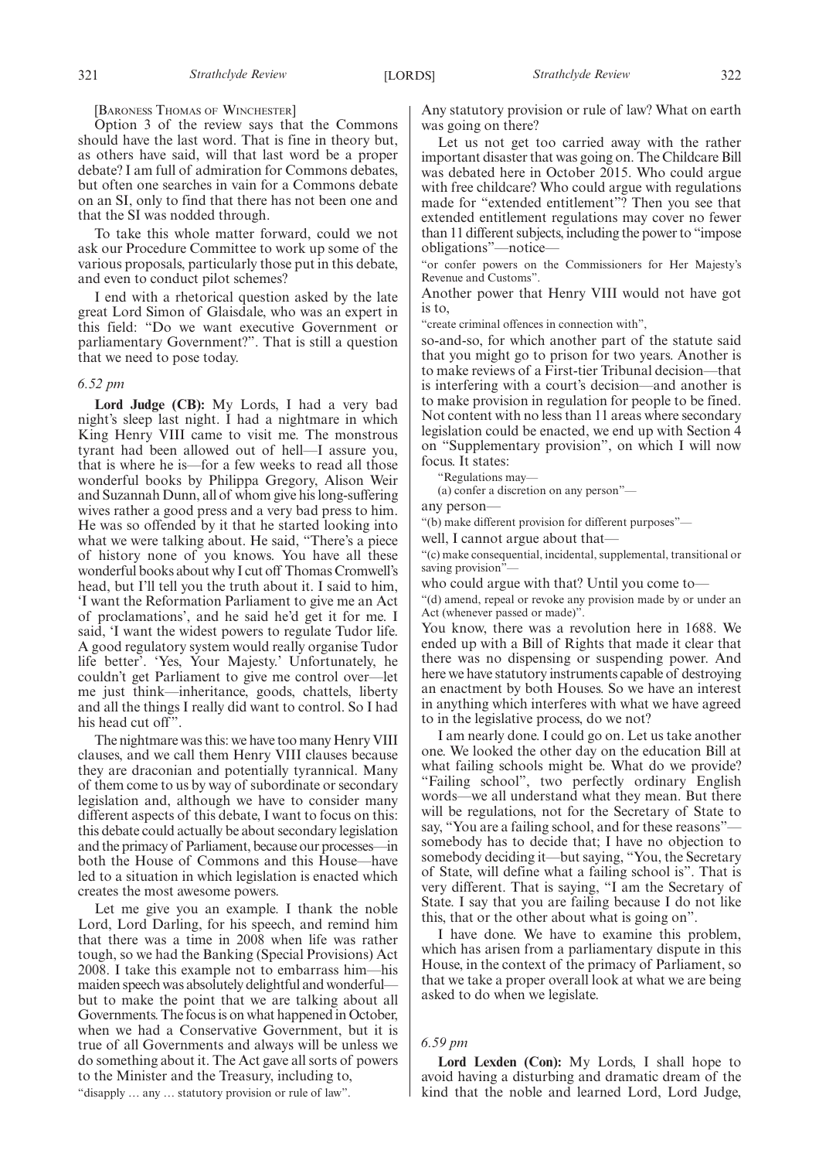[BARONESS THOMAS OF WINCHESTER]

Option 3 of the review says that the Commons should have the last word. That is fine in theory but, as others have said, will that last word be a proper debate? I am full of admiration for Commons debates, but often one searches in vain for a Commons debate on an SI, only to find that there has not been one and that the SI was nodded through.

To take this whole matter forward, could we not ask our Procedure Committee to work up some of the various proposals, particularly those put in this debate, and even to conduct pilot schemes?

I end with a rhetorical question asked by the late great Lord Simon of Glaisdale, who was an expert in this field: "Do we want executive Government or parliamentary Government?". That is still a question that we need to pose today.

#### *6.52 pm*

**Lord Judge (CB):** My Lords, I had a very bad night's sleep last night. I had a nightmare in which King Henry VIII came to visit me. The monstrous tyrant had been allowed out of hell—I assure you, that is where he is—for a few weeks to read all those wonderful books by Philippa Gregory, Alison Weir and Suzannah Dunn, all of whom give his long-suffering wives rather a good press and a very bad press to him. He was so offended by it that he started looking into what we were talking about. He said, "There's a piece of history none of you knows. You have all these wonderful books about why I cut off Thomas Cromwell's head, but I'll tell you the truth about it. I said to him, 'I want the Reformation Parliament to give me an Act of proclamations', and he said he'd get it for me. I said, 'I want the widest powers to regulate Tudor life. A good regulatory system would really organise Tudor life better'. 'Yes, Your Majesty.' Unfortunately, he couldn't get Parliament to give me control over—let me just think—inheritance, goods, chattels, liberty and all the things I really did want to control. So I had his head cut off".

The nightmare was this: we have too many Henry VIII clauses, and we call them Henry VIII clauses because they are draconian and potentially tyrannical. Many of them come to us by way of subordinate or secondary legislation and, although we have to consider many different aspects of this debate, I want to focus on this: this debate could actually be about secondary legislation and the primacy of Parliament, because our processes—in both the House of Commons and this House—have led to a situation in which legislation is enacted which creates the most awesome powers.

Let me give you an example. I thank the noble Lord, Lord Darling, for his speech, and remind him that there was a time in 2008 when life was rather tough, so we had the Banking (Special Provisions) Act 2008. I take this example not to embarrass him—his maiden speech was absolutely delightful and wonderful but to make the point that we are talking about all Governments. The focus is on what happened in October, when we had a Conservative Government, but it is true of all Governments and always will be unless we do something about it. The Act gave all sorts of powers to the Minister and the Treasury, including to,

"disapply … any … statutory provision or rule of law".

Any statutory provision or rule of law? What on earth was going on there?

Let us not get too carried away with the rather important disaster that was going on. The Childcare Bill was debated here in October 2015. Who could argue with free childcare? Who could argue with regulations made for "extended entitlement"? Then you see that extended entitlement regulations may cover no fewer than 11 different subjects, including the power to "impose obligations"—notice—

"or confer powers on the Commissioners for Her Majesty's Revenue and Customs".

Another power that Henry VIII would not have got is to,

"create criminal offences in connection with",

so-and-so, for which another part of the statute said that you might go to prison for two years. Another is to make reviews of a First-tier Tribunal decision—that is interfering with a court's decision—and another is to make provision in regulation for people to be fined. Not content with no less than 11 areas where secondary legislation could be enacted, we end up with Section 4 on "Supplementary provision", on which I will now focus. It states:

"Regulations may—

(a) confer a discretion on any person"—

any person—

"(b) make different provision for different purposes"—

well, I cannot argue about that—

"(c) make consequential, incidental, supplemental, transitional or saving provision'

who could argue with that? Until you come to—

"(d) amend, repeal or revoke any provision made by or under an Act (whenever passed or made)".

You know, there was a revolution here in 1688. We ended up with a Bill of Rights that made it clear that there was no dispensing or suspending power. And here we have statutory instruments capable of destroying an enactment by both Houses. So we have an interest in anything which interferes with what we have agreed to in the legislative process, do we not?

I am nearly done. I could go on. Let us take another one. We looked the other day on the education Bill at what failing schools might be. What do we provide? "Failing school", two perfectly ordinary English words—we all understand what they mean. But there will be regulations, not for the Secretary of State to say, "You are a failing school, and for these reasons" somebody has to decide that; I have no objection to somebody deciding it—but saying, "You, the Secretary of State, will define what a failing school is". That is very different. That is saying, "I am the Secretary of State. I say that you are failing because I do not like this, that or the other about what is going on".

I have done. We have to examine this problem, which has arisen from a parliamentary dispute in this House, in the context of the primacy of Parliament, so that we take a proper overall look at what we are being asked to do when we legislate.

#### *6.59 pm*

**Lord Lexden (Con):** My Lords, I shall hope to avoid having a disturbing and dramatic dream of the kind that the noble and learned Lord, Lord Judge,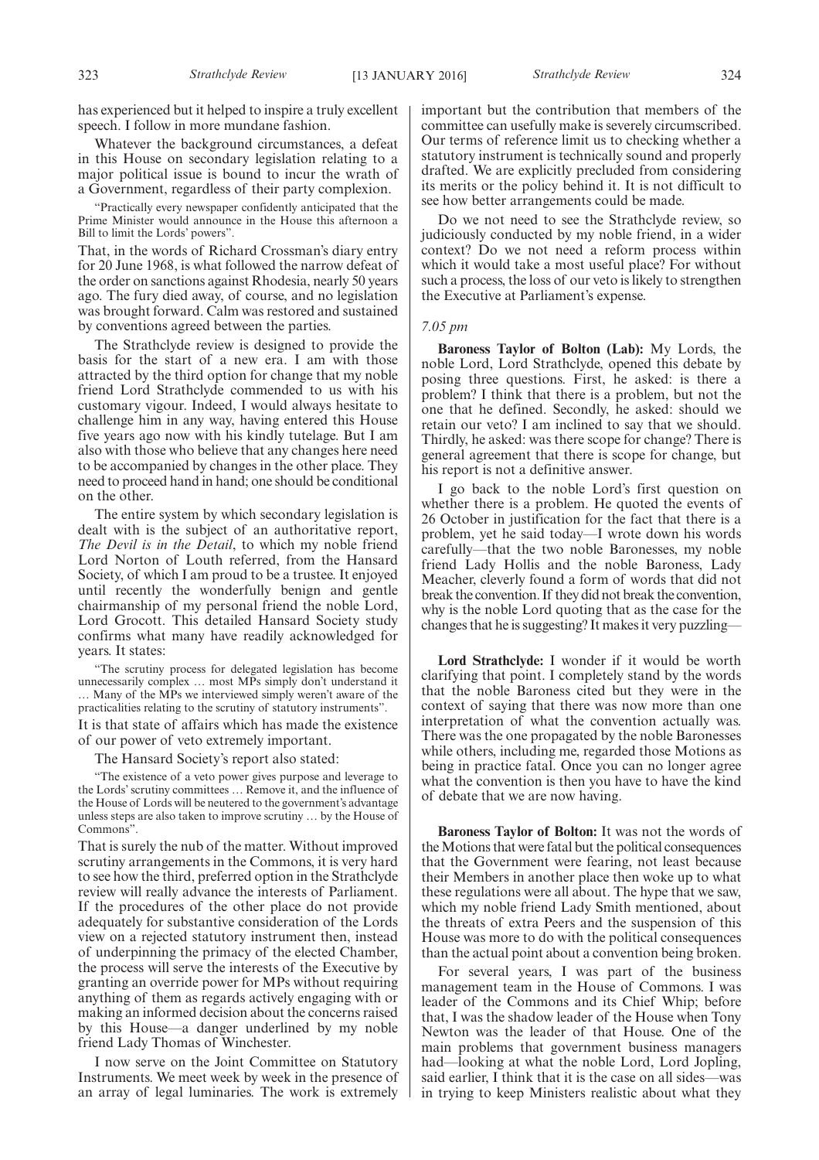has experienced but it helped to inspire a truly excellent speech. I follow in more mundane fashion.

Whatever the background circumstances, a defeat in this House on secondary legislation relating to a major political issue is bound to incur the wrath of a Government, regardless of their party complexion.

"Practically every newspaper confidently anticipated that the Prime Minister would announce in the House this afternoon a Bill to limit the Lords' powers".

That, in the words of Richard Crossman's diary entry for 20 June 1968, is what followed the narrow defeat of the order on sanctions against Rhodesia, nearly 50 years ago. The fury died away, of course, and no legislation was brought forward. Calm was restored and sustained by conventions agreed between the parties.

The Strathclyde review is designed to provide the basis for the start of a new era. I am with those attracted by the third option for change that my noble friend Lord Strathclyde commended to us with his customary vigour. Indeed, I would always hesitate to challenge him in any way, having entered this House five years ago now with his kindly tutelage. But I am also with those who believe that any changes here need to be accompanied by changes in the other place. They need to proceed hand in hand; one should be conditional on the other.

The entire system by which secondary legislation is dealt with is the subject of an authoritative report, *The Devil is in the Detail*, to which my noble friend Lord Norton of Louth referred, from the Hansard Society, of which I am proud to be a trustee. It enjoyed until recently the wonderfully benign and gentle chairmanship of my personal friend the noble Lord, Lord Grocott. This detailed Hansard Society study confirms what many have readily acknowledged for years. It states:

"The scrutiny process for delegated legislation has become unnecessarily complex … most MPs simply don't understand it … Many of the MPs we interviewed simply weren't aware of the practicalities relating to the scrutiny of statutory instruments".

It is that state of affairs which has made the existence of our power of veto extremely important.

The Hansard Society's report also stated:

"The existence of a veto power gives purpose and leverage to the Lords' scrutiny committees … Remove it, and the influence of the House of Lords will be neutered to the government's advantage unless steps are also taken to improve scrutiny … by the House of Commons".

That is surely the nub of the matter. Without improved scrutiny arrangements in the Commons, it is very hard to see how the third, preferred option in the Strathclyde review will really advance the interests of Parliament. If the procedures of the other place do not provide adequately for substantive consideration of the Lords view on a rejected statutory instrument then, instead of underpinning the primacy of the elected Chamber, the process will serve the interests of the Executive by granting an override power for MPs without requiring anything of them as regards actively engaging with or making an informed decision about the concerns raised by this House—a danger underlined by my noble friend Lady Thomas of Winchester.

I now serve on the Joint Committee on Statutory Instruments. We meet week by week in the presence of an array of legal luminaries. The work is extremely important but the contribution that members of the committee can usefully make is severely circumscribed. Our terms of reference limit us to checking whether a statutory instrument is technically sound and properly drafted. We are explicitly precluded from considering its merits or the policy behind it. It is not difficult to see how better arrangements could be made.

Do we not need to see the Strathclyde review, so judiciously conducted by my noble friend, in a wider context? Do we not need a reform process within which it would take a most useful place? For without such a process, the loss of our veto is likely to strengthen the Executive at Parliament's expense.

#### *7.05 pm*

**Baroness Taylor of Bolton (Lab):** My Lords, the noble Lord, Lord Strathclyde, opened this debate by posing three questions. First, he asked: is there a problem? I think that there is a problem, but not the one that he defined. Secondly, he asked: should we retain our veto? I am inclined to say that we should. Thirdly, he asked: was there scope for change? There is general agreement that there is scope for change, but his report is not a definitive answer.

I go back to the noble Lord's first question on whether there is a problem. He quoted the events of 26 October in justification for the fact that there is a problem, yet he said today—I wrote down his words carefully—that the two noble Baronesses, my noble friend Lady Hollis and the noble Baroness, Lady Meacher, cleverly found a form of words that did not break the convention. If they did not break the convention, why is the noble Lord quoting that as the case for the changes that he is suggesting? It makes it very puzzling—

**Lord Strathclyde:** I wonder if it would be worth clarifying that point. I completely stand by the words that the noble Baroness cited but they were in the context of saying that there was now more than one interpretation of what the convention actually was. There was the one propagated by the noble Baronesses while others, including me, regarded those Motions as being in practice fatal. Once you can no longer agree what the convention is then you have to have the kind of debate that we are now having.

**Baroness Taylor of Bolton:** It was not the words of the Motions that were fatal but the political consequences that the Government were fearing, not least because their Members in another place then woke up to what these regulations were all about. The hype that we saw, which my noble friend Lady Smith mentioned, about the threats of extra Peers and the suspension of this House was more to do with the political consequences than the actual point about a convention being broken.

For several years, I was part of the business management team in the House of Commons. I was leader of the Commons and its Chief Whip; before that, I was the shadow leader of the House when Tony Newton was the leader of that House. One of the main problems that government business managers had—looking at what the noble Lord, Lord Jopling, said earlier, I think that it is the case on all sides—was in trying to keep Ministers realistic about what they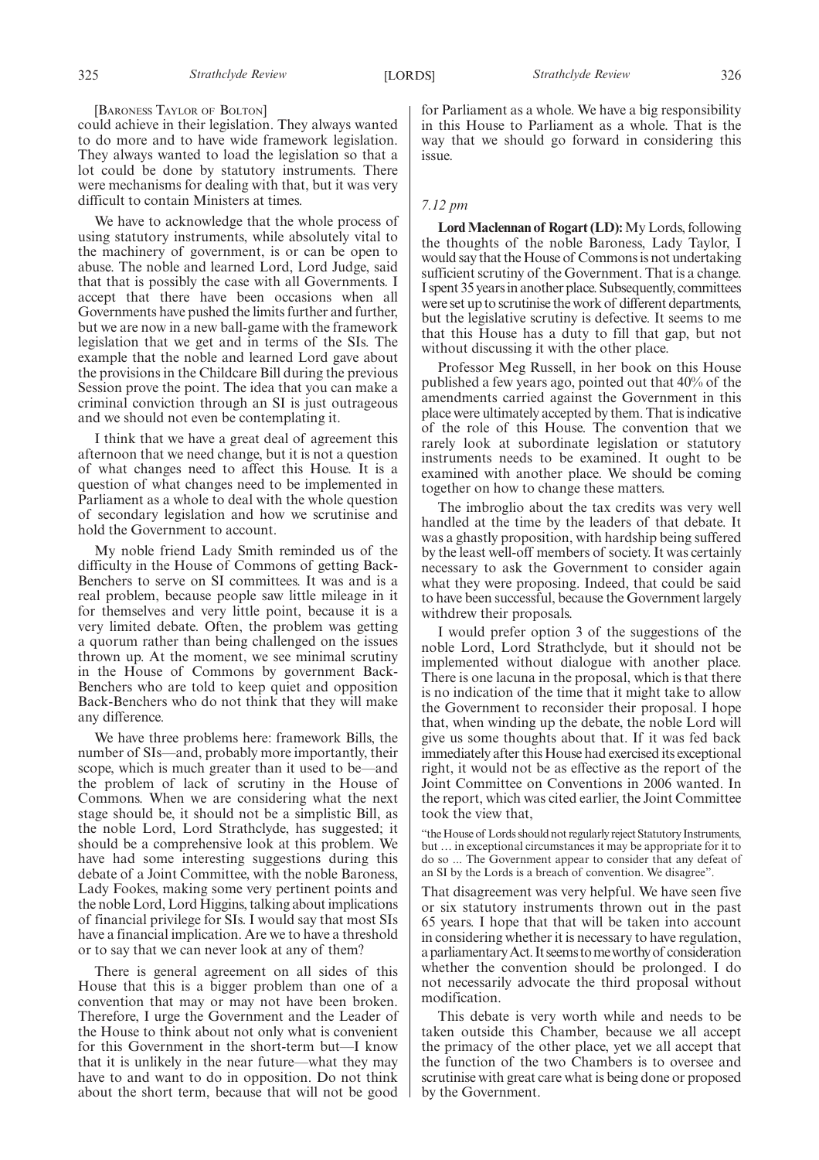#### [BARONESS TAYLOR OF BOLTON]

could achieve in their legislation. They always wanted to do more and to have wide framework legislation. They always wanted to load the legislation so that a lot could be done by statutory instruments. There were mechanisms for dealing with that, but it was very difficult to contain Ministers at times.

We have to acknowledge that the whole process of using statutory instruments, while absolutely vital to the machinery of government, is or can be open to abuse. The noble and learned Lord, Lord Judge, said that that is possibly the case with all Governments. I accept that there have been occasions when all Governments have pushed the limits further and further, but we are now in a new ball-game with the framework legislation that we get and in terms of the SIs. The example that the noble and learned Lord gave about the provisions in the Childcare Bill during the previous Session prove the point. The idea that you can make a criminal conviction through an SI is just outrageous and we should not even be contemplating it.

I think that we have a great deal of agreement this afternoon that we need change, but it is not a question of what changes need to affect this House. It is a question of what changes need to be implemented in Parliament as a whole to deal with the whole question of secondary legislation and how we scrutinise and hold the Government to account.

My noble friend Lady Smith reminded us of the difficulty in the House of Commons of getting Back-Benchers to serve on SI committees. It was and is a real problem, because people saw little mileage in it for themselves and very little point, because it is a very limited debate. Often, the problem was getting a quorum rather than being challenged on the issues thrown up. At the moment, we see minimal scrutiny in the House of Commons by government Back-Benchers who are told to keep quiet and opposition Back-Benchers who do not think that they will make any difference.

We have three problems here: framework Bills, the number of SIs—and, probably more importantly, their scope, which is much greater than it used to be—and the problem of lack of scrutiny in the House of Commons. When we are considering what the next stage should be, it should not be a simplistic Bill, as the noble Lord, Lord Strathclyde, has suggested; it should be a comprehensive look at this problem. We have had some interesting suggestions during this debate of a Joint Committee, with the noble Baroness, Lady Fookes, making some very pertinent points and the noble Lord, Lord Higgins, talking about implications of financial privilege for SIs. I would say that most SIs have a financial implication. Are we to have a threshold or to say that we can never look at any of them?

There is general agreement on all sides of this House that this is a bigger problem than one of a convention that may or may not have been broken. Therefore, I urge the Government and the Leader of the House to think about not only what is convenient for this Government in the short-term but—I know that it is unlikely in the near future—what they may have to and want to do in opposition. Do not think about the short term, because that will not be good for Parliament as a whole. We have a big responsibility in this House to Parliament as a whole. That is the way that we should go forward in considering this issue.

#### *7.12 pm*

Lord Maclennan of Rogart (LD): My Lords, following the thoughts of the noble Baroness, Lady Taylor, I would say that the House of Commons is not undertaking sufficient scrutiny of the Government. That is a change. I spent 35 yearsin another place. Subsequently, committees were set up to scrutinise the work of different departments, but the legislative scrutiny is defective. It seems to me that this House has a duty to fill that gap, but not without discussing it with the other place.

Professor Meg Russell, in her book on this House published a few years ago, pointed out that 40% of the amendments carried against the Government in this place were ultimately accepted by them. That is indicative of the role of this House. The convention that we rarely look at subordinate legislation or statutory instruments needs to be examined. It ought to be examined with another place. We should be coming together on how to change these matters.

The imbroglio about the tax credits was very well handled at the time by the leaders of that debate. It was a ghastly proposition, with hardship being suffered by the least well-off members of society. It was certainly necessary to ask the Government to consider again what they were proposing. Indeed, that could be said to have been successful, because the Government largely withdrew their proposals.

I would prefer option 3 of the suggestions of the noble Lord, Lord Strathclyde, but it should not be implemented without dialogue with another place. There is one lacuna in the proposal, which is that there is no indication of the time that it might take to allow the Government to reconsider their proposal. I hope that, when winding up the debate, the noble Lord will give us some thoughts about that. If it was fed back immediately after this House had exercised its exceptional right, it would not be as effective as the report of the Joint Committee on Conventions in 2006 wanted. In the report, which was cited earlier, the Joint Committee took the view that,

"the House of Lords should not regularly reject Statutory Instruments, but … in exceptional circumstances it may be appropriate for it to do so ... The Government appear to consider that any defeat of an SI by the Lords is a breach of convention. We disagree".

That disagreement was very helpful. We have seen five or six statutory instruments thrown out in the past 65 years. I hope that that will be taken into account in considering whether it is necessary to have regulation, aparliamentaryAct. It seems tomeworthyof consideration whether the convention should be prolonged. I do not necessarily advocate the third proposal without modification.

This debate is very worth while and needs to be taken outside this Chamber, because we all accept the primacy of the other place, yet we all accept that the function of the two Chambers is to oversee and scrutinise with great care what is being done or proposed by the Government.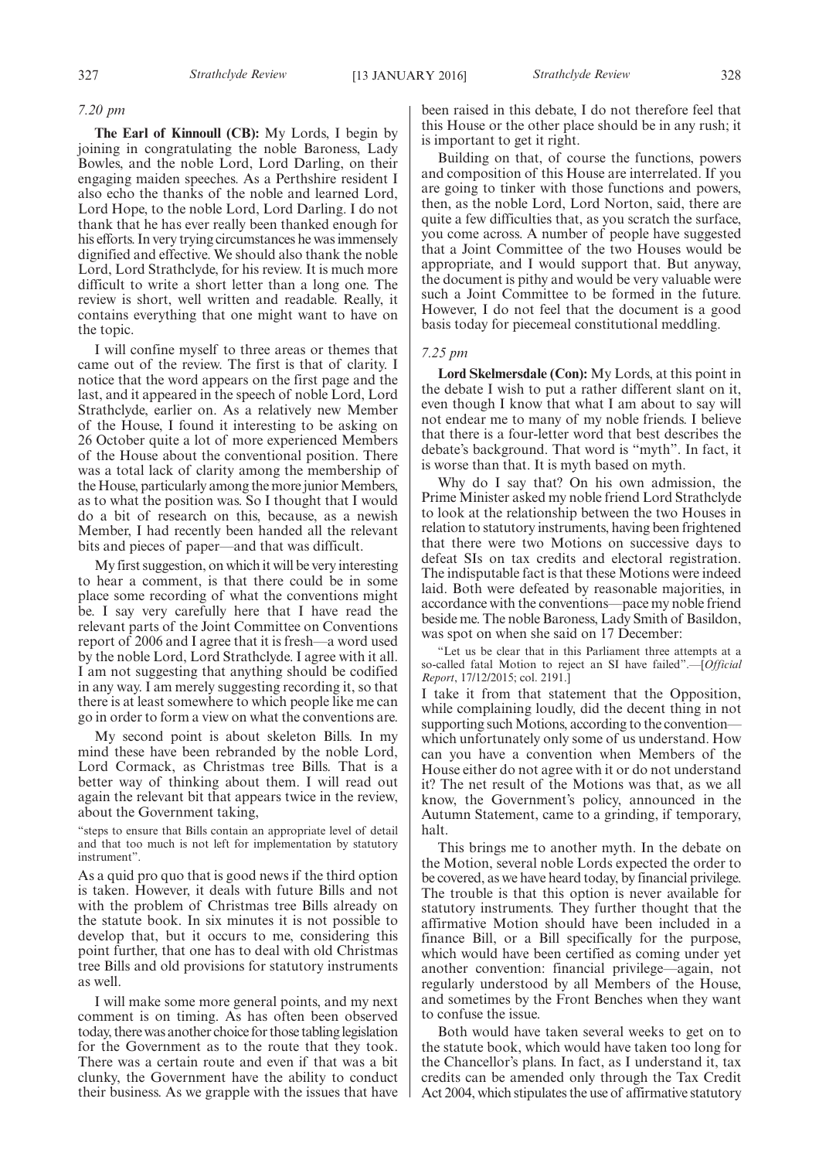#### *7.20 pm*

**The Earl of Kinnoull (CB):** My Lords, I begin by joining in congratulating the noble Baroness, Lady Bowles, and the noble Lord, Lord Darling, on their engaging maiden speeches. As a Perthshire resident I also echo the thanks of the noble and learned Lord, Lord Hope, to the noble Lord, Lord Darling. I do not thank that he has ever really been thanked enough for his efforts. In very trying circumstances he was immensely dignified and effective. We should also thank the noble Lord, Lord Strathclyde, for his review. It is much more difficult to write a short letter than a long one. The review is short, well written and readable. Really, it contains everything that one might want to have on the topic.

I will confine myself to three areas or themes that came out of the review. The first is that of clarity. I notice that the word appears on the first page and the last, and it appeared in the speech of noble Lord, Lord Strathclyde, earlier on. As a relatively new Member of the House, I found it interesting to be asking on 26 October quite a lot of more experienced Members of the House about the conventional position. There was a total lack of clarity among the membership of the House, particularly among the more junior Members, as to what the position was. So I thought that I would do a bit of research on this, because, as a newish Member, I had recently been handed all the relevant bits and pieces of paper—and that was difficult.

My first suggestion, on which it will be very interesting to hear a comment, is that there could be in some place some recording of what the conventions might be. I say very carefully here that I have read the relevant parts of the Joint Committee on Conventions report of 2006 and I agree that it is fresh—a word used by the noble Lord, Lord Strathclyde. I agree with it all. I am not suggesting that anything should be codified in any way. I am merely suggesting recording it, so that there is at least somewhere to which people like me can go in order to form a view on what the conventions are.

My second point is about skeleton Bills. In my mind these have been rebranded by the noble Lord, Lord Cormack, as Christmas tree Bills. That is a better way of thinking about them. I will read out again the relevant bit that appears twice in the review, about the Government taking,

"steps to ensure that Bills contain an appropriate level of detail and that too much is not left for implementation by statutory instrument".

As a quid pro quo that is good news if the third option is taken. However, it deals with future Bills and not with the problem of Christmas tree Bills already on the statute book. In six minutes it is not possible to develop that, but it occurs to me, considering this point further, that one has to deal with old Christmas tree Bills and old provisions for statutory instruments as well.

I will make some more general points, and my next comment is on timing. As has often been observed today, there was another choice for those tabling legislation for the Government as to the route that they took. There was a certain route and even if that was a bit clunky, the Government have the ability to conduct their business. As we grapple with the issues that have been raised in this debate, I do not therefore feel that this House or the other place should be in any rush; it is important to get it right.

Building on that, of course the functions, powers and composition of this House are interrelated. If you are going to tinker with those functions and powers, then, as the noble Lord, Lord Norton, said, there are quite a few difficulties that, as you scratch the surface, you come across. A number of people have suggested that a Joint Committee of the two Houses would be appropriate, and I would support that. But anyway, the document is pithy and would be very valuable were such a Joint Committee to be formed in the future. However, I do not feel that the document is a good basis today for piecemeal constitutional meddling.

#### *7.25 pm*

**Lord Skelmersdale (Con):** My Lords, at this point in the debate I wish to put a rather different slant on it, even though I know that what I am about to say will not endear me to many of my noble friends. I believe that there is a four-letter word that best describes the debate's background. That word is "myth". In fact, it is worse than that. It is myth based on myth.

Why do I say that? On his own admission, the Prime Minister asked my noble friend Lord Strathclyde to look at the relationship between the two Houses in relation to statutory instruments, having been frightened that there were two Motions on successive days to defeat SIs on tax credits and electoral registration. The indisputable fact is that these Motions were indeed laid. Both were defeated by reasonable majorities, in accordance with the conventions—pace my noble friend beside me. The noble Baroness, Lady Smith of Basildon, was spot on when she said on 17 December:

"Let us be clear that in this Parliament three attempts at a so-called fatal Motion to reject an SI have failed".—[*Official Report*, 17/12/2015; col. 2191.]

I take it from that statement that the Opposition, while complaining loudly, did the decent thing in not supporting such Motions, according to the convention– which unfortunately only some of us understand. How can you have a convention when Members of the House either do not agree with it or do not understand it? The net result of the Motions was that, as we all know, the Government's policy, announced in the Autumn Statement, came to a grinding, if temporary, halt.

This brings me to another myth. In the debate on the Motion, several noble Lords expected the order to be covered, as we have heard today, by financial privilege. The trouble is that this option is never available for statutory instruments. They further thought that the affirmative Motion should have been included in a finance Bill, or a Bill specifically for the purpose, which would have been certified as coming under yet another convention: financial privilege—again, not regularly understood by all Members of the House, and sometimes by the Front Benches when they want to confuse the issue.

Both would have taken several weeks to get on to the statute book, which would have taken too long for the Chancellor's plans. In fact, as I understand it, tax credits can be amended only through the Tax Credit Act 2004, which stipulates the use of affirmative statutory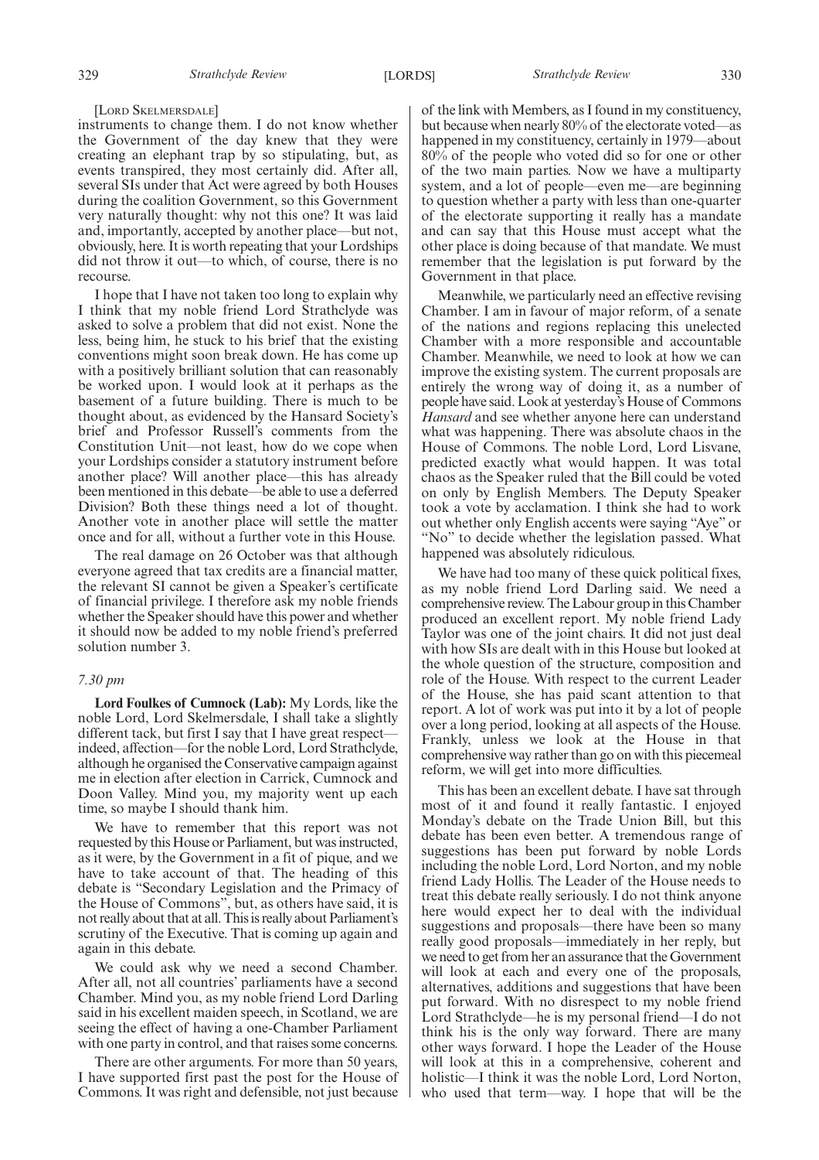#### [LORD SKELMERSDALE]

instruments to change them. I do not know whether the Government of the day knew that they were creating an elephant trap by so stipulating, but, as events transpired, they most certainly did. After all, several SIs under that Act were agreed by both Houses during the coalition Government, so this Government very naturally thought: why not this one? It was laid and, importantly, accepted by another place—but not, obviously, here. It is worth repeating that your Lordships did not throw it out—to which, of course, there is no recourse.

I hope that I have not taken too long to explain why I think that my noble friend Lord Strathclyde was asked to solve a problem that did not exist. None the less, being him, he stuck to his brief that the existing conventions might soon break down. He has come up with a positively brilliant solution that can reasonably be worked upon. I would look at it perhaps as the basement of a future building. There is much to be thought about, as evidenced by the Hansard Society's brief and Professor Russell's comments from the Constitution Unit—not least, how do we cope when your Lordships consider a statutory instrument before another place? Will another place—this has already been mentioned in this debate—be able to use a deferred Division? Both these things need a lot of thought. Another vote in another place will settle the matter once and for all, without a further vote in this House.

The real damage on 26 October was that although everyone agreed that tax credits are a financial matter, the relevant SI cannot be given a Speaker's certificate of financial privilege. I therefore ask my noble friends whether the Speaker should have this power and whether it should now be added to my noble friend's preferred solution number 3.

#### *7.30 pm*

**Lord Foulkes of Cumnock (Lab):** My Lords, like the noble Lord, Lord Skelmersdale, I shall take a slightly different tack, but first I say that I have great respect indeed, affection—for the noble Lord, Lord Strathclyde, although he organised the Conservative campaign against me in election after election in Carrick, Cumnock and Doon Valley. Mind you, my majority went up each time, so maybe I should thank him.

We have to remember that this report was not requested by this House or Parliament, but was instructed, as it were, by the Government in a fit of pique, and we have to take account of that. The heading of this debate is "Secondary Legislation and the Primacy of the House of Commons", but, as others have said, it is not really about that at all. This is really about Parliament's scrutiny of the Executive. That is coming up again and again in this debate.

We could ask why we need a second Chamber. After all, not all countries' parliaments have a second Chamber. Mind you, as my noble friend Lord Darling said in his excellent maiden speech, in Scotland, we are seeing the effect of having a one-Chamber Parliament with one party in control, and that raises some concerns.

There are other arguments. For more than 50 years, I have supported first past the post for the House of Commons. It was right and defensible, not just because of the link with Members, as I found in my constituency, but because when nearly 80% of the electorate voted—as happened in my constituency, certainly in 1979—about 80% of the people who voted did so for one or other of the two main parties. Now we have a multiparty system, and a lot of people—even me—are beginning to question whether a party with less than one-quarter of the electorate supporting it really has a mandate and can say that this House must accept what the other place is doing because of that mandate. We must remember that the legislation is put forward by the Government in that place.

Meanwhile, we particularly need an effective revising Chamber. I am in favour of major reform, of a senate of the nations and regions replacing this unelected Chamber with a more responsible and accountable Chamber. Meanwhile, we need to look at how we can improve the existing system. The current proposals are entirely the wrong way of doing it, as a number of people have said. Look at yesterday's House of Commons *Hansard* and see whether anyone here can understand what was happening. There was absolute chaos in the House of Commons. The noble Lord, Lord Lisvane, predicted exactly what would happen. It was total chaos as the Speaker ruled that the Bill could be voted on only by English Members. The Deputy Speaker took a vote by acclamation. I think she had to work out whether only English accents were saying "Aye" or "No" to decide whether the legislation passed. What happened was absolutely ridiculous.

We have had too many of these quick political fixes, as my noble friend Lord Darling said. We need a comprehensive review. The Labour group in this Chamber produced an excellent report. My noble friend Lady Taylor was one of the joint chairs. It did not just deal with how SIs are dealt with in this House but looked at the whole question of the structure, composition and role of the House. With respect to the current Leader of the House, she has paid scant attention to that report. A lot of work was put into it by a lot of people over a long period, looking at all aspects of the House. Frankly, unless we look at the House in that comprehensive way rather than go on with this piecemeal reform, we will get into more difficulties.

This has been an excellent debate. I have sat through most of it and found it really fantastic. I enjoyed Monday's debate on the Trade Union Bill, but this debate has been even better. A tremendous range of suggestions has been put forward by noble Lords including the noble Lord, Lord Norton, and my noble friend Lady Hollis. The Leader of the House needs to treat this debate really seriously. I do not think anyone here would expect her to deal with the individual suggestions and proposals—there have been so many really good proposals—immediately in her reply, but we need to get from her an assurance that the Government will look at each and every one of the proposals, alternatives, additions and suggestions that have been put forward. With no disrespect to my noble friend Lord Strathclyde—he is my personal friend—I do not think his is the only way forward. There are many other ways forward. I hope the Leader of the House will look at this in a comprehensive, coherent and holistic—I think it was the noble Lord, Lord Norton, who used that term—way. I hope that will be the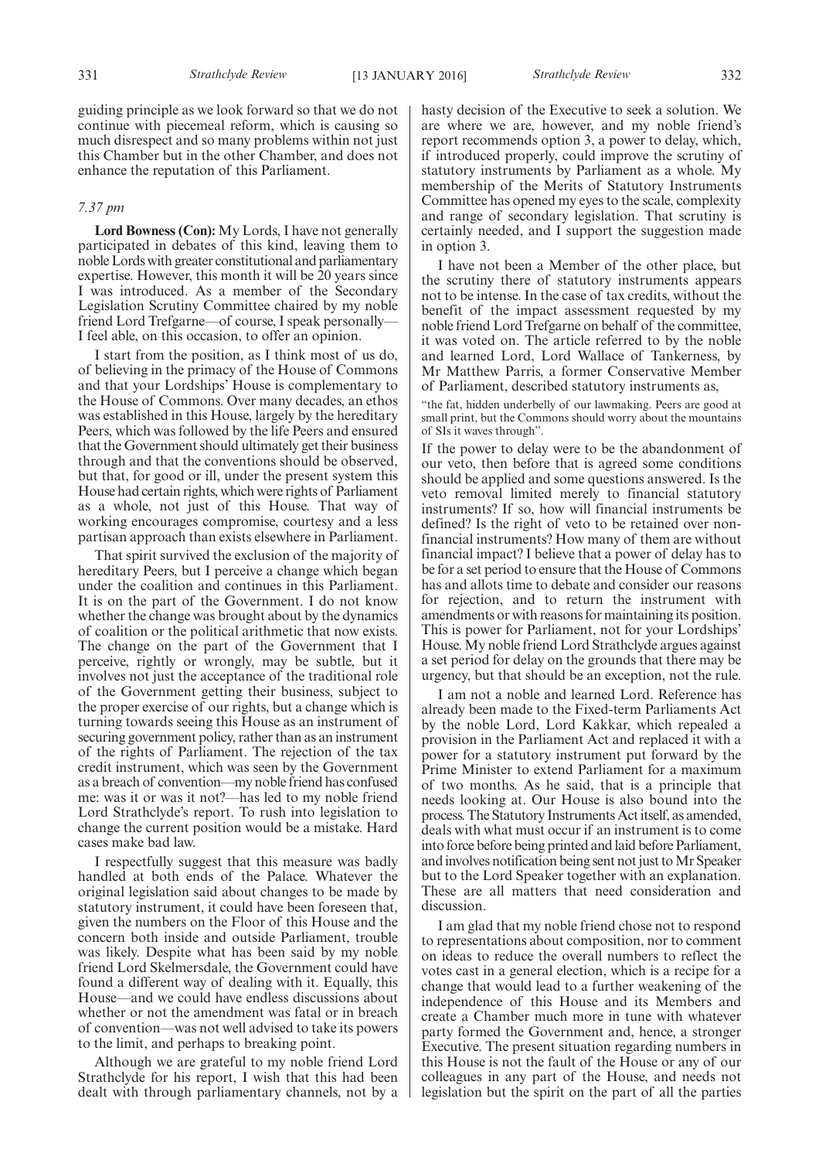guiding principle as we look forward so that we do not continue with piecemeal reform, which is causing so much disrespect and so many problems within not just this Chamber but in the other Chamber, and does not enhance the reputation of this Parliament.

#### *7.37 pm*

**Lord Bowness (Con):** My Lords, I have not generally participated in debates of this kind, leaving them to noble Lords with greater constitutional and parliamentary expertise. However, this month it will be 20 years since I was introduced. As a member of the Secondary Legislation Scrutiny Committee chaired by my noble friend Lord Trefgarne—of course, I speak personally— I feel able, on this occasion, to offer an opinion.

I start from the position, as I think most of us do, of believing in the primacy of the House of Commons and that your Lordships' House is complementary to the House of Commons. Over many decades, an ethos was established in this House, largely by the hereditary Peers, which was followed by the life Peers and ensured that the Government should ultimately get their business through and that the conventions should be observed, but that, for good or ill, under the present system this House had certain rights, which were rights of Parliament as a whole, not just of this House. That way of working encourages compromise, courtesy and a less partisan approach than exists elsewhere in Parliament.

That spirit survived the exclusion of the majority of hereditary Peers, but I perceive a change which began under the coalition and continues in this Parliament. It is on the part of the Government. I do not know whether the change was brought about by the dynamics of coalition or the political arithmetic that now exists. The change on the part of the Government that I perceive, rightly or wrongly, may be subtle, but it involves not just the acceptance of the traditional role of the Government getting their business, subject to the proper exercise of our rights, but a change which is turning towards seeing this House as an instrument of securing government policy, rather than as an instrument of the rights of Parliament. The rejection of the tax credit instrument, which was seen by the Government as a breach of convention—my noble friend has confused me: was it or was it not?—has led to my noble friend Lord Strathclyde's report. To rush into legislation to change the current position would be a mistake. Hard cases make bad law.

I respectfully suggest that this measure was badly handled at both ends of the Palace. Whatever the original legislation said about changes to be made by statutory instrument, it could have been foreseen that, given the numbers on the Floor of this House and the concern both inside and outside Parliament, trouble was likely. Despite what has been said by my noble friend Lord Skelmersdale, the Government could have found a different way of dealing with it. Equally, this House—and we could have endless discussions about whether or not the amendment was fatal or in breach of convention—was not well advised to take its powers to the limit, and perhaps to breaking point.

Although we are grateful to my noble friend Lord Strathclyde for his report, I wish that this had been dealt with through parliamentary channels, not by a hasty decision of the Executive to seek a solution. We are where we are, however, and my noble friend's report recommends option 3, a power to delay, which, if introduced properly, could improve the scrutiny of statutory instruments by Parliament as a whole. My membership of the Merits of Statutory Instruments Committee has opened my eyes to the scale, complexity and range of secondary legislation. That scrutiny is certainly needed, and I support the suggestion made in option 3.

I have not been a Member of the other place, but the scrutiny there of statutory instruments appears not to be intense. In the case of tax credits, without the benefit of the impact assessment requested by my noble friend Lord Trefgarne on behalf of the committee, it was voted on. The article referred to by the noble and learned Lord, Lord Wallace of Tankerness, by Mr Matthew Parris, a former Conservative Member of Parliament, described statutory instruments as,

"the fat, hidden underbelly of our lawmaking. Peers are good at small print, but the Commons should worry about the mountains of SIs it waves through".

If the power to delay were to be the abandonment of our veto, then before that is agreed some conditions should be applied and some questions answered. Is the veto removal limited merely to financial statutory instruments? If so, how will financial instruments be defined? Is the right of veto to be retained over nonfinancial instruments? How many of them are without financial impact? I believe that a power of delay has to be for a set period to ensure that the House of Commons has and allots time to debate and consider our reasons for rejection, and to return the instrument with amendments or with reasons for maintaining its position. This is power for Parliament, not for your Lordships' House. My noble friend Lord Strathclyde argues against a set period for delay on the grounds that there may be urgency, but that should be an exception, not the rule.

I am not a noble and learned Lord. Reference has already been made to the Fixed-term Parliaments Act by the noble Lord, Lord Kakkar, which repealed a provision in the Parliament Act and replaced it with a power for a statutory instrument put forward by the Prime Minister to extend Parliament for a maximum of two months. As he said, that is a principle that needs looking at. Our House is also bound into the process. The Statutory Instruments Act itself, as amended, deals with what must occur if an instrument is to come into force before being printed and laid before Parliament, and involves notification being sent not just toMr Speaker but to the Lord Speaker together with an explanation. These are all matters that need consideration and discussion.

I am glad that my noble friend chose not to respond to representations about composition, nor to comment on ideas to reduce the overall numbers to reflect the votes cast in a general election, which is a recipe for a change that would lead to a further weakening of the independence of this House and its Members and create a Chamber much more in tune with whatever party formed the Government and, hence, a stronger Executive. The present situation regarding numbers in this House is not the fault of the House or any of our colleagues in any part of the House, and needs not legislation but the spirit on the part of all the parties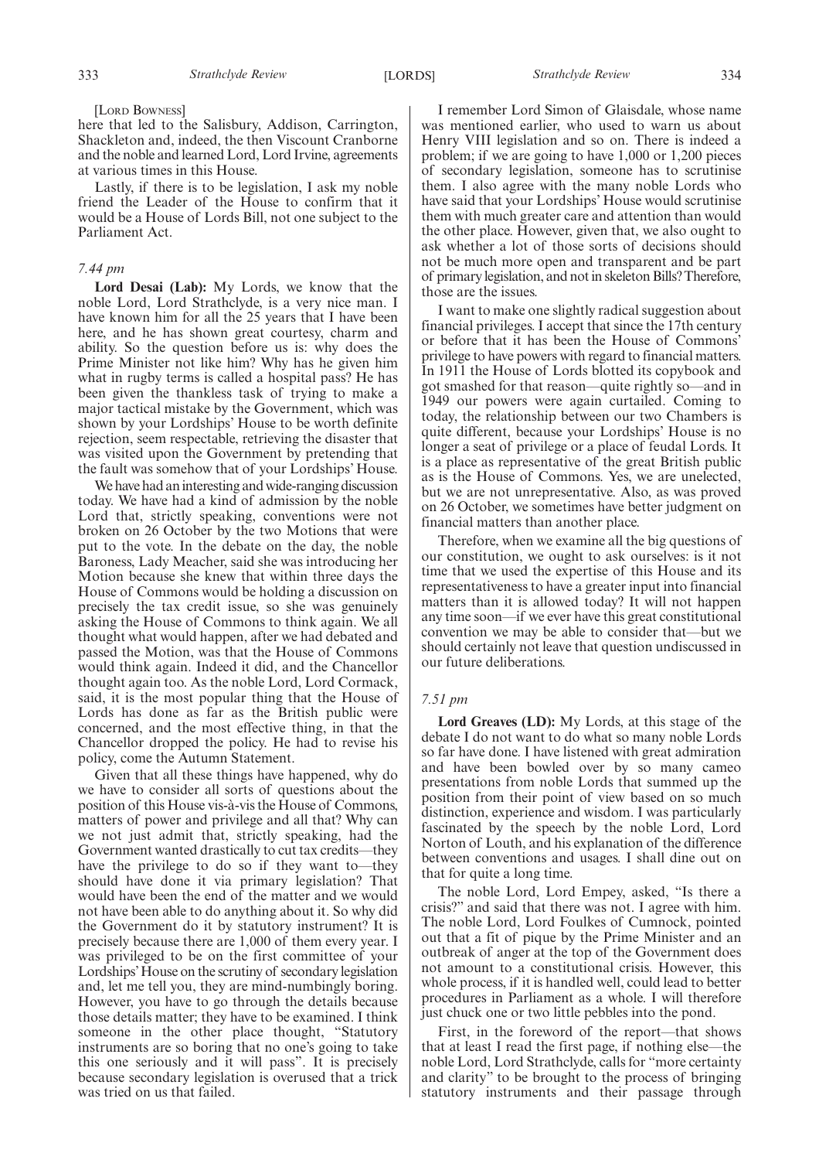here that led to the Salisbury, Addison, Carrington, Shackleton and, indeed, the then Viscount Cranborne and the noble and learned Lord, Lord Irvine, agreements at various times in this House.

Lastly, if there is to be legislation, I ask my noble friend the Leader of the House to confirm that it would be a House of Lords Bill, not one subject to the Parliament Act.

#### *7.44 pm*

**Lord Desai (Lab):** My Lords, we know that the noble Lord, Lord Strathclyde, is a very nice man. I have known him for all the 25 years that I have been here, and he has shown great courtesy, charm and ability. So the question before us is: why does the Prime Minister not like him? Why has he given him what in rugby terms is called a hospital pass? He has been given the thankless task of trying to make a major tactical mistake by the Government, which was shown by your Lordships' House to be worth definite rejection, seem respectable, retrieving the disaster that was visited upon the Government by pretending that the fault was somehow that of your Lordships' House.

We have had an interesting and wide-ranging discussion today. We have had a kind of admission by the noble Lord that, strictly speaking, conventions were not broken on 26 October by the two Motions that were put to the vote. In the debate on the day, the noble Baroness, Lady Meacher, said she was introducing her Motion because she knew that within three days the House of Commons would be holding a discussion on precisely the tax credit issue, so she was genuinely asking the House of Commons to think again. We all thought what would happen, after we had debated and passed the Motion, was that the House of Commons would think again. Indeed it did, and the Chancellor thought again too. As the noble Lord, Lord Cormack, said, it is the most popular thing that the House of Lords has done as far as the British public were concerned, and the most effective thing, in that the Chancellor dropped the policy. He had to revise his policy, come the Autumn Statement.

Given that all these things have happened, why do we have to consider all sorts of questions about the position of this House vis-à-vis the House of Commons, matters of power and privilege and all that? Why can we not just admit that, strictly speaking, had the Government wanted drastically to cut tax credits—they have the privilege to do so if they want to—they should have done it via primary legislation? That would have been the end of the matter and we would not have been able to do anything about it. So why did the Government do it by statutory instrument? It is precisely because there are 1,000 of them every year. I was privileged to be on the first committee of your Lordships'House on the scrutiny of secondary legislation and, let me tell you, they are mind-numbingly boring. However, you have to go through the details because those details matter; they have to be examined. I think someone in the other place thought, "Statutory instruments are so boring that no one's going to take this one seriously and it will pass". It is precisely because secondary legislation is overused that a trick was tried on us that failed.

I remember Lord Simon of Glaisdale, whose name was mentioned earlier, who used to warn us about Henry VIII legislation and so on. There is indeed a problem; if we are going to have 1,000 or 1,200 pieces of secondary legislation, someone has to scrutinise them. I also agree with the many noble Lords who have said that your Lordships' House would scrutinise them with much greater care and attention than would the other place. However, given that, we also ought to ask whether a lot of those sorts of decisions should not be much more open and transparent and be part of primary legislation, and not in skeleton Bills? Therefore, those are the issues.

I want to make one slightly radical suggestion about financial privileges. I accept that since the 17th century or before that it has been the House of Commons' privilege to have powers with regard to financial matters. In 1911 the House of Lords blotted its copybook and got smashed for that reason—quite rightly so—and in 1949 our powers were again curtailed. Coming to today, the relationship between our two Chambers is quite different, because your Lordships' House is no longer a seat of privilege or a place of feudal Lords. It is a place as representative of the great British public as is the House of Commons. Yes, we are unelected, but we are not unrepresentative. Also, as was proved on 26 October, we sometimes have better judgment on financial matters than another place.

Therefore, when we examine all the big questions of our constitution, we ought to ask ourselves: is it not time that we used the expertise of this House and its representativeness to have a greater input into financial matters than it is allowed today? It will not happen any time soon—if we ever have this great constitutional convention we may be able to consider that—but we should certainly not leave that question undiscussed in our future deliberations.

#### *7.51 pm*

**Lord Greaves (LD):** My Lords, at this stage of the debate I do not want to do what so many noble Lords so far have done. I have listened with great admiration and have been bowled over by so many cameo presentations from noble Lords that summed up the position from their point of view based on so much distinction, experience and wisdom. I was particularly fascinated by the speech by the noble Lord, Lord Norton of Louth, and his explanation of the difference between conventions and usages. I shall dine out on that for quite a long time.

The noble Lord, Lord Empey, asked, "Is there a crisis?" and said that there was not. I agree with him. The noble Lord, Lord Foulkes of Cumnock, pointed out that a fit of pique by the Prime Minister and an outbreak of anger at the top of the Government does not amount to a constitutional crisis. However, this whole process, if it is handled well, could lead to better procedures in Parliament as a whole. I will therefore just chuck one or two little pebbles into the pond.

First, in the foreword of the report—that shows that at least I read the first page, if nothing else—the noble Lord, Lord Strathclyde, calls for "more certainty and clarity" to be brought to the process of bringing statutory instruments and their passage through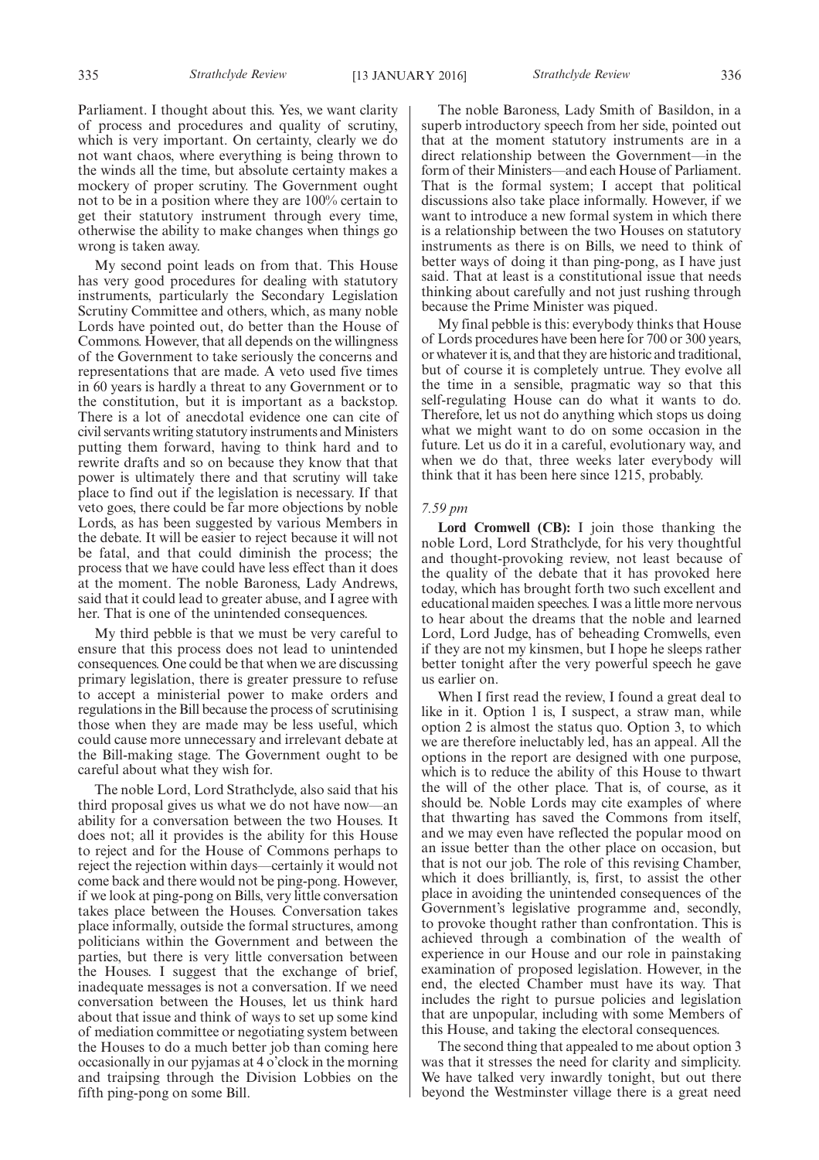335 *Strathclyde Review Strathclyde Review* [13 JANUARY 2016] 336

Parliament. I thought about this. Yes, we want clarity of process and procedures and quality of scrutiny, which is very important. On certainty, clearly we do not want chaos, where everything is being thrown to the winds all the time, but absolute certainty makes a mockery of proper scrutiny. The Government ought not to be in a position where they are 100% certain to get their statutory instrument through every time, otherwise the ability to make changes when things go wrong is taken away.

My second point leads on from that. This House has very good procedures for dealing with statutory instruments, particularly the Secondary Legislation Scrutiny Committee and others, which, as many noble Lords have pointed out, do better than the House of Commons. However, that all depends on the willingness of the Government to take seriously the concerns and representations that are made. A veto used five times in 60 years is hardly a threat to any Government or to the constitution, but it is important as a backstop. There is a lot of anecdotal evidence one can cite of civil servants writing statutory instruments and Ministers putting them forward, having to think hard and to rewrite drafts and so on because they know that that power is ultimately there and that scrutiny will take place to find out if the legislation is necessary. If that veto goes, there could be far more objections by noble Lords, as has been suggested by various Members in the debate. It will be easier to reject because it will not be fatal, and that could diminish the process; the process that we have could have less effect than it does at the moment. The noble Baroness, Lady Andrews, said that it could lead to greater abuse, and I agree with her. That is one of the unintended consequences.

My third pebble is that we must be very careful to ensure that this process does not lead to unintended consequences. One could be that when we are discussing primary legislation, there is greater pressure to refuse to accept a ministerial power to make orders and regulations in the Bill because the process of scrutinising those when they are made may be less useful, which could cause more unnecessary and irrelevant debate at the Bill-making stage. The Government ought to be careful about what they wish for.

The noble Lord, Lord Strathclyde, also said that his third proposal gives us what we do not have now—an ability for a conversation between the two Houses. It does not; all it provides is the ability for this House to reject and for the House of Commons perhaps to reject the rejection within days—certainly it would not come back and there would not be ping-pong. However, if we look at ping-pong on Bills, very little conversation takes place between the Houses. Conversation takes place informally, outside the formal structures, among politicians within the Government and between the parties, but there is very little conversation between the Houses. I suggest that the exchange of brief, inadequate messages is not a conversation. If we need conversation between the Houses, let us think hard about that issue and think of ways to set up some kind of mediation committee or negotiating system between the Houses to do a much better job than coming here occasionally in our pyjamas at 4 o'clock in the morning and traipsing through the Division Lobbies on the fifth ping-pong on some Bill.

The noble Baroness, Lady Smith of Basildon, in a superb introductory speech from her side, pointed out that at the moment statutory instruments are in a direct relationship between the Government—in the form of their Ministers—and each House of Parliament. That is the formal system; I accept that political discussions also take place informally. However, if we want to introduce a new formal system in which there is a relationship between the two Houses on statutory instruments as there is on Bills, we need to think of better ways of doing it than ping-pong, as I have just said. That at least is a constitutional issue that needs thinking about carefully and not just rushing through because the Prime Minister was piqued.

My final pebble is this: everybody thinks that House of Lords procedures have been here for 700 or 300 years, or whatever it is, and that they are historic and traditional, but of course it is completely untrue. They evolve all the time in a sensible, pragmatic way so that this self-regulating House can do what it wants to do. Therefore, let us not do anything which stops us doing what we might want to do on some occasion in the future. Let us do it in a careful, evolutionary way, and when we do that, three weeks later everybody will think that it has been here since 1215, probably.

#### *7.59 pm*

**Lord Cromwell (CB):** I join those thanking the noble Lord, Lord Strathclyde, for his very thoughtful and thought-provoking review, not least because of the quality of the debate that it has provoked here today, which has brought forth two such excellent and educational maiden speeches. I was a little more nervous to hear about the dreams that the noble and learned Lord, Lord Judge, has of beheading Cromwells, even if they are not my kinsmen, but I hope he sleeps rather better tonight after the very powerful speech he gave us earlier on.

When I first read the review, I found a great deal to like in it. Option 1 is, I suspect, a straw man, while option 2 is almost the status quo. Option 3, to which we are therefore ineluctably led, has an appeal. All the options in the report are designed with one purpose, which is to reduce the ability of this House to thwart the will of the other place. That is, of course, as it should be. Noble Lords may cite examples of where that thwarting has saved the Commons from itself, and we may even have reflected the popular mood on an issue better than the other place on occasion, but that is not our job. The role of this revising Chamber, which it does brilliantly, is, first, to assist the other place in avoiding the unintended consequences of the Government's legislative programme and, secondly, to provoke thought rather than confrontation. This is achieved through a combination of the wealth of experience in our House and our role in painstaking examination of proposed legislation. However, in the end, the elected Chamber must have its way. That includes the right to pursue policies and legislation that are unpopular, including with some Members of this House, and taking the electoral consequences.

The second thing that appealed to me about option 3 was that it stresses the need for clarity and simplicity. We have talked very inwardly tonight, but out there beyond the Westminster village there is a great need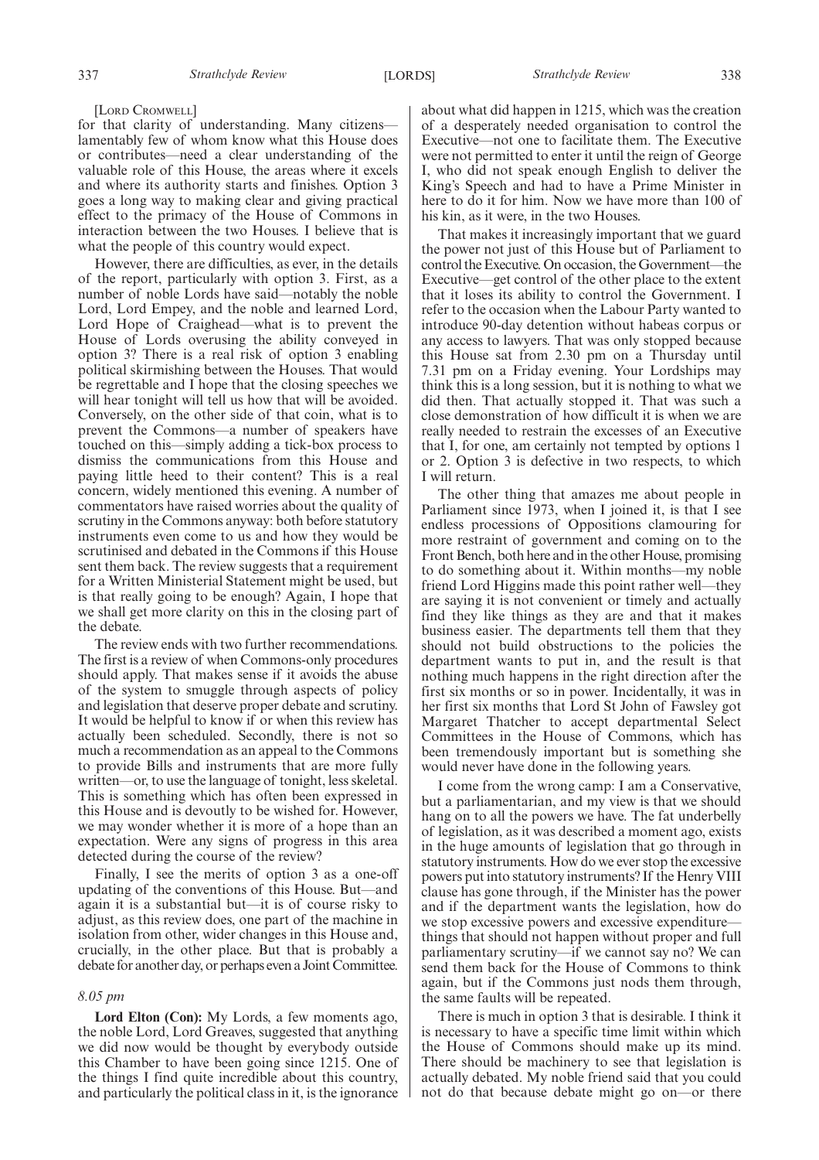#### [LORD CROMWELL]

for that clarity of understanding. Many citizens lamentably few of whom know what this House does or contributes—need a clear understanding of the valuable role of this House, the areas where it excels and where its authority starts and finishes. Option 3 goes a long way to making clear and giving practical effect to the primacy of the House of Commons in interaction between the two Houses. I believe that is what the people of this country would expect.

However, there are difficulties, as ever, in the details of the report, particularly with option 3. First, as a number of noble Lords have said—notably the noble Lord, Lord Empey, and the noble and learned Lord, Lord Hope of Craighead—what is to prevent the House of Lords overusing the ability conveyed in option 3? There is a real risk of option 3 enabling political skirmishing between the Houses. That would be regrettable and I hope that the closing speeches we will hear tonight will tell us how that will be avoided. Conversely, on the other side of that coin, what is to prevent the Commons—a number of speakers have touched on this—simply adding a tick-box process to dismiss the communications from this House and paying little heed to their content? This is a real concern, widely mentioned this evening. A number of commentators have raised worries about the quality of scrutiny in the Commons anyway: both before statutory instruments even come to us and how they would be scrutinised and debated in the Commons if this House sent them back. The review suggests that a requirement for a Written Ministerial Statement might be used, but is that really going to be enough? Again, I hope that we shall get more clarity on this in the closing part of the debate.

The review ends with two further recommendations. The first is a review of when Commons-only procedures should apply. That makes sense if it avoids the abuse of the system to smuggle through aspects of policy and legislation that deserve proper debate and scrutiny. It would be helpful to know if or when this review has actually been scheduled. Secondly, there is not so much a recommendation as an appeal to the Commons to provide Bills and instruments that are more fully written—or, to use the language of tonight, less skeletal. This is something which has often been expressed in this House and is devoutly to be wished for. However, we may wonder whether it is more of a hope than an expectation. Were any signs of progress in this area detected during the course of the review?

Finally, I see the merits of option 3 as a one-off updating of the conventions of this House. But—and again it is a substantial but—it is of course risky to adjust, as this review does, one part of the machine in isolation from other, wider changes in this House and, crucially, in the other place. But that is probably a debate for another day, or perhaps even a Joint Committee.

#### *8.05 pm*

**Lord Elton (Con):** My Lords, a few moments ago, the noble Lord, Lord Greaves, suggested that anything we did now would be thought by everybody outside this Chamber to have been going since 1215. One of the things I find quite incredible about this country, and particularly the political class in it, is the ignorance about what did happen in 1215, which was the creation of a desperately needed organisation to control the Executive—not one to facilitate them. The Executive were not permitted to enter it until the reign of George I, who did not speak enough English to deliver the King's Speech and had to have a Prime Minister in here to do it for him. Now we have more than 100 of his kin, as it were, in the two Houses.

That makes it increasingly important that we guard the power not just of this House but of Parliament to control the Executive. On occasion, the Government—the Executive—get control of the other place to the extent that it loses its ability to control the Government. I refer to the occasion when the Labour Party wanted to introduce 90-day detention without habeas corpus or any access to lawyers. That was only stopped because this House sat from 2.30 pm on a Thursday until 7.31 pm on a Friday evening. Your Lordships may think this is a long session, but it is nothing to what we did then. That actually stopped it. That was such a close demonstration of how difficult it is when we are really needed to restrain the excesses of an Executive that I, for one, am certainly not tempted by options 1 or 2. Option 3 is defective in two respects, to which I will return.

The other thing that amazes me about people in Parliament since 1973, when I joined it, is that I see endless processions of Oppositions clamouring for more restraint of government and coming on to the Front Bench, both here and in the other House, promising to do something about it. Within months—my noble friend Lord Higgins made this point rather well—they are saying it is not convenient or timely and actually find they like things as they are and that it makes business easier. The departments tell them that they should not build obstructions to the policies the department wants to put in, and the result is that nothing much happens in the right direction after the first six months or so in power. Incidentally, it was in her first six months that Lord St John of Fawsley got Margaret Thatcher to accept departmental Select Committees in the House of Commons, which has been tremendously important but is something she would never have done in the following years.

I come from the wrong camp: I am a Conservative, but a parliamentarian, and my view is that we should hang on to all the powers we have. The fat underbelly of legislation, as it was described a moment ago, exists in the huge amounts of legislation that go through in statutory instruments. How do we ever stop the excessive powers put into statutory instruments? If the Henry VIII clause has gone through, if the Minister has the power and if the department wants the legislation, how do we stop excessive powers and excessive expenditure things that should not happen without proper and full parliamentary scrutiny—if we cannot say no? We can send them back for the House of Commons to think again, but if the Commons just nods them through, the same faults will be repeated.

There is much in option 3 that is desirable. I think it is necessary to have a specific time limit within which the House of Commons should make up its mind. There should be machinery to see that legislation is actually debated. My noble friend said that you could not do that because debate might go on—or there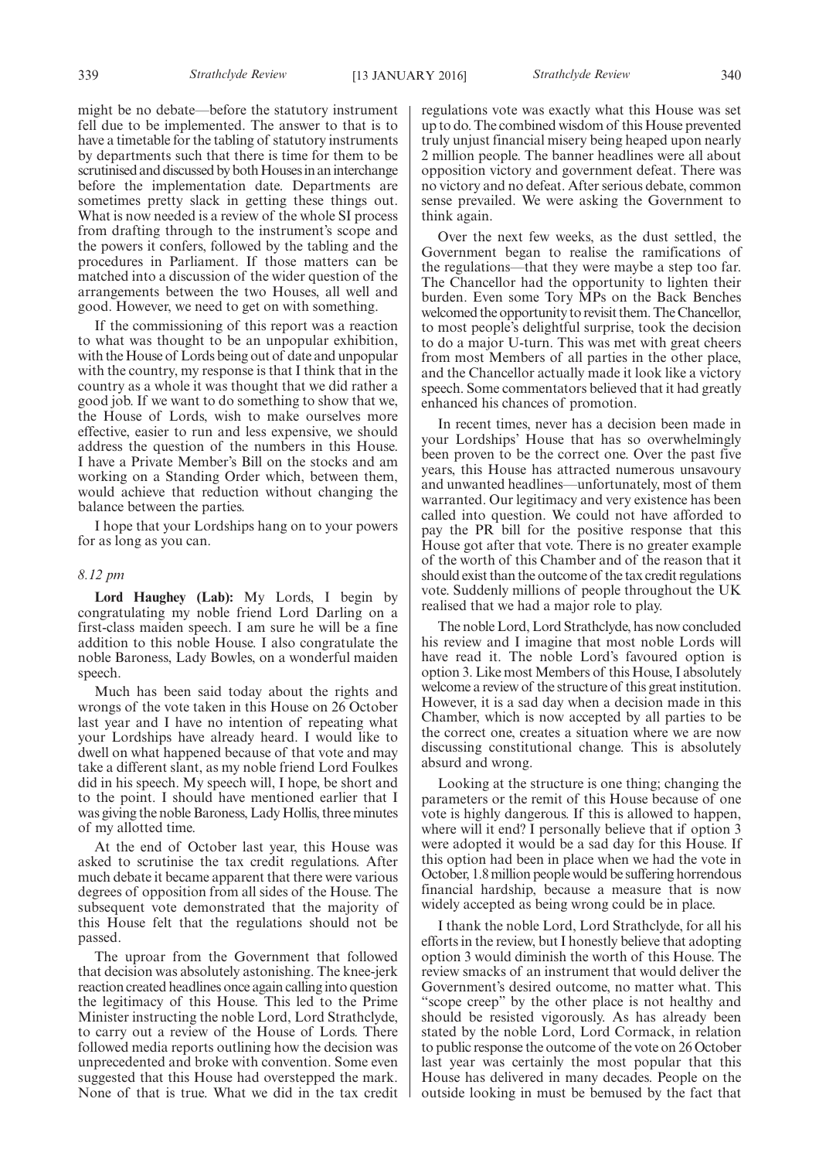might be no debate—before the statutory instrument fell due to be implemented. The answer to that is to have a timetable for the tabling of statutory instruments by departments such that there is time for them to be scrutinised and discussed by both Houses in an interchange before the implementation date. Departments are sometimes pretty slack in getting these things out. What is now needed is a review of the whole SI process from drafting through to the instrument's scope and the powers it confers, followed by the tabling and the procedures in Parliament. If those matters can be matched into a discussion of the wider question of the arrangements between the two Houses, all well and good. However, we need to get on with something.

If the commissioning of this report was a reaction to what was thought to be an unpopular exhibition, with the House of Lords being out of date and unpopular with the country, my response is that I think that in the country as a whole it was thought that we did rather a good job. If we want to do something to show that we, the House of Lords, wish to make ourselves more effective, easier to run and less expensive, we should address the question of the numbers in this House. I have a Private Member's Bill on the stocks and am working on a Standing Order which, between them, would achieve that reduction without changing the balance between the parties.

I hope that your Lordships hang on to your powers for as long as you can.

#### *8.12 pm*

**Lord Haughey (Lab):** My Lords, I begin by congratulating my noble friend Lord Darling on a first-class maiden speech. I am sure he will be a fine addition to this noble House. I also congratulate the noble Baroness, Lady Bowles, on a wonderful maiden speech.

Much has been said today about the rights and wrongs of the vote taken in this House on 26 October last year and I have no intention of repeating what your Lordships have already heard. I would like to dwell on what happened because of that vote and may take a different slant, as my noble friend Lord Foulkes did in his speech. My speech will, I hope, be short and to the point. I should have mentioned earlier that I was giving the noble Baroness, Lady Hollis, three minutes of my allotted time.

At the end of October last year, this House was asked to scrutinise the tax credit regulations. After much debate it became apparent that there were various degrees of opposition from all sides of the House. The subsequent vote demonstrated that the majority of this House felt that the regulations should not be passed.

The uproar from the Government that followed that decision was absolutely astonishing. The knee-jerk reaction created headlines once again calling into question the legitimacy of this House. This led to the Prime Minister instructing the noble Lord, Lord Strathclyde, to carry out a review of the House of Lords. There followed media reports outlining how the decision was unprecedented and broke with convention. Some even suggested that this House had overstepped the mark. None of that is true. What we did in the tax credit regulations vote was exactly what this House was set up to do. The combined wisdom of this House prevented truly unjust financial misery being heaped upon nearly 2 million people. The banner headlines were all about opposition victory and government defeat. There was no victory and no defeat. After serious debate, common sense prevailed. We were asking the Government to think again.

Over the next few weeks, as the dust settled, the Government began to realise the ramifications of the regulations—that they were maybe a step too far. The Chancellor had the opportunity to lighten their burden. Even some Tory MPs on the Back Benches welcomed the opportunity to revisit them. The Chancellor, to most people's delightful surprise, took the decision to do a major U-turn. This was met with great cheers from most Members of all parties in the other place, and the Chancellor actually made it look like a victory speech. Some commentators believed that it had greatly enhanced his chances of promotion.

In recent times, never has a decision been made in your Lordships' House that has so overwhelmingly been proven to be the correct one. Over the past five years, this House has attracted numerous unsavoury and unwanted headlines—unfortunately, most of them warranted. Our legitimacy and very existence has been called into question. We could not have afforded to pay the PR bill for the positive response that this House got after that vote. There is no greater example of the worth of this Chamber and of the reason that it should exist than the outcome of the tax credit regulations vote. Suddenly millions of people throughout the UK realised that we had a major role to play.

The noble Lord, Lord Strathclyde, has now concluded his review and I imagine that most noble Lords will have read it. The noble Lord's favoured option is option 3. Like most Members of this House, I absolutely welcome a review of the structure of this great institution. However, it is a sad day when a decision made in this Chamber, which is now accepted by all parties to be the correct one, creates a situation where we are now discussing constitutional change. This is absolutely absurd and wrong.

Looking at the structure is one thing; changing the parameters or the remit of this House because of one vote is highly dangerous. If this is allowed to happen, where will it end? I personally believe that if option 3 were adopted it would be a sad day for this House. If this option had been in place when we had the vote in October, 1.8 million people would be suffering horrendous financial hardship, because a measure that is now widely accepted as being wrong could be in place.

I thank the noble Lord, Lord Strathclyde, for all his efforts in the review, but I honestly believe that adopting option 3 would diminish the worth of this House. The review smacks of an instrument that would deliver the Government's desired outcome, no matter what. This "scope creep" by the other place is not healthy and should be resisted vigorously. As has already been stated by the noble Lord, Lord Cormack, in relation to public response the outcome of the vote on 26 October last year was certainly the most popular that this House has delivered in many decades. People on the outside looking in must be bemused by the fact that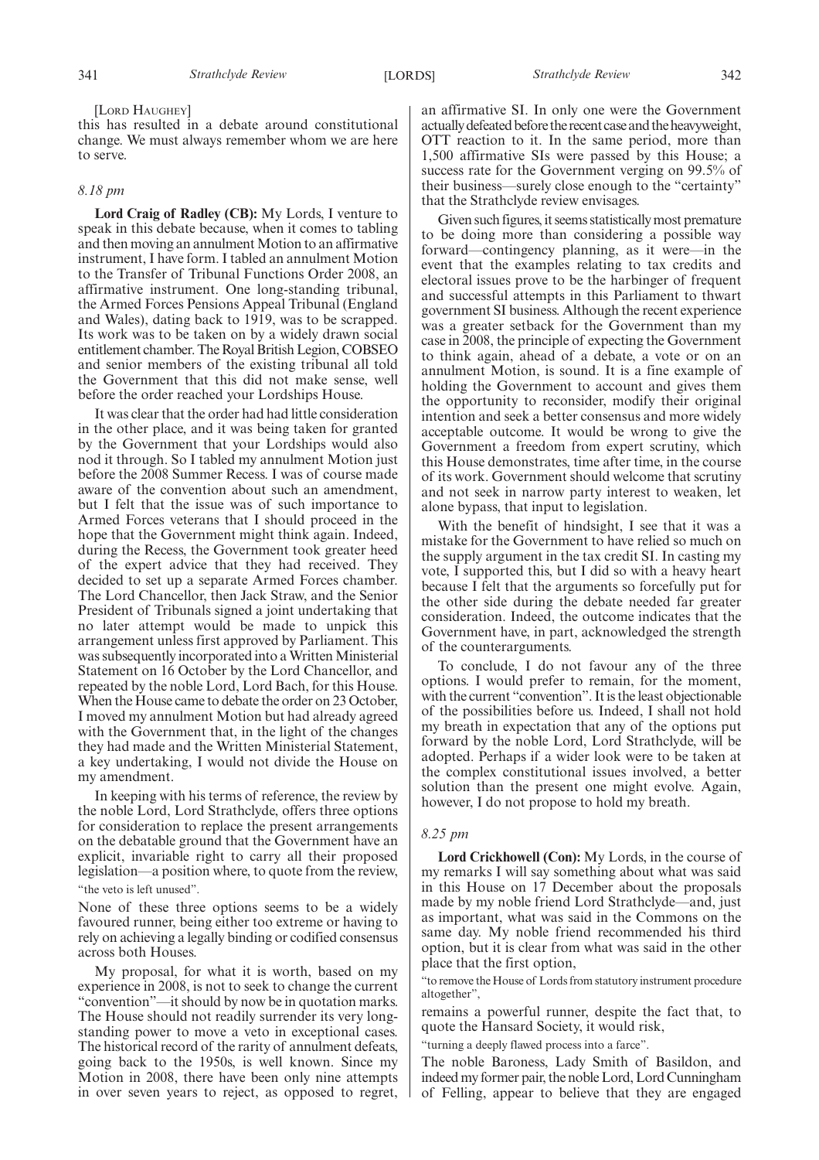[LORD HAUGHEY]

this has resulted in a debate around constitutional change. We must always remember whom we are here to serve.

#### *8.18 pm*

**Lord Craig of Radley (CB):** My Lords, I venture to speak in this debate because, when it comes to tabling and then moving an annulment Motion to an affirmative instrument, I have form. I tabled an annulment Motion to the Transfer of Tribunal Functions Order 2008, an affirmative instrument. One long-standing tribunal, the Armed Forces Pensions Appeal Tribunal (England and Wales), dating back to 1919, was to be scrapped. Its work was to be taken on by a widely drawn social entitlement chamber. The Royal British Legion, COBSEO and senior members of the existing tribunal all told the Government that this did not make sense, well before the order reached your Lordships House.

It was clear that the order had had little consideration in the other place, and it was being taken for granted by the Government that your Lordships would also nod it through. So I tabled my annulment Motion just before the 2008 Summer Recess. I was of course made aware of the convention about such an amendment, but I felt that the issue was of such importance to Armed Forces veterans that I should proceed in the hope that the Government might think again. Indeed, during the Recess, the Government took greater heed of the expert advice that they had received. They decided to set up a separate Armed Forces chamber. The Lord Chancellor, then Jack Straw, and the Senior President of Tribunals signed a joint undertaking that no later attempt would be made to unpick this arrangement unless first approved by Parliament. This was subsequently incorporated into a Written Ministerial Statement on 16 October by the Lord Chancellor, and repeated by the noble Lord, Lord Bach, for this House. When the House came to debate the order on 23 October, I moved my annulment Motion but had already agreed with the Government that, in the light of the changes they had made and the Written Ministerial Statement, a key undertaking, I would not divide the House on my amendment.

In keeping with his terms of reference, the review by the noble Lord, Lord Strathclyde, offers three options for consideration to replace the present arrangements on the debatable ground that the Government have an explicit, invariable right to carry all their proposed legislation—a position where, to quote from the review, "the veto is left unused".

None of these three options seems to be a widely favoured runner, being either too extreme or having to rely on achieving a legally binding or codified consensus across both Houses.

My proposal, for what it is worth, based on my experience in 2008, is not to seek to change the current "convention"—it should by now be in quotation marks. The House should not readily surrender its very longstanding power to move a veto in exceptional cases. The historical record of the rarity of annulment defeats, going back to the 1950s, is well known. Since my Motion in 2008, there have been only nine attempts in over seven years to reject, as opposed to regret, an affirmative SI. In only one were the Government actually defeated before the recent case and the heavyweight, OTT reaction to it. In the same period, more than 1,500 affirmative SIs were passed by this House; a success rate for the Government verging on 99.5% of their business—surely close enough to the "certainty" that the Strathclyde review envisages.

Given such figures, it seems statistically most premature to be doing more than considering a possible way forward—contingency planning, as it were—in the event that the examples relating to tax credits and electoral issues prove to be the harbinger of frequent and successful attempts in this Parliament to thwart government SI business. Although the recent experience was a greater setback for the Government than my case in 2008, the principle of expecting the Government to think again, ahead of a debate, a vote or on an annulment Motion, is sound. It is a fine example of holding the Government to account and gives them the opportunity to reconsider, modify their original intention and seek a better consensus and more widely acceptable outcome. It would be wrong to give the Government a freedom from expert scrutiny, which this House demonstrates, time after time, in the course of its work. Government should welcome that scrutiny and not seek in narrow party interest to weaken, let alone bypass, that input to legislation.

With the benefit of hindsight, I see that it was a mistake for the Government to have relied so much on the supply argument in the tax credit SI. In casting my vote, I supported this, but I did so with a heavy heart because I felt that the arguments so forcefully put for the other side during the debate needed far greater consideration. Indeed, the outcome indicates that the Government have, in part, acknowledged the strength of the counterarguments.

To conclude, I do not favour any of the three options. I would prefer to remain, for the moment, with the current "convention". It is the least objectionable of the possibilities before us. Indeed, I shall not hold my breath in expectation that any of the options put forward by the noble Lord, Lord Strathclyde, will be adopted. Perhaps if a wider look were to be taken at the complex constitutional issues involved, a better solution than the present one might evolve. Again, however, I do not propose to hold my breath.

#### *8.25 pm*

**Lord Crickhowell (Con):** My Lords, in the course of my remarks I will say something about what was said in this House on  $17$  December about the proposals made by my noble friend Lord Strathclyde—and, just as important, what was said in the Commons on the same day. My noble friend recommended his third option, but it is clear from what was said in the other place that the first option,

"to remove the House of Lords from statutory instrument procedure altogether",

remains a powerful runner, despite the fact that, to quote the Hansard Society, it would risk,

"turning a deeply flawed process into a farce".

The noble Baroness, Lady Smith of Basildon, and indeed my former pair, the noble Lord, Lord Cunningham of Felling, appear to believe that they are engaged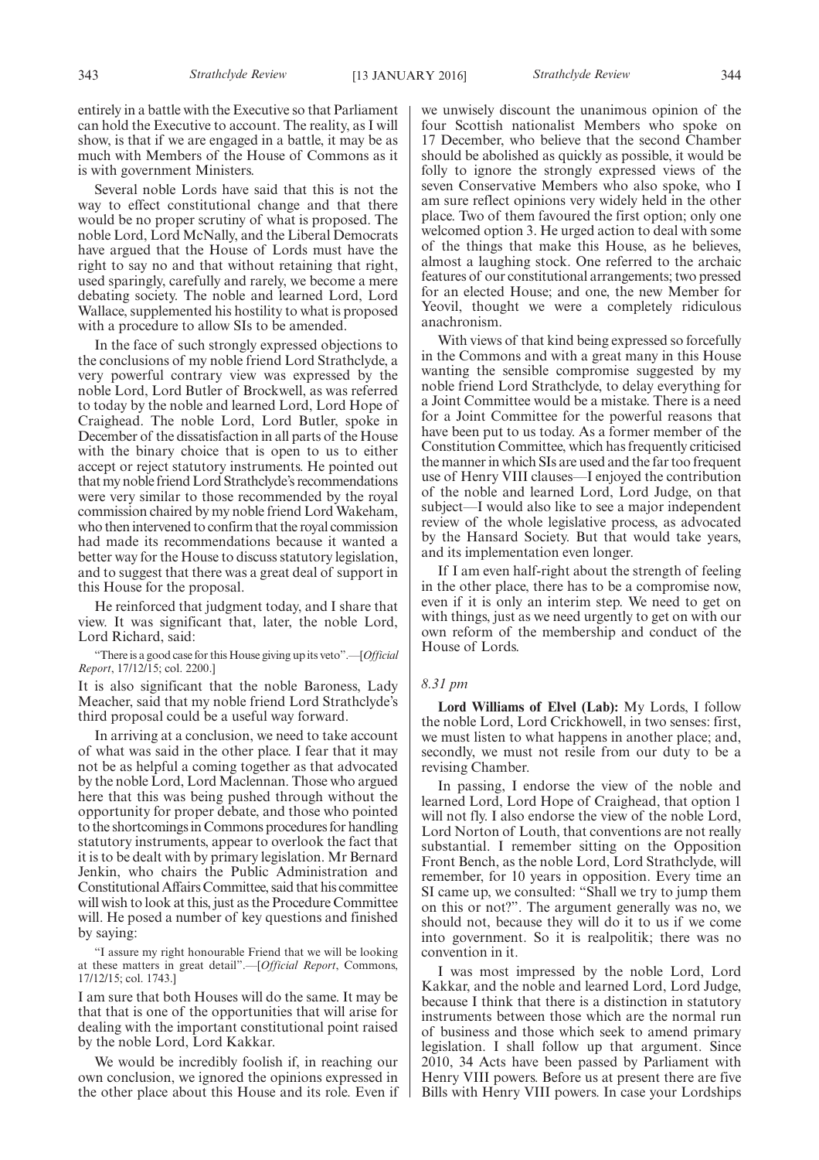entirely in a battle with the Executive so that Parliament can hold the Executive to account. The reality, as I will show, is that if we are engaged in a battle, it may be as much with Members of the House of Commons as it is with government Ministers.

Several noble Lords have said that this is not the way to effect constitutional change and that there would be no proper scrutiny of what is proposed. The noble Lord, Lord McNally, and the Liberal Democrats have argued that the House of Lords must have the right to say no and that without retaining that right, used sparingly, carefully and rarely, we become a mere debating society. The noble and learned Lord, Lord Wallace, supplemented his hostility to what is proposed with a procedure to allow SIs to be amended.

In the face of such strongly expressed objections to the conclusions of my noble friend Lord Strathclyde, a very powerful contrary view was expressed by the noble Lord, Lord Butler of Brockwell, as was referred to today by the noble and learned Lord, Lord Hope of Craighead. The noble Lord, Lord Butler, spoke in December of the dissatisfaction in all parts of the House with the binary choice that is open to us to either accept or reject statutory instruments. He pointed out that my noble friend Lord Strathclyde's recommendations were very similar to those recommended by the royal commission chaired by my noble friend Lord Wakeham, who then intervened to confirm that the royal commission had made its recommendations because it wanted a better way for the House to discuss statutory legislation, and to suggest that there was a great deal of support in this House for the proposal.

He reinforced that judgment today, and I share that view. It was significant that, later, the noble Lord, Lord Richard, said:

"There is a good case for this House giving up its veto".—[*Official Report*, 17/12/15; col. 2200.]

It is also significant that the noble Baroness, Lady Meacher, said that my noble friend Lord Strathclyde's third proposal could be a useful way forward.

In arriving at a conclusion, we need to take account of what was said in the other place. I fear that it may not be as helpful a coming together as that advocated by the noble Lord, Lord Maclennan. Those who argued here that this was being pushed through without the opportunity for proper debate, and those who pointed to the shortcomings in Commons procedures for handling statutory instruments, appear to overlook the fact that it is to be dealt with by primary legislation. Mr Bernard Jenkin, who chairs the Public Administration and Constitutional Affairs Committee, said that his committee will wish to look at this, just as the Procedure Committee will. He posed a number of key questions and finished by saying:

"I assure my right honourable Friend that we will be looking at these matters in great detail".—[*Official Report*, Commons, 17/12/15; col. 1743.]

I am sure that both Houses will do the same. It may be that that is one of the opportunities that will arise for dealing with the important constitutional point raised by the noble Lord, Lord Kakkar.

We would be incredibly foolish if, in reaching our own conclusion, we ignored the opinions expressed in the other place about this House and its role. Even if we unwisely discount the unanimous opinion of the four Scottish nationalist Members who spoke on 17 December, who believe that the second Chamber should be abolished as quickly as possible, it would be folly to ignore the strongly expressed views of the seven Conservative Members who also spoke, who I am sure reflect opinions very widely held in the other place. Two of them favoured the first option; only one welcomed option 3. He urged action to deal with some of the things that make this House, as he believes, almost a laughing stock. One referred to the archaic features of our constitutional arrangements; two pressed for an elected House; and one, the new Member for Yeovil, thought we were a completely ridiculous anachronism.

With views of that kind being expressed so forcefully in the Commons and with a great many in this House wanting the sensible compromise suggested by my noble friend Lord Strathclyde, to delay everything for a Joint Committee would be a mistake. There is a need for a Joint Committee for the powerful reasons that have been put to us today. As a former member of the Constitution Committee, which has frequently criticised the manner in which SIs are used and the far too frequent use of Henry VIII clauses—I enjoyed the contribution of the noble and learned Lord, Lord Judge, on that subject—I would also like to see a major independent review of the whole legislative process, as advocated by the Hansard Society. But that would take years, and its implementation even longer.

If I am even half-right about the strength of feeling in the other place, there has to be a compromise now, even if it is only an interim step. We need to get on with things, just as we need urgently to get on with our own reform of the membership and conduct of the House of Lords.

#### *8.31 pm*

**Lord Williams of Elvel (Lab):** My Lords, I follow the noble Lord, Lord Crickhowell, in two senses: first, we must listen to what happens in another place; and, secondly, we must not resile from our duty to be a revising Chamber.

In passing, I endorse the view of the noble and learned Lord, Lord Hope of Craighead, that option 1 will not fly. I also endorse the view of the noble Lord, Lord Norton of Louth, that conventions are not really substantial. I remember sitting on the Opposition Front Bench, as the noble Lord, Lord Strathclyde, will remember, for 10 years in opposition. Every time an SI came up, we consulted: "Shall we try to jump them on this or not?". The argument generally was no, we should not, because they will do it to us if we come into government. So it is realpolitik; there was no convention in it.

I was most impressed by the noble Lord, Lord Kakkar, and the noble and learned Lord, Lord Judge, because I think that there is a distinction in statutory instruments between those which are the normal run of business and those which seek to amend primary legislation. I shall follow up that argument. Since 2010, 34 Acts have been passed by Parliament with Henry VIII powers. Before us at present there are five Bills with Henry VIII powers. In case your Lordships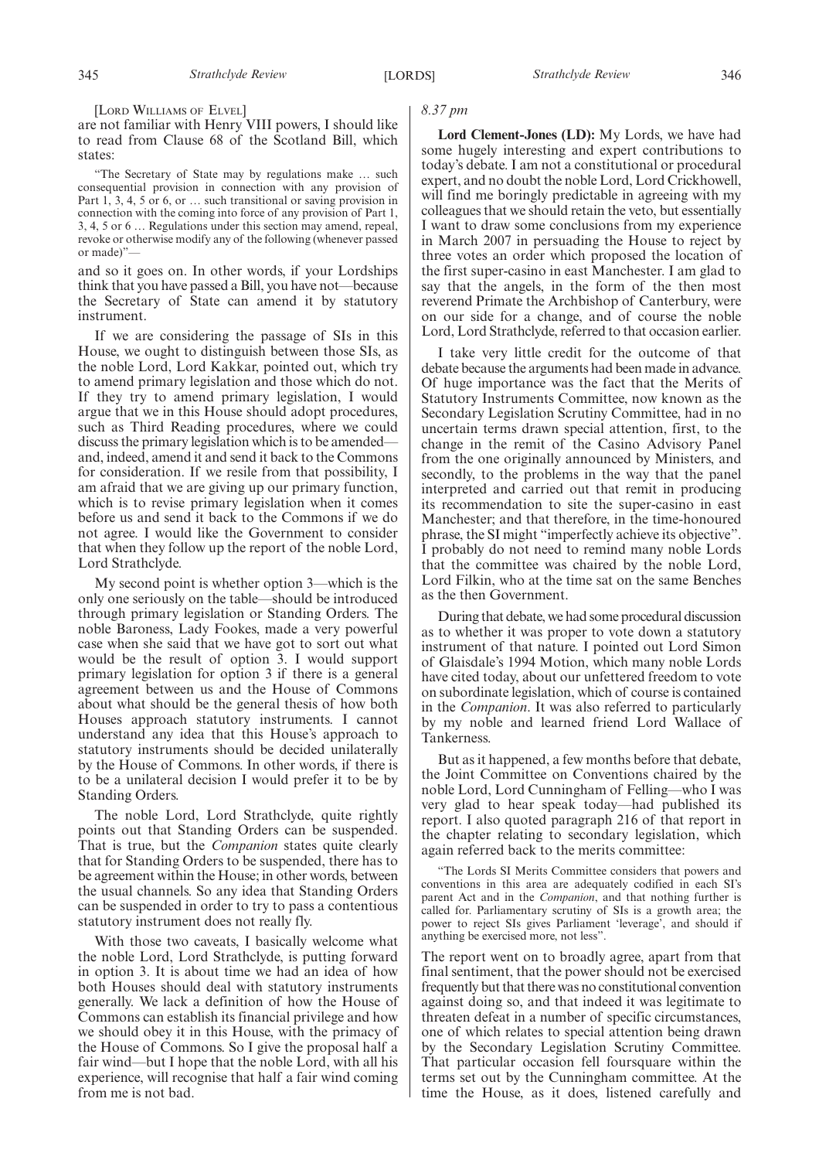[LORD WILLIAMS OF ELVEL]

are not familiar with Henry VIII powers, I should like to read from Clause 68 of the Scotland Bill, which states:

"The Secretary of State may by regulations make … such consequential provision in connection with any provision of Part 1, 3, 4, 5 or 6, or ... such transitional or saving provision in connection with the coming into force of any provision of Part 1, 3, 4, 5 or 6 … Regulations under this section may amend, repeal, revoke or otherwise modify any of the following (whenever passed or made)"—

and so it goes on. In other words, if your Lordships think that you have passed a Bill, you have not—because the Secretary of State can amend it by statutory instrument.

If we are considering the passage of SIs in this House, we ought to distinguish between those SIs, as the noble Lord, Lord Kakkar, pointed out, which try to amend primary legislation and those which do not. If they try to amend primary legislation, I would argue that we in this House should adopt procedures, such as Third Reading procedures, where we could discuss the primary legislation which is to be amended and, indeed, amend it and send it back to the Commons for consideration. If we resile from that possibility, I am afraid that we are giving up our primary function, which is to revise primary legislation when it comes before us and send it back to the Commons if we do not agree. I would like the Government to consider that when they follow up the report of the noble Lord, Lord Strathclyde.

My second point is whether option 3—which is the only one seriously on the table—should be introduced through primary legislation or Standing Orders. The noble Baroness, Lady Fookes, made a very powerful case when she said that we have got to sort out what would be the result of option 3. I would support primary legislation for option 3 if there is a general agreement between us and the House of Commons about what should be the general thesis of how both Houses approach statutory instruments. I cannot understand any idea that this House's approach to statutory instruments should be decided unilaterally by the House of Commons. In other words, if there is to be a unilateral decision I would prefer it to be by Standing Orders.

The noble Lord, Lord Strathclyde, quite rightly points out that Standing Orders can be suspended. That is true, but the *Companion* states quite clearly that for Standing Orders to be suspended, there has to be agreement within the House; in other words, between the usual channels. So any idea that Standing Orders can be suspended in order to try to pass a contentious statutory instrument does not really fly.

With those two caveats, I basically welcome what the noble Lord, Lord Strathclyde, is putting forward in option 3. It is about time we had an idea of how both Houses should deal with statutory instruments generally. We lack a definition of how the House of Commons can establish its financial privilege and how we should obey it in this House, with the primacy of the House of Commons. So I give the proposal half a fair wind—but I hope that the noble Lord, with all his experience, will recognise that half a fair wind coming from me is not bad.

#### *8.37 pm*

**Lord Clement-Jones (LD):** My Lords, we have had some hugely interesting and expert contributions to today's debate. I am not a constitutional or procedural expert, and no doubt the noble Lord, Lord Crickhowell, will find me boringly predictable in agreeing with my colleagues that we should retain the veto, but essentially I want to draw some conclusions from my experience in March 2007 in persuading the House to reject by three votes an order which proposed the location of the first super-casino in east Manchester. I am glad to say that the angels, in the form of the then most reverend Primate the Archbishop of Canterbury, were on our side for a change, and of course the noble Lord, Lord Strathclyde, referred to that occasion earlier.

I take very little credit for the outcome of that debate because the arguments had been made in advance. Of huge importance was the fact that the Merits of Statutory Instruments Committee, now known as the Secondary Legislation Scrutiny Committee, had in no uncertain terms drawn special attention, first, to the change in the remit of the Casino Advisory Panel from the one originally announced by Ministers, and secondly, to the problems in the way that the panel interpreted and carried out that remit in producing its recommendation to site the super-casino in east Manchester; and that therefore, in the time-honoured phrase, the SI might "imperfectly achieve its objective". I probably do not need to remind many noble Lords that the committee was chaired by the noble Lord, Lord Filkin, who at the time sat on the same Benches as the then Government.

During that debate, we had some procedural discussion as to whether it was proper to vote down a statutory instrument of that nature. I pointed out Lord Simon of Glaisdale's 1994 Motion, which many noble Lords have cited today, about our unfettered freedom to vote on subordinate legislation, which of course is contained in the *Companion*. It was also referred to particularly by my noble and learned friend Lord Wallace of Tankerness.

But as it happened, a few months before that debate, the Joint Committee on Conventions chaired by the noble Lord, Lord Cunningham of Felling—who I was very glad to hear speak today—had published its report. I also quoted paragraph 216 of that report in the chapter relating to secondary legislation, which again referred back to the merits committee:

"The Lords SI Merits Committee considers that powers and conventions in this area are adequately codified in each SI's parent Act and in the *Companion*, and that nothing further is called for. Parliamentary scrutiny of SIs is a growth area; the power to reject SIs gives Parliament 'leverage', and should if anything be exercised more, not less".

The report went on to broadly agree, apart from that final sentiment, that the power should not be exercised frequently but that there was no constitutional convention against doing so, and that indeed it was legitimate to threaten defeat in a number of specific circumstances, one of which relates to special attention being drawn by the Secondary Legislation Scrutiny Committee. That particular occasion fell foursquare within the terms set out by the Cunningham committee. At the time the House, as it does, listened carefully and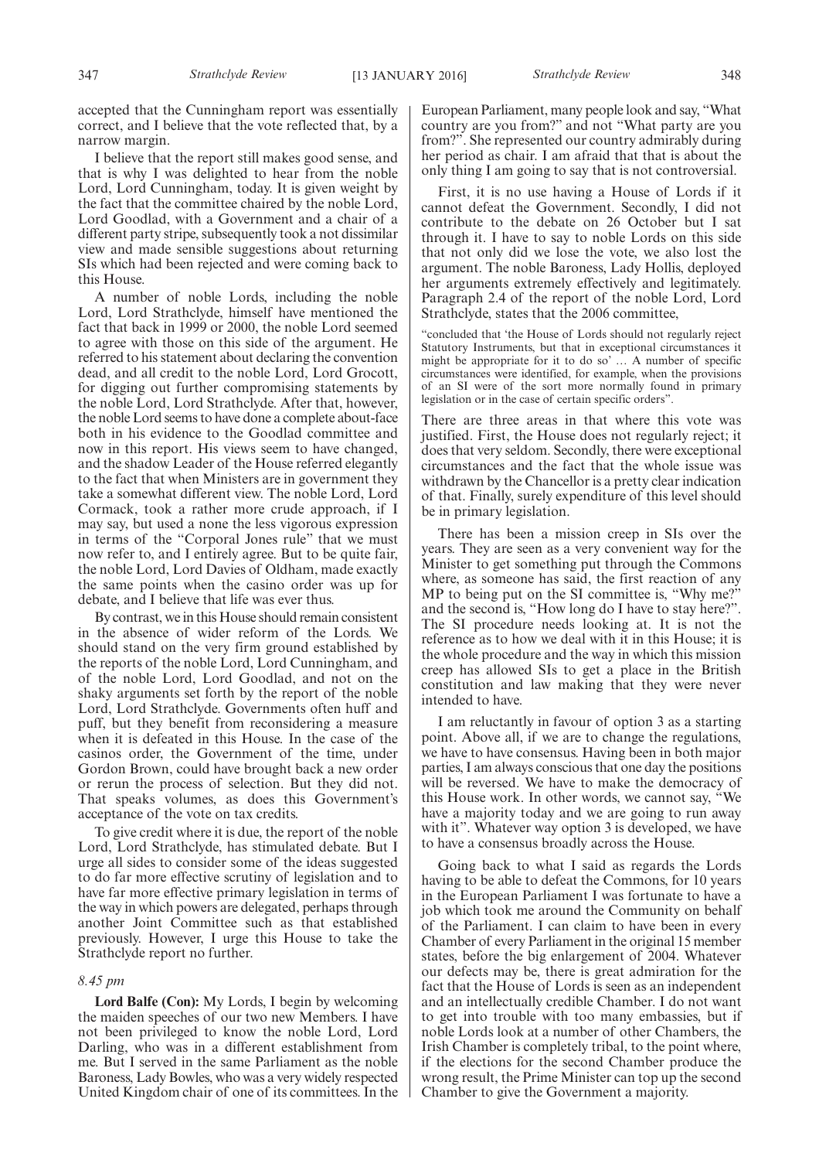accepted that the Cunningham report was essentially correct, and I believe that the vote reflected that, by a narrow margin.

I believe that the report still makes good sense, and that is why I was delighted to hear from the noble Lord, Lord Cunningham, today. It is given weight by the fact that the committee chaired by the noble Lord, Lord Goodlad, with a Government and a chair of a different party stripe, subsequently took a not dissimilar view and made sensible suggestions about returning SIs which had been rejected and were coming back to this House.

A number of noble Lords, including the noble Lord, Lord Strathclyde, himself have mentioned the fact that back in 1999 or 2000, the noble Lord seemed to agree with those on this side of the argument. He referred to his statement about declaring the convention dead, and all credit to the noble Lord, Lord Grocott, for digging out further compromising statements by the noble Lord, Lord Strathclyde. After that, however, the noble Lord seems to have done a complete about-face both in his evidence to the Goodlad committee and now in this report. His views seem to have changed, and the shadow Leader of the House referred elegantly to the fact that when Ministers are in government they take a somewhat different view. The noble Lord, Lord Cormack, took a rather more crude approach, if I may say, but used a none the less vigorous expression in terms of the "Corporal Jones rule" that we must now refer to, and I entirely agree. But to be quite fair, the noble Lord, Lord Davies of Oldham, made exactly the same points when the casino order was up for debate, and I believe that life was ever thus.

By contrast, we in this House should remain consistent in the absence of wider reform of the Lords. We should stand on the very firm ground established by the reports of the noble Lord, Lord Cunningham, and of the noble Lord, Lord Goodlad, and not on the shaky arguments set forth by the report of the noble Lord, Lord Strathclyde. Governments often huff and puff, but they benefit from reconsidering a measure when it is defeated in this House. In the case of the casinos order, the Government of the time, under Gordon Brown, could have brought back a new order or rerun the process of selection. But they did not. That speaks volumes, as does this Government's acceptance of the vote on tax credits.

To give credit where it is due, the report of the noble Lord, Lord Strathclyde, has stimulated debate. But I urge all sides to consider some of the ideas suggested to do far more effective scrutiny of legislation and to have far more effective primary legislation in terms of the way in which powers are delegated, perhaps through another Joint Committee such as that established previously. However, I urge this House to take the Strathclyde report no further.

#### *8.45 pm*

**Lord Balfe (Con):** My Lords, I begin by welcoming the maiden speeches of our two new Members. I have not been privileged to know the noble Lord, Lord Darling, who was in a different establishment from me. But I served in the same Parliament as the noble Baroness, Lady Bowles, who was a very widely respected United Kingdom chair of one of its committees. In the

First, it is no use having a House of Lords if it cannot defeat the Government. Secondly, I did not contribute to the debate on 26 October but I sat through it. I have to say to noble Lords on this side that not only did we lose the vote, we also lost the argument. The noble Baroness, Lady Hollis, deployed her arguments extremely effectively and legitimately. Paragraph 2.4 of the report of the noble Lord, Lord Strathclyde, states that the 2006 committee,

"concluded that 'the House of Lords should not regularly reject Statutory Instruments, but that in exceptional circumstances it might be appropriate for it to do so' … A number of specific circumstances were identified, for example, when the provisions of an SI were of the sort more normally found in primary legislation or in the case of certain specific orders".

There are three areas in that where this vote was justified. First, the House does not regularly reject; it does that very seldom. Secondly, there were exceptional circumstances and the fact that the whole issue was withdrawn by the Chancellor is a pretty clear indication of that. Finally, surely expenditure of this level should be in primary legislation.

There has been a mission creep in SIs over the years. They are seen as a very convenient way for the Minister to get something put through the Commons where, as someone has said, the first reaction of any MP to being put on the SI committee is, "Why me?" and the second is, "How long do I have to stay here?". The SI procedure needs looking at. It is not the reference as to how we deal with it in this House; it is the whole procedure and the way in which this mission creep has allowed SIs to get a place in the British constitution and law making that they were never intended to have.

I am reluctantly in favour of option 3 as a starting point. Above all, if we are to change the regulations, we have to have consensus. Having been in both major parties, I am always conscious that one day the positions will be reversed. We have to make the democracy of this House work. In other words, we cannot say, "We have a majority today and we are going to run away with it". Whatever way option 3 is developed, we have to have a consensus broadly across the House.

Going back to what I said as regards the Lords having to be able to defeat the Commons, for 10 years in the European Parliament I was fortunate to have a job which took me around the Community on behalf of the Parliament. I can claim to have been in every Chamber of every Parliament in the original 15 member states, before the big enlargement of 2004. Whatever our defects may be, there is great admiration for the fact that the House of Lords is seen as an independent and an intellectually credible Chamber. I do not want to get into trouble with too many embassies, but if noble Lords look at a number of other Chambers, the Irish Chamber is completely tribal, to the point where, if the elections for the second Chamber produce the wrong result, the Prime Minister can top up the second Chamber to give the Government a majority.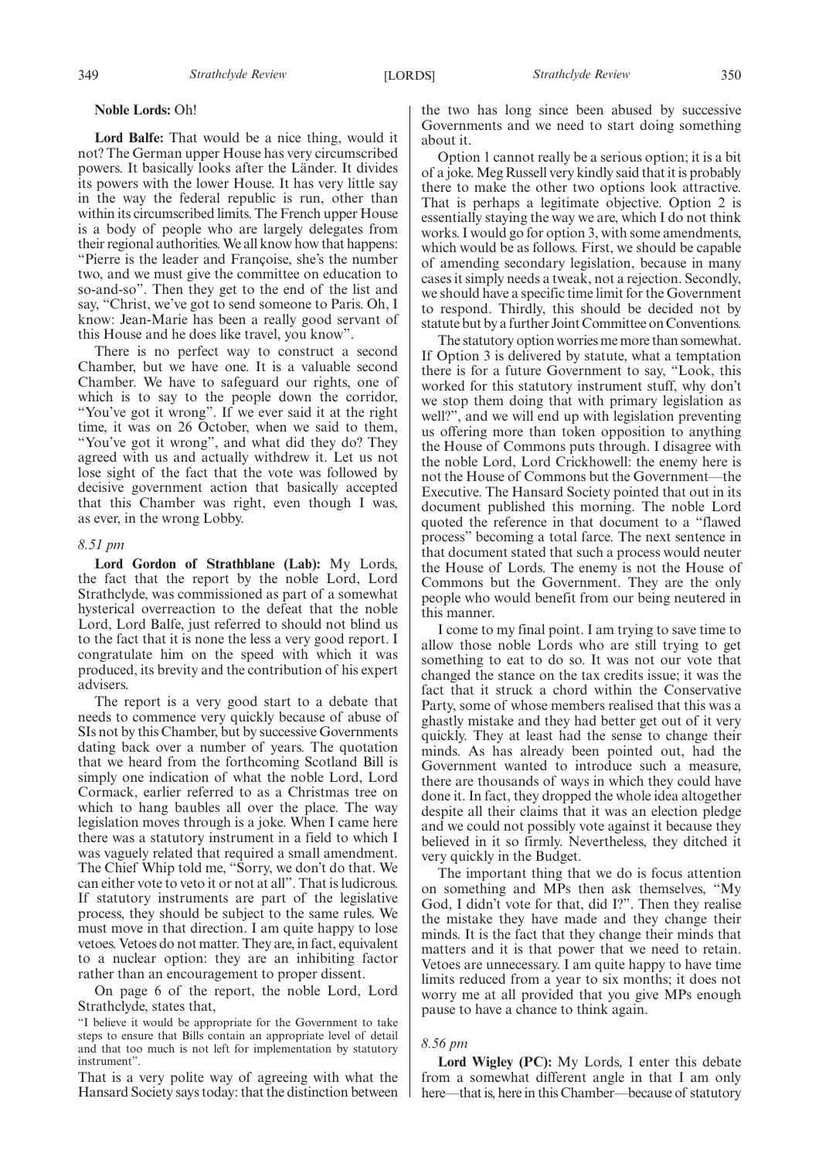#### **Noble Lords:** Oh!

**Lord Balfe:** That would be a nice thing, would it not? The German upper House has very circumscribed powers. It basically looks after the Länder. It divides its powers with the lower House. It has very little say in the way the federal republic is run, other than within its circumscribed limits. The French upper House is a body of people who are largely delegates from their regional authorities.We all know how that happens: "Pierre is the leader and Françoise, she's the number two, and we must give the committee on education to so-and-so". Then they get to the end of the list and say, "Christ, we've got to send someone to Paris. Oh, I know: Jean-Marie has been a really good servant of this House and he does like travel, you know".

There is no perfect way to construct a second Chamber, but we have one. It is a valuable second Chamber. We have to safeguard our rights, one of which is to say to the people down the corridor, "You've got it wrong". If we ever said it at the right time, it was on 26 October, when we said to them, "You've got it wrong", and what did they do? They agreed with us and actually withdrew it. Let us not lose sight of the fact that the vote was followed by decisive government action that basically accepted that this Chamber was right, even though I was, as ever, in the wrong Lobby.

#### *8.51 pm*

**Lord Gordon of Strathblane (Lab):** My Lords, the fact that the report by the noble Lord, Lord Strathclyde, was commissioned as part of a somewhat hysterical overreaction to the defeat that the noble Lord, Lord Balfe, just referred to should not blind us to the fact that it is none the less a very good report. I congratulate him on the speed with which it was produced, its brevity and the contribution of his expert advisers.

The report is a very good start to a debate that needs to commence very quickly because of abuse of SIs not by this Chamber, but by successive Governments dating back over a number of years. The quotation that we heard from the forthcoming Scotland Bill is simply one indication of what the noble Lord, Lord Cormack, earlier referred to as a Christmas tree on which to hang baubles all over the place. The way legislation moves through is a joke. When I came here there was a statutory instrument in a field to which I was vaguely related that required a small amendment. The Chief Whip told me, "Sorry, we don't do that. We can either vote to veto it or not at all". That is ludicrous. If statutory instruments are part of the legislative process, they should be subject to the same rules. We must move in that direction. I am quite happy to lose vetoes. Vetoes do not matter. They are, in fact, equivalent to a nuclear option: they are an inhibiting factor rather than an encouragement to proper dissent.

On page 6 of the report, the noble Lord, Lord Strathclyde, states that,

"I believe it would be appropriate for the Government to take steps to ensure that Bills contain an appropriate level of detail and that too much is not left for implementation by statutory instrument".

That is a very polite way of agreeing with what the Hansard Society says today: that the distinction between the two has long since been abused by successive Governments and we need to start doing something about it.

Option 1 cannot really be a serious option; it is a bit of a joke.Meg Russell very kindly said that it is probably there to make the other two options look attractive. That is perhaps a legitimate objective. Option 2 is essentially staying the way we are, which I do not think works. I would go for option 3, with some amendments, which would be as follows. First, we should be capable of amending secondary legislation, because in many cases it simply needs a tweak, not a rejection. Secondly, we should have a specific time limit for the Government to respond. Thirdly, this should be decided not by statute but by a further Joint Committee on Conventions.

The statutory option worries me more than somewhat. If Option 3 is delivered by statute, what a temptation there is for a future Government to say, "Look, this worked for this statutory instrument stuff, why don't we stop them doing that with primary legislation as well?", and we will end up with legislation preventing us offering more than token opposition to anything the House of Commons puts through. I disagree with the noble Lord, Lord Crickhowell: the enemy here is not the House of Commons but the Government—the Executive. The Hansard Society pointed that out in its document published this morning. The noble Lord quoted the reference in that document to a "flawed process" becoming a total farce. The next sentence in that document stated that such a process would neuter the House of Lords. The enemy is not the House of Commons but the Government. They are the only people who would benefit from our being neutered in this manner.

I come to my final point. I am trying to save time to allow those noble Lords who are still trying to get something to eat to do so. It was not our vote that changed the stance on the tax credits issue; it was the fact that it struck a chord within the Conservative Party, some of whose members realised that this was a ghastly mistake and they had better get out of it very quickly. They at least had the sense to change their minds. As has already been pointed out, had the Government wanted to introduce such a measure, there are thousands of ways in which they could have done it. In fact, they dropped the whole idea altogether despite all their claims that it was an election pledge and we could not possibly vote against it because they believed in it so firmly. Nevertheless, they ditched it very quickly in the Budget.

The important thing that we do is focus attention on something and MPs then ask themselves, "My God, I didn't vote for that, did I?". Then they realise the mistake they have made and they change their minds. It is the fact that they change their minds that matters and it is that power that we need to retain. Vetoes are unnecessary. I am quite happy to have time limits reduced from a year to six months; it does not worry me at all provided that you give MPs enough pause to have a chance to think again.

#### *8.56 pm*

**Lord Wigley (PC):** My Lords, I enter this debate from a somewhat different angle in that I am only here—that is, here in this Chamber—because of statutory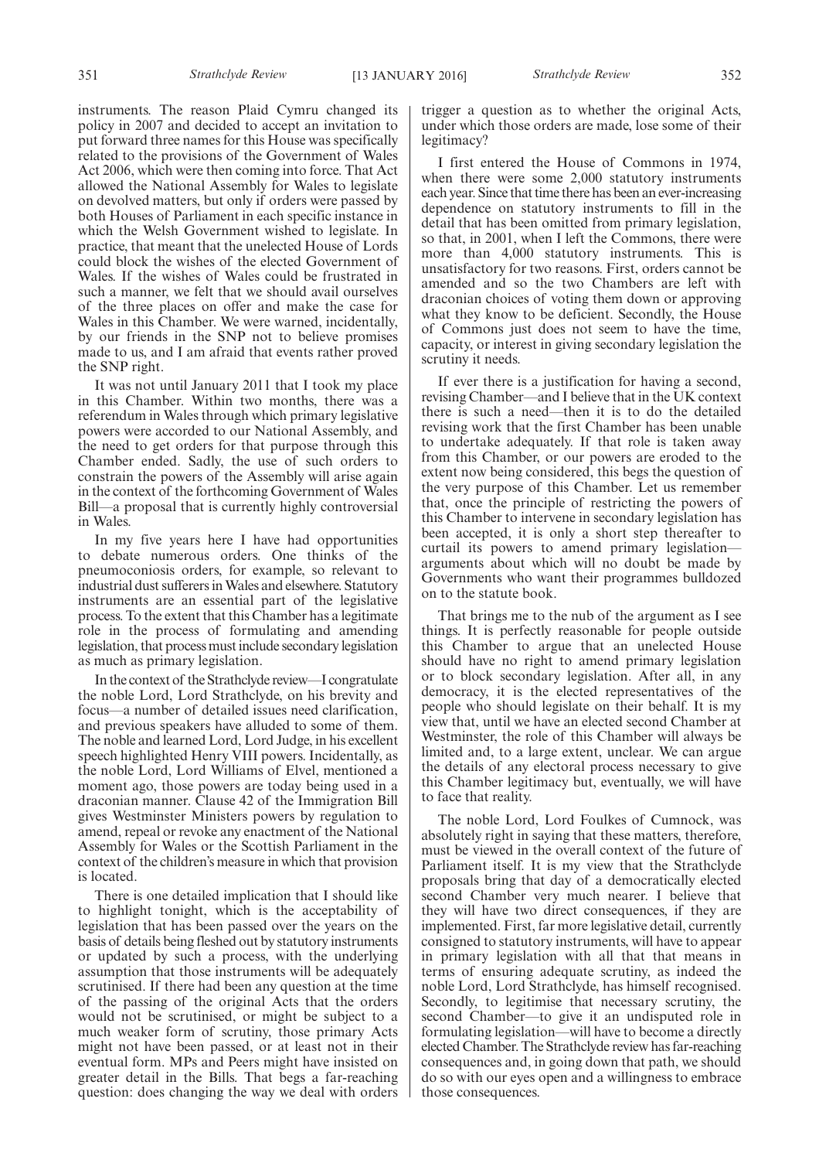instruments. The reason Plaid Cymru changed its policy in 2007 and decided to accept an invitation to put forward three names for this House was specifically related to the provisions of the Government of Wales Act 2006, which were then coming into force. That Act allowed the National Assembly for Wales to legislate on devolved matters, but only if orders were passed by both Houses of Parliament in each specific instance in which the Welsh Government wished to legislate. In practice, that meant that the unelected House of Lords could block the wishes of the elected Government of Wales. If the wishes of Wales could be frustrated in such a manner, we felt that we should avail ourselves of the three places on offer and make the case for Wales in this Chamber. We were warned, incidentally, by our friends in the SNP not to believe promises made to us, and I am afraid that events rather proved the SNP right.

It was not until January 2011 that I took my place in this Chamber. Within two months, there was a referendum in Wales through which primary legislative powers were accorded to our National Assembly, and the need to get orders for that purpose through this Chamber ended. Sadly, the use of such orders to constrain the powers of the Assembly will arise again in the context of the forthcoming Government of Wales Bill—a proposal that is currently highly controversial in Wales.

In my five years here I have had opportunities to debate numerous orders. One thinks of the pneumoconiosis orders, for example, so relevant to industrial dust sufferers inWales and elsewhere. Statutory instruments are an essential part of the legislative process. To the extent that this Chamber has a legitimate role in the process of formulating and amending legislation, that process must include secondary legislation as much as primary legislation.

In the context of the Strathclyde review—I congratulate the noble Lord, Lord Strathclyde, on his brevity and focus—a number of detailed issues need clarification, and previous speakers have alluded to some of them. The noble and learned Lord, Lord Judge, in his excellent speech highlighted Henry VIII powers. Incidentally, as the noble Lord, Lord Williams of Elvel, mentioned a moment ago, those powers are today being used in a draconian manner. Clause 42 of the Immigration Bill gives Westminster Ministers powers by regulation to amend, repeal or revoke any enactment of the National Assembly for Wales or the Scottish Parliament in the context of the children's measure in which that provision is located.

There is one detailed implication that I should like to highlight tonight, which is the acceptability of legislation that has been passed over the years on the basis of details being fleshed out by statutory instruments or updated by such a process, with the underlying assumption that those instruments will be adequately scrutinised. If there had been any question at the time of the passing of the original Acts that the orders would not be scrutinised, or might be subject to a much weaker form of scrutiny, those primary Acts might not have been passed, or at least not in their eventual form. MPs and Peers might have insisted on greater detail in the Bills. That begs a far-reaching question: does changing the way we deal with orders

trigger a question as to whether the original Acts, under which those orders are made, lose some of their legitimacy?

I first entered the House of Commons in 1974, when there were some 2,000 statutory instruments each year. Since that time there has been an ever-increasing dependence on statutory instruments to fill in the detail that has been omitted from primary legislation, so that, in 2001, when I left the Commons, there were more than 4,000 statutory instruments. This is unsatisfactory for two reasons. First, orders cannot be amended and so the two Chambers are left with draconian choices of voting them down or approving what they know to be deficient. Secondly, the House of Commons just does not seem to have the time, capacity, or interest in giving secondary legislation the scrutiny it needs.

If ever there is a justification for having a second, revising Chamber—and I believe that in the UK context there is such a need—then it is to do the detailed revising work that the first Chamber has been unable to undertake adequately. If that role is taken away from this Chamber, or our powers are eroded to the extent now being considered, this begs the question of the very purpose of this Chamber. Let us remember that, once the principle of restricting the powers of this Chamber to intervene in secondary legislation has been accepted, it is only a short step thereafter to curtail its powers to amend primary legislation arguments about which will no doubt be made by Governments who want their programmes bulldozed on to the statute book.

That brings me to the nub of the argument as I see things. It is perfectly reasonable for people outside this Chamber to argue that an unelected House should have no right to amend primary legislation or to block secondary legislation. After all, in any democracy, it is the elected representatives of the people who should legislate on their behalf. It is my view that, until we have an elected second Chamber at Westminster, the role of this Chamber will always be limited and, to a large extent, unclear. We can argue the details of any electoral process necessary to give this Chamber legitimacy but, eventually, we will have to face that reality.

The noble Lord, Lord Foulkes of Cumnock, was absolutely right in saying that these matters, therefore, must be viewed in the overall context of the future of Parliament itself. It is my view that the Strathclyde proposals bring that day of a democratically elected second Chamber very much nearer. I believe that they will have two direct consequences, if they are implemented. First, far more legislative detail, currently consigned to statutory instruments, will have to appear in primary legislation with all that that means in terms of ensuring adequate scrutiny, as indeed the noble Lord, Lord Strathclyde, has himself recognised. Secondly, to legitimise that necessary scrutiny, the second Chamber—to give it an undisputed role in formulating legislation—will have to become a directly elected Chamber. The Strathclyde review has far-reaching consequences and, in going down that path, we should do so with our eyes open and a willingness to embrace those consequences.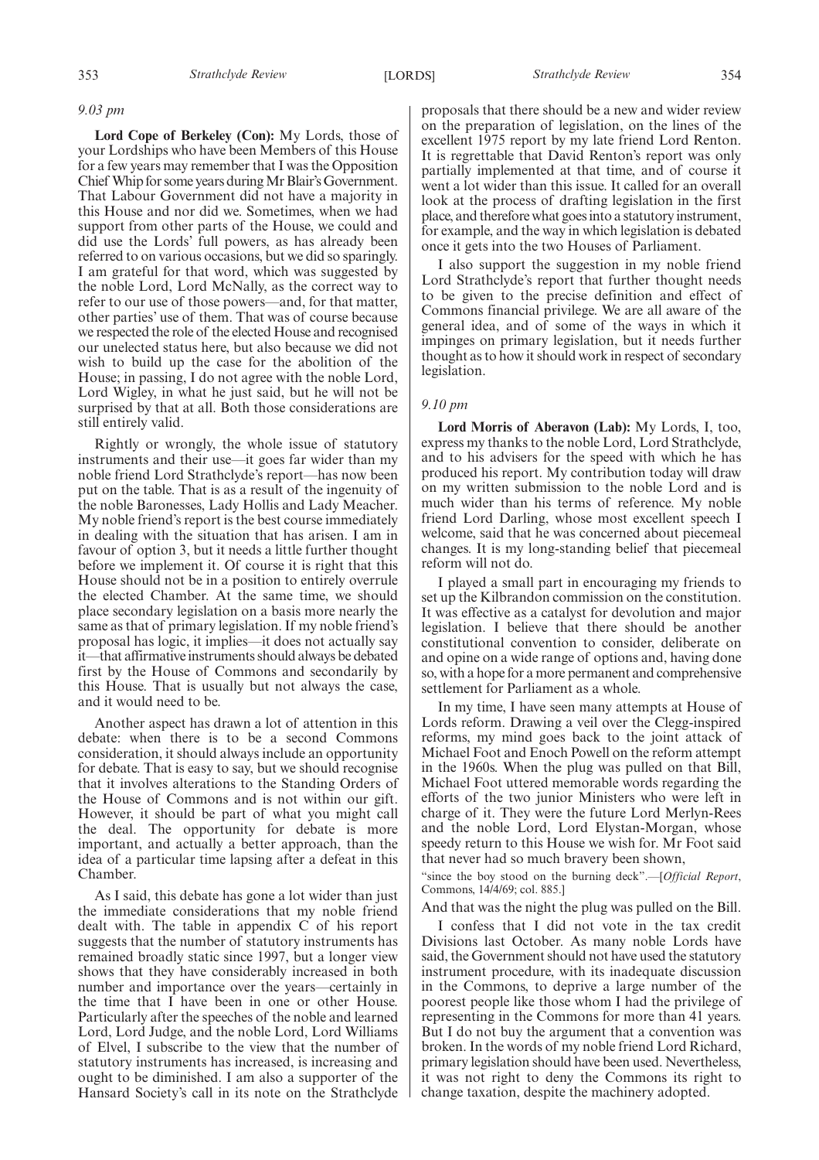*9.03 pm*

**Lord Cope of Berkeley (Con):** My Lords, those of your Lordships who have been Members of this House for a few years may remember that I was the Opposition Chief Whip for some years duringMr Blair'sGovernment. That Labour Government did not have a majority in this House and nor did we. Sometimes, when we had support from other parts of the House, we could and did use the Lords' full powers, as has already been referred to on various occasions, but we did so sparingly. I am grateful for that word, which was suggested by the noble Lord, Lord McNally, as the correct way to refer to our use of those powers—and, for that matter, other parties' use of them. That was of course because we respected the role of the elected House and recognised our unelected status here, but also because we did not wish to build up the case for the abolition of the House; in passing, I do not agree with the noble Lord, Lord Wigley, in what he just said, but he will not be surprised by that at all. Both those considerations are still entirely valid.

Rightly or wrongly, the whole issue of statutory instruments and their use—it goes far wider than my noble friend Lord Strathclyde's report—has now been put on the table. That is as a result of the ingenuity of the noble Baronesses, Lady Hollis and Lady Meacher. My noble friend's report is the best course immediately in dealing with the situation that has arisen. I am in favour of option 3, but it needs a little further thought before we implement it. Of course it is right that this House should not be in a position to entirely overrule the elected Chamber. At the same time, we should place secondary legislation on a basis more nearly the same as that of primary legislation. If my noble friend's proposal has logic, it implies—it does not actually say it—that affirmative instruments should always be debated first by the House of Commons and secondarily by this House. That is usually but not always the case, and it would need to be.

Another aspect has drawn a lot of attention in this debate: when there is to be a second Commons consideration, it should always include an opportunity for debate. That is easy to say, but we should recognise that it involves alterations to the Standing Orders of the House of Commons and is not within our gift. However, it should be part of what you might call the deal. The opportunity for debate is more important, and actually a better approach, than the idea of a particular time lapsing after a defeat in this Chamber.

As I said, this debate has gone a lot wider than just the immediate considerations that my noble friend dealt with. The table in appendix C of his report suggests that the number of statutory instruments has remained broadly static since 1997, but a longer view shows that they have considerably increased in both number and importance over the years—certainly in the time that I have been in one or other House. Particularly after the speeches of the noble and learned Lord, Lord Judge, and the noble Lord, Lord Williams of Elvel, I subscribe to the view that the number of statutory instruments has increased, is increasing and ought to be diminished. I am also a supporter of the Hansard Society's call in its note on the Strathclyde

proposals that there should be a new and wider review on the preparation of legislation, on the lines of the excellent 1975 report by my late friend Lord Renton. It is regrettable that David Renton's report was only partially implemented at that time, and of course it went a lot wider than this issue. It called for an overall look at the process of drafting legislation in the first place, and therefore what goes into a statutory instrument, for example, and the way in which legislation is debated once it gets into the two Houses of Parliament.

I also support the suggestion in my noble friend Lord Strathclyde's report that further thought needs to be given to the precise definition and effect of Commons financial privilege. We are all aware of the general idea, and of some of the ways in which it impinges on primary legislation, but it needs further thought as to how it should work in respect of secondary legislation.

#### *9.10 pm*

**Lord Morris of Aberavon (Lab):** My Lords, I, too, express my thanks to the noble Lord, Lord Strathclyde, and to his advisers for the speed with which he has produced his report. My contribution today will draw on my written submission to the noble Lord and is much wider than his terms of reference. My noble friend Lord Darling, whose most excellent speech I welcome, said that he was concerned about piecemeal changes. It is my long-standing belief that piecemeal reform will not do.

I played a small part in encouraging my friends to set up the Kilbrandon commission on the constitution. It was effective as a catalyst for devolution and major legislation. I believe that there should be another constitutional convention to consider, deliberate on and opine on a wide range of options and, having done so, with a hope for a more permanent and comprehensive settlement for Parliament as a whole.

In my time, I have seen many attempts at House of Lords reform. Drawing a veil over the Clegg-inspired reforms, my mind goes back to the joint attack of Michael Foot and Enoch Powell on the reform attempt in the 1960s. When the plug was pulled on that Bill, Michael Foot uttered memorable words regarding the efforts of the two junior Ministers who were left in charge of it. They were the future Lord Merlyn-Rees and the noble Lord, Lord Elystan-Morgan, whose speedy return to this House we wish for. Mr Foot said that never had so much bravery been shown,

"since the boy stood on the burning deck".—[*Official Report*, Commons, 14/4/69; col. 885.]

And that was the night the plug was pulled on the Bill.

I confess that I did not vote in the tax credit Divisions last October. As many noble Lords have said, the Government should not have used the statutory instrument procedure, with its inadequate discussion in the Commons, to deprive a large number of the poorest people like those whom I had the privilege of representing in the Commons for more than 41 years. But I do not buy the argument that a convention was broken. In the words of my noble friend Lord Richard, primary legislation should have been used. Nevertheless, it was not right to deny the Commons its right to change taxation, despite the machinery adopted.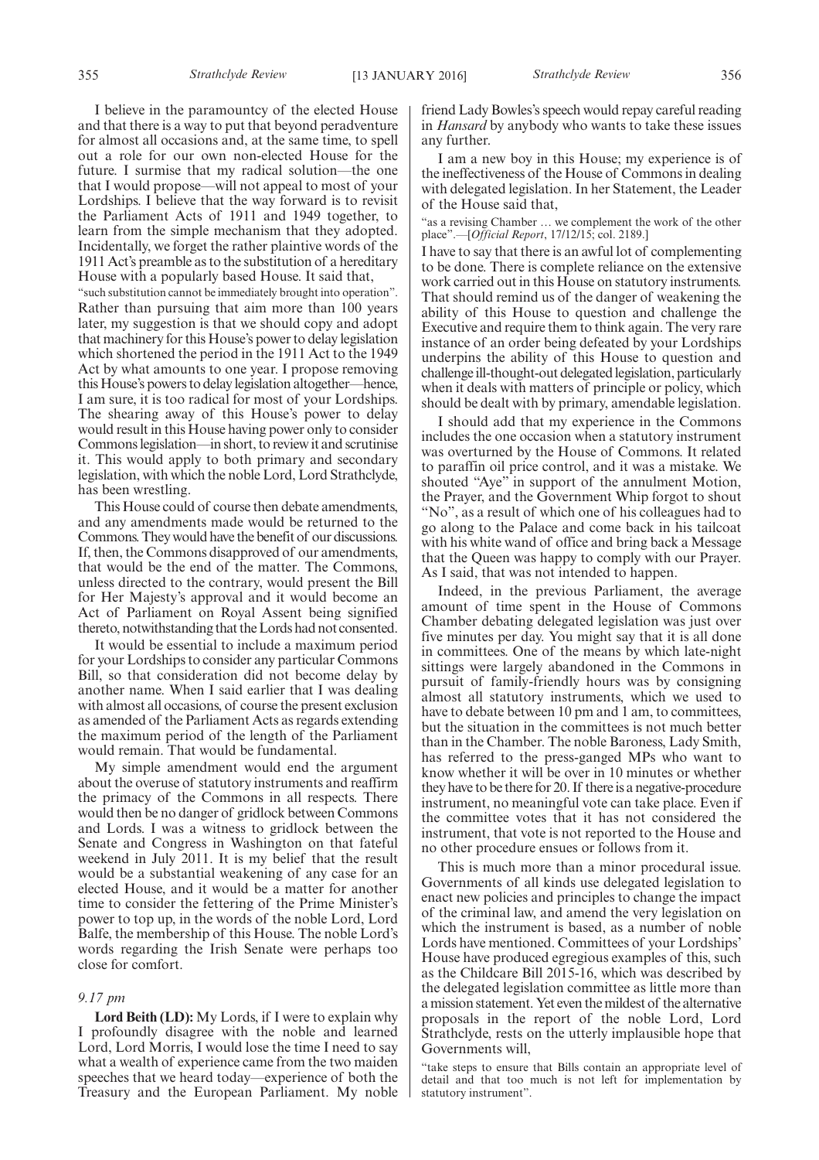I believe in the paramountcy of the elected House and that there is a way to put that beyond peradventure for almost all occasions and, at the same time, to spell out a role for our own non-elected House for the future. I surmise that my radical solution—the one that I would propose—will not appeal to most of your Lordships. I believe that the way forward is to revisit the Parliament Acts of 1911 and 1949 together, to learn from the simple mechanism that they adopted. Incidentally, we forget the rather plaintive words of the 1911 Act's preamble as to the substitution of a hereditary House with a popularly based House. It said that,

"such substitution cannot be immediately brought into operation". Rather than pursuing that aim more than 100 years later, my suggestion is that we should copy and adopt that machinery for this House's power to delay legislation which shortened the period in the 1911 Act to the 1949 Act by what amounts to one year. I propose removing this House's powers to delay legislation altogether—hence, I am sure, it is too radical for most of your Lordships. The shearing away of this House's power to delay would result in this House having power only to consider Commons legislation—in short, to review it and scrutinise it. This would apply to both primary and secondary legislation, with which the noble Lord, Lord Strathclyde, has been wrestling.

This House could of course then debate amendments, and any amendments made would be returned to the Commons. They would have the benefit of our discussions. If, then, the Commons disapproved of our amendments, that would be the end of the matter. The Commons, unless directed to the contrary, would present the Bill for Her Majesty's approval and it would become an Act of Parliament on Royal Assent being signified thereto, notwithstanding that the Lords had not consented.

It would be essential to include a maximum period for your Lordships to consider any particular Commons Bill, so that consideration did not become delay by another name. When I said earlier that I was dealing with almost all occasions, of course the present exclusion as amended of the Parliament Acts as regards extending the maximum period of the length of the Parliament would remain. That would be fundamental.

My simple amendment would end the argument about the overuse of statutory instruments and reaffirm the primacy of the Commons in all respects. There would then be no danger of gridlock between Commons and Lords. I was a witness to gridlock between the Senate and Congress in Washington on that fateful weekend in July 2011. It is my belief that the result would be a substantial weakening of any case for an elected House, and it would be a matter for another time to consider the fettering of the Prime Minister's power to top up, in the words of the noble Lord, Lord Balfe, the membership of this House. The noble Lord's words regarding the Irish Senate were perhaps too close for comfort.

#### *9.17 pm*

**Lord Beith (LD):** My Lords, if I were to explain why I profoundly disagree with the noble and learned Lord, Lord Morris, I would lose the time I need to say what a wealth of experience came from the two maiden speeches that we heard today—experience of both the Treasury and the European Parliament. My noble friend Lady Bowles's speech would repay careful reading in *Hansard* by anybody who wants to take these issues any further.

I am a new boy in this House; my experience is of the ineffectiveness of the House of Commons in dealing with delegated legislation. In her Statement, the Leader of the House said that,

"as a revising Chamber … we complement the work of the other place".—[*Official Report*, 17/12/15; col. 2189.]

I have to say that there is an awful lot of complementing to be done. There is complete reliance on the extensive work carried out in this House on statutory instruments. That should remind us of the danger of weakening the ability of this House to question and challenge the Executive and require them to think again. The very rare instance of an order being defeated by your Lordships underpins the ability of this House to question and challenge ill-thought-out delegated legislation, particularly when it deals with matters of principle or policy, which should be dealt with by primary, amendable legislation.

I should add that my experience in the Commons includes the one occasion when a statutory instrument was overturned by the House of Commons. It related to paraffin oil price control, and it was a mistake. We shouted "Aye" in support of the annulment Motion, the Prayer, and the Government Whip forgot to shout "No", as a result of which one of his colleagues had to go along to the Palace and come back in his tailcoat with his white wand of office and bring back a Message that the Queen was happy to comply with our Prayer. As I said, that was not intended to happen.

Indeed, in the previous Parliament, the average amount of time spent in the House of Commons Chamber debating delegated legislation was just over five minutes per day. You might say that it is all done in committees. One of the means by which late-night sittings were largely abandoned in the Commons in pursuit of family-friendly hours was by consigning almost all statutory instruments, which we used to have to debate between 10 pm and 1 am, to committees, but the situation in the committees is not much better than in the Chamber. The noble Baroness, Lady Smith, has referred to the press-ganged MPs who want to know whether it will be over in 10 minutes or whether they have to be there for 20. If there is a negative-procedure instrument, no meaningful vote can take place. Even if the committee votes that it has not considered the instrument, that vote is not reported to the House and no other procedure ensues or follows from it.

This is much more than a minor procedural issue. Governments of all kinds use delegated legislation to enact new policies and principles to change the impact of the criminal law, and amend the very legislation on which the instrument is based, as a number of noble Lords have mentioned. Committees of your Lordships' House have produced egregious examples of this, such as the Childcare Bill 2015-16, which was described by the delegated legislation committee as little more than a mission statement. Yet even the mildest of the alternative proposals in the report of the noble Lord, Lord Strathclyde, rests on the utterly implausible hope that Governments will,

"take steps to ensure that Bills contain an appropriate level of detail and that too much is not left for implementation by statutory instrument".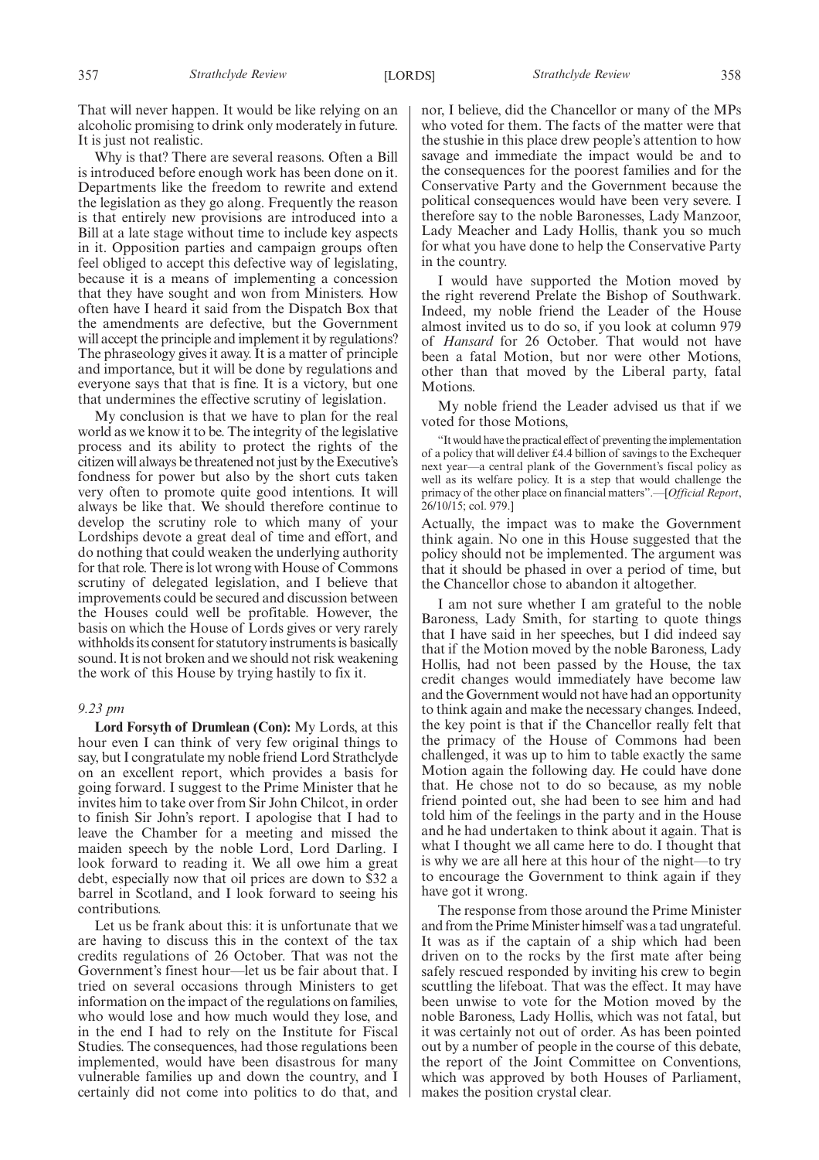That will never happen. It would be like relying on an alcoholic promising to drink only moderately in future. It is just not realistic.

Why is that? There are several reasons. Often a Bill is introduced before enough work has been done on it. Departments like the freedom to rewrite and extend the legislation as they go along. Frequently the reason is that entirely new provisions are introduced into a Bill at a late stage without time to include key aspects in it. Opposition parties and campaign groups often feel obliged to accept this defective way of legislating, because it is a means of implementing a concession that they have sought and won from Ministers. How often have I heard it said from the Dispatch Box that the amendments are defective, but the Government will accept the principle and implement it by regulations? The phraseology gives it away. It is a matter of principle and importance, but it will be done by regulations and everyone says that that is fine. It is a victory, but one that undermines the effective scrutiny of legislation.

My conclusion is that we have to plan for the real world as we know it to be. The integrity of the legislative process and its ability to protect the rights of the citizen will always be threatened not just by the Executive's fondness for power but also by the short cuts taken very often to promote quite good intentions. It will always be like that. We should therefore continue to develop the scrutiny role to which many of your Lordships devote a great deal of time and effort, and do nothing that could weaken the underlying authority for that role. There is lot wrong with House of Commons scrutiny of delegated legislation, and I believe that improvements could be secured and discussion between the Houses could well be profitable. However, the basis on which the House of Lords gives or very rarely withholds its consent for statutory instruments is basically sound. It is not broken and we should not risk weakening the work of this House by trying hastily to fix it.

#### *9.23 pm*

**Lord Forsyth of Drumlean (Con):** My Lords, at this hour even I can think of very few original things to say, but I congratulate my noble friend Lord Strathclyde on an excellent report, which provides a basis for going forward. I suggest to the Prime Minister that he invites him to take over from Sir John Chilcot, in order to finish Sir John's report. I apologise that I had to leave the Chamber for a meeting and missed the maiden speech by the noble Lord, Lord Darling. I look forward to reading it. We all owe him a great debt, especially now that oil prices are down to \$32 a barrel in Scotland, and I look forward to seeing his contributions.

Let us be frank about this: it is unfortunate that we are having to discuss this in the context of the tax credits regulations of 26 October. That was not the Government's finest hour—let us be fair about that. I tried on several occasions through Ministers to get information on the impact of the regulations on families, who would lose and how much would they lose, and in the end I had to rely on the Institute for Fiscal Studies. The consequences, had those regulations been implemented, would have been disastrous for many vulnerable families up and down the country, and I certainly did not come into politics to do that, and nor, I believe, did the Chancellor or many of the MPs who voted for them. The facts of the matter were that the stushie in this place drew people's attention to how savage and immediate the impact would be and to the consequences for the poorest families and for the Conservative Party and the Government because the political consequences would have been very severe. I therefore say to the noble Baronesses, Lady Manzoor, Lady Meacher and Lady Hollis, thank you so much for what you have done to help the Conservative Party in the country.

I would have supported the Motion moved by the right reverend Prelate the Bishop of Southwark. Indeed, my noble friend the Leader of the House almost invited us to do so, if you look at column 979 of *Hansard* for 26 October. That would not have been a fatal Motion, but nor were other Motions, other than that moved by the Liberal party, fatal Motions.

My noble friend the Leader advised us that if we voted for those Motions,

"It would have the practical effect of preventing the implementation of a policy that will deliver £4.4 billion of savings to the Exchequer next year—a central plank of the Government's fiscal policy as well as its welfare policy. It is a step that would challenge the primacy of the other place on financial matters".—[*Official Report*, 26/10/15; col. 979.]

Actually, the impact was to make the Government think again. No one in this House suggested that the policy should not be implemented. The argument was that it should be phased in over a period of time, but the Chancellor chose to abandon it altogether.

I am not sure whether I am grateful to the noble Baroness, Lady Smith, for starting to quote things that I have said in her speeches, but I did indeed say that if the Motion moved by the noble Baroness, Lady Hollis, had not been passed by the House, the tax credit changes would immediately have become law and the Government would not have had an opportunity to think again and make the necessary changes. Indeed, the key point is that if the Chancellor really felt that the primacy of the House of Commons had been challenged, it was up to him to table exactly the same Motion again the following day. He could have done that. He chose not to do so because, as my noble friend pointed out, she had been to see him and had told him of the feelings in the party and in the House and he had undertaken to think about it again. That is what I thought we all came here to do. I thought that is why we are all here at this hour of the night—to try to encourage the Government to think again if they have got it wrong.

The response from those around the Prime Minister and from the Prime Minister himself was a tad ungrateful. It was as if the captain of a ship which had been driven on to the rocks by the first mate after being safely rescued responded by inviting his crew to begin scuttling the lifeboat. That was the effect. It may have been unwise to vote for the Motion moved by the noble Baroness, Lady Hollis, which was not fatal, but it was certainly not out of order. As has been pointed out by a number of people in the course of this debate, the report of the Joint Committee on Conventions, which was approved by both Houses of Parliament, makes the position crystal clear.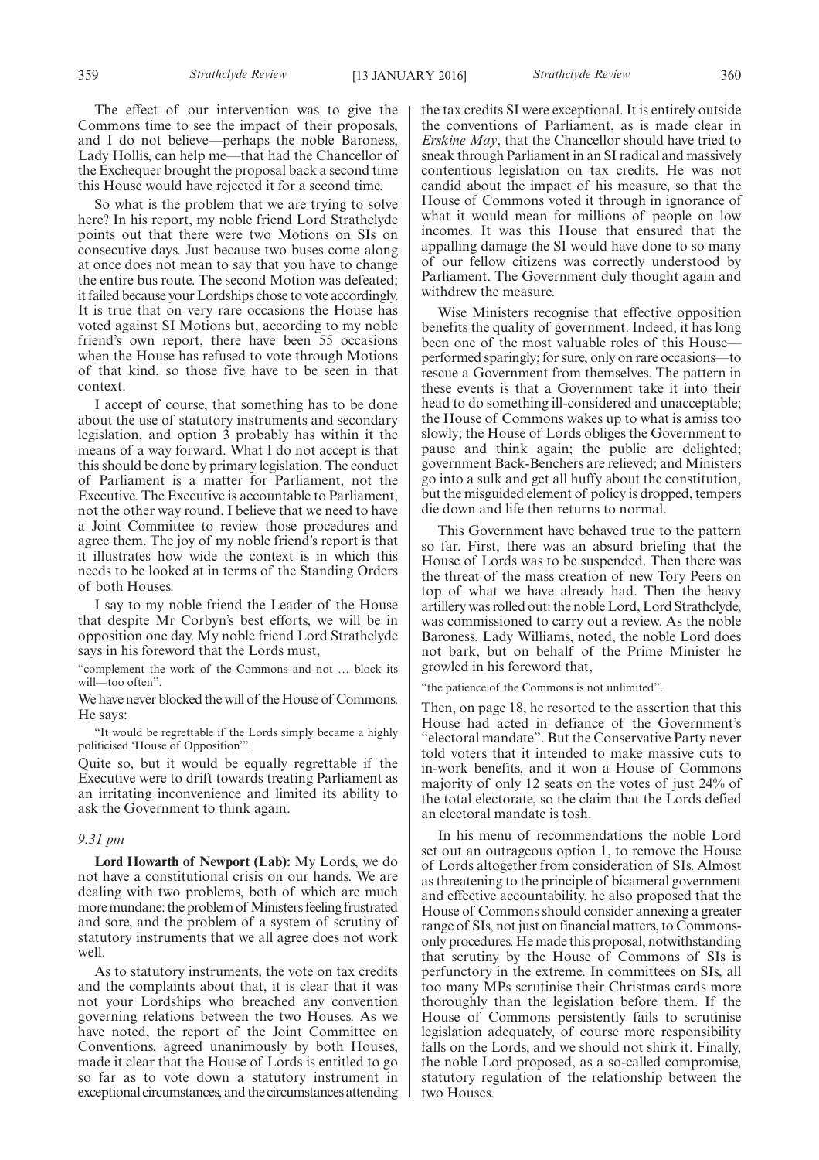The effect of our intervention was to give the Commons time to see the impact of their proposals, and I do not believe—perhaps the noble Baroness, Lady Hollis, can help me—that had the Chancellor of the Exchequer brought the proposal back a second time this House would have rejected it for a second time.

So what is the problem that we are trying to solve here? In his report, my noble friend Lord Strathclyde points out that there were two Motions on SIs on consecutive days. Just because two buses come along at once does not mean to say that you have to change the entire bus route. The second Motion was defeated; it failed because your Lordships chose to vote accordingly. It is true that on very rare occasions the House has voted against SI Motions but, according to my noble friend's own report, there have been 55 occasions when the House has refused to vote through Motions of that kind, so those five have to be seen in that context.

I accept of course, that something has to be done about the use of statutory instruments and secondary legislation, and option 3 probably has within it the means of a way forward. What I do not accept is that this should be done by primary legislation. The conduct of Parliament is a matter for Parliament, not the Executive. The Executive is accountable to Parliament, not the other way round. I believe that we need to have a Joint Committee to review those procedures and agree them. The joy of my noble friend's report is that it illustrates how wide the context is in which this needs to be looked at in terms of the Standing Orders of both Houses.

I say to my noble friend the Leader of the House that despite Mr Corbyn's best efforts, we will be in opposition one day. My noble friend Lord Strathclyde says in his foreword that the Lords must,

"complement the work of the Commons and not … block its will—too often".

We have never blocked the will of the House of Commons. He says:

"It would be regrettable if the Lords simply became a highly politicised 'House of Opposition'".

Quite so, but it would be equally regrettable if the Executive were to drift towards treating Parliament as an irritating inconvenience and limited its ability to ask the Government to think again.

#### *9.31 pm*

**Lord Howarth of Newport (Lab):** My Lords, we do not have a constitutional crisis on our hands. We are dealing with two problems, both of which are much more mundane: the problem of Ministers feeling frustrated and sore, and the problem of a system of scrutiny of statutory instruments that we all agree does not work well.

As to statutory instruments, the vote on tax credits and the complaints about that, it is clear that it was not your Lordships who breached any convention governing relations between the two Houses. As we have noted, the report of the Joint Committee on Conventions, agreed unanimously by both Houses, made it clear that the House of Lords is entitled to go so far as to vote down a statutory instrument in exceptional circumstances, and the circumstances attending the tax credits SI were exceptional. It is entirely outside the conventions of Parliament, as is made clear in *Erskine May*, that the Chancellor should have tried to sneak through Parliament in an SI radical and massively contentious legislation on tax credits. He was not candid about the impact of his measure, so that the House of Commons voted it through in ignorance of what it would mean for millions of people on low incomes. It was this House that ensured that the appalling damage the SI would have done to so many of our fellow citizens was correctly understood by Parliament. The Government duly thought again and withdrew the measure.

Wise Ministers recognise that effective opposition benefits the quality of government. Indeed, it has long been one of the most valuable roles of this House performed sparingly; for sure, only on rare occasions—to rescue a Government from themselves. The pattern in these events is that a Government take it into their head to do something ill-considered and unacceptable; the House of Commons wakes up to what is amiss too slowly; the House of Lords obliges the Government to pause and think again; the public are delighted; government Back-Benchers are relieved; and Ministers go into a sulk and get all huffy about the constitution, but the misguided element of policy is dropped, tempers die down and life then returns to normal.

This Government have behaved true to the pattern so far. First, there was an absurd briefing that the House of Lords was to be suspended. Then there was the threat of the mass creation of new Tory Peers on top of what we have already had. Then the heavy artillery was rolled out: the noble Lord, Lord Strathclyde, was commissioned to carry out a review. As the noble Baroness, Lady Williams, noted, the noble Lord does not bark, but on behalf of the Prime Minister he growled in his foreword that,

"the patience of the Commons is not unlimited".

Then, on page 18, he resorted to the assertion that this House had acted in defiance of the Government's "electoral mandate". But the Conservative Party never told voters that it intended to make massive cuts to in-work benefits, and it won a House of Commons majority of only 12 seats on the votes of just 24% of the total electorate, so the claim that the Lords defied an electoral mandate is tosh.

In his menu of recommendations the noble Lord set out an outrageous option 1, to remove the House of Lords altogether from consideration of SIs. Almost as threatening to the principle of bicameral government and effective accountability, he also proposed that the House of Commons should consider annexing a greater range of SIs, not just on financial matters, to Commonsonly procedures. He made this proposal, notwithstanding that scrutiny by the House of Commons of SIs is perfunctory in the extreme. In committees on SIs, all too many MPs scrutinise their Christmas cards more thoroughly than the legislation before them. If the House of Commons persistently fails to scrutinise legislation adequately, of course more responsibility falls on the Lords, and we should not shirk it. Finally, the noble Lord proposed, as a so-called compromise, statutory regulation of the relationship between the two Houses.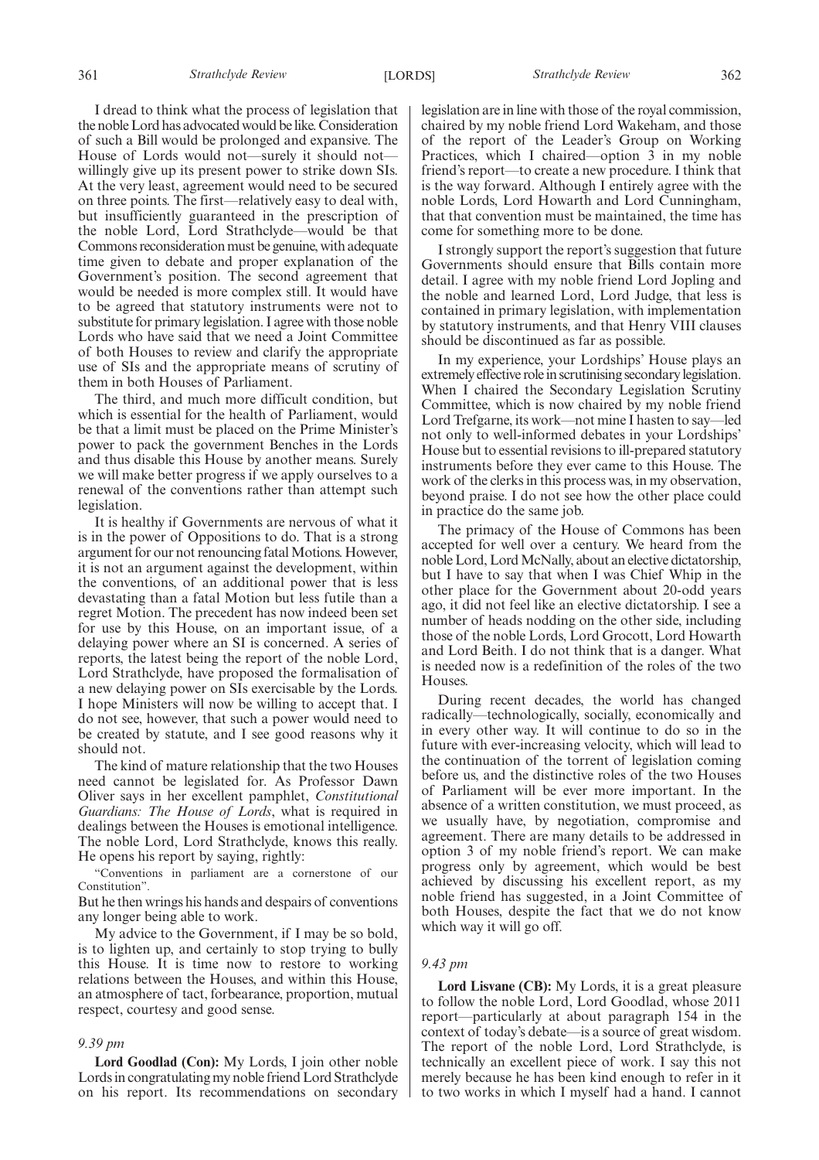I dread to think what the process of legislation that the noble Lord has advocated would be like. Consideration of such a Bill would be prolonged and expansive. The House of Lords would not—surely it should not willingly give up its present power to strike down SIs. At the very least, agreement would need to be secured on three points. The first—relatively easy to deal with, but insufficiently guaranteed in the prescription of the noble Lord, Lord Strathclyde—would be that Commons reconsideration must be genuine, with adequate time given to debate and proper explanation of the Government's position. The second agreement that would be needed is more complex still. It would have to be agreed that statutory instruments were not to substitute for primary legislation. I agree with those noble Lords who have said that we need a Joint Committee of both Houses to review and clarify the appropriate use of SIs and the appropriate means of scrutiny of them in both Houses of Parliament.

The third, and much more difficult condition, but which is essential for the health of Parliament, would be that a limit must be placed on the Prime Minister's power to pack the government Benches in the Lords and thus disable this House by another means. Surely we will make better progress if we apply ourselves to a renewal of the conventions rather than attempt such legislation.

It is healthy if Governments are nervous of what it is in the power of Oppositions to do. That is a strong argument for our not renouncing fatal Motions. However, it is not an argument against the development, within the conventions, of an additional power that is less devastating than a fatal Motion but less futile than a regret Motion. The precedent has now indeed been set for use by this House, on an important issue, of a delaying power where an SI is concerned. A series of reports, the latest being the report of the noble Lord, Lord Strathclyde, have proposed the formalisation of a new delaying power on SIs exercisable by the Lords. I hope Ministers will now be willing to accept that. I do not see, however, that such a power would need to be created by statute, and I see good reasons why it should not.

The kind of mature relationship that the two Houses need cannot be legislated for. As Professor Dawn Oliver says in her excellent pamphlet, *Constitutional Guardians: The House of Lords*, what is required in dealings between the Houses is emotional intelligence. The noble Lord, Lord Strathclyde, knows this really. He opens his report by saying, rightly:

"Conventions in parliament are a cornerstone of our Constitution".

But he then wrings his hands and despairs of conventions any longer being able to work.

My advice to the Government, if I may be so bold, is to lighten up, and certainly to stop trying to bully this House. It is time now to restore to working relations between the Houses, and within this House, an atmosphere of tact, forbearance, proportion, mutual respect, courtesy and good sense.

#### *9.39 pm*

**Lord Goodlad (Con):** My Lords, I join other noble Lords in congratulating my noble friend Lord Strathclyde on his report. Its recommendations on secondary legislation are in line with those of the royal commission, chaired by my noble friend Lord Wakeham, and those of the report of the Leader's Group on Working Practices, which I chaired—option 3 in my noble friend's report—to create a new procedure. I think that is the way forward. Although I entirely agree with the noble Lords, Lord Howarth and Lord Cunningham, that that convention must be maintained, the time has come for something more to be done.

I strongly support the report's suggestion that future Governments should ensure that Bills contain more detail. I agree with my noble friend Lord Jopling and the noble and learned Lord, Lord Judge, that less is contained in primary legislation, with implementation by statutory instruments, and that Henry VIII clauses should be discontinued as far as possible.

In my experience, your Lordships' House plays an extremely effective role in scrutinising secondary legislation. When I chaired the Secondary Legislation Scrutiny Committee, which is now chaired by my noble friend Lord Trefgarne, its work—not mine I hasten to say—led not only to well-informed debates in your Lordships' House but to essential revisions to ill-prepared statutory instruments before they ever came to this House. The work of the clerks in this process was, in my observation, beyond praise. I do not see how the other place could in practice do the same job.

The primacy of the House of Commons has been accepted for well over a century. We heard from the noble Lord, Lord McNally, about an elective dictatorship, but I have to say that when I was Chief Whip in the other place for the Government about 20-odd years ago, it did not feel like an elective dictatorship. I see a number of heads nodding on the other side, including those of the noble Lords, Lord Grocott, Lord Howarth and Lord Beith. I do not think that is a danger. What is needed now is a redefinition of the roles of the two **Houses** 

During recent decades, the world has changed radically—technologically, socially, economically and in every other way. It will continue to do so in the future with ever-increasing velocity, which will lead to the continuation of the torrent of legislation coming before us, and the distinctive roles of the two Houses of Parliament will be ever more important. In the absence of a written constitution, we must proceed, as we usually have, by negotiation, compromise and agreement. There are many details to be addressed in option 3 of my noble friend's report. We can make progress only by agreement, which would be best achieved by discussing his excellent report, as my noble friend has suggested, in a Joint Committee of both Houses, despite the fact that we do not know which way it will go off.

#### *9.43 pm*

**Lord Lisvane (CB):** My Lords, it is a great pleasure to follow the noble Lord, Lord Goodlad, whose 2011 report—particularly at about paragraph 154 in the context of today's debate—is a source of great wisdom. The report of the noble Lord, Lord Strathclyde, is technically an excellent piece of work. I say this not merely because he has been kind enough to refer in it to two works in which I myself had a hand. I cannot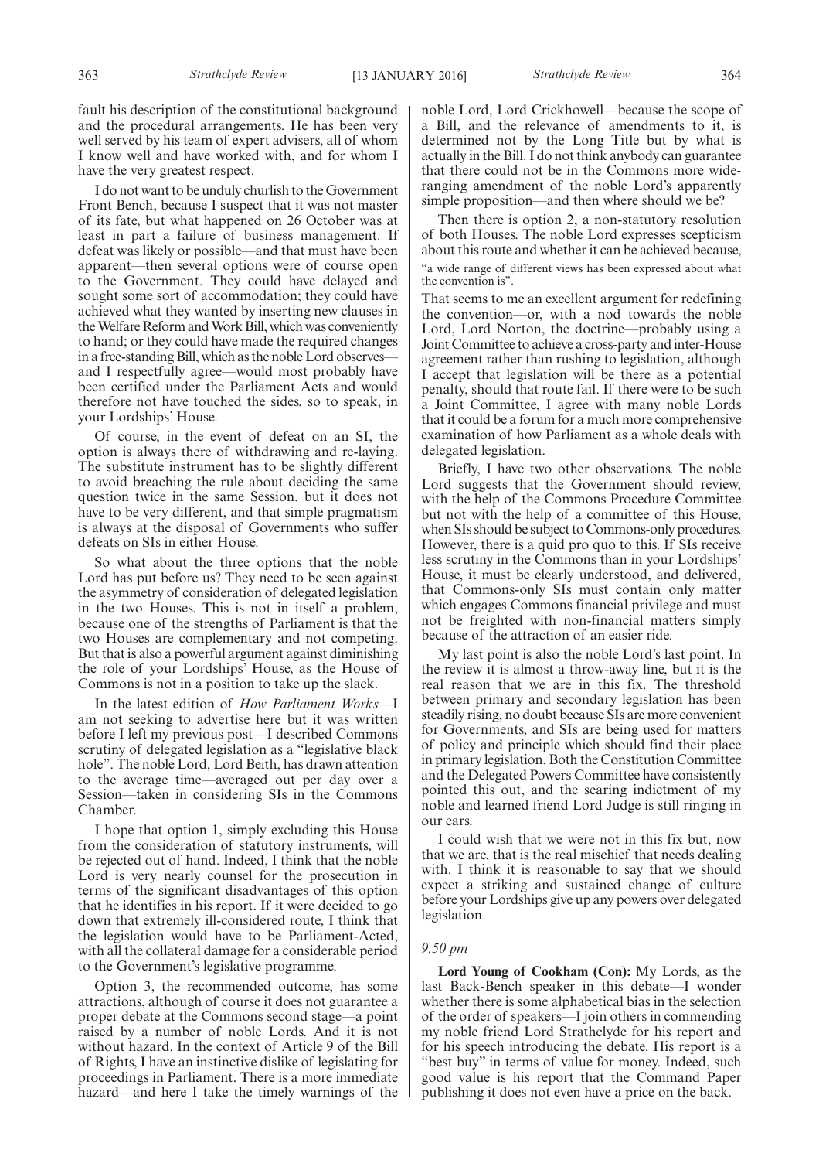fault his description of the constitutional background and the procedural arrangements. He has been very well served by his team of expert advisers, all of whom I know well and have worked with, and for whom I have the very greatest respect.

I do not want to be unduly churlish to the Government Front Bench, because I suspect that it was not master of its fate, but what happened on 26 October was at least in part a failure of business management. If defeat was likely or possible—and that must have been apparent—then several options were of course open to the Government. They could have delayed and sought some sort of accommodation; they could have achieved what they wanted by inserting new clauses in the Welfare Reform and Work Bill, which was conveniently to hand; or they could have made the required changes in a free-standing Bill, which as the noble Lord observes and I respectfully agree—would most probably have been certified under the Parliament Acts and would therefore not have touched the sides, so to speak, in your Lordships' House.

Of course, in the event of defeat on an SI, the option is always there of withdrawing and re-laying. The substitute instrument has to be slightly different to avoid breaching the rule about deciding the same question twice in the same Session, but it does not have to be very different, and that simple pragmatism is always at the disposal of Governments who suffer defeats on SIs in either House.

So what about the three options that the noble Lord has put before us? They need to be seen against the asymmetry of consideration of delegated legislation in the two Houses. This is not in itself a problem, because one of the strengths of Parliament is that the two Houses are complementary and not competing. But that is also a powerful argument against diminishing the role of your Lordships' House, as the House of Commons is not in a position to take up the slack.

In the latest edition of *How Parliament Works*—I am not seeking to advertise here but it was written before I left my previous post—I described Commons scrutiny of delegated legislation as a "legislative black hole". The noble Lord, Lord Beith, has drawn attention to the average time—averaged out per day over a Session—taken in considering SIs in the Commons Chamber.

I hope that option 1, simply excluding this House from the consideration of statutory instruments, will be rejected out of hand. Indeed, I think that the noble Lord is very nearly counsel for the prosecution in terms of the significant disadvantages of this option that he identifies in his report. If it were decided to go down that extremely ill-considered route, I think that the legislation would have to be Parliament-Acted, with all the collateral damage for a considerable period to the Government's legislative programme.

Option 3, the recommended outcome, has some attractions, although of course it does not guarantee a proper debate at the Commons second stage—a point raised by a number of noble Lords. And it is not without hazard. In the context of Article 9 of the Bill of Rights, I have an instinctive dislike of legislating for proceedings in Parliament. There is a more immediate hazard—and here I take the timely warnings of the noble Lord, Lord Crickhowell—because the scope of a Bill, and the relevance of amendments to it, is determined not by the Long Title but by what is actually in the Bill. I do not think anybody can guarantee that there could not be in the Commons more wideranging amendment of the noble Lord's apparently simple proposition—and then where should we be?

Then there is option 2, a non-statutory resolution of both Houses. The noble Lord expresses scepticism about this route and whether it can be achieved because, "a wide range of different views has been expressed about what the convention is".

That seems to me an excellent argument for redefining the convention—or, with a nod towards the noble Lord, Lord Norton, the doctrine—probably using a Joint Committee to achieve a cross-party and inter-House agreement rather than rushing to legislation, although I accept that legislation will be there as a potential penalty, should that route fail. If there were to be such a Joint Committee, I agree with many noble Lords that it could be a forum for a much more comprehensive examination of how Parliament as a whole deals with delegated legislation.

Briefly, I have two other observations. The noble Lord suggests that the Government should review, with the help of the Commons Procedure Committee but not with the help of a committee of this House, when SIs should be subject to Commons-only procedures. However, there is a quid pro quo to this. If SIs receive less scrutiny in the Commons than in your Lordships' House, it must be clearly understood, and delivered, that Commons-only SIs must contain only matter which engages Commons financial privilege and must not be freighted with non-financial matters simply because of the attraction of an easier ride.

My last point is also the noble Lord's last point. In the review it is almost a throw-away line, but it is the real reason that we are in this fix. The threshold between primary and secondary legislation has been steadily rising, no doubt because SIs are more convenient for Governments, and SIs are being used for matters of policy and principle which should find their place in primary legislation. Both the Constitution Committee and the Delegated Powers Committee have consistently pointed this out, and the searing indictment of my noble and learned friend Lord Judge is still ringing in our ears.

I could wish that we were not in this fix but, now that we are, that is the real mischief that needs dealing with. I think it is reasonable to say that we should expect a striking and sustained change of culture before your Lordships give up any powers over delegated legislation.

#### *9.50 pm*

**Lord Young of Cookham (Con):** My Lords, as the last Back-Bench speaker in this debate—I wonder whether there is some alphabetical bias in the selection of the order of speakers—I join others in commending my noble friend Lord Strathclyde for his report and for his speech introducing the debate. His report is a "best buy" in terms of value for money. Indeed, such good value is his report that the Command Paper publishing it does not even have a price on the back.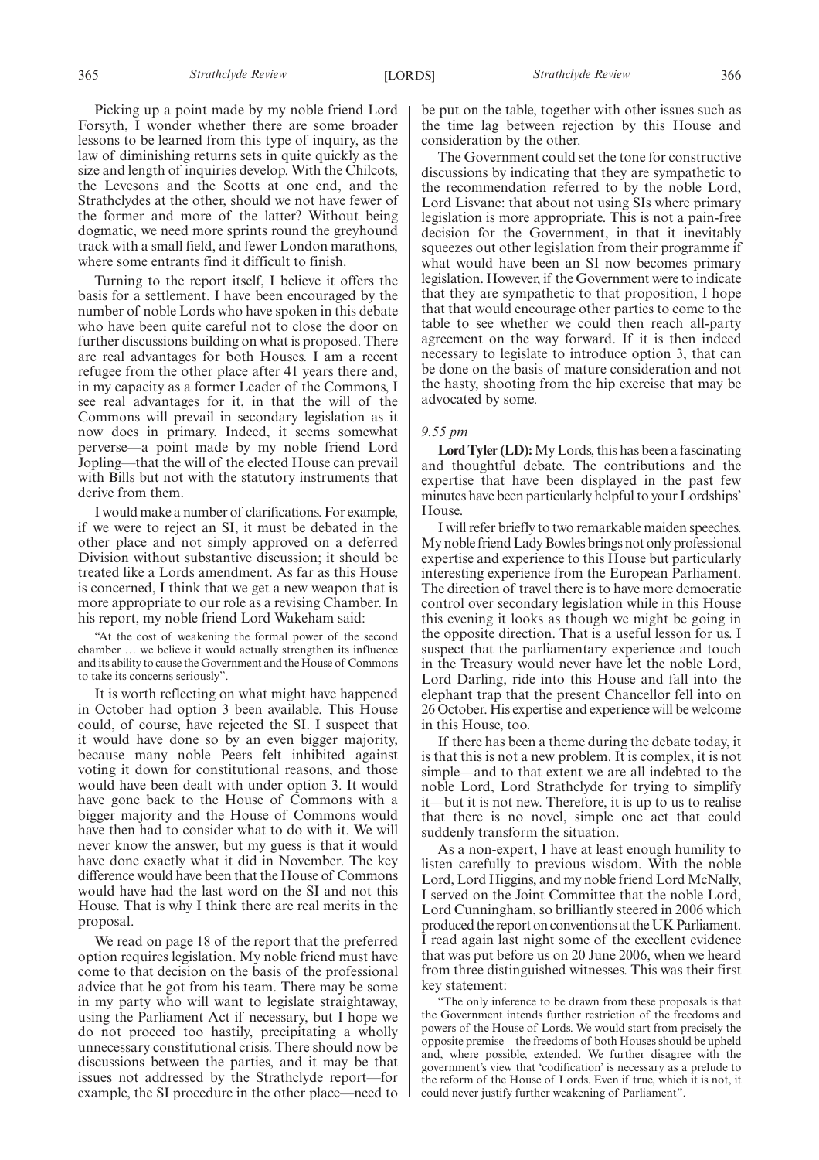Picking up a point made by my noble friend Lord Forsyth, I wonder whether there are some broader lessons to be learned from this type of inquiry, as the law of diminishing returns sets in quite quickly as the size and length of inquiries develop. With the Chilcots, the Levesons and the Scotts at one end, and the Strathclydes at the other, should we not have fewer of the former and more of the latter? Without being dogmatic, we need more sprints round the greyhound track with a small field, and fewer London marathons, where some entrants find it difficult to finish.

Turning to the report itself, I believe it offers the basis for a settlement. I have been encouraged by the number of noble Lords who have spoken in this debate who have been quite careful not to close the door on further discussions building on what is proposed. There are real advantages for both Houses. I am a recent refugee from the other place after 41 years there and, in my capacity as a former Leader of the Commons, I see real advantages for it, in that the will of the Commons will prevail in secondary legislation as it now does in primary. Indeed, it seems somewhat perverse—a point made by my noble friend Lord Jopling—that the will of the elected House can prevail with Bills but not with the statutory instruments that derive from them.

I would make a number of clarifications. For example, if we were to reject an SI, it must be debated in the other place and not simply approved on a deferred Division without substantive discussion; it should be treated like a Lords amendment. As far as this House is concerned, I think that we get a new weapon that is more appropriate to our role as a revising Chamber. In his report, my noble friend Lord Wakeham said:

"At the cost of weakening the formal power of the second chamber … we believe it would actually strengthen its influence and its ability to cause the Government and the House of Commons to take its concerns seriously".

It is worth reflecting on what might have happened in October had option 3 been available. This House could, of course, have rejected the SI. I suspect that it would have done so by an even bigger majority, because many noble Peers felt inhibited against voting it down for constitutional reasons, and those would have been dealt with under option 3. It would have gone back to the House of Commons with a bigger majority and the House of Commons would have then had to consider what to do with it. We will never know the answer, but my guess is that it would have done exactly what it did in November. The key difference would have been that the House of Commons would have had the last word on the SI and not this House. That is why I think there are real merits in the proposal.

We read on page 18 of the report that the preferred option requires legislation. My noble friend must have come to that decision on the basis of the professional advice that he got from his team. There may be some in my party who will want to legislate straightaway, using the Parliament Act if necessary, but I hope we do not proceed too hastily, precipitating a wholly unnecessary constitutional crisis. There should now be discussions between the parties, and it may be that issues not addressed by the Strathclyde report—for example, the SI procedure in the other place—need to be put on the table, together with other issues such as the time lag between rejection by this House and consideration by the other.

The Government could set the tone for constructive discussions by indicating that they are sympathetic to the recommendation referred to by the noble Lord, Lord Lisvane: that about not using SIs where primary legislation is more appropriate. This is not a pain-free decision for the Government, in that it inevitably squeezes out other legislation from their programme if what would have been an SI now becomes primary legislation. However, if the Government were to indicate that they are sympathetic to that proposition, I hope that that would encourage other parties to come to the table to see whether we could then reach all-party agreement on the way forward. If it is then indeed necessary to legislate to introduce option 3, that can be done on the basis of mature consideration and not the hasty, shooting from the hip exercise that may be advocated by some.

#### *9.55 pm*

**Lord Tyler (LD):**My Lords, this has been a fascinating and thoughtful debate. The contributions and the expertise that have been displayed in the past few minutes have been particularly helpful to your Lordships' House.

I will refer briefly to two remarkable maiden speeches. My noble friend Lady Bowles brings not only professional expertise and experience to this House but particularly interesting experience from the European Parliament. The direction of travel there is to have more democratic control over secondary legislation while in this House this evening it looks as though we might be going in the opposite direction. That is a useful lesson for us. I suspect that the parliamentary experience and touch in the Treasury would never have let the noble Lord, Lord Darling, ride into this House and fall into the elephant trap that the present Chancellor fell into on 26 October. His expertise and experience will be welcome in this House, too.

If there has been a theme during the debate today, it is that this is not a new problem. It is complex, it is not simple—and to that extent we are all indebted to the noble Lord, Lord Strathclyde for trying to simplify it—but it is not new. Therefore, it is up to us to realise that there is no novel, simple one act that could suddenly transform the situation.

As a non-expert, I have at least enough humility to listen carefully to previous wisdom. With the noble Lord, Lord Higgins, and my noble friend Lord McNally, I served on the Joint Committee that the noble Lord, Lord Cunningham, so brilliantly steered in 2006 which produced the report on conventions at the UK Parliament. I read again last night some of the excellent evidence that was put before us on 20 June 2006, when we heard from three distinguished witnesses. This was their first key statement:

"The only inference to be drawn from these proposals is that the Government intends further restriction of the freedoms and powers of the House of Lords. We would start from precisely the opposite premise—the freedoms of both Houses should be upheld and, where possible, extended. We further disagree with the government's view that 'codification' is necessary as a prelude to the reform of the House of Lords. Even if true, which it is not, it could never justify further weakening of Parliament".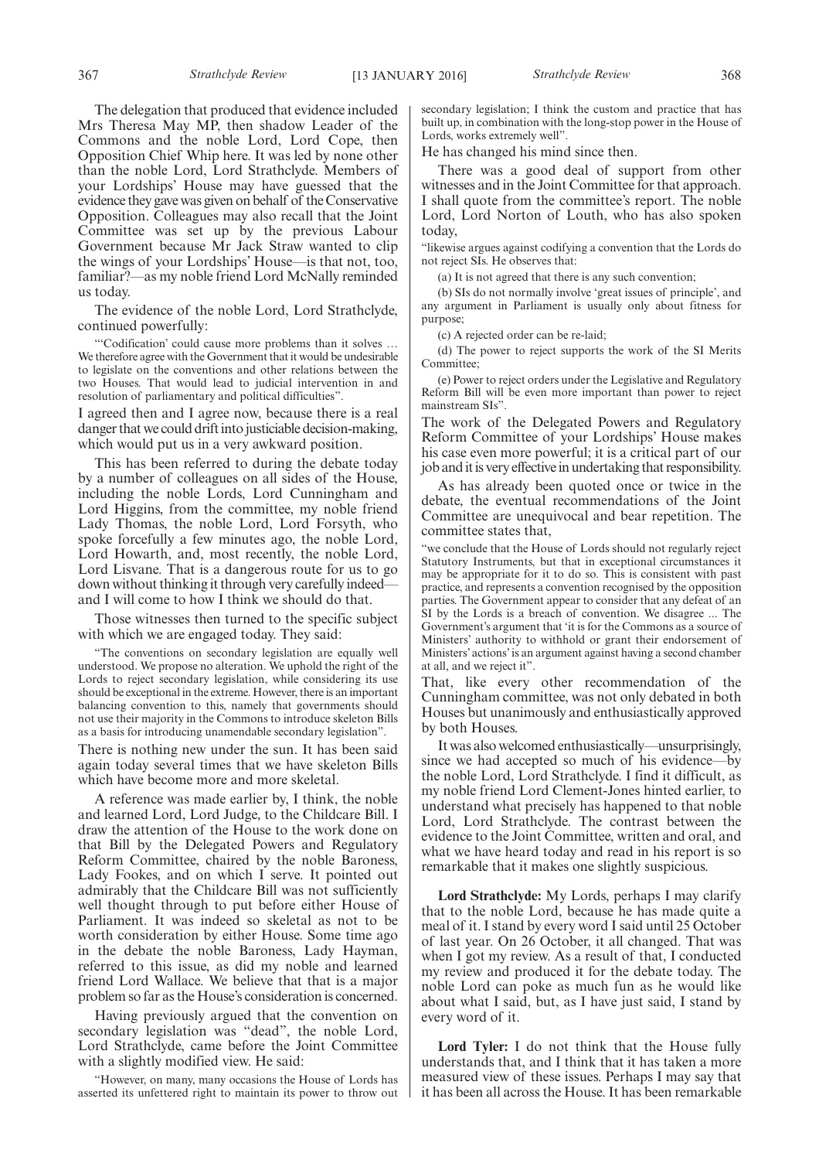The delegation that produced that evidence included Mrs Theresa May MP, then shadow Leader of the Commons and the noble Lord, Lord Cope, then Opposition Chief Whip here. It was led by none other than the noble Lord, Lord Strathclyde. Members of your Lordships' House may have guessed that the evidence they gave was given on behalf of the Conservative Opposition. Colleagues may also recall that the Joint Committee was set up by the previous Labour Government because Mr Jack Straw wanted to clip the wings of your Lordships' House—is that not, too, familiar?—as my noble friend Lord McNally reminded us today.

The evidence of the noble Lord, Lord Strathclyde, continued powerfully:

"'Codification' could cause more problems than it solves … We therefore agree with the Government that it would be undesirable to legislate on the conventions and other relations between the two Houses. That would lead to judicial intervention in and resolution of parliamentary and political difficulties".

I agreed then and I agree now, because there is a real danger that we could drift into justiciable decision-making, which would put us in a very awkward position.

This has been referred to during the debate today by a number of colleagues on all sides of the House, including the noble Lords, Lord Cunningham and Lord Higgins, from the committee, my noble friend Lady Thomas, the noble Lord, Lord Forsyth, who spoke forcefully a few minutes ago, the noble Lord, Lord Howarth, and, most recently, the noble Lord, Lord Lisvane. That is a dangerous route for us to go down without thinking it through very carefully indeed and I will come to how I think we should do that.

Those witnesses then turned to the specific subject with which we are engaged today. They said:

"The conventions on secondary legislation are equally well understood. We propose no alteration. We uphold the right of the Lords to reject secondary legislation, while considering its use should be exceptional in the extreme. However, there is an important balancing convention to this, namely that governments should not use their majority in the Commons to introduce skeleton Bills as a basis for introducing unamendable secondary legislation".

There is nothing new under the sun. It has been said again today several times that we have skeleton Bills which have become more and more skeletal.

A reference was made earlier by, I think, the noble and learned Lord, Lord Judge, to the Childcare Bill. I draw the attention of the House to the work done on that Bill by the Delegated Powers and Regulatory Reform Committee, chaired by the noble Baroness, Lady Fookes, and on which I serve. It pointed out admirably that the Childcare Bill was not sufficiently well thought through to put before either House of Parliament. It was indeed so skeletal as not to be worth consideration by either House. Some time ago in the debate the noble Baroness, Lady Hayman, referred to this issue, as did my noble and learned friend Lord Wallace. We believe that that is a major problem so far as the House's consideration is concerned.

Having previously argued that the convention on secondary legislation was "dead", the noble Lord, Lord Strathclyde, came before the Joint Committee with a slightly modified view. He said:

"However, on many, many occasions the House of Lords has asserted its unfettered right to maintain its power to throw out secondary legislation; I think the custom and practice that has built up, in combination with the long-stop power in the House of Lords, works extremely well".

He has changed his mind since then.

There was a good deal of support from other witnesses and in the Joint Committee for that approach. I shall quote from the committee's report. The noble Lord, Lord Norton of Louth, who has also spoken today,

"likewise argues against codifying a convention that the Lords do not reject SIs. He observes that:

(a) It is not agreed that there is any such convention;

(b) SIs do not normally involve 'great issues of principle', and any argument in Parliament is usually only about fitness for purpose;

(c) A rejected order can be re-laid;

(d) The power to reject supports the work of the SI Merits Committee;

(e) Power to reject orders under the Legislative and Regulatory Reform Bill will be even more important than power to reject mainstream SIs".

The work of the Delegated Powers and Regulatory Reform Committee of your Lordships' House makes his case even more powerful; it is a critical part of our job and it is very effective in undertaking that responsibility.

As has already been quoted once or twice in the debate, the eventual recommendations of the Joint Committee are unequivocal and bear repetition. The committee states that,

"we conclude that the House of Lords should not regularly reject Statutory Instruments, but that in exceptional circumstances it may be appropriate for it to do so. This is consistent with past practice, and represents a convention recognised by the opposition parties. The Government appear to consider that any defeat of an SI by the Lords is a breach of convention. We disagree ... The Government's argument that 'it is for the Commons as a source of Ministers' authority to withhold or grant their endorsement of Ministers' actions' is an argument against having a second chamber at all, and we reject it".

That, like every other recommendation of the Cunningham committee, was not only debated in both Houses but unanimously and enthusiastically approved by both Houses.

It was also welcomed enthusiastically—unsurprisingly, since we had accepted so much of his evidence—by the noble Lord, Lord Strathclyde. I find it difficult, as my noble friend Lord Clement-Jones hinted earlier, to understand what precisely has happened to that noble Lord, Lord Strathclyde. The contrast between the evidence to the Joint Committee, written and oral, and what we have heard today and read in his report is so remarkable that it makes one slightly suspicious.

**Lord Strathclyde:** My Lords, perhaps I may clarify that to the noble Lord, because he has made quite a meal of it. I stand by every word I said until 25 October of last year. On 26 October, it all changed. That was when I got my review. As a result of that, I conducted my review and produced it for the debate today. The noble Lord can poke as much fun as he would like about what I said, but, as I have just said, I stand by every word of it.

**Lord Tyler:** I do not think that the House fully understands that, and I think that it has taken a more measured view of these issues. Perhaps I may say that it has been all across the House. It has been remarkable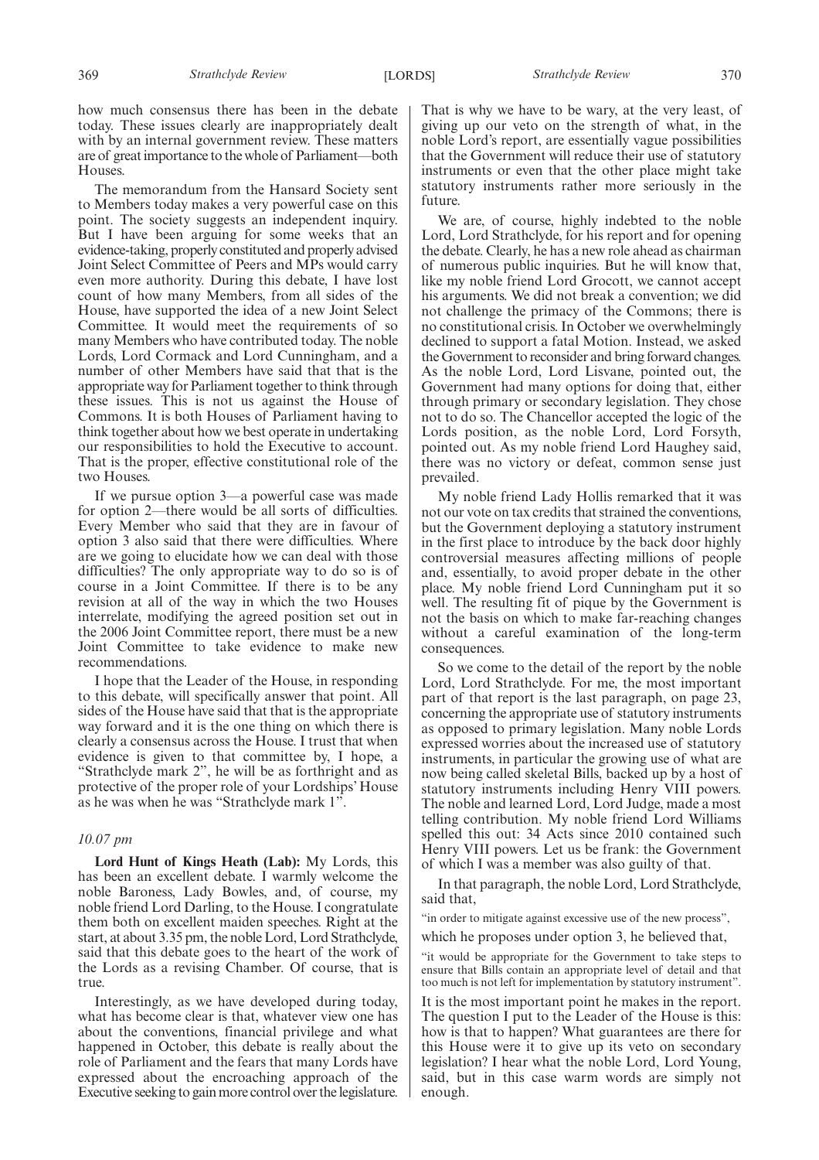The memorandum from the Hansard Society sent to Members today makes a very powerful case on this point. The society suggests an independent inquiry. But I have been arguing for some weeks that an evidence-taking, properly constituted and properly advised Joint Select Committee of Peers and MPs would carry even more authority. During this debate, I have lost count of how many Members, from all sides of the House, have supported the idea of a new Joint Select Committee. It would meet the requirements of so many Members who have contributed today. The noble Lords, Lord Cormack and Lord Cunningham, and a number of other Members have said that that is the appropriate way for Parliament together to think through these issues. This is not us against the House of Commons. It is both Houses of Parliament having to think together about how we best operate in undertaking our responsibilities to hold the Executive to account. That is the proper, effective constitutional role of the two Houses.

If we pursue option 3—a powerful case was made for option 2—there would be all sorts of difficulties. Every Member who said that they are in favour of option 3 also said that there were difficulties. Where are we going to elucidate how we can deal with those difficulties? The only appropriate way to do so is of course in a Joint Committee. If there is to be any revision at all of the way in which the two Houses interrelate, modifying the agreed position set out in the 2006 Joint Committee report, there must be a new Joint Committee to take evidence to make new recommendations.

I hope that the Leader of the House, in responding to this debate, will specifically answer that point. All sides of the House have said that that is the appropriate way forward and it is the one thing on which there is clearly a consensus across the House. I trust that when evidence is given to that committee by, I hope, a "Strathclyde mark 2", he will be as forthright and as protective of the proper role of your Lordships' House as he was when he was "Strathclyde mark 1".

#### *10.07 pm*

**Lord Hunt of Kings Heath (Lab):** My Lords, this has been an excellent debate. I warmly welcome the noble Baroness, Lady Bowles, and, of course, my noble friend Lord Darling, to the House. I congratulate them both on excellent maiden speeches. Right at the start, at about 3.35 pm, the noble Lord, Lord Strathclyde, said that this debate goes to the heart of the work of the Lords as a revising Chamber. Of course, that is true.

Interestingly, as we have developed during today, what has become clear is that, whatever view one has about the conventions, financial privilege and what happened in October, this debate is really about the role of Parliament and the fears that many Lords have expressed about the encroaching approach of the Executive seeking to gain more control over the legislature. That is why we have to be wary, at the very least, of giving up our veto on the strength of what, in the noble Lord's report, are essentially vague possibilities that the Government will reduce their use of statutory instruments or even that the other place might take statutory instruments rather more seriously in the future.

We are, of course, highly indebted to the noble Lord, Lord Strathclyde, for his report and for opening the debate. Clearly, he has a new role ahead as chairman of numerous public inquiries. But he will know that, like my noble friend Lord Grocott, we cannot accept his arguments. We did not break a convention; we did not challenge the primacy of the Commons; there is no constitutional crisis. In October we overwhelmingly declined to support a fatal Motion. Instead, we asked the Government to reconsider and bring forward changes. As the noble Lord, Lord Lisvane, pointed out, the Government had many options for doing that, either through primary or secondary legislation. They chose not to do so. The Chancellor accepted the logic of the Lords position, as the noble Lord, Lord Forsyth, pointed out. As my noble friend Lord Haughey said, there was no victory or defeat, common sense just prevailed.

My noble friend Lady Hollis remarked that it was not our vote on tax credits that strained the conventions, but the Government deploying a statutory instrument in the first place to introduce by the back door highly controversial measures affecting millions of people and, essentially, to avoid proper debate in the other place. My noble friend Lord Cunningham put it so well. The resulting fit of pique by the Government is not the basis on which to make far-reaching changes without a careful examination of the long-term consequences.

So we come to the detail of the report by the noble Lord, Lord Strathclyde. For me, the most important part of that report is the last paragraph, on page 23, concerning the appropriate use of statutory instruments as opposed to primary legislation. Many noble Lords expressed worries about the increased use of statutory instruments, in particular the growing use of what are now being called skeletal Bills, backed up by a host of statutory instruments including Henry VIII powers. The noble and learned Lord, Lord Judge, made a most telling contribution. My noble friend Lord Williams spelled this out: 34 Acts since 2010 contained such Henry VIII powers. Let us be frank: the Government of which I was a member was also guilty of that.

In that paragraph, the noble Lord, Lord Strathclyde, said that,

"in order to mitigate against excessive use of the new process",

which he proposes under option 3, he believed that,

"it would be appropriate for the Government to take steps to ensure that Bills contain an appropriate level of detail and that too much is not left for implementation by statutory instrument".

It is the most important point he makes in the report. The question I put to the Leader of the House is this: how is that to happen? What guarantees are there for this House were it to give up its veto on secondary legislation? I hear what the noble Lord, Lord Young, said, but in this case warm words are simply not enough.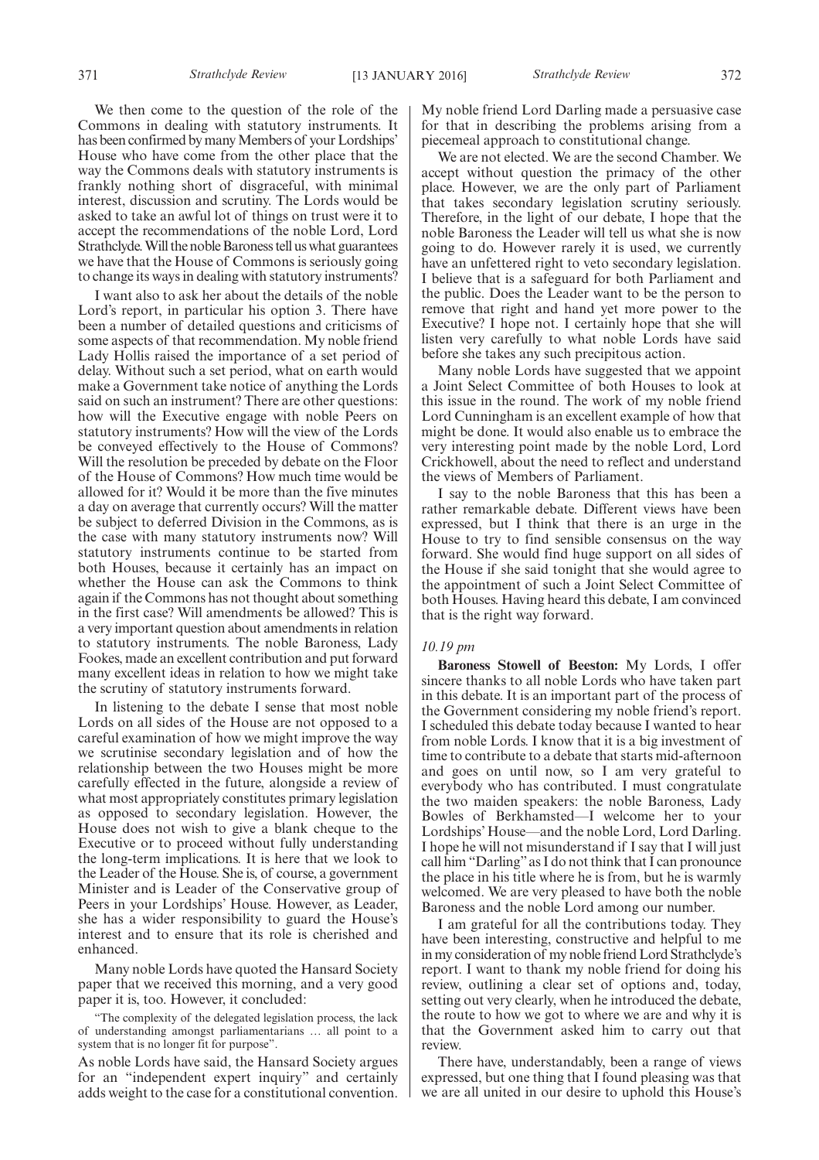We then come to the question of the role of the Commons in dealing with statutory instruments. It has been confirmed by many Members of your Lordships' House who have come from the other place that the way the Commons deals with statutory instruments is frankly nothing short of disgraceful, with minimal interest, discussion and scrutiny. The Lords would be asked to take an awful lot of things on trust were it to accept the recommendations of the noble Lord, Lord Strathclyde. Will the noble Baroness tell us what guarantees we have that the House of Commons is seriously going to change its ways in dealing with statutory instruments?

I want also to ask her about the details of the noble Lord's report, in particular his option 3. There have been a number of detailed questions and criticisms of some aspects of that recommendation. My noble friend Lady Hollis raised the importance of a set period of delay. Without such a set period, what on earth would make a Government take notice of anything the Lords said on such an instrument? There are other questions: how will the Executive engage with noble Peers on statutory instruments? How will the view of the Lords be conveyed effectively to the House of Commons? Will the resolution be preceded by debate on the Floor of the House of Commons? How much time would be allowed for it? Would it be more than the five minutes a day on average that currently occurs? Will the matter be subject to deferred Division in the Commons, as is the case with many statutory instruments now? Will statutory instruments continue to be started from both Houses, because it certainly has an impact on whether the House can ask the Commons to think again if the Commons has not thought about something in the first case? Will amendments be allowed? This is a very important question about amendments in relation to statutory instruments. The noble Baroness, Lady Fookes, made an excellent contribution and put forward many excellent ideas in relation to how we might take the scrutiny of statutory instruments forward.

In listening to the debate I sense that most noble Lords on all sides of the House are not opposed to a careful examination of how we might improve the way we scrutinise secondary legislation and of how the relationship between the two Houses might be more carefully effected in the future, alongside a review of what most appropriately constitutes primary legislation as opposed to secondary legislation. However, the House does not wish to give a blank cheque to the Executive or to proceed without fully understanding the long-term implications. It is here that we look to the Leader of the House. She is, of course, a government Minister and is Leader of the Conservative group of Peers in your Lordships' House. However, as Leader, she has a wider responsibility to guard the House's interest and to ensure that its role is cherished and enhanced.

Many noble Lords have quoted the Hansard Society paper that we received this morning, and a very good paper it is, too. However, it concluded:

The complexity of the delegated legislation process, the lack of understanding amongst parliamentarians … all point to a system that is no longer fit for purpose".

As noble Lords have said, the Hansard Society argues for an "independent expert inquiry" and certainly adds weight to the case for a constitutional convention. My noble friend Lord Darling made a persuasive case for that in describing the problems arising from a piecemeal approach to constitutional change.

We are not elected. We are the second Chamber. We accept without question the primacy of the other place. However, we are the only part of Parliament that takes secondary legislation scrutiny seriously. Therefore, in the light of our debate, I hope that the noble Baroness the Leader will tell us what she is now going to do. However rarely it is used, we currently have an unfettered right to veto secondary legislation. I believe that is a safeguard for both Parliament and the public. Does the Leader want to be the person to remove that right and hand yet more power to the Executive? I hope not. I certainly hope that she will listen very carefully to what noble Lords have said before she takes any such precipitous action.

Many noble Lords have suggested that we appoint a Joint Select Committee of both Houses to look at this issue in the round. The work of my noble friend Lord Cunningham is an excellent example of how that might be done. It would also enable us to embrace the very interesting point made by the noble Lord, Lord Crickhowell, about the need to reflect and understand the views of Members of Parliament.

I say to the noble Baroness that this has been a rather remarkable debate. Different views have been expressed, but I think that there is an urge in the House to try to find sensible consensus on the way forward. She would find huge support on all sides of the House if she said tonight that she would agree to the appointment of such a Joint Select Committee of both Houses. Having heard this debate, I am convinced that is the right way forward.

#### *10.19 pm*

**Baroness Stowell of Beeston:** My Lords, I offer sincere thanks to all noble Lords who have taken part in this debate. It is an important part of the process of the Government considering my noble friend's report. I scheduled this debate today because I wanted to hear from noble Lords. I know that it is a big investment of time to contribute to a debate that starts mid-afternoon and goes on until now, so I am very grateful to everybody who has contributed. I must congratulate the two maiden speakers: the noble Baroness, Lady Bowles of Berkhamsted—I welcome her to your Lordships' House—and the noble Lord, Lord Darling. I hope he will not misunderstand if I say that I will just call him "Darling" as I do not think that I can pronounce the place in his title where he is from, but he is warmly welcomed. We are very pleased to have both the noble Baroness and the noble Lord among our number.

I am grateful for all the contributions today. They have been interesting, constructive and helpful to me in my consideration of my noble friend Lord Strathclyde's report. I want to thank my noble friend for doing his review, outlining a clear set of options and, today, setting out very clearly, when he introduced the debate, the route to how we got to where we are and why it is that the Government asked him to carry out that review.

There have, understandably, been a range of views expressed, but one thing that I found pleasing was that we are all united in our desire to uphold this House's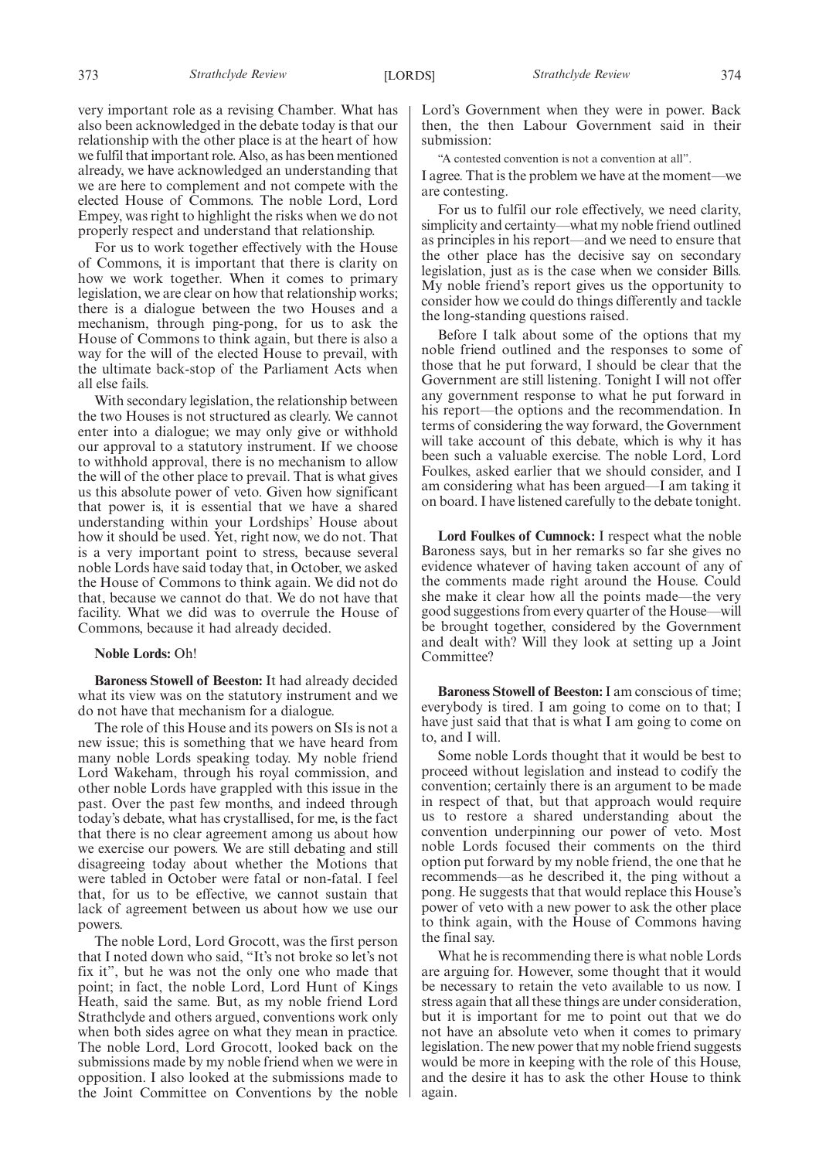very important role as a revising Chamber. What has also been acknowledged in the debate today is that our relationship with the other place is at the heart of how we fulfil that important role. Also, as has been mentioned already, we have acknowledged an understanding that we are here to complement and not compete with the elected House of Commons. The noble Lord, Lord Empey, was right to highlight the risks when we do not properly respect and understand that relationship.

For us to work together effectively with the House of Commons, it is important that there is clarity on how we work together. When it comes to primary legislation, we are clear on how that relationship works; there is a dialogue between the two Houses and a mechanism, through ping-pong, for us to ask the House of Commons to think again, but there is also a way for the will of the elected House to prevail, with the ultimate back-stop of the Parliament Acts when all else fails.

With secondary legislation, the relationship between the two Houses is not structured as clearly. We cannot enter into a dialogue; we may only give or withhold our approval to a statutory instrument. If we choose to withhold approval, there is no mechanism to allow the will of the other place to prevail. That is what gives us this absolute power of veto. Given how significant that power is, it is essential that we have a shared understanding within your Lordships' House about how it should be used. Yet, right now, we do not. That is a very important point to stress, because several noble Lords have said today that, in October, we asked the House of Commons to think again. We did not do that, because we cannot do that. We do not have that facility. What we did was to overrule the House of Commons, because it had already decided.

#### **Noble Lords:** Oh!

**Baroness Stowell of Beeston:** It had already decided what its view was on the statutory instrument and we do not have that mechanism for a dialogue.

The role of this House and its powers on SIs is not a new issue; this is something that we have heard from many noble Lords speaking today. My noble friend Lord Wakeham, through his royal commission, and other noble Lords have grappled with this issue in the past. Over the past few months, and indeed through today's debate, what has crystallised, for me, is the fact that there is no clear agreement among us about how we exercise our powers. We are still debating and still disagreeing today about whether the Motions that were tabled in October were fatal or non-fatal. I feel that, for us to be effective, we cannot sustain that lack of agreement between us about how we use our powers.

The noble Lord, Lord Grocott, was the first person that I noted down who said, "It's not broke so let's not fix it", but he was not the only one who made that point; in fact, the noble Lord, Lord Hunt of Kings Heath, said the same. But, as my noble friend Lord Strathclyde and others argued, conventions work only when both sides agree on what they mean in practice. The noble Lord, Lord Grocott, looked back on the submissions made by my noble friend when we were in opposition. I also looked at the submissions made to the Joint Committee on Conventions by the noble

Lord's Government when they were in power. Back then, the then Labour Government said in their submission:

"A contested convention is not a convention at all".

I agree. That is the problem we have at the moment—we are contesting.

For us to fulfil our role effectively, we need clarity, simplicity and certainty—what my noble friend outlined as principles in his report—and we need to ensure that the other place has the decisive say on secondary legislation, just as is the case when we consider Bills. My noble friend's report gives us the opportunity to consider how we could do things differently and tackle the long-standing questions raised.

Before I talk about some of the options that my noble friend outlined and the responses to some of those that he put forward, I should be clear that the Government are still listening. Tonight I will not offer any government response to what he put forward in his report—the options and the recommendation. In terms of considering the way forward, the Government will take account of this debate, which is why it has been such a valuable exercise. The noble Lord, Lord Foulkes, asked earlier that we should consider, and I am considering what has been argued—I am taking it on board. I have listened carefully to the debate tonight.

**Lord Foulkes of Cumnock:** I respect what the noble Baroness says, but in her remarks so far she gives no evidence whatever of having taken account of any of the comments made right around the House. Could she make it clear how all the points made—the very good suggestions from every quarter of the House—will be brought together, considered by the Government and dealt with? Will they look at setting up a Joint Committee?

**Baroness Stowell of Beeston:**I am conscious of time; everybody is tired. I am going to come on to that; I have just said that that is what I am going to come on to, and I will.

Some noble Lords thought that it would be best to proceed without legislation and instead to codify the convention; certainly there is an argument to be made in respect of that, but that approach would require us to restore a shared understanding about the convention underpinning our power of veto. Most noble Lords focused their comments on the third option put forward by my noble friend, the one that he recommends—as he described it, the ping without a pong. He suggests that that would replace this House's power of veto with a new power to ask the other place to think again, with the House of Commons having the final say.

What he is recommending there is what noble Lords are arguing for. However, some thought that it would be necessary to retain the veto available to us now. I stress again that all these things are under consideration, but it is important for me to point out that we do not have an absolute veto when it comes to primary legislation. The new power that my noble friend suggests would be more in keeping with the role of this House, and the desire it has to ask the other House to think again.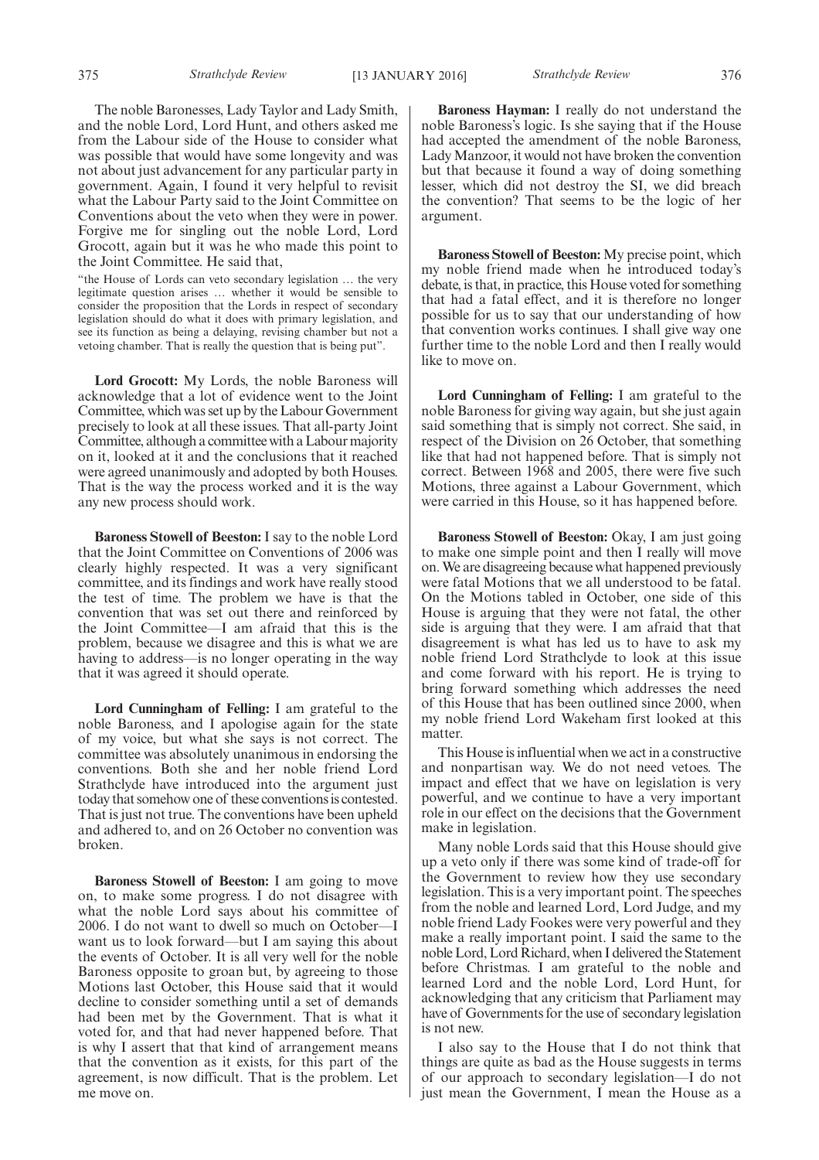The noble Baronesses, Lady Taylor and Lady Smith, and the noble Lord, Lord Hunt, and others asked me from the Labour side of the House to consider what was possible that would have some longevity and was not about just advancement for any particular party in government. Again, I found it very helpful to revisit what the Labour Party said to the Joint Committee on Conventions about the veto when they were in power. Forgive me for singling out the noble Lord, Lord Grocott, again but it was he who made this point to the Joint Committee. He said that,

"the House of Lords can veto secondary legislation … the very legitimate question arises … whether it would be sensible to consider the proposition that the Lords in respect of secondary legislation should do what it does with primary legislation, and see its function as being a delaying, revising chamber but not a vetoing chamber. That is really the question that is being put".

**Lord Grocott:** My Lords, the noble Baroness will acknowledge that a lot of evidence went to the Joint Committee, which was set up by the Labour Government precisely to look at all these issues. That all-party Joint Committee, although a committee with a Labour majority on it, looked at it and the conclusions that it reached were agreed unanimously and adopted by both Houses. That is the way the process worked and it is the way any new process should work.

**Baroness Stowell of Beeston:** I say to the noble Lord that the Joint Committee on Conventions of 2006 was clearly highly respected. It was a very significant committee, and its findings and work have really stood the test of time. The problem we have is that the convention that was set out there and reinforced by the Joint Committee—I am afraid that this is the problem, because we disagree and this is what we are having to address—is no longer operating in the way that it was agreed it should operate.

**Lord Cunningham of Felling:** I am grateful to the noble Baroness, and I apologise again for the state of my voice, but what she says is not correct. The committee was absolutely unanimous in endorsing the conventions. Both she and her noble friend Lord Strathclyde have introduced into the argument just today that somehow one of these conventions is contested. That is just not true. The conventions have been upheld and adhered to, and on 26 October no convention was broken.

**Baroness Stowell of Beeston:** I am going to move on, to make some progress. I do not disagree with what the noble Lord says about his committee of 2006. I do not want to dwell so much on October—I want us to look forward—but I am saying this about the events of October. It is all very well for the noble Baroness opposite to groan but, by agreeing to those Motions last October, this House said that it would decline to consider something until a set of demands had been met by the Government. That is what it voted for, and that had never happened before. That is why I assert that that kind of arrangement means that the convention as it exists, for this part of the agreement, is now difficult. That is the problem. Let me move on.

**Baroness Hayman:** I really do not understand the noble Baroness's logic. Is she saying that if the House had accepted the amendment of the noble Baroness, Lady Manzoor, it would not have broken the convention but that because it found a way of doing something lesser, which did not destroy the SI, we did breach the convention? That seems to be the logic of her argument.

**Baroness Stowell of Beeston:** My precise point, which my noble friend made when he introduced today's debate, is that, in practice, this House voted for something that had a fatal effect, and it is therefore no longer possible for us to say that our understanding of how that convention works continues. I shall give way one further time to the noble Lord and then I really would like to move on.

**Lord Cunningham of Felling:** I am grateful to the noble Baroness for giving way again, but she just again said something that is simply not correct. She said, in respect of the Division on 26 October, that something like that had not happened before. That is simply not correct. Between 1968 and 2005, there were five such Motions, three against a Labour Government, which were carried in this House, so it has happened before.

**Baroness Stowell of Beeston:** Okay, I am just going to make one simple point and then I really will move on.We are disagreeing because what happened previously were fatal Motions that we all understood to be fatal. On the Motions tabled in October, one side of this House is arguing that they were not fatal, the other side is arguing that they were. I am afraid that that disagreement is what has led us to have to ask my noble friend Lord Strathclyde to look at this issue and come forward with his report. He is trying to bring forward something which addresses the need of this House that has been outlined since 2000, when my noble friend Lord Wakeham first looked at this matter.

This House is influential when we act in a constructive and nonpartisan way. We do not need vetoes. The impact and effect that we have on legislation is very powerful, and we continue to have a very important role in our effect on the decisions that the Government make in legislation.

Many noble Lords said that this House should give up a veto only if there was some kind of trade-off for the Government to review how they use secondary legislation. This is a very important point. The speeches from the noble and learned Lord, Lord Judge, and my noble friend Lady Fookes were very powerful and they make a really important point. I said the same to the noble Lord, Lord Richard, when I delivered the Statement before Christmas. I am grateful to the noble and learned Lord and the noble Lord, Lord Hunt, for acknowledging that any criticism that Parliament may have of Governments for the use of secondary legislation is not new.

I also say to the House that I do not think that things are quite as bad as the House suggests in terms of our approach to secondary legislation—I do not just mean the Government, I mean the House as a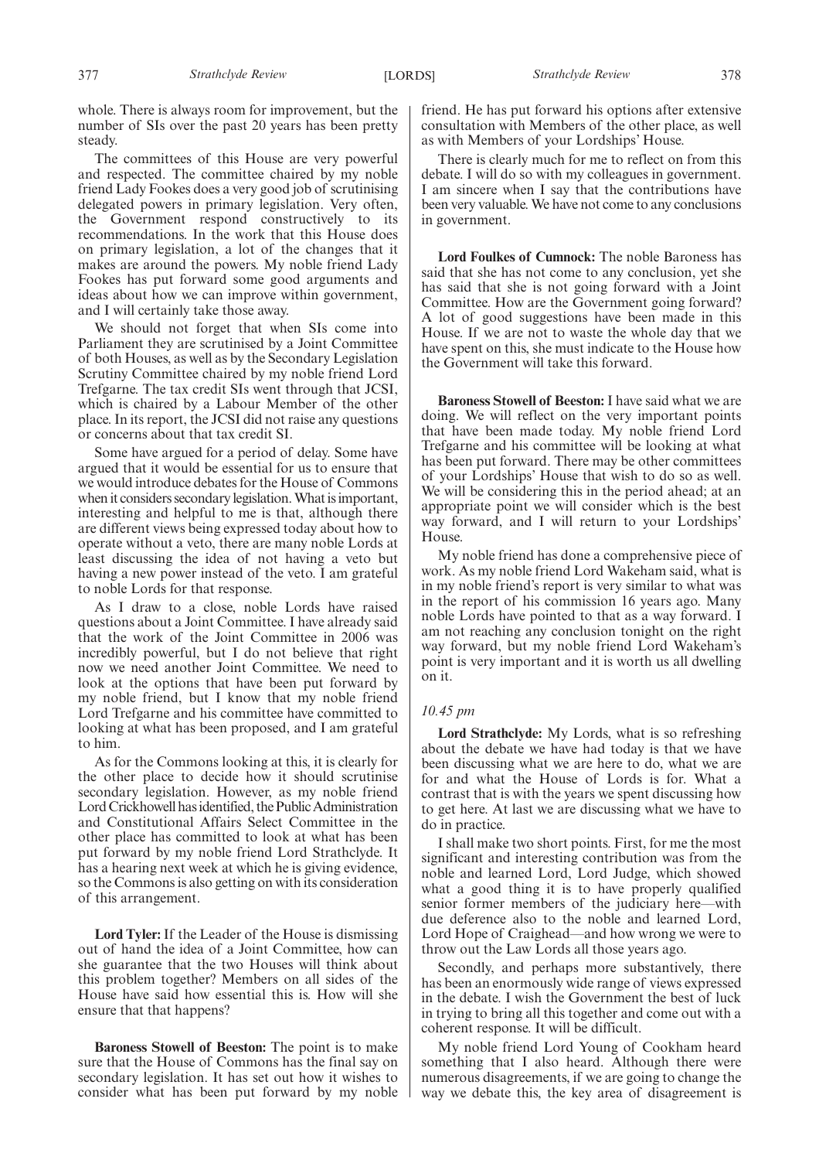whole. There is always room for improvement, but the number of SIs over the past 20 years has been pretty steady.

The committees of this House are very powerful and respected. The committee chaired by my noble friend Lady Fookes does a very good job of scrutinising delegated powers in primary legislation. Very often, the Government respond constructively to its recommendations. In the work that this House does on primary legislation, a lot of the changes that it makes are around the powers. My noble friend Lady Fookes has put forward some good arguments and ideas about how we can improve within government, and I will certainly take those away.

We should not forget that when SIs come into Parliament they are scrutinised by a Joint Committee of both Houses, as well as by the Secondary Legislation Scrutiny Committee chaired by my noble friend Lord Trefgarne. The tax credit SIs went through that JCSI, which is chaired by a Labour Member of the other place. In its report, the JCSI did not raise any questions or concerns about that tax credit SI.

Some have argued for a period of delay. Some have argued that it would be essential for us to ensure that we would introduce debates for the House of Commons when it considers secondary legislation. What is important, interesting and helpful to me is that, although there are different views being expressed today about how to operate without a veto, there are many noble Lords at least discussing the idea of not having a veto but having a new power instead of the veto. I am grateful to noble Lords for that response.

As I draw to a close, noble Lords have raised questions about a Joint Committee. I have already said that the work of the Joint Committee in 2006 was incredibly powerful, but I do not believe that right now we need another Joint Committee. We need to look at the options that have been put forward by my noble friend, but I know that my noble friend Lord Trefgarne and his committee have committed to looking at what has been proposed, and I am grateful to him.

As for the Commons looking at this, it is clearly for the other place to decide how it should scrutinise secondary legislation. However, as my noble friend Lord Crickhowell hasidentified, the Public Administration and Constitutional Affairs Select Committee in the other place has committed to look at what has been put forward by my noble friend Lord Strathclyde. It has a hearing next week at which he is giving evidence, so the Commons is also getting on with its consideration of this arrangement.

**Lord Tyler:** If the Leader of the House is dismissing out of hand the idea of a Joint Committee, how can she guarantee that the two Houses will think about this problem together? Members on all sides of the House have said how essential this is. How will she ensure that that happens?

**Baroness Stowell of Beeston:** The point is to make sure that the House of Commons has the final say on secondary legislation. It has set out how it wishes to consider what has been put forward by my noble friend. He has put forward his options after extensive consultation with Members of the other place, as well as with Members of your Lordships' House.

There is clearly much for me to reflect on from this debate. I will do so with my colleagues in government. I am sincere when I say that the contributions have been very valuable. We have not come to any conclusions in government.

**Lord Foulkes of Cumnock:** The noble Baroness has said that she has not come to any conclusion, yet she has said that she is not going forward with a Joint Committee. How are the Government going forward? A lot of good suggestions have been made in this House. If we are not to waste the whole day that we have spent on this, she must indicate to the House how the Government will take this forward.

**Baroness Stowell of Beeston:** I have said what we are doing. We will reflect on the very important points that have been made today. My noble friend Lord Trefgarne and his committee will be looking at what has been put forward. There may be other committees of your Lordships' House that wish to do so as well. We will be considering this in the period ahead; at an appropriate point we will consider which is the best way forward, and I will return to your Lordships' House.

My noble friend has done a comprehensive piece of work. As my noble friend Lord Wakeham said, what is in my noble friend's report is very similar to what was in the report of his commission 16 years ago. Many noble Lords have pointed to that as a way forward. I am not reaching any conclusion tonight on the right way forward, but my noble friend Lord Wakeham's point is very important and it is worth us all dwelling on it.

#### *10.45 pm*

**Lord Strathclyde:** My Lords, what is so refreshing about the debate we have had today is that we have been discussing what we are here to do, what we are for and what the House of Lords is for. What a contrast that is with the years we spent discussing how to get here. At last we are discussing what we have to do in practice.

I shall make two short points. First, for me the most significant and interesting contribution was from the noble and learned Lord, Lord Judge, which showed what a good thing it is to have properly qualified senior former members of the judiciary here—with due deference also to the noble and learned Lord, Lord Hope of Craighead—and how wrong we were to throw out the Law Lords all those years ago.

Secondly, and perhaps more substantively, there has been an enormously wide range of views expressed in the debate. I wish the Government the best of luck in trying to bring all this together and come out with a coherent response. It will be difficult.

My noble friend Lord Young of Cookham heard something that I also heard. Although there were numerous disagreements, if we are going to change the way we debate this, the key area of disagreement is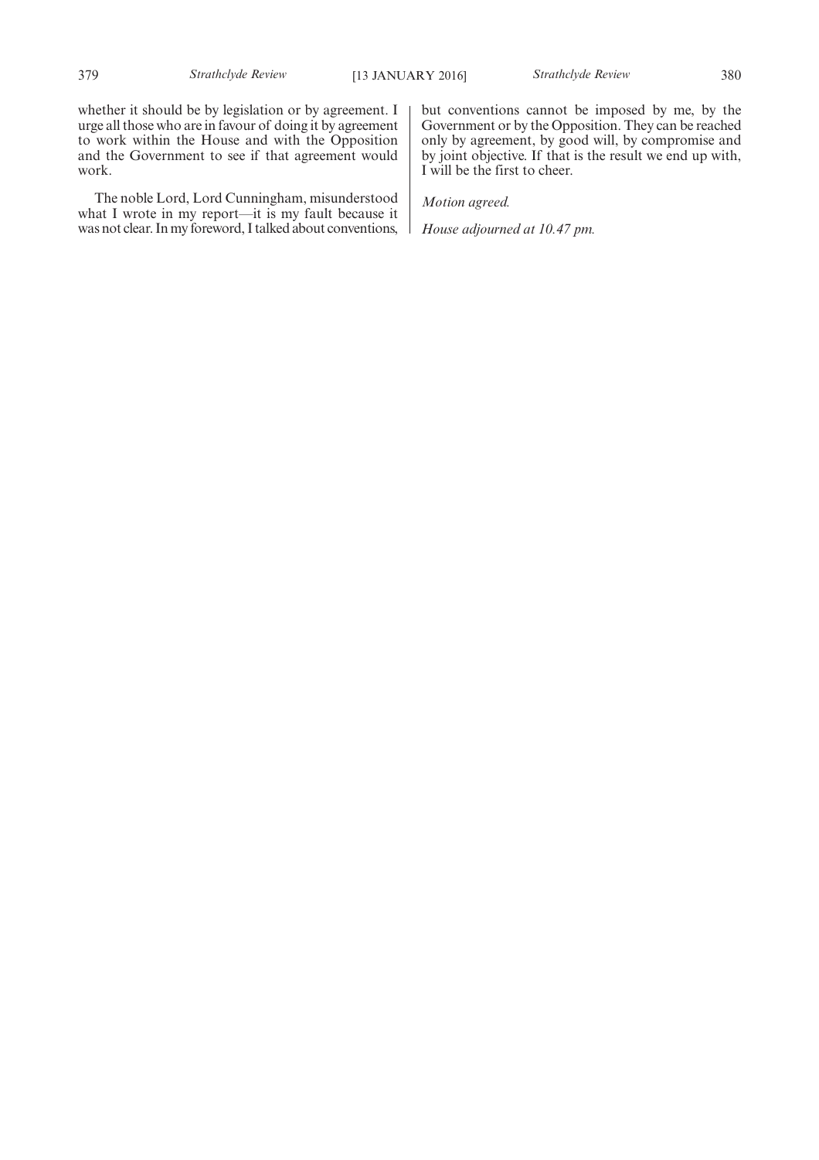whether it should be by legislation or by agreement. I urge all those who are in favour of doing it by agreement to work within the House and with the Opposition and the Government to see if that agreement would work.

The noble Lord, Lord Cunningham, misunderstood what I wrote in my report—it is my fault because it was not clear. In my foreword, I talked about conventions, but conventions cannot be imposed by me, by the Government or by the Opposition. They can be reached only by agreement, by good will, by compromise and by joint objective. If that is the result we end up with, I will be the first to cheer.

*Motion agreed.*

*House adjourned at 10.47 pm.*